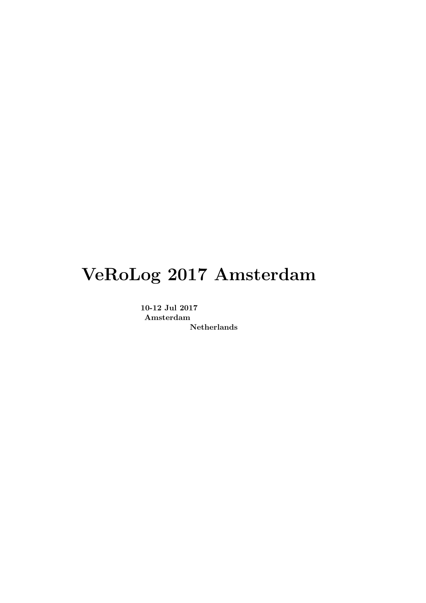# VeRoLog 2017 Amsterdam

10-12 Jul 2017 Amsterdam Netherlands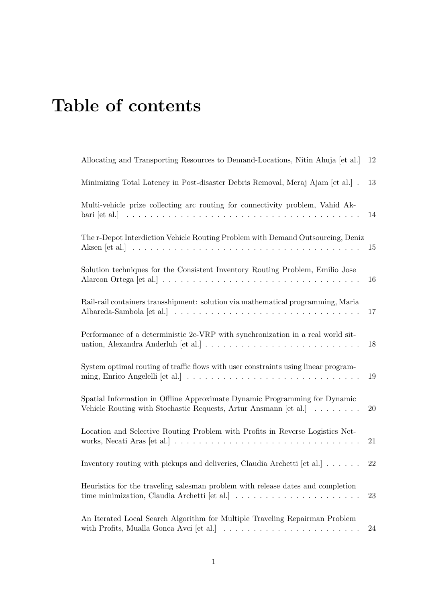# Table of contents

| Allocating and Transporting Resources to Demand-Locations, Nitin Ahuja [et al.]                                                                                                          | 12 |
|------------------------------------------------------------------------------------------------------------------------------------------------------------------------------------------|----|
| Minimizing Total Latency in Post-disaster Debris Removal, Meraj Ajam [et al.].                                                                                                           | 13 |
| Multi-vehicle prize collecting arc routing for connectivity problem, Vahid Ak-                                                                                                           | 14 |
| The r-Depot Interdiction Vehicle Routing Problem with Demand Outsourcing, Deniz                                                                                                          | 15 |
| Solution techniques for the Consistent Inventory Routing Problem, Emilio Jose                                                                                                            | 16 |
| Rail-rail containers transshipment: solution via mathematical programming, Maria                                                                                                         | 17 |
| Performance of a deterministic 2e-VRP with synchronization in a real world sit-                                                                                                          | 18 |
| System optimal routing of traffic flows with user constraints using linear program-                                                                                                      | 19 |
| Spatial Information in Offline Approximate Dynamic Programming for Dynamic<br>Vehicle Routing with Stochastic Requests, Artur Ansmann [et al.]                                           | 20 |
| Location and Selective Routing Problem with Profits in Reverse Logistics Net-                                                                                                            | 21 |
| Inventory routing with pickups and deliveries, Claudia Archetti [et al.]                                                                                                                 | 22 |
| Heuristics for the traveling salesman problem with release dates and completion<br>time minimization, Claudia Archetti [et al.] $\ldots \ldots \ldots \ldots \ldots \ldots \ldots$       | 23 |
| An Iterated Local Search Algorithm for Multiple Traveling Repairman Problem<br>with Profits, Mualla Gonca Avci $[et al.] \ldots \ldots \ldots \ldots \ldots \ldots \ldots \ldots \ldots$ | 24 |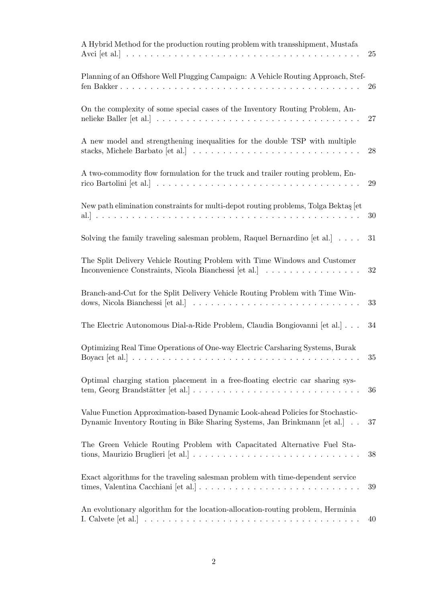| A Hybrid Method for the production routing problem with transshipment, Mustafa                                                                              | 25     |
|-------------------------------------------------------------------------------------------------------------------------------------------------------------|--------|
| Planning of an Offshore Well Plugging Campaign: A Vehicle Routing Approach, Stef-                                                                           | 26     |
| On the complexity of some special cases of the Inventory Routing Problem, An-                                                                               | 27     |
| A new model and strengthening inequalities for the double TSP with multiple                                                                                 | 28     |
| A two-commodity flow formulation for the truck and trailer routing problem, En-                                                                             | 29     |
| New path elimination constraints for multi-depot routing problems, Tolga Bektas [et                                                                         | 30     |
| Solving the family traveling salesman problem, Raquel Bernardino [et al.] $\ldots$ .                                                                        | 31     |
| The Split Delivery Vehicle Routing Problem with Time Windows and Customer<br>Inconvenience Constraints, Nicola Bianchessi [et al.]                          | 32     |
| Branch-and-Cut for the Split Delivery Vehicle Routing Problem with Time Win-                                                                                | $33\,$ |
| The Electric Autonomous Dial-a-Ride Problem, Claudia Bongiovanni [et al.]                                                                                   | 34     |
| Optimizing Real Time Operations of One-way Electric Carsharing Systems, Burak<br>Boyacı $[et al.] \ldots \ldots \ldots \ldots \ldots \ldots \ldots$         | 35     |
| Optimal charging station placement in a free-floating electric car sharing sys-                                                                             | 36     |
| Value Function Approximation-based Dynamic Look-ahead Policies for Stochastic-<br>Dynamic Inventory Routing in Bike Sharing Systems, Jan Brinkmann [et al.] | 37     |
| The Green Vehicle Routing Problem with Capacitated Alternative Fuel Sta-                                                                                    | 38     |
| Exact algorithms for the traveling salesman problem with time-dependent service                                                                             | 39     |
| An evolutionary algorithm for the location-allocation-routing problem, Herminia                                                                             | 40     |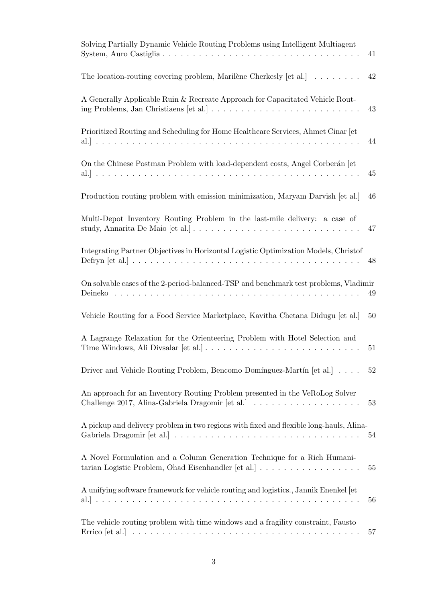| Solving Partially Dynamic Vehicle Routing Problems using Intelligent Multiagent                                                 | 41     |
|---------------------------------------------------------------------------------------------------------------------------------|--------|
| The location-routing covering problem, Marilène Cherkesly [et al.] $\dots \dots$                                                | 42     |
| A Generally Applicable Ruin & Recreate Approach for Capacitated Vehicle Rout-                                                   | 43     |
| Prioritized Routing and Scheduling for Home Healthcare Services, Ahmet Cinar [et]                                               | 44     |
| On the Chinese Postman Problem with load-dependent costs, Angel Corberán [et]                                                   | 45     |
| Production routing problem with emission minimization, Maryam Darvish [et al.]                                                  | 46     |
| Multi-Depot Inventory Routing Problem in the last-mile delivery: a case of                                                      | 47     |
| Integrating Partner Objectives in Horizontal Logistic Optimization Models, Christof                                             | 48     |
| On solvable cases of the 2-period-balanced-TSP and benchmark test problems, Vladimir                                            | 49     |
| Vehicle Routing for a Food Service Marketplace, Kavitha Chetana Didugu [et al.]                                                 | 50     |
| A Lagrange Relaxation for the Orienteering Problem with Hotel Selection and                                                     | 51     |
| Driver and Vehicle Routing Problem, Bencomo Domínguez-Martín [et al.]                                                           | $52\,$ |
| An approach for an Inventory Routing Problem presented in the VeRoLog Solver                                                    | 53     |
| A pickup and delivery problem in two regions with fixed and flexible long-hauls, Alina-                                         | 54     |
| A Novel Formulation and a Column Generation Technique for a Rich Humani-<br>tarian Logistic Problem, Ohad Eisenhandler [et al.] | 55     |
| A unifying software framework for vehicle routing and logistics., Jannik Enenkel [et                                            | 56     |
| The vehicle routing problem with time windows and a fragility constraint, Fausto                                                | 57     |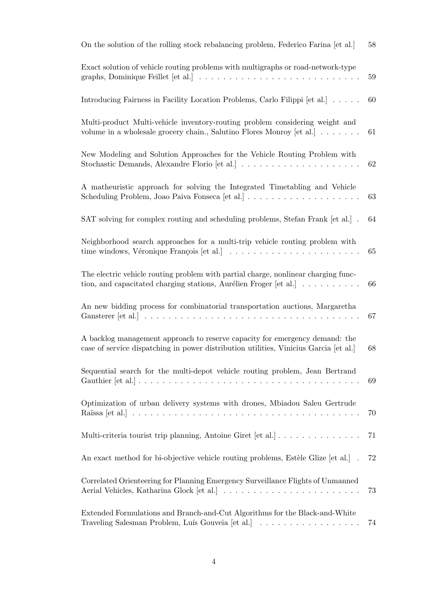| On the solution of the rolling stock rebalancing problem, Federico Farina [et al.]                                                                                                       | 58 |
|------------------------------------------------------------------------------------------------------------------------------------------------------------------------------------------|----|
| Exact solution of vehicle routing problems with multigraphs or road-network-type                                                                                                         | 59 |
| Introducing Fairness in Facility Location Problems, Carlo Filippi [et al.]                                                                                                               | 60 |
| Multi-product Multi-vehicle inventory-routing problem considering weight and<br>volume in a wholesale grocery chain., Salutino Flores Monroy [et al.]                                    | 61 |
| New Modeling and Solution Approaches for the Vehicle Routing Problem with                                                                                                                | 62 |
| A matheuristic approach for solving the Integrated Timetabling and Vehicle                                                                                                               | 63 |
| SAT solving for complex routing and scheduling problems, Stefan Frank [et al.].                                                                                                          | 64 |
| Neighborhood search approaches for a multi-trip vehicle routing problem with                                                                                                             | 65 |
| The electric vehicle routing problem with partial charge, nonlinear charging func-<br>tion, and capacitated charging stations, Aurélien Froger [et al.] $\ldots \ldots \ldots$           | 66 |
| An new bidding process for combinatorial transportation auctions, Margaretha<br>Gansterer [et al.] $\ldots \ldots \ldots \ldots \ldots \ldots \ldots \ldots \ldots \ldots \ldots \ldots$ | 67 |
| A backlog management approach to reserve capacity for emergency demand: the<br>case of service dispatching in power distribution utilities, Vinicius Garcia [et al.]                     | 68 |
| Sequential search for the multi-depot vehicle routing problem, Jean Bertrand                                                                                                             | 69 |
| Optimization of urban delivery systems with drones, Mbiadou Saleu Gertrude                                                                                                               | 70 |
| Multi-criteria tourist trip planning, Antoine Giret [et al.]                                                                                                                             | 71 |
| An exact method for bi-objective vehicle routing problems, Estèle Glize [et al.].                                                                                                        | 72 |
| Correlated Orienteering for Planning Emergency Surveillance Flights of Unmanned                                                                                                          | 73 |
| Extended Formulations and Branch-and-Cut Algorithms for the Black-and-White<br>Traveling Salesman Problem, Luís Gouveia [et al.]                                                         | 74 |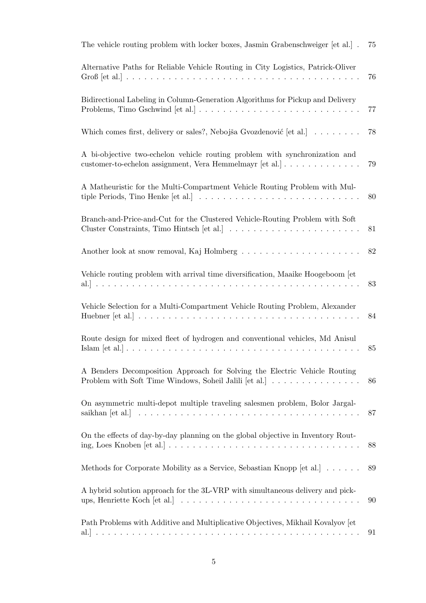| The vehicle routing problem with locker boxes, Jasmin Grabenschweiger [et al.].                                                                                                                     | 75 |
|-----------------------------------------------------------------------------------------------------------------------------------------------------------------------------------------------------|----|
| Alternative Paths for Reliable Vehicle Routing in City Logistics, Patrick-Oliver                                                                                                                    | 76 |
| Bidirectional Labeling in Column-Generation Algorithms for Pickup and Delivery                                                                                                                      | 77 |
| Which comes first, delivery or sales?, Nebojša Gvozdenović [et al.]                                                                                                                                 | 78 |
| A bi-objective two-echelon vehicle routing problem with synchronization and<br>customer-to-echelon assignment, Vera Hemmelmayr [et al.]                                                             | 79 |
| A Matheuristic for the Multi-Compartment Vehicle Routing Problem with Mul-<br>tiple Periods, Tino Henke [et al.] $\ldots \ldots \ldots \ldots \ldots \ldots \ldots \ldots \ldots \ldots$            | 80 |
| Branch-and-Price-and-Cut for the Clustered Vehicle-Routing Problem with Soft                                                                                                                        | 81 |
|                                                                                                                                                                                                     | 82 |
| Vehicle routing problem with arrival time diversification, Maaike Hoogeboom [et]                                                                                                                    | 83 |
| Vehicle Selection for a Multi-Compartment Vehicle Routing Problem, Alexander                                                                                                                        | 84 |
| Route design for mixed fleet of hydrogen and conventional vehicles, Md Anisul                                                                                                                       | 85 |
| A Benders Decomposition Approach for Solving the Electric Vehicle Routing<br>Problem with Soft Time Windows, Soheil Jalili [et al.]                                                                 | 86 |
| On asymmetric multi-depot multiple traveling salesmen problem, Bolor Jargal-                                                                                                                        | 87 |
| On the effects of day-by-day planning on the global objective in Inventory Rout-<br>ing, Loes Knoben $[et al.] \ldots \ldots \ldots \ldots \ldots \ldots \ldots \ldots \ldots \ldots \ldots \ldots$ | 88 |
| Methods for Corporate Mobility as a Service, Sebastian Knopp [et al.]                                                                                                                               | 89 |
| A hybrid solution approach for the 3L-VRP with simultaneous delivery and pick-                                                                                                                      | 90 |
| Path Problems with Additive and Multiplicative Objectives, Mikhail Kovalyov [et]                                                                                                                    | 91 |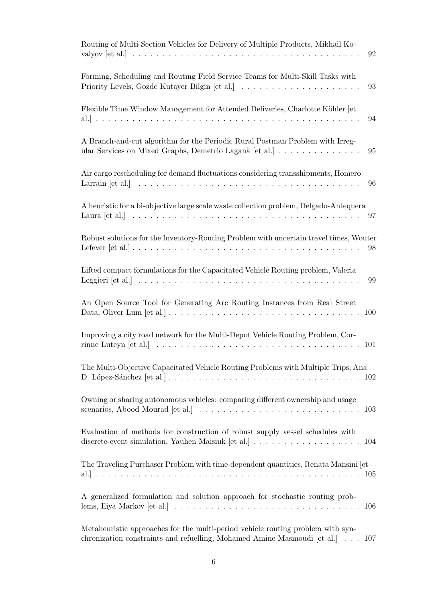| Routing of Multi-Section Vehicles for Delivery of Multiple Products, Mikhail Ko-<br>92                                                                                                                       |
|--------------------------------------------------------------------------------------------------------------------------------------------------------------------------------------------------------------|
| Forming, Scheduling and Routing Field Service Teams for Multi-Skill Tasks with<br>93                                                                                                                         |
| Flexible Time Window Management for Attended Deliveries, Charlotte Köhler [et<br>94                                                                                                                          |
| A Branch-and-cut algorithm for the Periodic Rural Postman Problem with Irreg-<br>ular Services on Mixed Graphs, Demetrio Laganà [et al.]<br>95                                                               |
| Air cargo rescheduling for demand fluctuations considering transshipments, Homero<br>96                                                                                                                      |
| A heuristic for a bi-objective large scale waste collection problem, Delgado-Antequera<br>97                                                                                                                 |
| Robust solutions for the Inventory-Routing Problem with uncertain travel times, Wouter<br>98                                                                                                                 |
| Lifted compact formulations for the Capacitated Vehicle Routing problem, Valeria<br>99                                                                                                                       |
| An Open Source Tool for Generating Arc Routing Instances from Real Street<br>100                                                                                                                             |
| Improving a city road network for the Multi-Depot Vehicle Routing Problem, Cor-<br>rinne Luteyn [et al.] $\ldots \ldots \ldots \ldots \ldots \ldots \ldots \ldots \ldots \ldots \ldots \ldots \ldots$<br>101 |
| The Multi-Objective Capacitated Vehicle Routing Problems with Multiple Trips, Ana                                                                                                                            |
| Owning or sharing autonomous vehicles: comparing different ownership and usage<br>103                                                                                                                        |
| Evaluation of methods for construction of robust supply vessel schedules with<br>104                                                                                                                         |
| The Traveling Purchaser Problem with time-dependent quantities, Renata Mansini [et]                                                                                                                          |
| A generalized formulation and solution approach for stochastic routing prob-<br>106                                                                                                                          |
| Metaheuristic approaches for the multi-period vehicle routing problem with syn-<br>chronization constraints and refuelling, Mohamed Amine Masmoudi [et al.]<br>107                                           |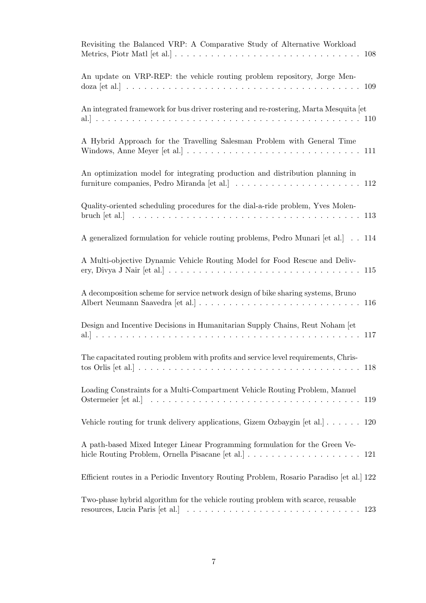| Revisiting the Balanced VRP: A Comparative Study of Alternative Workload                                                                                                                      |
|-----------------------------------------------------------------------------------------------------------------------------------------------------------------------------------------------|
| An update on VRP-REP: the vehicle routing problem repository, Jorge Men-<br>109                                                                                                               |
| An integrated framework for bus driver rostering and re-rostering, Marta Mesquita [et                                                                                                         |
| A Hybrid Approach for the Travelling Salesman Problem with General Time                                                                                                                       |
| An optimization model for integrating production and distribution planning in<br>furniture companies, Pedro Miranda [et al.] $\ldots \ldots \ldots \ldots \ldots \ldots \ldots \ldots \ldots$ |
| Quality-oriented scheduling procedures for the dial-a-ride problem, Yves Molen-                                                                                                               |
| A generalized formulation for vehicle routing problems, Pedro Munari [et al.] 114                                                                                                             |
| A Multi-objective Dynamic Vehicle Routing Model for Food Rescue and Deliv-                                                                                                                    |
| A decomposition scheme for service network design of bike sharing systems, Bruno                                                                                                              |
| Design and Incentive Decisions in Humanitarian Supply Chains, Reut Noham [et]                                                                                                                 |
| The capacitated routing problem with profits and service level requirements, Chris-                                                                                                           |
| Loading Constraints for a Multi-Compartment Vehicle Routing Problem, Manuel<br>119                                                                                                            |
| Vehicle routing for trunk delivery applications, Gizem Ozbaygin [et al.] $\ldots \ldots$ 120                                                                                                  |
| A path-based Mixed Integer Linear Programming formulation for the Green Ve-                                                                                                                   |
| Efficient routes in a Periodic Inventory Routing Problem, Rosario Paradiso [et al.] 122                                                                                                       |
| Two-phase hybrid algorithm for the vehicle routing problem with scarce, reusable<br>123                                                                                                       |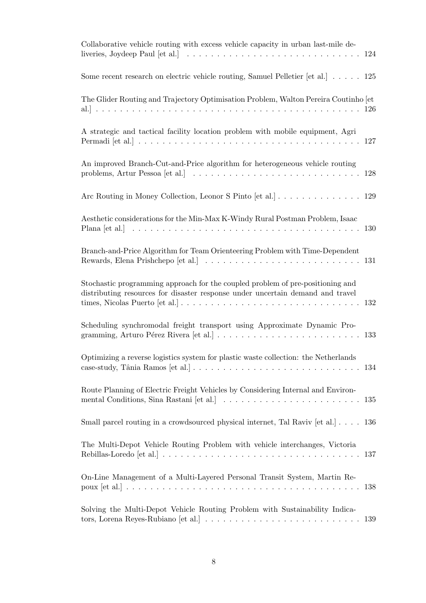| Collaborative vehicle routing with excess vehicle capacity in urban last-mile de-<br>liveries, Joydeep Paul [et al.] $\ldots \ldots \ldots \ldots \ldots \ldots \ldots \ldots \ldots \ldots \ldots 124$  |
|----------------------------------------------------------------------------------------------------------------------------------------------------------------------------------------------------------|
| Some recent research on electric vehicle routing, Samuel Pelletier [et al.] $\ldots$ . 125                                                                                                               |
| The Glider Routing and Trajectory Optimisation Problem, Walton Pereira Coutinho [et]                                                                                                                     |
| A strategic and tactical facility location problem with mobile equipment, Agri                                                                                                                           |
| An improved Branch-Cut-and-Price algorithm for heterogeneous vehicle routing                                                                                                                             |
| Arc Routing in Money Collection, Leonor S Pinto [et al.] 129                                                                                                                                             |
| Aesthetic considerations for the Min-Max K-Windy Rural Postman Problem, Isaac                                                                                                                            |
| Branch-and-Price Algorithm for Team Orienteering Problem with Time-Dependent                                                                                                                             |
| Stochastic programming approach for the coupled problem of pre-positioning and<br>distributing resources for disaster response under uncertain demand and travel                                         |
| Scheduling synchromodal freight transport using Approximate Dynamic Pro-<br>gramming, Arturo Pérez Rivera [et al.] $\ldots \ldots \ldots \ldots \ldots \ldots \ldots \ldots \ldots \ldots$ 133           |
| Optimizing a reverse logistics system for plastic waste collection: the Netherlands $\,$                                                                                                                 |
| Route Planning of Electric Freight Vehicles by Considering Internal and Environ-<br>135                                                                                                                  |
| Small parcel routing in a crowdsourced physical internet, Tal Raviv [et al.] $\ldots$ . 136                                                                                                              |
| The Multi-Depot Vehicle Routing Problem with vehicle interchanges, Victoria<br>Rebillas-Loredo [et al.] $\ldots \ldots \ldots \ldots \ldots \ldots \ldots \ldots \ldots \ldots \ldots \ldots \ldots 137$ |
| On-Line Management of a Multi-Layered Personal Transit System, Martin Re-<br>138                                                                                                                         |
| Solving the Multi-Depot Vehicle Routing Problem with Sustainability Indica-                                                                                                                              |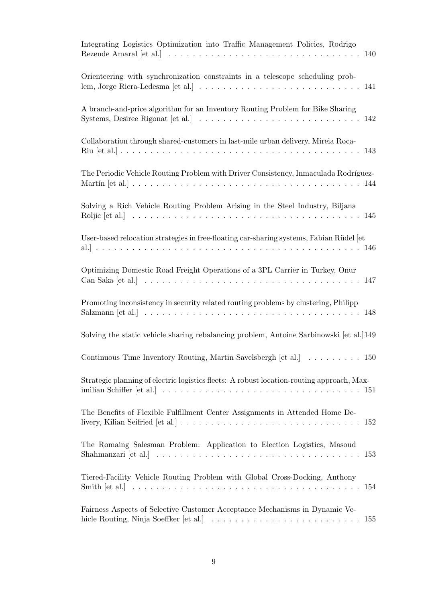| Integrating Logistics Optimization into Traffic Management Policies, Rodrigo                                                                                                                                      |
|-------------------------------------------------------------------------------------------------------------------------------------------------------------------------------------------------------------------|
| Orienteering with synchronization constraints in a telescope scheduling prob-                                                                                                                                     |
| A branch-and-price algorithm for an Inventory Routing Problem for Bike Sharing                                                                                                                                    |
| Collaboration through shared-customers in last-mile urban delivery, Mireia Roca-                                                                                                                                  |
| The Periodic Vehicle Routing Problem with Driver Consistency, Inmaculada Rodríguez-                                                                                                                               |
| Solving a Rich Vehicle Routing Problem Arising in the Steel Industry, Biljana                                                                                                                                     |
| User-based relocation strategies in free-floating car-sharing systems, Fabian Rüdel [et]                                                                                                                          |
| Optimizing Domestic Road Freight Operations of a 3PL Carrier in Turkey, Onur                                                                                                                                      |
| Promoting inconsistency in security related routing problems by clustering, Philipp                                                                                                                               |
| Solving the static vehicle sharing rebalancing problem, Antoine Sarbinowski [et al.] 149                                                                                                                          |
| Continuous Time Inventory Routing, Martin Savelsbergh [et al.]<br>150                                                                                                                                             |
| Strategic planning of electric logistics fleets: A robust location-routing approach, Max-                                                                                                                         |
| The Benefits of Flexible Fulfillment Center Assignments in Attended Home De-<br>livery, Kilian Seifried [et al.] $\ldots \ldots \ldots \ldots \ldots \ldots \ldots \ldots \ldots \ldots \ldots \ldots \ldots 152$ |
| The Romaing Salesman Problem: Application to Election Logistics, Masoud<br>Shahmanzari [et al.] $\ldots \ldots \ldots \ldots \ldots \ldots \ldots \ldots \ldots \ldots \ldots \ldots \ldots 153$                  |
| Tiered-Facility Vehicle Routing Problem with Global Cross-Docking, Anthony                                                                                                                                        |
| Fairness Aspects of Selective Customer Acceptance Mechanisms in Dynamic Ve-<br>hicle Routing, Ninja Soeffker [et al.] $\ldots \ldots \ldots \ldots \ldots \ldots \ldots \ldots \ldots \ldots \ldots 155$          |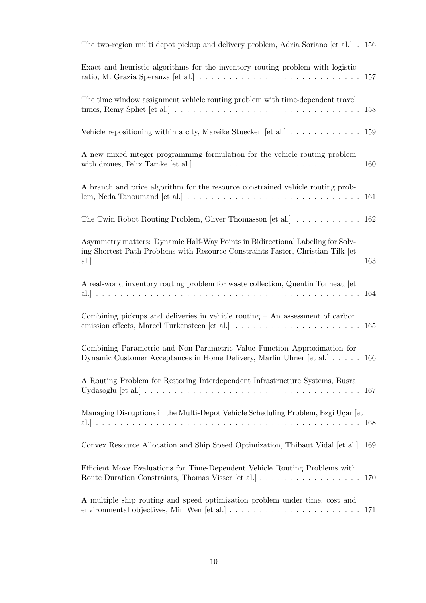| The two-region multi depot pickup and delivery problem, Adria Soriano [et al.] . 156                                                                                                                |     |
|-----------------------------------------------------------------------------------------------------------------------------------------------------------------------------------------------------|-----|
| Exact and heuristic algorithms for the inventory routing problem with logistic                                                                                                                      |     |
| The time window assignment vehicle routing problem with time-dependent travel<br>times, Remy Spliet [et al.] $\ldots \ldots \ldots \ldots \ldots \ldots \ldots \ldots \ldots \ldots \ldots$         | 158 |
| Vehicle repositioning within a city, Mareike Stuecken [et al.] 159                                                                                                                                  |     |
| A new mixed integer programming formulation for the vehicle routing problem<br>with drones, Felix Tamke [et al.] $\ldots \ldots \ldots \ldots \ldots \ldots \ldots \ldots \ldots \ldots \ldots 160$ |     |
| A branch and price algorithm for the resource constrained vehicle routing prob-                                                                                                                     |     |
| The Twin Robot Routing Problem, Oliver Thomasson [et al.] $\ldots \ldots \ldots \ldots 162$                                                                                                         |     |
| Asymmetry matters: Dynamic Half-Way Points in Bidirectional Labeling for Solv-<br>ing Shortest Path Problems with Resource Constraints Faster, Christian Tilk [et                                   |     |
| A real-world inventory routing problem for waste collection, Quentin Tonneau [et]                                                                                                                   |     |
| Combining pickups and deliveries in vehicle routing $-$ An assessment of carbon                                                                                                                     |     |
| Combining Parametric and Non-Parametric Value Function Approximation for<br>Dynamic Customer Acceptances in Home Delivery, Marlin Ulmer [et al.]                                                    | 166 |
| A Routing Problem for Restoring Interdependent Infrastructure Systems, Busra                                                                                                                        |     |
| Managing Disruptions in the Multi-Depot Vehicle Scheduling Problem, Ezgi Uçar [et                                                                                                                   |     |
| Convex Resource Allocation and Ship Speed Optimization, Thibaut Vidal [et al.] 169                                                                                                                  |     |
| Efficient Move Evaluations for Time-Dependent Vehicle Routing Problems with<br>Route Duration Constraints, Thomas Visser [et al.] 170                                                               |     |
| A multiple ship routing and speed optimization problem under time, cost and                                                                                                                         |     |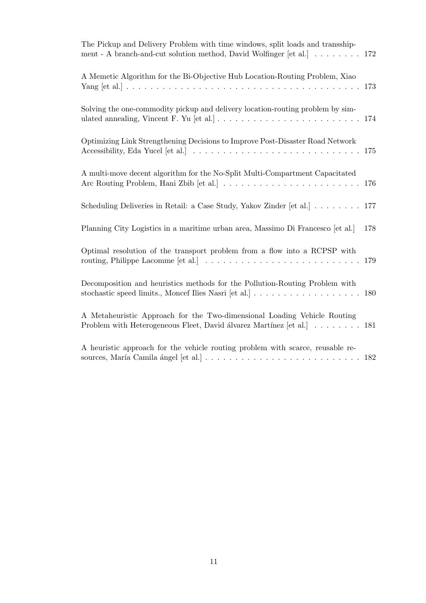| The Pickup and Delivery Problem with time windows, split loads and transship-<br>ment - A branch-and-cut solution method, David Wolfinger [et al.] 172                                                 |     |
|--------------------------------------------------------------------------------------------------------------------------------------------------------------------------------------------------------|-----|
| A Memetic Algorithm for the Bi-Objective Hub Location-Routing Problem, Xiao                                                                                                                            | 173 |
| Solving the one-commodity pickup and delivery location-routing problem by sim-<br>ulated annealing, Vincent F. Yu [et al.] $\ldots \ldots \ldots \ldots \ldots \ldots \ldots \ldots \ldots \ldots 174$ |     |
| Optimizing Link Strengthening Decisions to Improve Post-Disaster Road Network                                                                                                                          | 175 |
| A multi-move decent algorithm for the No-Split Multi-Compartment Capacitated                                                                                                                           | 176 |
| Scheduling Deliveries in Retail: a Case Study, Yakov Zinder [et al.]                                                                                                                                   | 177 |
| Planning City Logistics in a maritime urban area, Massimo Di Francesco [et al.]                                                                                                                        | 178 |
| Optimal resolution of the transport problem from a flow into a RCPSP with                                                                                                                              | 179 |
| Decomposition and heuristics methods for the Pollution-Routing Problem with<br>stochastic speed limits., Moncef Ilies Nasri [et al.] $\ldots \ldots \ldots \ldots \ldots \ldots \ldots 180$            |     |
| A Metaheuristic Approach for the Two-dimensional Loading Vehicle Routing<br>Problem with Heterogeneous Fleet, David álvarez Martínez [et al.] 181                                                      |     |
| A heuristic approach for the vehicle routing problem with scarce, reusable re-                                                                                                                         |     |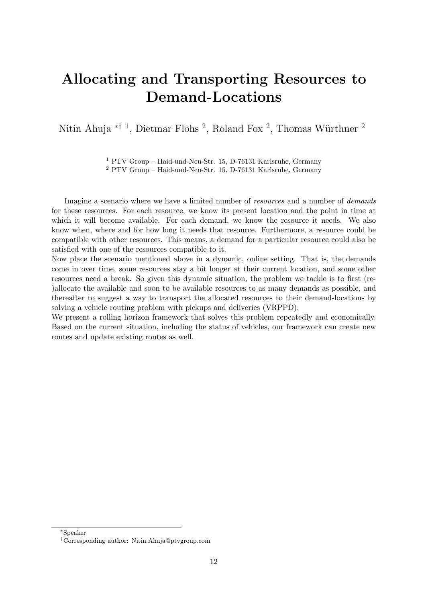# <span id="page-12-0"></span>Allocating and Transporting Resources to Demand-Locations

Nitin Ahuja <sup>\*† 1</sup>, Dietmar Flohs <sup>2</sup>, Roland Fox <sup>2</sup>, Thomas Würthner <sup>2</sup>

<sup>1</sup> PTV Group – Haid-und-Neu-Str. 15, D-76131 Karlsruhe, Germany <sup>2</sup> PTV Group – Haid-und-Neu-Str. 15, D-76131 Karlsruhe, Germany

Imagine a scenario where we have a limited number of *resources* and a number of *demands* for these resources. For each resource, we know its present location and the point in time at which it will become available. For each demand, we know the resource it needs. We also know when, where and for how long it needs that resource. Furthermore, a resource could be compatible with other resources. This means, a demand for a particular resource could also be satisfied with one of the resources compatible to it.

Now place the scenario mentioned above in a dynamic, online setting. That is, the demands come in over time, some resources stay a bit longer at their current location, and some other resources need a break. So given this dynamic situation, the problem we tackle is to first (re- )allocate the available and soon to be available resources to as many demands as possible, and thereafter to suggest a way to transport the allocated resources to their demand-locations by solving a vehicle routing problem with pickups and deliveries (VRPPD).

We present a rolling horizon framework that solves this problem repeatedly and economically. Based on the current situation, including the status of vehicles, our framework can create new routes and update existing routes as well.

<sup>∗</sup>Speaker

<sup>†</sup>Corresponding author: [Nitin.Ahuja@ptvgroup.com](mailto:Nitin.Ahuja@ptvgroup.com)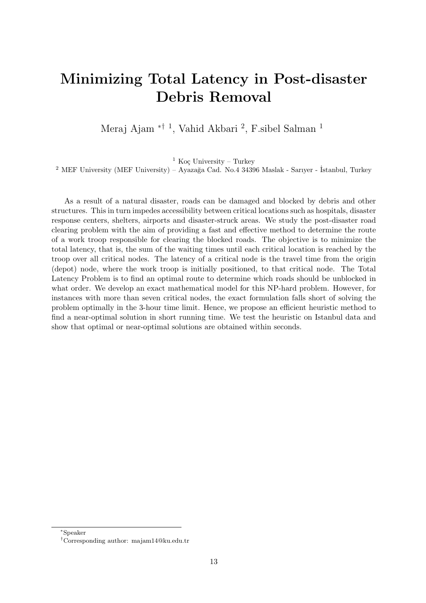# <span id="page-13-0"></span>Minimizing Total Latency in Post-disaster Debris Removal

Meraj Ajam <sup>\*† 1</sup>, Vahid Akbari <sup>2</sup>, F.sibel Salman <sup>1</sup>

<sup>1</sup> Koç University – Turkey

<sup>2</sup> MEF University (MEF University) – Ayazağa Cad. No.4 34396 Maslak - Sarıyer - İstanbul, Turkey

As a result of a natural disaster, roads can be damaged and blocked by debris and other structures. This in turn impedes accessibility between critical locations such as hospitals, disaster response centers, shelters, airports and disaster-struck areas. We study the post-disaster road clearing problem with the aim of providing a fast and effective method to determine the route of a work troop responsible for clearing the blocked roads. The objective is to minimize the total latency, that is, the sum of the waiting times until each critical location is reached by the troop over all critical nodes. The latency of a critical node is the travel time from the origin (depot) node, where the work troop is initially positioned, to that critical node. The Total Latency Problem is to find an optimal route to determine which roads should be unblocked in what order. We develop an exact mathematical model for this NP-hard problem. However, for instances with more than seven critical nodes, the exact formulation falls short of solving the problem optimally in the 3-hour time limit. Hence, we propose an efficient heuristic method to find a near-optimal solution in short running time. We test the heuristic on Istanbul data and show that optimal or near-optimal solutions are obtained within seconds.

<sup>∗</sup>Speaker

<sup>†</sup>Corresponding author: [majam14@ku.edu.tr](mailto:majam14@ku.edu.tr)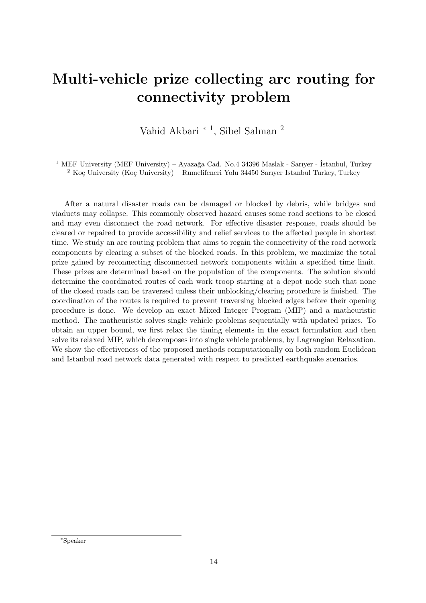# <span id="page-14-0"></span>Multi-vehicle prize collecting arc routing for connectivity problem

Vahid Akbari <sup>\* 1</sup>, Sibel Salman <sup>2</sup>

<sup>1</sup> MEF University (MEF University) – Ayazağa Cad. No.4 34396 Maslak - Sarıyer - İstanbul, Turkey  $2$  Koç University (Koç University) – Rumelifeneri Yolu 34450 Sarıyer Istanbul Turkey, Turkey

After a natural disaster roads can be damaged or blocked by debris, while bridges and viaducts may collapse. This commonly observed hazard causes some road sections to be closed and may even disconnect the road network. For effective disaster response, roads should be cleared or repaired to provide accessibility and relief services to the affected people in shortest time. We study an arc routing problem that aims to regain the connectivity of the road network components by clearing a subset of the blocked roads. In this problem, we maximize the total prize gained by reconnecting disconnected network components within a specified time limit. These prizes are determined based on the population of the components. The solution should determine the coordinated routes of each work troop starting at a depot node such that none of the closed roads can be traversed unless their unblocking/clearing procedure is finished. The coordination of the routes is required to prevent traversing blocked edges before their opening procedure is done. We develop an exact Mixed Integer Program (MIP) and a matheuristic method. The matheuristic solves single vehicle problems sequentially with updated prizes. To obtain an upper bound, we first relax the timing elements in the exact formulation and then solve its relaxed MIP, which decomposes into single vehicle problems, by Lagrangian Relaxation. We show the effectiveness of the proposed methods computationally on both random Euclidean and Istanbul road network data generated with respect to predicted earthquake scenarios.

<sup>∗</sup>Speaker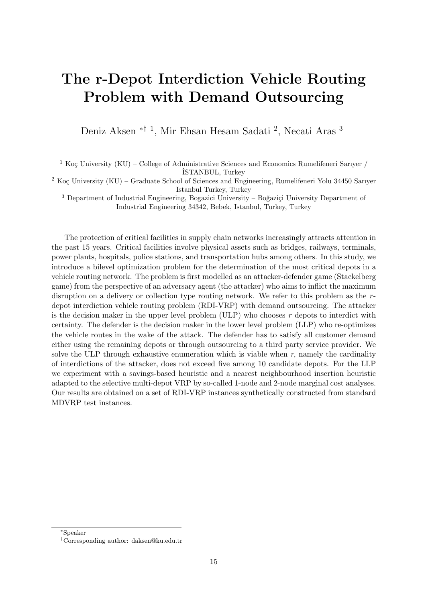#### <span id="page-15-0"></span>The r-Depot Interdiction Vehicle Routing Problem with Demand Outsourcing

Deniz Aksen <sup>\*† 1</sup>, Mir Ehsan Hesam Sadati <sup>2</sup>, Necati Aras <sup>3</sup>

<sup>1</sup> Koç University (KU) – College of Administrative Sciences and Economics Rumelifeneri Sarıyer / ˙ISTANBUL, Turkey

<sup>2</sup> Koç University (KU) – Graduate School of Sciences and Engineering, Rumelifeneri Yolu 34450 Sarıyer Istanbul Turkey, Turkey

 $3$  Department of Industrial Engineering, Bogazici University – Boğaziçi University Department of Industrial Engineering 34342, Bebek, Istanbul, Turkey, Turkey

The protection of critical facilities in supply chain networks increasingly attracts attention in the past 15 years. Critical facilities involve physical assets such as bridges, railways, terminals, power plants, hospitals, police stations, and transportation hubs among others. In this study, we introduce a bilevel optimization problem for the determination of the most critical depots in a vehicle routing network. The problem is first modelled as an attacker-defender game (Stackelberg game) from the perspective of an adversary agent (the attacker) who aims to inflict the maximum disruption on a delivery or collection type routing network. We refer to this problem as the  $r$ depot interdiction vehicle routing problem (RDI-VRP) with demand outsourcing. The attacker is the decision maker in the upper level problem (ULP) who chooses  $r$  depots to interdict with certainty. The defender is the decision maker in the lower level problem (LLP) who re-optimizes the vehicle routes in the wake of the attack. The defender has to satisfy all customer demand either using the remaining depots or through outsourcing to a third party service provider. We solve the ULP through exhaustive enumeration which is viable when  $r$ , namely the cardinality of interdictions of the attacker, does not exceed five among 10 candidate depots. For the LLP we experiment with a savings-based heuristic and a nearest neighbourhood insertion heuristic adapted to the selective multi-depot VRP by so-called 1-node and 2-node marginal cost analyses. Our results are obtained on a set of RDI-VRP instances synthetically constructed from standard MDVRP test instances.

<sup>∗</sup>Speaker

<sup>†</sup>Corresponding author: [daksen@ku.edu.tr](mailto:daksen@ku.edu.tr)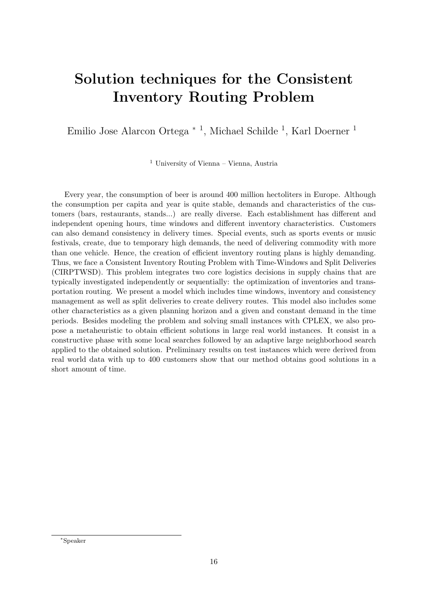## <span id="page-16-0"></span>Solution techniques for the Consistent Inventory Routing Problem

Emilio Jose Alarcon Ortega <sup>∗</sup> <sup>1</sup> , Michael Schilde <sup>1</sup> , Karl Doerner <sup>1</sup>

<sup>1</sup> University of Vienna – Vienna, Austria

Every year, the consumption of beer is around 400 million hectoliters in Europe. Although the consumption per capita and year is quite stable, demands and characteristics of the customers (bars, restaurants, stands...) are really diverse. Each establishment has different and independent opening hours, time windows and different inventory characteristics. Customers can also demand consistency in delivery times. Special events, such as sports events or music festivals, create, due to temporary high demands, the need of delivering commodity with more than one vehicle. Hence, the creation of efficient inventory routing plans is highly demanding. Thus, we face a Consistent Inventory Routing Problem with Time-Windows and Split Deliveries (CIRPTWSD). This problem integrates two core logistics decisions in supply chains that are typically investigated independently or sequentially: the optimization of inventories and transportation routing. We present a model which includes time windows, inventory and consistency management as well as split deliveries to create delivery routes. This model also includes some other characteristics as a given planning horizon and a given and constant demand in the time periods. Besides modeling the problem and solving small instances with CPLEX, we also propose a metaheuristic to obtain efficient solutions in large real world instances. It consist in a constructive phase with some local searches followed by an adaptive large neighborhood search applied to the obtained solution. Preliminary results on test instances which were derived from real world data with up to 400 customers show that our method obtains good solutions in a short amount of time.

<sup>∗</sup>Speaker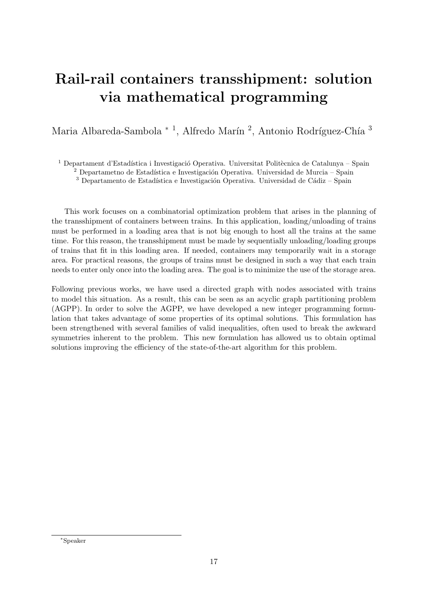# <span id="page-17-0"></span>Rail-rail containers transshipment: solution via mathematical programming

Maria Albareda-Sambola <sup>\* 1</sup>, Alfredo Marín<sup>2</sup>, Antonio Rodríguez-Chía <sup>3</sup>

<sup>1</sup> Departament d'Estadística i Investigació Operativa. Universitat Politècnica de Catalunya – Spain

<sup>2</sup> Departametno de Estadística e Investigación Operativa. Universidad de Murcia – Spain

 $3$  Departamento de Estadística e Investigación Operativa. Universidad de Cádiz – Spain

This work focuses on a combinatorial optimization problem that arises in the planning of the transshipment of containers between trains. In this application, loading/unloading of trains must be performed in a loading area that is not big enough to host all the trains at the same time. For this reason, the transshipment must be made by sequentially unloading/loading groups of trains that fit in this loading area. If needed, containers may temporarily wait in a storage area. For practical reasons, the groups of trains must be designed in such a way that each train needs to enter only once into the loading area. The goal is to minimize the use of the storage area.

Following previous works, we have used a directed graph with nodes associated with trains to model this situation. As a result, this can be seen as an acyclic graph partitioning problem (AGPP). In order to solve the AGPP, we have developed a new integer programming formulation that takes advantage of some properties of its optimal solutions. This formulation has been strengthened with several families of valid inequalities, often used to break the awkward symmetries inherent to the problem. This new formulation has allowed us to obtain optimal solutions improving the efficiency of the state-of-the-art algorithm for this problem.

<sup>∗</sup>Speaker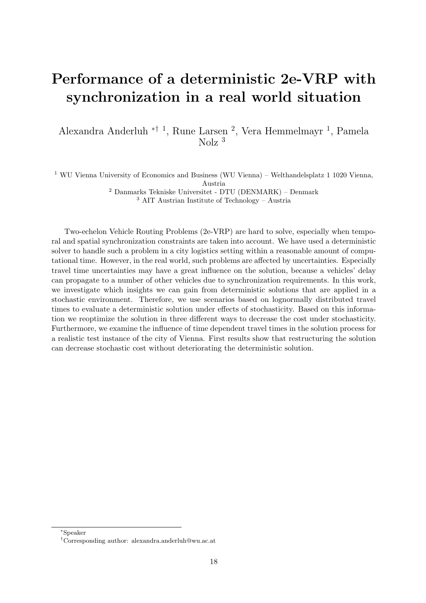# <span id="page-18-0"></span>Performance of a deterministic 2e-VRP with synchronization in a real world situation

Alexandra Anderluh ∗† <sup>1</sup> , Rune Larsen <sup>2</sup> , Vera Hemmelmayr <sup>1</sup> , Pamela Nolz <sup>3</sup>

 WU Vienna University of Economics and Business (WU Vienna) – Welthandelsplatz 1 1020 Vienna, Austria Danmarks Tekniske Universitet - DTU (DENMARK) – Denmark AIT Austrian Institute of Technology – Austria

Two-echelon Vehicle Routing Problems (2e-VRP) are hard to solve, especially when temporal and spatial synchronization constraints are taken into account. We have used a deterministic solver to handle such a problem in a city logistics setting within a reasonable amount of computational time. However, in the real world, such problems are affected by uncertainties. Especially travel time uncertainties may have a great influence on the solution, because a vehicles' delay can propagate to a number of other vehicles due to synchronization requirements. In this work, we investigate which insights we can gain from deterministic solutions that are applied in a stochastic environment. Therefore, we use scenarios based on lognormally distributed travel times to evaluate a deterministic solution under effects of stochasticity. Based on this information we reoptimize the solution in three different ways to decrease the cost under stochasticity. Furthermore, we examine the influence of time dependent travel times in the solution process for a realistic test instance of the city of Vienna. First results show that restructuring the solution can decrease stochastic cost without deteriorating the deterministic solution.

<sup>∗</sup>Speaker

<sup>†</sup>Corresponding author: [alexandra.anderluh@wu.ac.at](mailto:alexandra.anderluh@wu.ac.at)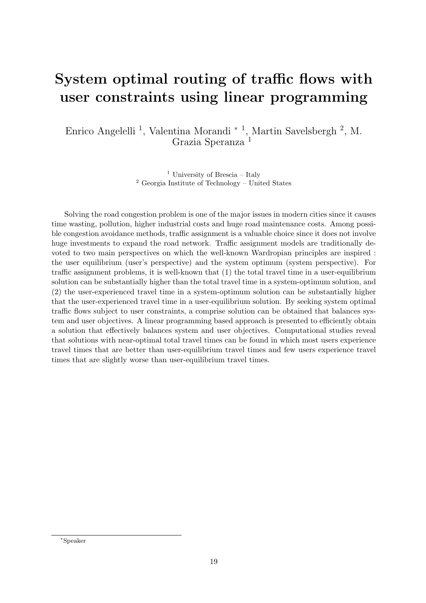#### <span id="page-19-0"></span>System optimal routing of traffic flows with user constraints using linear programming

Enrico Angelelli<sup>1</sup>, Valentina Morandi<sup>\*1</sup>, Martin Savelsbergh<sup>2</sup>, M. Grazia Speranza <sup>1</sup>

> <sup>1</sup> University of Brescia – Italy <sup>2</sup> Georgia Institute of Technology – United States

Solving the road congestion problem is one of the major issues in modern cities since it causes time wasting, pollution, higher industrial costs and huge road maintenance costs. Among possible congestion avoidance methods, traffic assignment is a valuable choice since it does not involve huge investments to expand the road network. Traffic assignment models are traditionally devoted to two main perspectives on which the well-known Wardropian principles are inspired : the user equilibrium (user's perspective) and the system optimum (system perspective). For traffic assignment problems, it is well-known that (1) the total travel time in a user-equilibrium solution can be substantially higher than the total travel time in a system-optimum solution, and (2) the user-experienced travel time in a system-optimum solution can be substantially higher that the user-experienced travel time in a user-equilibrium solution. By seeking system optimal traffic flows subject to user constraints, a comprise solution can be obtained that balances system and user objectives. A linear programming based approach is presented to efficiently obtain a solution that effectively balances system and user objectives. Computational studies reveal that solutions with near-optimal total travel times can be found in which most users experience travel times that are better than user-equilibrium travel times and few users experience travel times that are slightly worse than user-equilibrium travel times.

<sup>∗</sup>Speaker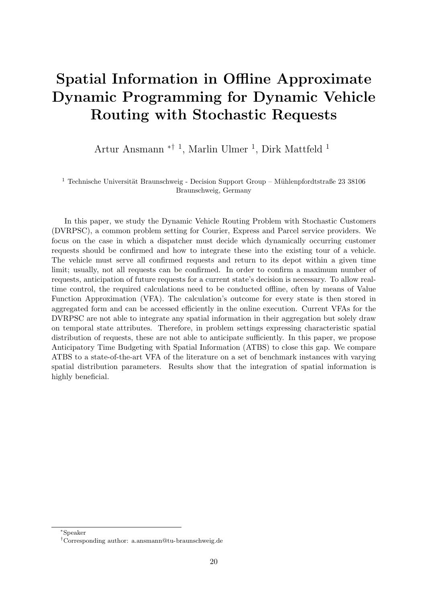# <span id="page-20-0"></span>Spatial Information in Offline Approximate Dynamic Programming for Dynamic Vehicle Routing with Stochastic Requests

Artur Ansmann ∗† <sup>1</sup> , Marlin Ulmer <sup>1</sup> , Dirk Mattfeld <sup>1</sup>

 $^{\rm 1}$  Technische Universität Braunschweig - Decision Support Group – Mühlenpfordtstraße 23 38106 Braunschweig, Germany

In this paper, we study the Dynamic Vehicle Routing Problem with Stochastic Customers (DVRPSC), a common problem setting for Courier, Express and Parcel service providers. We focus on the case in which a dispatcher must decide which dynamically occurring customer requests should be confirmed and how to integrate these into the existing tour of a vehicle. The vehicle must serve all confirmed requests and return to its depot within a given time limit; usually, not all requests can be confirmed. In order to confirm a maximum number of requests, anticipation of future requests for a current state's decision is necessary. To allow realtime control, the required calculations need to be conducted offline, often by means of Value Function Approximation (VFA). The calculation's outcome for every state is then stored in aggregated form and can be accessed efficiently in the online execution. Current VFAs for the DVRPSC are not able to integrate any spatial information in their aggregation but solely draw on temporal state attributes. Therefore, in problem settings expressing characteristic spatial distribution of requests, these are not able to anticipate sufficiently. In this paper, we propose Anticipatory Time Budgeting with Spatial Information (ATBS) to close this gap. We compare ATBS to a state-of-the-art VFA of the literature on a set of benchmark instances with varying spatial distribution parameters. Results show that the integration of spatial information is highly beneficial.

<sup>∗</sup>Speaker

<sup>†</sup>Corresponding author: [a.ansmann@tu-braunschweig.de](mailto:a.ansmann@tu-braunschweig.de)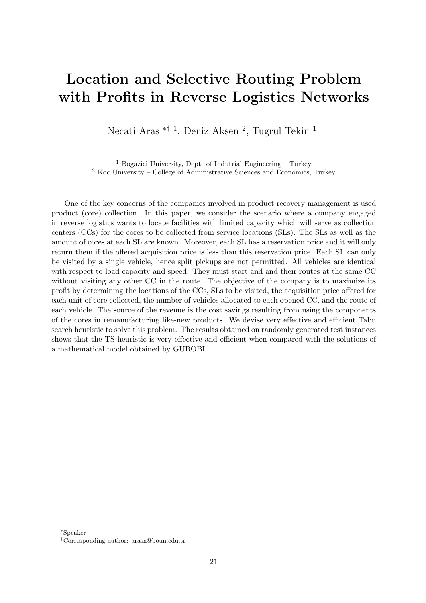#### <span id="page-21-0"></span>Location and Selective Routing Problem with Profits in Reverse Logistics Networks

Necati Aras <sup>\*† 1</sup>, Deniz Aksen <sup>2</sup>, Tugrul Tekin <sup>1</sup>

<sup>1</sup> Bogazici University, Dept. of Indutrial Engineering – Turkey <sup>2</sup> Koc University – College of Administrative Sciences and Economics, Turkey

One of the key concerns of the companies involved in product recovery management is used product (core) collection. In this paper, we consider the scenario where a company engaged in reverse logistics wants to locate facilities with limited capacity which will serve as collection centers (CCs) for the cores to be collected from service locations (SLs). The SLs as well as the amount of cores at each SL are known. Moreover, each SL has a reservation price and it will only return them if the offered acquisition price is less than this reservation price. Each SL can only be visited by a single vehicle, hence split pickups are not permitted. All vehicles are identical with respect to load capacity and speed. They must start and and their routes at the same CC without visiting any other CC in the route. The objective of the company is to maximize its profit by determining the locations of the CCs, SLs to be visited, the acquisition price offered for each unit of core collected, the number of vehicles allocated to each opened CC, and the route of each vehicle. The source of the revenue is the cost savings resulting from using the components of the cores in remanufacturing like-new products. We devise very effective and efficient Tabu search heuristic to solve this problem. The results obtained on randomly generated test instances shows that the TS heuristic is very effective and efficient when compared with the solutions of a mathematical model obtained by GUROBI.

<sup>∗</sup>Speaker

<sup>†</sup>Corresponding author: [arasn@boun.edu.tr](mailto:arasn@boun.edu.tr)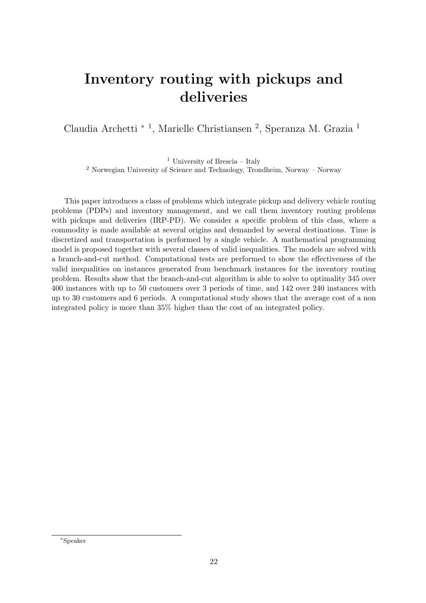#### <span id="page-22-0"></span>Inventory routing with pickups and deliveries

Claudia Archetti <sup>∗</sup> <sup>1</sup> , Marielle Christiansen <sup>2</sup> , Speranza M. Grazia <sup>1</sup>

<sup>1</sup> University of Brescia – Italy <sup>2</sup> Norwegian University of Science and Technology, Trondheim, Norway – Norway

This paper introduces a class of problems which integrate pickup and delivery vehicle routing problems (PDPs) and inventory management, and we call them inventory routing problems with pickups and deliveries (IRP-PD). We consider a specific problem of this class, where a commodity is made available at several origins and demanded by several destinations. Time is discretized and transportation is performed by a single vehicle. A mathematical programming model is proposed together with several classes of valid inequalities. The models are solved with a branch-and-cut method. Computational tests are performed to show the effectiveness of the valid inequalities on instances generated from benchmark instances for the inventory routing problem. Results show that the branch-and-cut algorithm is able to solve to optimality 345 over 400 instances with up to 50 customers over 3 periods of time, and 142 over 240 instances with up to 30 customers and 6 periods. A computational study shows that the average cost of a non integrated policy is more than 35% higher than the cost of an integrated policy.

<sup>∗</sup>Speaker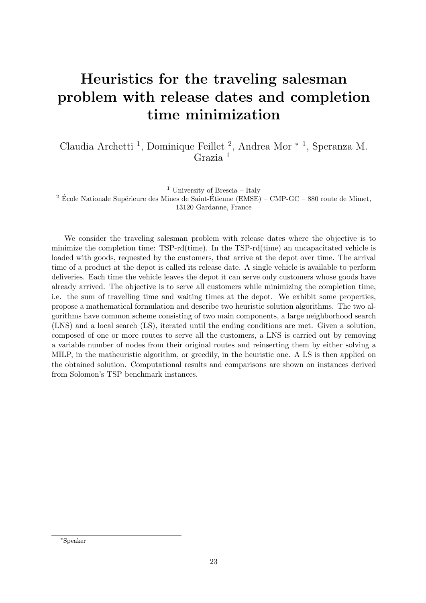# <span id="page-23-0"></span>Heuristics for the traveling salesman problem with release dates and completion time minimization

Claudia Archetti <sup>1</sup> , Dominique Feillet <sup>2</sup> , Andrea Mor <sup>∗</sup> <sup>1</sup> , Speranza M. Grazia <sup>1</sup>

<sup>1</sup> University of Brescia – Italy

 $2$  École Nationale Supérieure des Mines de Saint-Étienne (EMSE) – CMP-GC – 880 route de Mimet, 13120 Gardanne, France

We consider the traveling salesman problem with release dates where the objective is to minimize the completion time: TSP-rd(time). In the TSP-rd(time) an uncapacitated vehicle is loaded with goods, requested by the customers, that arrive at the depot over time. The arrival time of a product at the depot is called its release date. A single vehicle is available to perform deliveries. Each time the vehicle leaves the depot it can serve only customers whose goods have already arrived. The objective is to serve all customers while minimizing the completion time, i.e. the sum of travelling time and waiting times at the depot. We exhibit some properties, propose a mathematical formulation and describe two heuristic solution algorithms. The two algorithms have common scheme consisting of two main components, a large neighborhood search (LNS) and a local search (LS), iterated until the ending conditions are met. Given a solution, composed of one or more routes to serve all the customers, a LNS is carried out by removing a variable number of nodes from their original routes and reinserting them by either solving a MILP, in the matheuristic algorithm, or greedily, in the heuristic one. A LS is then applied on the obtained solution. Computational results and comparisons are shown on instances derived from Solomon's TSP benchmark instances.

<sup>∗</sup>Speaker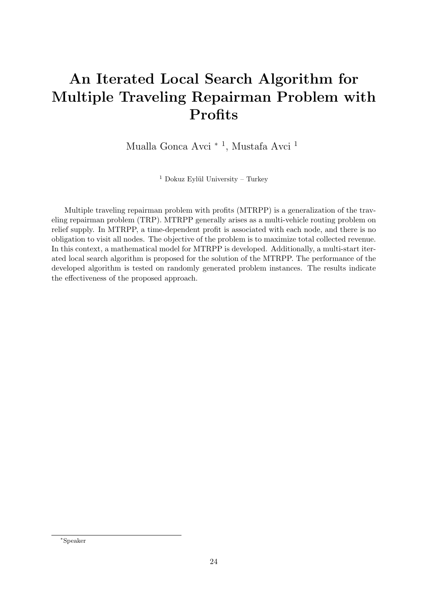# <span id="page-24-0"></span>An Iterated Local Search Algorithm for Multiple Traveling Repairman Problem with **Profits**

Mualla Gonca Avci <sup>∗</sup> <sup>1</sup> , Mustafa Avci <sup>1</sup>

 $1$  Dokuz Eylül University – Turkey

Multiple traveling repairman problem with profits (MTRPP) is a generalization of the traveling repairman problem (TRP). MTRPP generally arises as a multi-vehicle routing problem on relief supply. In MTRPP, a time-dependent profit is associated with each node, and there is no obligation to visit all nodes. The objective of the problem is to maximize total collected revenue. In this context, a mathematical model for MTRPP is developed. Additionally, a multi-start iterated local search algorithm is proposed for the solution of the MTRPP. The performance of the developed algorithm is tested on randomly generated problem instances. The results indicate the effectiveness of the proposed approach.

<sup>∗</sup>Speaker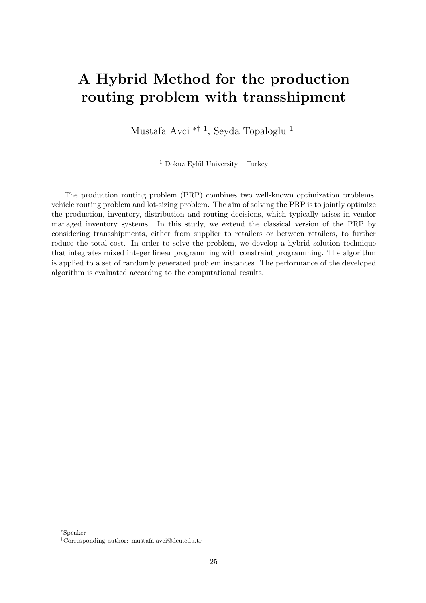## <span id="page-25-0"></span>A Hybrid Method for the production routing problem with transshipment

Mustafa Avci ∗† <sup>1</sup> , Seyda Topaloglu <sup>1</sup>

 $1$  Dokuz Eylül University – Turkey

The production routing problem (PRP) combines two well-known optimization problems, vehicle routing problem and lot-sizing problem. The aim of solving the PRP is to jointly optimize the production, inventory, distribution and routing decisions, which typically arises in vendor managed inventory systems. In this study, we extend the classical version of the PRP by considering transshipments, either from supplier to retailers or between retailers, to further reduce the total cost. In order to solve the problem, we develop a hybrid solution technique that integrates mixed integer linear programming with constraint programming. The algorithm is applied to a set of randomly generated problem instances. The performance of the developed algorithm is evaluated according to the computational results.

<sup>∗</sup>Speaker

<sup>†</sup>Corresponding author: [mustafa.avci@deu.edu.tr](mailto:mustafa.avci@deu.edu.tr)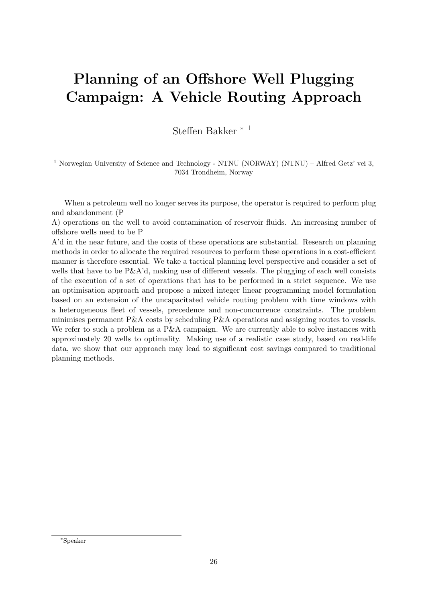# <span id="page-26-0"></span>Planning of an Offshore Well Plugging Campaign: A Vehicle Routing Approach

Steffen Bakker <sup>∗</sup> <sup>1</sup>

<sup>1</sup> Norwegian University of Science and Technology - NTNU (NORWAY) (NTNU) – Alfred Getz' vei 3, 7034 Trondheim, Norway

When a petroleum well no longer serves its purpose, the operator is required to perform plug and abandonment (P

A) operations on the well to avoid contamination of reservoir fluids. An increasing number of offshore wells need to be P

A'd in the near future, and the costs of these operations are substantial. Research on planning methods in order to allocate the required resources to perform these operations in a cost-efficient manner is therefore essential. We take a tactical planning level perspective and consider a set of wells that have to be  $P\&\mathbf{A}'d$ , making use of different vessels. The plugging of each well consists of the execution of a set of operations that has to be performed in a strict sequence. We use an optimisation approach and propose a mixed integer linear programming model formulation based on an extension of the uncapacitated vehicle routing problem with time windows with a heterogeneous fleet of vessels, precedence and non-concurrence constraints. The problem minimises permanent P&A costs by scheduling P&A operations and assigning routes to vessels. We refer to such a problem as a P&A campaign. We are currently able to solve instances with approximately 20 wells to optimality. Making use of a realistic case study, based on real-life data, we show that our approach may lead to significant cost savings compared to traditional planning methods.

<sup>∗</sup>Speaker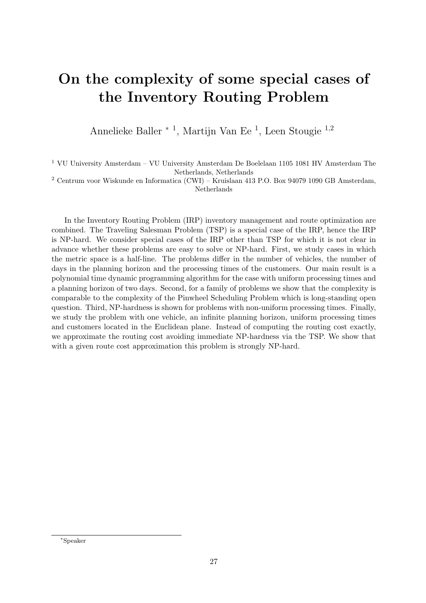#### <span id="page-27-0"></span>On the complexity of some special cases of the Inventory Routing Problem

Annelieke Baller <sup>∗</sup> <sup>1</sup> , Martijn Van Ee <sup>1</sup> , Leen Stougie <sup>1</sup>,<sup>2</sup>

 $^{\rm 1}$  VU University Amsterdam – VU University Amsterdam De Boelelaan 1105 1081 HV Amsterdam The Netherlands, Netherlands

<sup>2</sup> Centrum voor Wiskunde en Informatica (CWI) – Kruislaan 413 P.O. Box 94079 1090 GB Amsterdam, Netherlands

In the Inventory Routing Problem (IRP) inventory management and route optimization are combined. The Traveling Salesman Problem (TSP) is a special case of the IRP, hence the IRP is NP-hard. We consider special cases of the IRP other than TSP for which it is not clear in advance whether these problems are easy to solve or NP-hard. First, we study cases in which the metric space is a half-line. The problems differ in the number of vehicles, the number of days in the planning horizon and the processing times of the customers. Our main result is a polynomial time dynamic programming algorithm for the case with uniform processing times and a planning horizon of two days. Second, for a family of problems we show that the complexity is comparable to the complexity of the Pinwheel Scheduling Problem which is long-standing open question. Third, NP-hardness is shown for problems with non-uniform processing times. Finally, we study the problem with one vehicle, an infinite planning horizon, uniform processing times and customers located in the Euclidean plane. Instead of computing the routing cost exactly, we approximate the routing cost avoiding immediate NP-hardness via the TSP. We show that with a given route cost approximation this problem is strongly NP-hard.

<sup>∗</sup>Speaker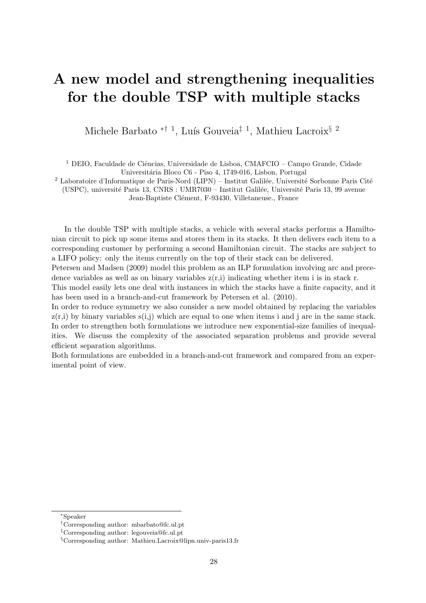## <span id="page-28-0"></span>A new model and strengthening inequalities for the double TSP with multiple stacks

Michele Barbato <sup>\*† 1</sup>, Luís Gouveia<sup>‡ 1</sup>, Mathieu Lacroix<sup>§ 2</sup>

<sup>1</sup> DEIO, Faculdade de Ciências, Universidade de Lisboa, CMAFCIO - Campo Grande, Cidade

Universitária Bloco C6 - Piso 4, 1749-016, Lisbon, Portugal

 $2$  Laboratoire d'Informatique de Paris-Nord (LIPN) – Institut Galilée, Université Sorbonne Paris Cité (USPC), université Paris 13, CNRS : UMR7030 – Institut Galilée, Université Paris 13, 99 avenue

Jean-Baptiste Clément, F-93430, Villetaneuse., France

In the double TSP with multiple stacks, a vehicle with several stacks performs a Hamiltonian circuit to pick up some items and stores them in its stacks. It then delivers each item to a corresponding customer by performing a second Hamiltonian circuit. The stacks are subject to a LIFO policy: only the items currently on the top of their stack can be delivered.

Petersen and Madsen (2009) model this problem as an ILP formulation involving arc and precedence variables as well as on binary variables  $z(r,i)$  indicating whether item i is in stack r.

This model easily lets one deal with instances in which the stacks have a finite capacity, and it has been used in a branch-and-cut framework by Petersen et al. (2010).

In order to reduce symmetry we also consider a new model obtained by replacing the variables  $z(r,i)$  by binary variables  $s(i,j)$  which are equal to one when items i and j are in the same stack. In order to strengthen both formulations we introduce new exponential-size families of inequalities. We discuss the complexity of the associated separation problems and provide several efficient separation algorithms.

Both formulations are embedded in a branch-and-cut framework and compared from an experimental point of view.

<sup>∗</sup>Speaker

<sup>†</sup>Corresponding author: [mbarbato@fc.ul.pt](mailto:mbarbato@fc.ul.pt)

<sup>‡</sup>Corresponding author: [legouveia@fc.ul.pt](mailto:legouveia@fc.ul.pt)

<sup>§</sup>Corresponding author: [Mathieu.Lacroix@lipn.univ-paris13.fr](mailto:Mathieu.Lacroix@lipn.univ-paris13.fr)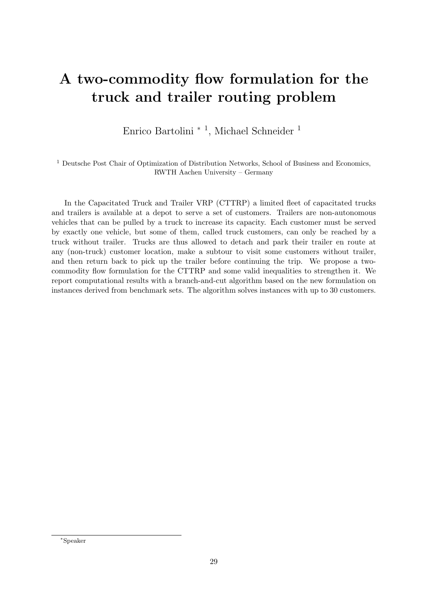## <span id="page-29-0"></span>A two-commodity flow formulation for the truck and trailer routing problem

Enrico Bartolini <sup>∗</sup> <sup>1</sup> , Michael Schneider <sup>1</sup>

<sup>1</sup> Deutsche Post Chair of Optimization of Distribution Networks, School of Business and Economics, RWTH Aachen University – Germany

In the Capacitated Truck and Trailer VRP (CTTRP) a limited fleet of capacitated trucks and trailers is available at a depot to serve a set of customers. Trailers are non-autonomous vehicles that can be pulled by a truck to increase its capacity. Each customer must be served by exactly one vehicle, but some of them, called truck customers, can only be reached by a truck without trailer. Trucks are thus allowed to detach and park their trailer en route at any (non-truck) customer location, make a subtour to visit some customers without trailer, and then return back to pick up the trailer before continuing the trip. We propose a twocommodity flow formulation for the CTTRP and some valid inequalities to strengthen it. We report computational results with a branch-and-cut algorithm based on the new formulation on instances derived from benchmark sets. The algorithm solves instances with up to 30 customers.

<sup>∗</sup>Speaker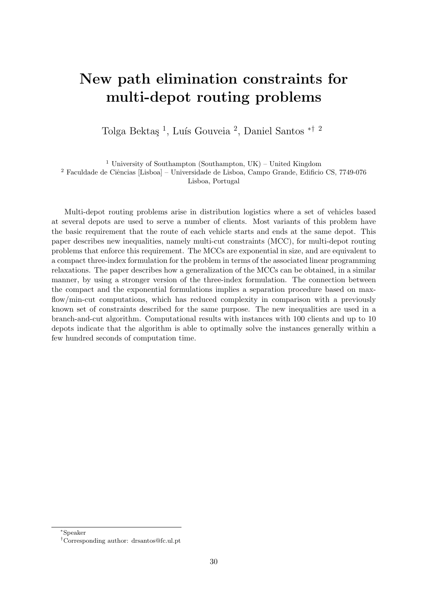## <span id="page-30-0"></span>New path elimination constraints for multi-depot routing problems

Tolga Bektaş<sup>1</sup>, Luís Gouveia<sup>2</sup>, Daniel Santos <sup>\*† 2</sup>

<sup>1</sup> University of Southampton (Southampton, UK) – United Kingdom

 $2$  Faculdade de Ciências [Lisboa] – Universidade de Lisboa, Campo Grande, Edificio CS, 7749-076 Lisboa, Portugal

Multi-depot routing problems arise in distribution logistics where a set of vehicles based at several depots are used to serve a number of clients. Most variants of this problem have the basic requirement that the route of each vehicle starts and ends at the same depot. This paper describes new inequalities, namely multi-cut constraints (MCC), for multi-depot routing problems that enforce this requirement. The MCCs are exponential in size, and are equivalent to a compact three-index formulation for the problem in terms of the associated linear programming relaxations. The paper describes how a generalization of the MCCs can be obtained, in a similar manner, by using a stronger version of the three-index formulation. The connection between the compact and the exponential formulations implies a separation procedure based on maxflow/min-cut computations, which has reduced complexity in comparison with a previously known set of constraints described for the same purpose. The new inequalities are used in a branch-and-cut algorithm. Computational results with instances with 100 clients and up to 10 depots indicate that the algorithm is able to optimally solve the instances generally within a few hundred seconds of computation time.

<sup>∗</sup>Speaker

<sup>†</sup>Corresponding author: [drsantos@fc.ul.pt](mailto:drsantos@fc.ul.pt)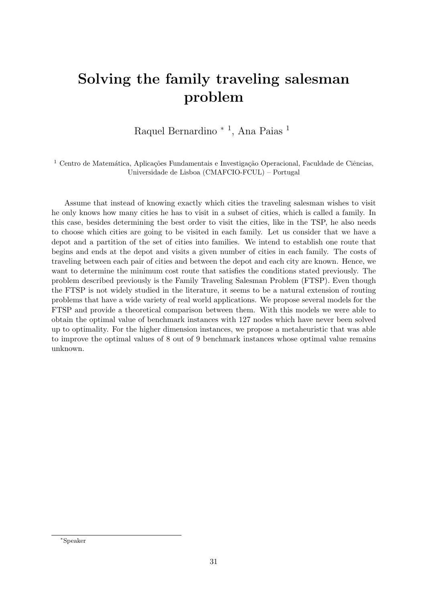## <span id="page-31-0"></span>Solving the family traveling salesman problem

Raquel Bernardino <sup>\* 1</sup>, Ana Paias <sup>1</sup>

<sup>1</sup> Centro de Matemática, Aplicações Fundamentais e Investigação Operacional, Faculdade de Ciências, Universidade de Lisboa (CMAFCIO-FCUL) – Portugal

Assume that instead of knowing exactly which cities the traveling salesman wishes to visit he only knows how many cities he has to visit in a subset of cities, which is called a family. In this case, besides determining the best order to visit the cities, like in the TSP, he also needs to choose which cities are going to be visited in each family. Let us consider that we have a depot and a partition of the set of cities into families. We intend to establish one route that begins and ends at the depot and visits a given number of cities in each family. The costs of traveling between each pair of cities and between the depot and each city are known. Hence, we want to determine the minimum cost route that satisfies the conditions stated previously. The problem described previously is the Family Traveling Salesman Problem (FTSP). Even though the FTSP is not widely studied in the literature, it seems to be a natural extension of routing problems that have a wide variety of real world applications. We propose several models for the FTSP and provide a theoretical comparison between them. With this models we were able to obtain the optimal value of benchmark instances with 127 nodes which have never been solved up to optimality. For the higher dimension instances, we propose a metaheuristic that was able to improve the optimal values of 8 out of 9 benchmark instances whose optimal value remains unknown.

<sup>∗</sup>Speaker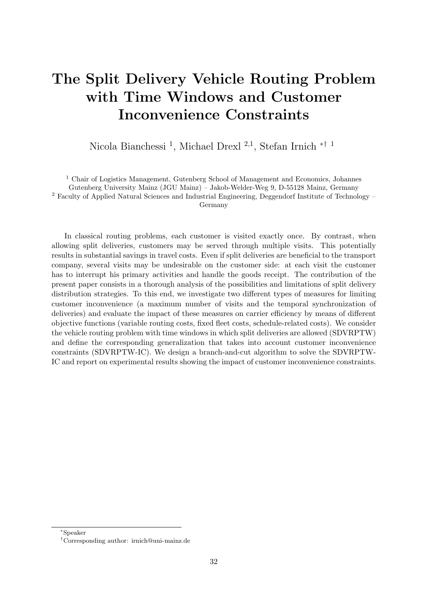# <span id="page-32-0"></span>The Split Delivery Vehicle Routing Problem with Time Windows and Customer Inconvenience Constraints

Nicola Bianchessi <sup>1</sup>, Michael Drexl <sup>2,1</sup>, Stefan Irnich <sup>\*† 1</sup>

<sup>1</sup> Chair of Logistics Management, Gutenberg School of Management and Economics, Johannes

Gutenberg University Mainz (JGU Mainz) – Jakob-Welder-Weg 9, D-55128 Mainz, Germany

<sup>2</sup> Faculty of Applied Natural Sciences and Industrial Engineering, Deggendorf Institute of Technology –

Germany

In classical routing problems, each customer is visited exactly once. By contrast, when allowing split deliveries, customers may be served through multiple visits. This potentially results in substantial savings in travel costs. Even if split deliveries are beneficial to the transport company, several visits may be undesirable on the customer side: at each visit the customer has to interrupt his primary activities and handle the goods receipt. The contribution of the present paper consists in a thorough analysis of the possibilities and limitations of split delivery distribution strategies. To this end, we investigate two different types of measures for limiting customer inconvenience (a maximum number of visits and the temporal synchronization of deliveries) and evaluate the impact of these measures on carrier efficiency by means of different objective functions (variable routing costs, fixed fleet costs, schedule-related costs). We consider the vehicle routing problem with time windows in which split deliveries are allowed (SDVRPTW) and define the corresponding generalization that takes into account customer inconvenience constraints (SDVRPTW-IC). We design a branch-and-cut algorithm to solve the SDVRPTW-IC and report on experimental results showing the impact of customer inconvenience constraints.

<sup>∗</sup>Speaker

<sup>†</sup>Corresponding author: [irnich@uni-mainz.de](mailto:irnich@uni-mainz.de)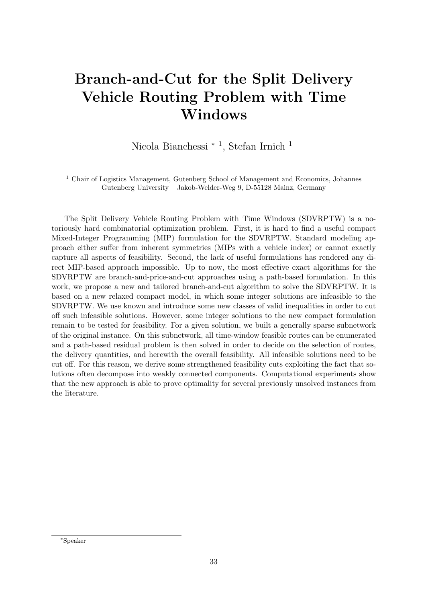## <span id="page-33-0"></span>Branch-and-Cut for the Split Delivery Vehicle Routing Problem with Time Windows

Nicola Bianchessi <sup>∗</sup> <sup>1</sup> , Stefan Irnich <sup>1</sup>

<sup>1</sup> Chair of Logistics Management, Gutenberg School of Management and Economics, Johannes Gutenberg University – Jakob-Welder-Weg 9, D-55128 Mainz, Germany

The Split Delivery Vehicle Routing Problem with Time Windows (SDVRPTW) is a notoriously hard combinatorial optimization problem. First, it is hard to find a useful compact Mixed-Integer Programming (MIP) formulation for the SDVRPTW. Standard modeling approach either suffer from inherent symmetries (MIPs with a vehicle index) or cannot exactly capture all aspects of feasibility. Second, the lack of useful formulations has rendered any direct MIP-based approach impossible. Up to now, the most effective exact algorithms for the SDVRPTW are branch-and-price-and-cut approaches using a path-based formulation. In this work, we propose a new and tailored branch-and-cut algorithm to solve the SDVRPTW. It is based on a new relaxed compact model, in which some integer solutions are infeasible to the SDVRPTW. We use known and introduce some new classes of valid inequalities in order to cut off such infeasible solutions. However, some integer solutions to the new compact formulation remain to be tested for feasibility. For a given solution, we built a generally sparse subnetwork of the original instance. On this subnetwork, all time-window feasible routes can be enumerated and a path-based residual problem is then solved in order to decide on the selection of routes, the delivery quantities, and herewith the overall feasibility. All infeasible solutions need to be cut off. For this reason, we derive some strengthened feasibility cuts exploiting the fact that solutions often decompose into weakly connected components. Computational experiments show that the new approach is able to prove optimality for several previously unsolved instances from the literature.

<sup>∗</sup>Speaker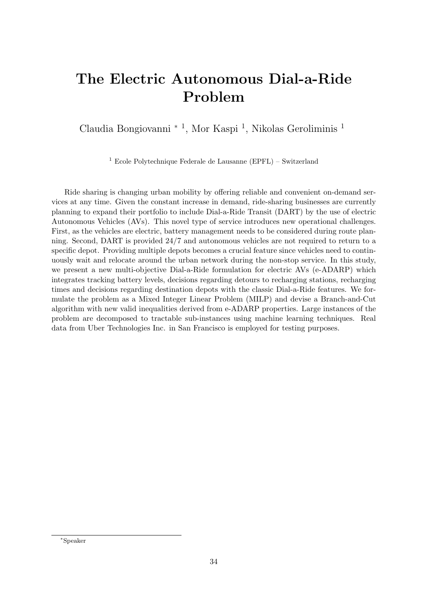# <span id="page-34-0"></span>The Electric Autonomous Dial-a-Ride Problem

Claudia Bongiovanni <sup>∗ 1</sup>, Mor Kaspi <sup>1</sup>, Nikolas Geroliminis <sup>1</sup>

<sup>1</sup> Ecole Polytechnique Federale de Lausanne (EPFL) – Switzerland

Ride sharing is changing urban mobility by offering reliable and convenient on-demand services at any time. Given the constant increase in demand, ride-sharing businesses are currently planning to expand their portfolio to include Dial-a-Ride Transit (DART) by the use of electric Autonomous Vehicles (AVs). This novel type of service introduces new operational challenges. First, as the vehicles are electric, battery management needs to be considered during route planning. Second, DART is provided 24/7 and autonomous vehicles are not required to return to a specific depot. Providing multiple depots becomes a crucial feature since vehicles need to continuously wait and relocate around the urban network during the non-stop service. In this study, we present a new multi-objective Dial-a-Ride formulation for electric AVs (e-ADARP) which integrates tracking battery levels, decisions regarding detours to recharging stations, recharging times and decisions regarding destination depots with the classic Dial-a-Ride features. We formulate the problem as a Mixed Integer Linear Problem (MILP) and devise a Branch-and-Cut algorithm with new valid inequalities derived from e-ADARP properties. Large instances of the problem are decomposed to tractable sub-instances using machine learning techniques. Real data from Uber Technologies Inc. in San Francisco is employed for testing purposes.

<sup>∗</sup>Speaker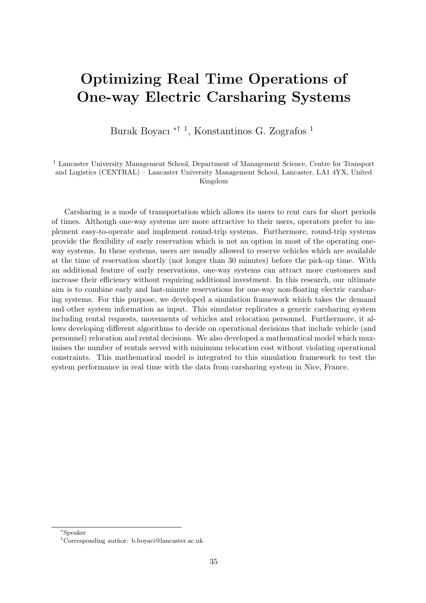## <span id="page-35-0"></span>Optimizing Real Time Operations of One-way Electric Carsharing Systems

Burak Boyacı ∗† <sup>1</sup> , Konstantinos G. Zografos <sup>1</sup>

<sup>1</sup> Lancaster University Management School, Department of Management Science, Centre for Transport and Logistics (CENTRAL) – Lancaster University Management School, Lancaster, LA1 4YX, United Kingdom

Carsharing is a mode of transportation which allows its users to rent cars for short periods of times. Although one-way systems are more attractive to their users, operators prefer to implement easy-to-operate and implement round-trip systems. Furthermore, round-trip systems provide the flexibility of early reservation which is not an option in most of the operating oneway systems. In these systems, users are usually allowed to reserve vehicles which are available at the time of reservation shortly (not longer than 30 minutes) before the pick-up time. With an additional feature of early reservations, one-way systems can attract more customers and increase their efficiency without requiring additional investment. In this research, our ultimate aim is to combine early and last-minute reservations for one-way non-floating electric carsharing systems. For this purpose, we developed a simulation framework which takes the demand and other system information as input. This simulator replicates a generic carsharing system including rental requests, movements of vehicles and relocation personnel. Furthermore, it allows developing different algorithms to decide on operational decisions that include vehicle (and personnel) relocation and rental decisions. We also developed a mathematical model which maximises the number of rentals served with minimum relocation cost without violating operational constraints. This mathematical model is integrated to this simulation framework to test the system performance in real time with the data from carsharing system in Nice, France.

<sup>∗</sup>Speaker

<sup>†</sup>Corresponding author: [b.boyaci@lancaster.ac.uk](mailto:b.boyaci@lancaster.ac.uk)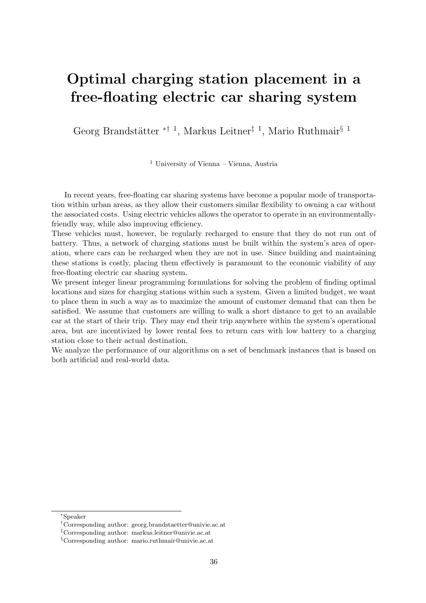#### Optimal charging station placement in a free-floating electric car sharing system

Georg Brandstätter <sup>\*† 1</sup>, Markus Leitner<sup>‡ 1</sup>, Mario Ruthmair<sup>§ 1</sup>

<sup>1</sup> University of Vienna – Vienna, Austria

In recent years, free-floating car sharing systems have become a popular mode of transportation within urban areas, as they allow their customers similar flexibility to owning a car without the associated costs. Using electric vehicles allows the operator to operate in an environmentallyfriendly way, while also improving efficiency.

These vehicles must, however, be regularly recharged to ensure that they do not run out of battery. Thus, a network of charging stations must be built within the system's area of operation, where cars can be recharged when they are not in use. Since building and maintaining these stations is costly, placing them effectively is paramount to the economic viability of any free-floating electric car sharing system.

We present integer linear programming formulations for solving the problem of finding optimal locations and sizes for charging stations within such a system. Given a limited budget, we want to place them in such a way as to maximize the amount of customer demand that can then be satisfied. We assume that customers are willing to walk a short distance to get to an available car at the start of their trip. They may end their trip anywhere within the system's operational area, but are incentivized by lower rental fees to return cars with low battery to a charging station close to their actual destination.

We analyze the performance of our algorithms on a set of benchmark instances that is based on both artificial and real-world data.

<sup>∗</sup>Speaker

<sup>†</sup>Corresponding author: [georg.brandstaetter@univie.ac.at](mailto:georg.brandstaetter@univie.ac.at)

<sup>‡</sup>Corresponding author: [markus.leitner@univie.ac.at](mailto:markus.leitner@univie.ac.at)

<sup>§</sup>Corresponding author: [mario.ruthmair@univie.ac.at](mailto:mario.ruthmair@univie.ac.at)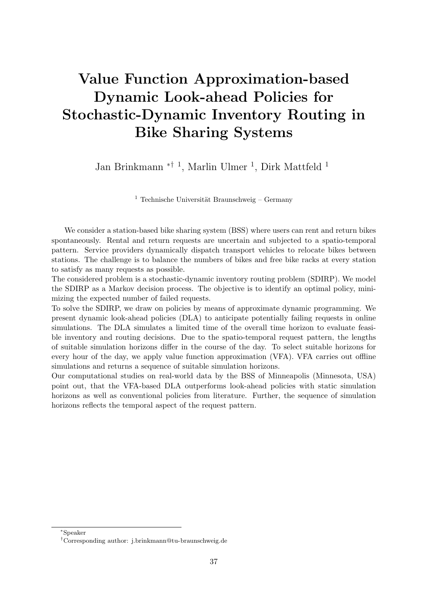# Value Function Approximation-based Dynamic Look-ahead Policies for Stochastic-Dynamic Inventory Routing in Bike Sharing Systems

Jan Brinkmann <sup>\*† 1</sup>, Marlin Ulmer <sup>1</sup>, Dirk Mattfeld <sup>1</sup>

<sup>1</sup> Technische Universität Braunschweig – Germany

We consider a station-based bike sharing system (BSS) where users can rent and return bikes spontaneously. Rental and return requests are uncertain and subjected to a spatio-temporal pattern. Service providers dynamically dispatch transport vehicles to relocate bikes between stations. The challenge is to balance the numbers of bikes and free bike racks at every station to satisfy as many requests as possible.

The considered problem is a stochastic-dynamic inventory routing problem (SDIRP). We model the SDIRP as a Markov decision process. The objective is to identify an optimal policy, minimizing the expected number of failed requests.

To solve the SDIRP, we draw on policies by means of approximate dynamic programming. We present dynamic look-ahead policies (DLA) to anticipate potentially failing requests in online simulations. The DLA simulates a limited time of the overall time horizon to evaluate feasible inventory and routing decisions. Due to the spatio-temporal request pattern, the lengths of suitable simulation horizons differ in the course of the day. To select suitable horizons for every hour of the day, we apply value function approximation (VFA). VFA carries out offline simulations and returns a sequence of suitable simulation horizons.

Our computational studies on real-world data by the BSS of Minneapolis (Minnesota, USA) point out, that the VFA-based DLA outperforms look-ahead policies with static simulation horizons as well as conventional policies from literature. Further, the sequence of simulation horizons reflects the temporal aspect of the request pattern.

<sup>∗</sup>Speaker

<sup>†</sup>Corresponding author: [j.brinkmann@tu-braunschweig.de](mailto:j.brinkmann@tu-braunschweig.de)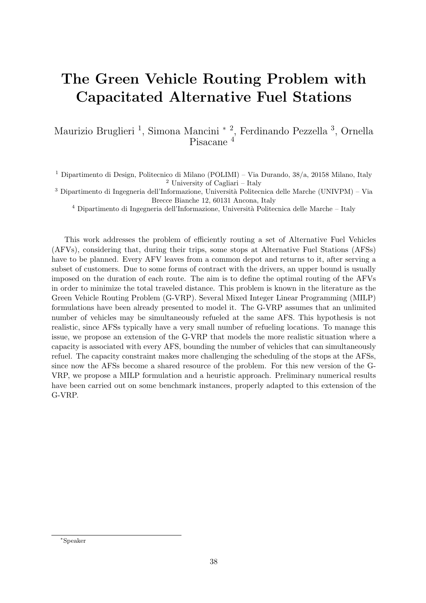# The Green Vehicle Routing Problem with Capacitated Alternative Fuel Stations

Maurizio Bruglieri <sup>1</sup>, Simona Mancini <sup>\* 2</sup>, Ferdinando Pezzella <sup>3</sup>, Ornella Pisacane<sup>4</sup>

<sup>1</sup> Dipartimento di Design, Politecnico di Milano (POLIMI) – Via Durando, 38/a, 20158 Milano, Italy <sup>2</sup> University of Cagliari – Italy

 $3$  Dipartimento di Ingegneria dell'Informazione, Università Politecnica delle Marche (UNIVPM) – Via Brecce Bianche 12, 60131 Ancona, Italy

 $4$  Dipartimento di Ingegneria dell'Informazione, Università Politecnica delle Marche – Italy

This work addresses the problem of efficiently routing a set of Alternative Fuel Vehicles (AFVs), considering that, during their trips, some stops at Alternative Fuel Stations (AFSs) have to be planned. Every AFV leaves from a common depot and returns to it, after serving a subset of customers. Due to some forms of contract with the drivers, an upper bound is usually imposed on the duration of each route. The aim is to define the optimal routing of the AFVs in order to minimize the total traveled distance. This problem is known in the literature as the Green Vehicle Routing Problem (G-VRP). Several Mixed Integer Linear Programming (MILP) formulations have been already presented to model it. The G-VRP assumes that an unlimited number of vehicles may be simultaneously refueled at the same AFS. This hypothesis is not realistic, since AFSs typically have a very small number of refueling locations. To manage this issue, we propose an extension of the G-VRP that models the more realistic situation where a capacity is associated with every AFS, bounding the number of vehicles that can simultaneously refuel. The capacity constraint makes more challenging the scheduling of the stops at the AFSs, since now the AFSs become a shared resource of the problem. For this new version of the G-VRP, we propose a MILP formulation and a heuristic approach. Preliminary numerical results have been carried out on some benchmark instances, properly adapted to this extension of the G-VRP.

<sup>∗</sup>Speaker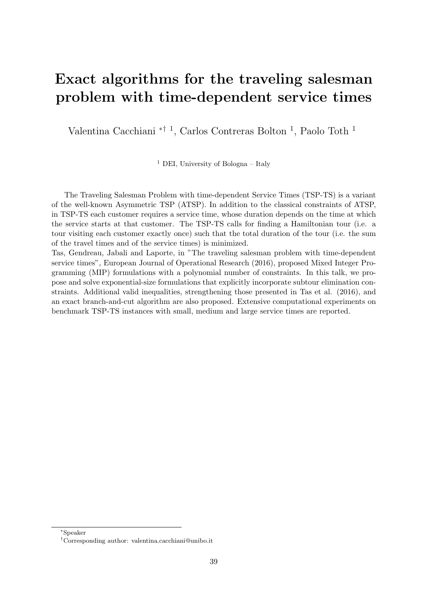#### Exact algorithms for the traveling salesman problem with time-dependent service times

Valentina Cacchiani <sup>\*† 1</sup>, Carlos Contreras Bolton <sup>1</sup>, Paolo Toth <sup>1</sup>

<sup>1</sup> DEI, University of Bologna – Italy

The Traveling Salesman Problem with time-dependent Service Times (TSP-TS) is a variant of the well-known Asymmetric TSP (ATSP). In addition to the classical constraints of ATSP, in TSP-TS each customer requires a service time, whose duration depends on the time at which the service starts at that customer. The TSP-TS calls for finding a Hamiltonian tour (i.e. a tour visiting each customer exactly once) such that the total duration of the tour (i.e. the sum of the travel times and of the service times) is minimized.

Tas, Gendreau, Jabali and Laporte, in "The traveling salesman problem with time-dependent service times", European Journal of Operational Research (2016), proposed Mixed Integer Programming (MIP) formulations with a polynomial number of constraints. In this talk, we propose and solve exponential-size formulations that explicitly incorporate subtour elimination constraints. Additional valid inequalities, strengthening those presented in Tas et al. (2016), and an exact branch-and-cut algorithm are also proposed. Extensive computational experiments on benchmark TSP-TS instances with small, medium and large service times are reported.

<sup>∗</sup>Speaker

<sup>†</sup>Corresponding author: [valentina.cacchiani@unibo.it](mailto:valentina.cacchiani@unibo.it)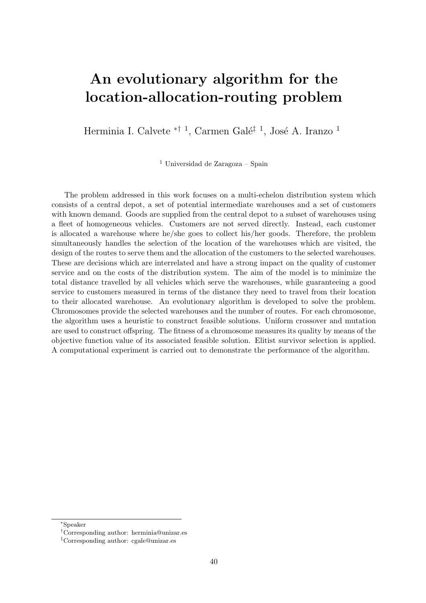#### An evolutionary algorithm for the location-allocation-routing problem

Herminia I. Calvete <sup>\*† 1</sup>, Carmen Galé<sup>‡ 1</sup>, José A. Iranzo <sup>1</sup>

<sup>1</sup> Universidad de Zaragoza – Spain

The problem addressed in this work focuses on a multi-echelon distribution system which consists of a central depot, a set of potential intermediate warehouses and a set of customers with known demand. Goods are supplied from the central depot to a subset of warehouses using a fleet of homogeneous vehicles. Customers are not served directly. Instead, each customer is allocated a warehouse where he/she goes to collect his/her goods. Therefore, the problem simultaneously handles the selection of the location of the warehouses which are visited, the design of the routes to serve them and the allocation of the customers to the selected warehouses. These are decisions which are interrelated and have a strong impact on the quality of customer service and on the costs of the distribution system. The aim of the model is to minimize the total distance travelled by all vehicles which serve the warehouses, while guaranteeing a good service to customers measured in terms of the distance they need to travel from their location to their allocated warehouse. An evolutionary algorithm is developed to solve the problem. Chromosomes provide the selected warehouses and the number of routes. For each chromosome, the algorithm uses a heuristic to construct feasible solutions. Uniform crossover and mutation are used to construct offspring. The fitness of a chromosome measures its quality by means of the objective function value of its associated feasible solution. Elitist survivor selection is applied. A computational experiment is carried out to demonstrate the performance of the algorithm.

<sup>∗</sup>Speaker

<sup>†</sup>Corresponding author: [herminia@unizar.es](mailto:herminia@unizar.es)

<sup>‡</sup>Corresponding author: [cgale@unizar.es](mailto:cgale@unizar.es)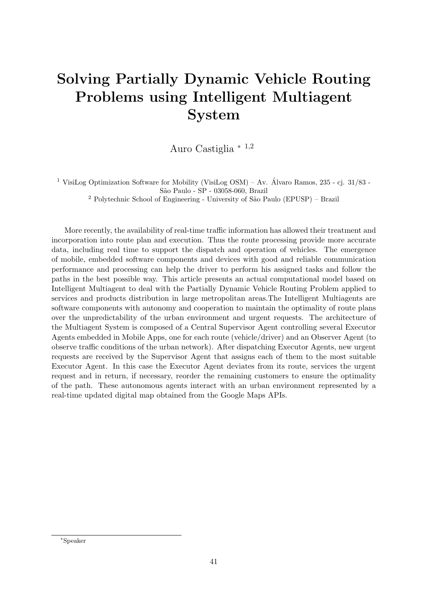# Solving Partially Dynamic Vehicle Routing Problems using Intelligent Multiagent System

Auro Castiglia <sup>∗</sup> <sup>1</sup>,<sup>2</sup>

<sup>1</sup> VisiLog Optimization Software for Mobility (VisiLog OSM) – Av. Álvaro Ramos, 235 - cj. 31/83 -S˜ao Paulo - SP - 03058-060, Brazil

<sup>2</sup> Polytechnic School of Engineering - University of São Paulo (EPUSP) – Brazil

More recently, the availability of real-time traffic information has allowed their treatment and incorporation into route plan and execution. Thus the route processing provide more accurate data, including real time to support the dispatch and operation of vehicles. The emergence of mobile, embedded software components and devices with good and reliable communication performance and processing can help the driver to perform his assigned tasks and follow the paths in the best possible way. This article presents an actual computational model based on Intelligent Multiagent to deal with the Partially Dynamic Vehicle Routing Problem applied to services and products distribution in large metropolitan areas.The Intelligent Multiagents are software components with autonomy and cooperation to maintain the optimality of route plans over the unpredictability of the urban environment and urgent requests. The architecture of the Multiagent System is composed of a Central Supervisor Agent controlling several Executor Agents embedded in Mobile Apps, one for each route (vehicle/driver) and an Observer Agent (to observe traffic conditions of the urban network). After dispatching Executor Agents, new urgent requests are received by the Supervisor Agent that assigns each of them to the most suitable Executor Agent. In this case the Executor Agent deviates from its route, services the urgent request and in return, if necessary, reorder the remaining customers to ensure the optimality of the path. These autonomous agents interact with an urban environment represented by a real-time updated digital map obtained from the Google Maps APIs.

<sup>∗</sup>Speaker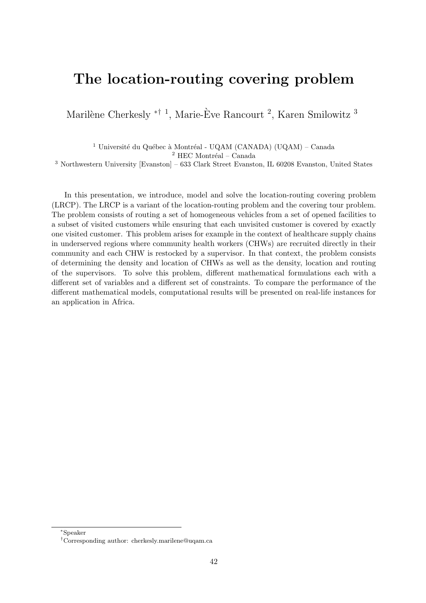#### The location-routing covering problem

Marilène Cherkesly <sup>\*† 1</sup>, Marie-Ève Rancourt <sup>2</sup>, Karen Smilowitz <sup>3</sup>

<sup>1</sup> Université du Québec à Montréal - UQAM (CANADA) (UQAM) – Canada  $^2$  HEC Montréal – Canada

 $^3$  Northwestern University [Evanston] –  $633$  Clark Street Evanston, IL  $60208$  Evanston, United States

In this presentation, we introduce, model and solve the location-routing covering problem (LRCP). The LRCP is a variant of the location-routing problem and the covering tour problem. The problem consists of routing a set of homogeneous vehicles from a set of opened facilities to a subset of visited customers while ensuring that each unvisited customer is covered by exactly one visited customer. This problem arises for example in the context of healthcare supply chains in underserved regions where community health workers (CHWs) are recruited directly in their community and each CHW is restocked by a supervisor. In that context, the problem consists of determining the density and location of CHWs as well as the density, location and routing of the supervisors. To solve this problem, different mathematical formulations each with a different set of variables and a different set of constraints. To compare the performance of the different mathematical models, computational results will be presented on real-life instances for an application in Africa.

<sup>∗</sup>Speaker

<sup>†</sup>Corresponding author: [cherkesly.marilene@uqam.ca](mailto:cherkesly.marilene@uqam.ca)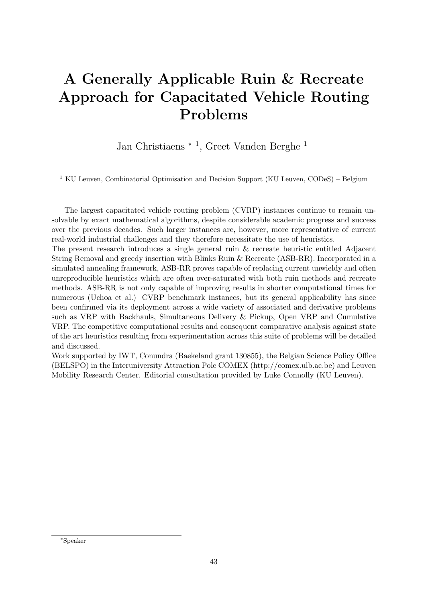# A Generally Applicable Ruin & Recreate Approach for Capacitated Vehicle Routing Problems

Jan Christiaens <sup>∗</sup> <sup>1</sup> , Greet Vanden Berghe <sup>1</sup>

<sup>1</sup> KU Leuven, Combinatorial Optimisation and Decision Support (KU Leuven, CODeS) – Belgium

The largest capacitated vehicle routing problem (CVRP) instances continue to remain unsolvable by exact mathematical algorithms, despite considerable academic progress and success over the previous decades. Such larger instances are, however, more representative of current real-world industrial challenges and they therefore necessitate the use of heuristics.

The present research introduces a single general ruin & recreate heuristic entitled Adjacent String Removal and greedy insertion with Blinks Ruin & Recreate (ASB-RR). Incorporated in a simulated annealing framework, ASB-RR proves capable of replacing current unwieldy and often unreproducible heuristics which are often over-saturated with both ruin methods and recreate methods. ASB-RR is not only capable of improving results in shorter computational times for numerous (Uchoa et al.) CVRP benchmark instances, but its general applicability has since been confirmed via its deployment across a wide variety of associated and derivative problems such as VRP with Backhauls, Simultaneous Delivery & Pickup, Open VRP and Cumulative VRP. The competitive computational results and consequent comparative analysis against state of the art heuristics resulting from experimentation across this suite of problems will be detailed and discussed.

Work supported by IWT, Conundra (Baekeland grant 130855), the Belgian Science Policy Office (BELSPO) in the Interuniversity Attraction Pole COMEX (http://comex.ulb.ac.be) and Leuven Mobility Research Center. Editorial consultation provided by Luke Connolly (KU Leuven).

<sup>∗</sup>Speaker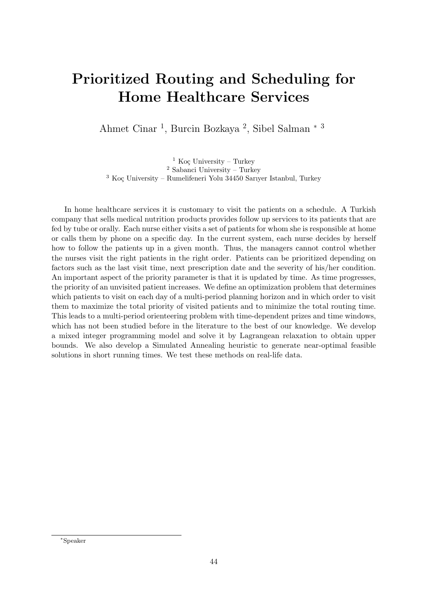# Prioritized Routing and Scheduling for Home Healthcare Services

Ahmet Cinar<sup>1</sup>, Burcin Bozkaya<sup>2</sup>, Sibel Salman<sup>\*3</sup>

<sup>1</sup> Koc University – Turkey <sup>2</sup> Sabanci University – Turkey  $3$  Koc University – Rumelifeneri Yolu 34450 Sarıyer Istanbul, Turkey

In home healthcare services it is customary to visit the patients on a schedule. A Turkish company that sells medical nutrition products provides follow up services to its patients that are fed by tube or orally. Each nurse either visits a set of patients for whom she is responsible at home or calls them by phone on a specific day. In the current system, each nurse decides by herself how to follow the patients up in a given month. Thus, the managers cannot control whether the nurses visit the right patients in the right order. Patients can be prioritized depending on factors such as the last visit time, next prescription date and the severity of his/her condition. An important aspect of the priority parameter is that it is updated by time. As time progresses, the priority of an unvisited patient increases. We define an optimization problem that determines which patients to visit on each day of a multi-period planning horizon and in which order to visit them to maximize the total priority of visited patients and to minimize the total routing time. This leads to a multi-period orienteering problem with time-dependent prizes and time windows, which has not been studied before in the literature to the best of our knowledge. We develop a mixed integer programming model and solve it by Lagrangean relaxation to obtain upper bounds. We also develop a Simulated Annealing heuristic to generate near-optimal feasible solutions in short running times. We test these methods on real-life data.

<sup>∗</sup>Speaker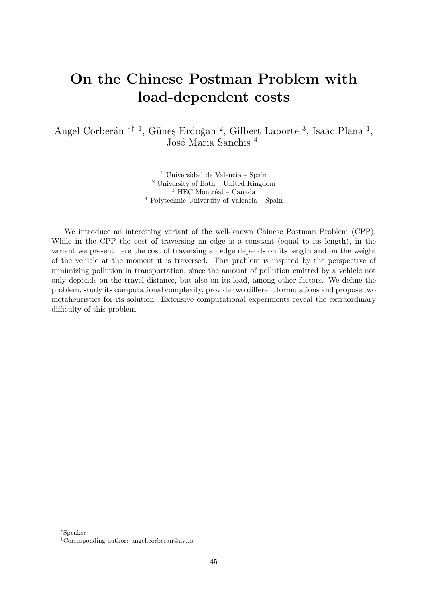# On the Chinese Postman Problem with load-dependent costs

Angel Corberán <sup>\*† 1</sup>, Güneş Erdoğan <sup>2</sup>, Gilbert Laporte <sup>3</sup>, Isaac Plana <sup>1</sup>, José Maria Sanchis<sup>4</sup>

> Universidad de Valencia – Spain University of Bath – United Kingdom  $^3$  HEC Montréal – Canada Polytechnic University of Valencia – Spain

We introduce an interesting variant of the well-known Chinese Postman Problem (CPP). While in the CPP the cost of traversing an edge is a constant (equal to its length), in the variant we present here the cost of traversing an edge depends on its length and on the weight of the vehicle at the moment it is traversed. This problem is inspired by the perspective of minimizing pollution in transportation, since the amount of pollution emitted by a vehicle not only depends on the travel distance, but also on its load, among other factors. We define the problem, study its computational complexity, provide two different formulations and propose two metaheuristics for its solution. Extensive computational experiments reveal the extraordinary difficulty of this problem.

<sup>∗</sup>Speaker

<sup>†</sup>Corresponding author: [angel.corberan@uv.es](mailto:angel.corberan@uv.es)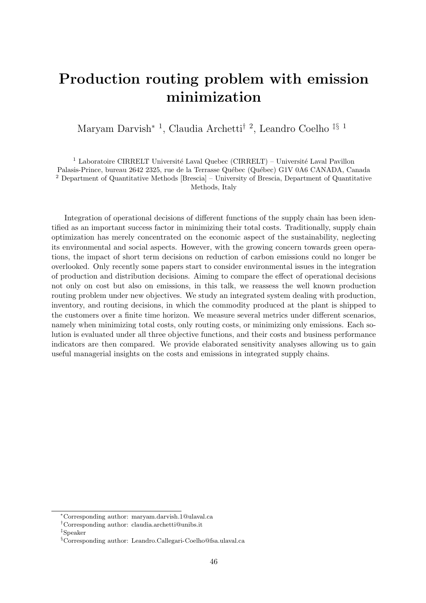### Production routing problem with emission minimization

Maryam Darvish<sup>∗</sup> <sup>1</sup> , Claudia Archetti† <sup>2</sup> , Leandro Coelho ‡§ <sup>1</sup>

<sup>1</sup> Laboratoire CIRRELT Université Laval Quebec (CIRRELT) – Université Laval Pavillon Palasis-Prince, bureau 2642 2325, rue de la Terrasse Québec (Québec) G1V 0A6 CANADA, Canada <sup>2</sup> Department of Quantitative Methods [Brescia] – University of Brescia, Department of Quantitative Methods, Italy

Integration of operational decisions of different functions of the supply chain has been identified as an important success factor in minimizing their total costs. Traditionally, supply chain optimization has merely concentrated on the economic aspect of the sustainability, neglecting its environmental and social aspects. However, with the growing concern towards green operations, the impact of short term decisions on reduction of carbon emissions could no longer be overlooked. Only recently some papers start to consider environmental issues in the integration of production and distribution decisions. Aiming to compare the effect of operational decisions not only on cost but also on emissions, in this talk, we reassess the well known production routing problem under new objectives. We study an integrated system dealing with production, inventory, and routing decisions, in which the commodity produced at the plant is shipped to the customers over a finite time horizon. We measure several metrics under different scenarios, namely when minimizing total costs, only routing costs, or minimizing only emissions. Each solution is evaluated under all three objective functions, and their costs and business performance indicators are then compared. We provide elaborated sensitivity analyses allowing us to gain useful managerial insights on the costs and emissions in integrated supply chains.

<sup>∗</sup>Corresponding author: [maryam.darvish.1@ulaval.ca](mailto:maryam.darvish.1@ulaval.ca)

<sup>†</sup>Corresponding author: [claudia.archetti@unibs.it](mailto:claudia.archetti@unibs.it)

<sup>‡</sup>Speaker

<sup>§</sup>Corresponding author: [Leandro.Callegari-Coelho@fsa.ulaval.ca](mailto:Leandro.Callegari-Coelho@fsa.ulaval.ca)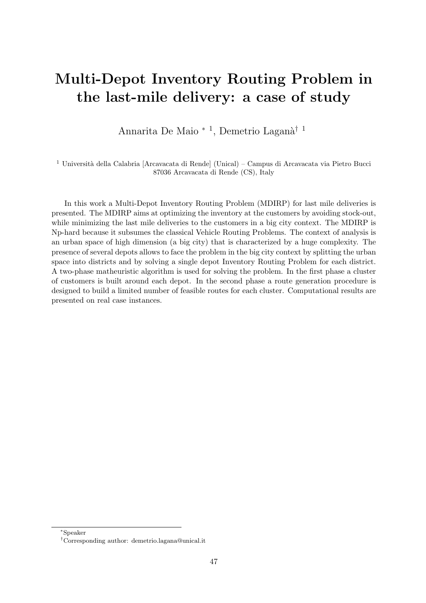#### Multi-Depot Inventory Routing Problem in the last-mile delivery: a case of study

Annarita De Maio<sup>\* 1</sup>, Demetrio Laganà<sup>† 1</sup>

 $^1$ Università della Calabria [Arcavacata di Rende] (Unical) – Campus di Arcavacata via Pietro Bucci 87036 Arcavacata di Rende (CS), Italy

In this work a Multi-Depot Inventory Routing Problem (MDIRP) for last mile deliveries is presented. The MDIRP aims at optimizing the inventory at the customers by avoiding stock-out, while minimizing the last mile deliveries to the customers in a big city context. The MDIRP is Np-hard because it subsumes the classical Vehicle Routing Problems. The context of analysis is an urban space of high dimension (a big city) that is characterized by a huge complexity. The presence of several depots allows to face the problem in the big city context by splitting the urban space into districts and by solving a single depot Inventory Routing Problem for each district. A two-phase matheuristic algorithm is used for solving the problem. In the first phase a cluster of customers is built around each depot. In the second phase a route generation procedure is designed to build a limited number of feasible routes for each cluster. Computational results are presented on real case instances.

<sup>∗</sup>Speaker

<sup>†</sup>Corresponding author: [demetrio.lagana@unical.it](mailto:demetrio.lagana@unical.it)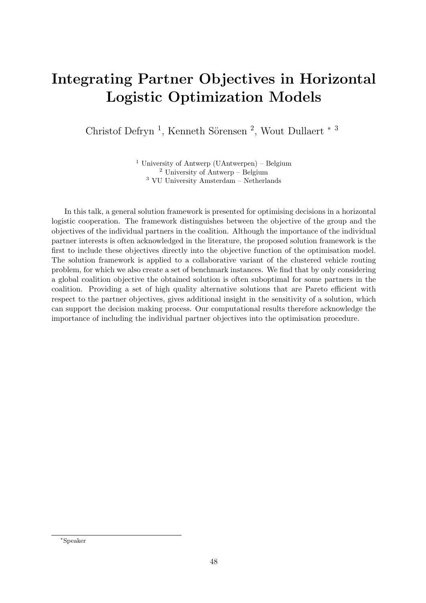#### Integrating Partner Objectives in Horizontal Logistic Optimization Models

Christof Defryn<sup>1</sup>, Kenneth Sörensen<sup>2</sup>, Wout Dullaert<sup>\*3</sup>

<sup>1</sup> University of Antwerp (UAntwerpen) – Belgium <sup>2</sup> University of Antwerp – Belgium <sup>3</sup> VU University Amsterdam – Netherlands

In this talk, a general solution framework is presented for optimising decisions in a horizontal logistic cooperation. The framework distinguishes between the objective of the group and the objectives of the individual partners in the coalition. Although the importance of the individual partner interests is often acknowledged in the literature, the proposed solution framework is the first to include these objectives directly into the objective function of the optimisation model. The solution framework is applied to a collaborative variant of the clustered vehicle routing problem, for which we also create a set of benchmark instances. We find that by only considering a global coalition objective the obtained solution is often suboptimal for some partners in the coalition. Providing a set of high quality alternative solutions that are Pareto efficient with respect to the partner objectives, gives additional insight in the sensitivity of a solution, which can support the decision making process. Our computational results therefore acknowledge the importance of including the individual partner objectives into the optimisation procedure.

<sup>∗</sup>Speaker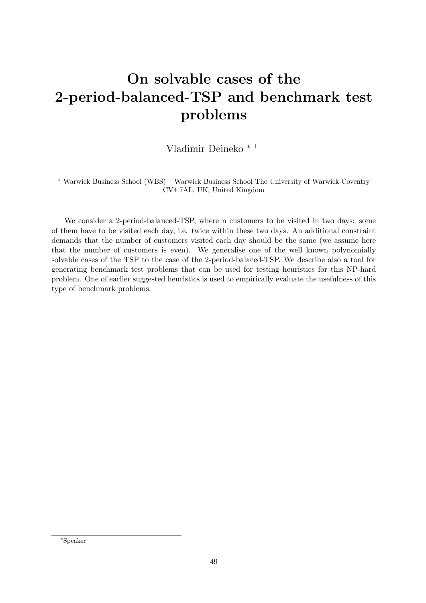# On solvable cases of the 2-period-balanced-TSP and benchmark test problems

Vladimir Deineko <sup>∗</sup> <sup>1</sup>

<sup>1</sup> Warwick Business School (WBS) – Warwick Business School The University of Warwick Coventry CV4 7AL, UK, United Kingdom

We consider a 2-period-balanced-TSP, where n customers to be visited in two days: some of them have to be visited each day, i.e. twice within these two days. An additional constraint demands that the number of customers visited each day should be the same (we assume here that the number of customers is even). We generalise one of the well known polynomially solvable cases of the TSP to the case of the 2-period-balaced-TSP. We describe also a tool for generating benchmark test problems that can be used for testing heuristics for this NP-hard problem. One of earlier suggested heuristics is used to empirically evaluate the usefulness of this type of benchmark problems.

<sup>∗</sup>Speaker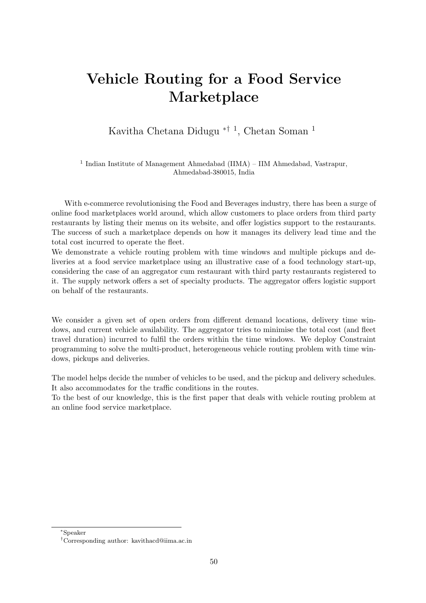#### Vehicle Routing for a Food Service Marketplace

Kavitha Chetana Didugu ∗† <sup>1</sup> , Chetan Soman <sup>1</sup>

<sup>1</sup> Indian Institute of Management Ahmedabad (IIMA) – IIM Ahmedabad, Vastrapur, Ahmedabad-380015, India

With e-commerce revolutionising the Food and Beverages industry, there has been a surge of online food marketplaces world around, which allow customers to place orders from third party restaurants by listing their menus on its website, and offer logistics support to the restaurants. The success of such a marketplace depends on how it manages its delivery lead time and the total cost incurred to operate the fleet.

We demonstrate a vehicle routing problem with time windows and multiple pickups and deliveries at a food service marketplace using an illustrative case of a food technology start-up, considering the case of an aggregator cum restaurant with third party restaurants registered to it. The supply network offers a set of specialty products. The aggregator offers logistic support on behalf of the restaurants.

We consider a given set of open orders from different demand locations, delivery time windows, and current vehicle availability. The aggregator tries to minimise the total cost (and fleet travel duration) incurred to fulfil the orders within the time windows. We deploy Constraint programming to solve the multi-product, heterogeneous vehicle routing problem with time windows, pickups and deliveries.

The model helps decide the number of vehicles to be used, and the pickup and delivery schedules. It also accommodates for the traffic conditions in the routes.

To the best of our knowledge, this is the first paper that deals with vehicle routing problem at an online food service marketplace.

<sup>∗</sup>Speaker

<sup>†</sup>Corresponding author: [kavithacd@iima.ac.in](mailto:kavithacd@iima.ac.in)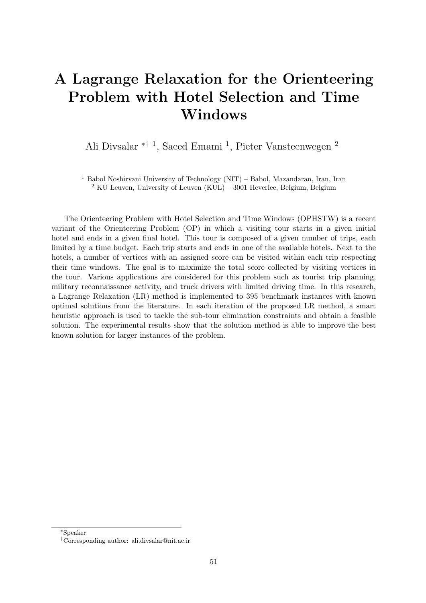# A Lagrange Relaxation for the Orienteering Problem with Hotel Selection and Time Windows

Ali Divsalar ∗† <sup>1</sup> , Saeed Emami <sup>1</sup> , Pieter Vansteenwegen <sup>2</sup>

<sup>1</sup> Babol Noshirvani University of Technology (NIT) – Babol, Mazandaran, Iran, Iran <sup>2</sup> KU Leuven, University of Leuven (KUL) – 3001 Heverlee, Belgium, Belgium

The Orienteering Problem with Hotel Selection and Time Windows (OPHSTW) is a recent variant of the Orienteering Problem (OP) in which a visiting tour starts in a given initial hotel and ends in a given final hotel. This tour is composed of a given number of trips, each limited by a time budget. Each trip starts and ends in one of the available hotels. Next to the hotels, a number of vertices with an assigned score can be visited within each trip respecting their time windows. The goal is to maximize the total score collected by visiting vertices in the tour. Various applications are considered for this problem such as tourist trip planning, military reconnaissance activity, and truck drivers with limited driving time. In this research, a Lagrange Relaxation (LR) method is implemented to 395 benchmark instances with known optimal solutions from the literature. In each iteration of the proposed LR method, a smart heuristic approach is used to tackle the sub-tour elimination constraints and obtain a feasible solution. The experimental results show that the solution method is able to improve the best known solution for larger instances of the problem.

<sup>∗</sup>Speaker

<sup>†</sup>Corresponding author: [ali.divsalar@nit.ac.ir](mailto:ali.divsalar@nit.ac.ir)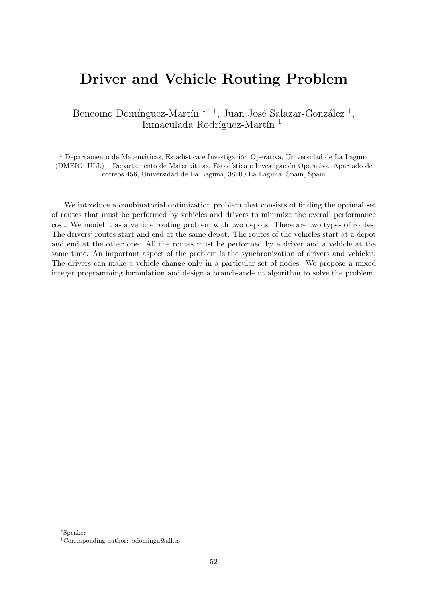#### Driver and Vehicle Routing Problem

Bencomo Domínguez-Martín  $*^{\dagger}$ <sup>1</sup>, Juan José Salazar-González<sup>1</sup>, Inmaculada Rodríguez-Martín<sup>1</sup>

<sup>1</sup> Departamento de Matemáticas, Estadística e Investigación Operativa, Universidad de La Laguna (DMEIO, ULL) – Departamento de Matemáticas, Estadística e Investigación Operativa, Apartado de correos 456, Universidad de La Laguna, 38200 La Laguna, Spain, Spain

We introduce a combinatorial optimization problem that consists of finding the optimal set of routes that must be performed by vehicles and drivers to minimize the overall performance cost. We model it as a vehicle routing problem with two depots. There are two types of routes. The drivers' routes start and end at the same depot. The routes of the vehicles start at a depot and end at the other one. All the routes must be performed by a driver and a vehicle at the same time. An important aspect of the problem is the synchronization of drivers and vehicles. The drivers can make a vehicle change only in a particular set of nodes. We propose a mixed integer programming formulation and design a branch-and-cut algorithm to solve the problem.

<sup>∗</sup>Speaker

<sup>†</sup>Corresponding author: [bdomingu@ull.es](mailto:bdomingu@ull.es)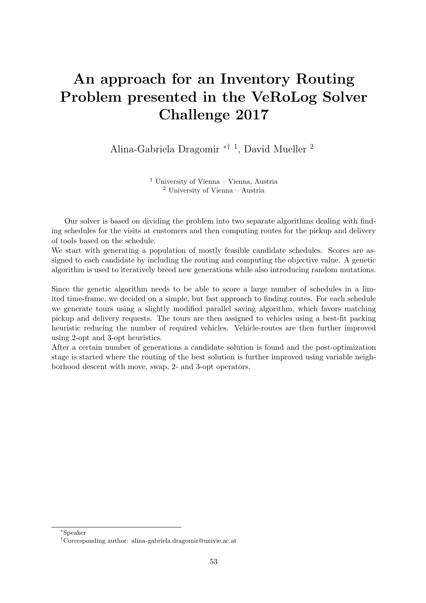# An approach for an Inventory Routing Problem presented in the VeRoLog Solver Challenge 2017

Alina-Gabriela Dragomir ∗† <sup>1</sup> , David Mueller <sup>2</sup>

<sup>1</sup> University of Vienna – Vienna, Austria <sup>2</sup> University of Vienna – Austria

Our solver is based on dividing the problem into two separate algorithms dealing with finding schedules for the visits at customers and then computing routes for the pickup and delivery of tools based on the schedule.

We start with generating a population of mostly feasible candidate schedules. Scores are assigned to each candidate by including the routing and computing the objective value. A genetic algorithm is used to iteratively breed new generations while also introducing random mutations.

Since the genetic algorithm needs to be able to score a large number of schedules in a limited time-frame, we decided on a simple, but fast approach to finding routes. For each schedule we generate tours using a slightly modified parallel saving algorithm, which favors matching pickup and delivery requests. The tours are then assigned to vehicles using a best-fit packing heuristic reducing the number of required vehicles. Vehicle-routes are then further improved using 2-opt and 3-opt heuristics.

After a certain number of generations a candidate solution is found and the post-optimization stage is started where the routing of the best solution is further improved using variable neighborhood descent with move, swap, 2- and 3-opt operators.

<sup>∗</sup>Speaker

<sup>†</sup>Corresponding author: [alina-gabriela.dragomir@univie.ac.at](mailto:alina-gabriela.dragomir@univie.ac.at)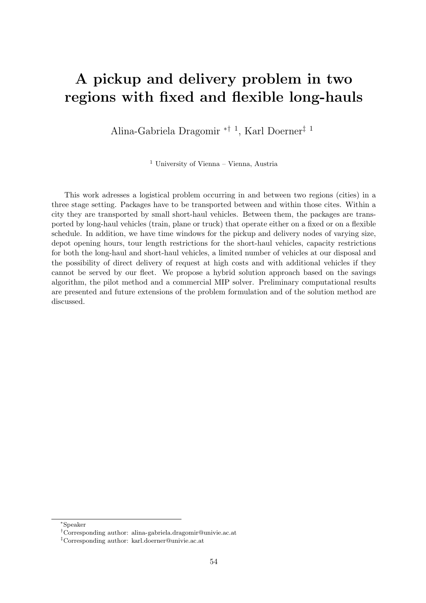#### A pickup and delivery problem in two regions with fixed and flexible long-hauls

Alina-Gabriela Dragomir ∗† <sup>1</sup> , Karl Doerner‡ <sup>1</sup>

<sup>1</sup> University of Vienna – Vienna, Austria

This work adresses a logistical problem occurring in and between two regions (cities) in a three stage setting. Packages have to be transported between and within those cites. Within a city they are transported by small short-haul vehicles. Between them, the packages are transported by long-haul vehicles (train, plane or truck) that operate either on a fixed or on a flexible schedule. In addition, we have time windows for the pickup and delivery nodes of varying size, depot opening hours, tour length restrictions for the short-haul vehicles, capacity restrictions for both the long-haul and short-haul vehicles, a limited number of vehicles at our disposal and the possibility of direct delivery of request at high costs and with additional vehicles if they cannot be served by our fleet. We propose a hybrid solution approach based on the savings algorithm, the pilot method and a commercial MIP solver. Preliminary computational results are presented and future extensions of the problem formulation and of the solution method are discussed.

<sup>∗</sup>Speaker

<sup>†</sup>Corresponding author: [alina-gabriela.dragomir@univie.ac.at](mailto:alina-gabriela.dragomir@univie.ac.at)

<sup>‡</sup>Corresponding author: [karl.doerner@univie.ac.at](mailto:karl.doerner@univie.ac.at)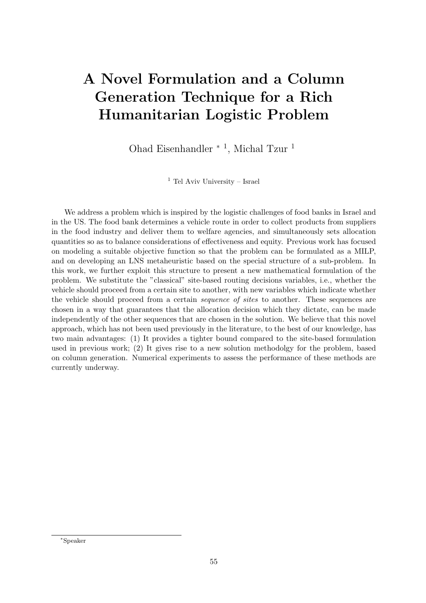# A Novel Formulation and a Column Generation Technique for a Rich Humanitarian Logistic Problem

Ohad Eisenhandler <sup>∗</sup> <sup>1</sup> , Michal Tzur <sup>1</sup>

<sup>1</sup> Tel Aviv University – Israel

We address a problem which is inspired by the logistic challenges of food banks in Israel and in the US. The food bank determines a vehicle route in order to collect products from suppliers in the food industry and deliver them to welfare agencies, and simultaneously sets allocation quantities so as to balance considerations of effectiveness and equity. Previous work has focused on modeling a suitable objective function so that the problem can be formulated as a MILP, and on developing an LNS metaheuristic based on the special structure of a sub-problem. In this work, we further exploit this structure to present a new mathematical formulation of the problem. We substitute the "classical" site-based routing decisions variables, i.e., whether the vehicle should proceed from a certain site to another, with new variables which indicate whether the vehicle should proceed from a certain sequence of sites to another. These sequences are chosen in a way that guarantees that the allocation decision which they dictate, can be made independently of the other sequences that are chosen in the solution. We believe that this novel approach, which has not been used previously in the literature, to the best of our knowledge, has two main advantages: (1) It provides a tighter bound compared to the site-based formulation used in previous work; (2) It gives rise to a new solution methodolgy for the problem, based on column generation. Numerical experiments to assess the performance of these methods are currently underway.

<sup>∗</sup>Speaker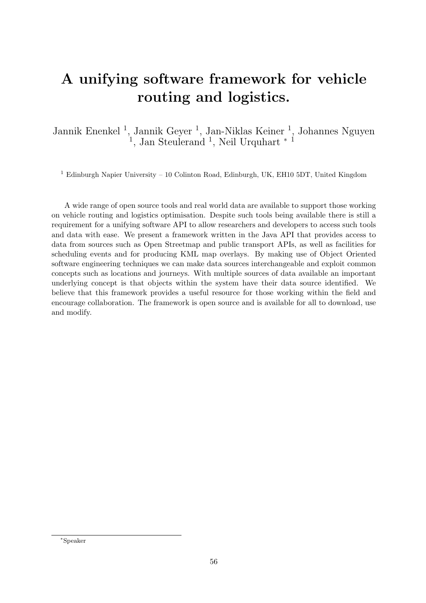# A unifying software framework for vehicle routing and logistics.

Jannik Enenkel<sup>1</sup>, Jannik Geyer<sup>1</sup>, Jan-Niklas Keiner<sup>1</sup>, Johannes Nguyen <sup>1</sup>, Jan Steulerand<sup>1</sup>, Neil Urquhart<sup>\*1</sup>

<sup>1</sup> Edinburgh Napier University – 10 Colinton Road, Edinburgh, UK, EH10 5DT, United Kingdom

A wide range of open source tools and real world data are available to support those working on vehicle routing and logistics optimisation. Despite such tools being available there is still a requirement for a unifying software API to allow researchers and developers to access such tools and data with ease. We present a framework written in the Java API that provides access to data from sources such as Open Streetmap and public transport APIs, as well as facilities for scheduling events and for producing KML map overlays. By making use of Object Oriented software engineering techniques we can make data sources interchangeable and exploit common concepts such as locations and journeys. With multiple sources of data available an important underlying concept is that objects within the system have their data source identified. We believe that this framework provides a useful resource for those working within the field and encourage collaboration. The framework is open source and is available for all to download, use and modify.

<sup>∗</sup>Speaker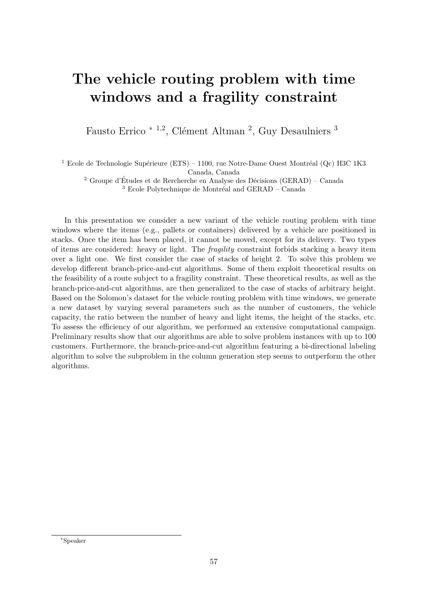# The vehicle routing problem with time windows and a fragility constraint

Fausto Errico<sup>\* 1,2</sup>, Clément Altman<sup>2</sup>, Guy Desaulniers<sup>3</sup>

<sup>1</sup> Ecole de Technologie Supérieure (ETS) – 1100, rue Notre-Dame Ouest Montréal (Qc) H3C 1K3 Canada, Canada

<sup>2</sup> Groupe d'Études et de Rercherche en Analyse des Décisions (GERAD) – Canada  $3$  Ecole Polytechnique de Montréal and GERAD – Canada

In this presentation we consider a new variant of the vehicle routing problem with time windows where the items (e.g., pallets or containers) delivered by a vehicle are positioned in stacks. Once the item has been placed, it cannot be moved, except for its delivery. Two types of items are considered: heavy or light. The fragility constraint forbids stacking a heavy item over a light one. We first consider the case of stacks of height 2. To solve this problem we develop different branch-price-and-cut algorithms. Some of them exploit theoretical results on the feasibility of a route subject to a fragility constraint. These theoretical results, as well as the branch-price-and-cut algorithms, are then generalized to the case of stacks of arbitrary height. Based on the Solomon's dataset for the vehicle routing problem with time windows, we generate a new dataset by varying several parameters such as the number of customers, the vehicle capacity, the ratio between the number of heavy and light items, the height of the stacks, etc. To assess the efficiency of our algorithm, we performed an extensive computational campaign. Preliminary results show that our algorithms are able to solve problem instances with up to 100 customers. Furthermore, the branch-price-and-cut algorithm featuring a bi-directional labeling algorithm to solve the subproblem in the column generation step seems to outperform the other algorithms.

<sup>∗</sup>Speaker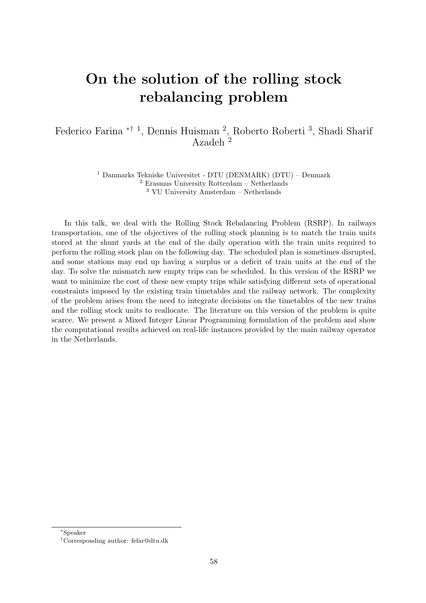# On the solution of the rolling stock rebalancing problem

#### Federico Farina <sup>\*† 1</sup>, Dennis Huisman<sup>2</sup>, Roberto Roberti<sup>3</sup>, Shadi Sharif Azadeh<sup>2</sup>

<sup>1</sup> Danmarks Tekniske Universitet - DTU (DENMARK) (DTU) – Denmark <sup>2</sup> Erasmus University Rotterdam – Netherlands <sup>3</sup> VU University Amsterdam – Netherlands

In this talk, we deal with the Rolling Stock Rebalancing Problem (RSRP). In railways transportation, one of the objectives of the rolling stock planning is to match the train units stored at the shunt yards at the end of the daily operation with the train units required to perform the rolling stock plan on the following day. The scheduled plan is sometimes disrupted, and some stations may end up having a surplus or a deficit of train units at the end of the day. To solve the mismatch new empty trips can be scheduled. In this version of the RSRP we want to minimize the cost of these new empty trips while satisfying different sets of operational constraints imposed by the existing train timetables and the railway network. The complexity of the problem arises from the need to integrate decisions on the timetables of the new trains and the rolling stock units to reallocate. The literature on this version of the problem is quite scarce. We present a Mixed Integer Linear Programming formulation of the problem and show the computational results achieved on real-life instances provided by the main railway operator in the Netherlands.

<sup>∗</sup>Speaker

<sup>†</sup>Corresponding author: [fefar@dtu.dk](mailto:fefar@dtu.dk)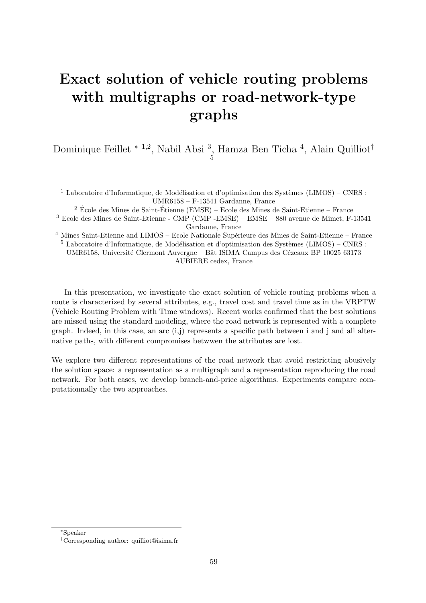# Exact solution of vehicle routing problems with multigraphs or road-network-type graphs

Dominique Feillet <sup>\* 1,2</sup>, Nabil Absi <sup>3</sup>, Hamza Ben Ticha <sup>4</sup>, Alain Quilliot<sup>†</sup> 5

<sup>1</sup> Laboratoire d'Informatique, de Modélisation et d'optimisation des Systèmes (LIMOS) – CNRS : UMR6158 – F-13541 Gardanne, France

 $2$  École des Mines de Saint-Étienne (EMSE) – Ecole des Mines de Saint-Etienne – France

 $^3$  Ecole des Mines de Saint-Etienne -  $\rm{CMP}$  (CMP -EMSE) –  $\rm{EMSE}-880$  avenue de Mimet, F-13541 Gardanne, France

 $4$  Mines Saint-Etienne and LIMOS – Ecole Nationale Supérieure des Mines de Saint-Etienne – France

 $5$  Laboratoire d'Informatique, de Modélisation et d'optimisation des Systèmes (LIMOS) – CNRS : UMR6158, Université Clermont Auvergne – Bât ISIMA Campus des Cézeaux BP 10025 63173 AUBIERE cedex, France

In this presentation, we investigate the exact solution of vehicle routing problems when a route is characterized by several attributes, e.g., travel cost and travel time as in the VRPTW (Vehicle Routing Problem with Time windows). Recent works confirmed that the best solutions are missed using the standard modeling, where the road network is represented with a complete graph. Indeed, in this case, an arc  $(i,j)$  represents a specific path between i and j and all alternative paths, with different compromises betwwen the attributes are lost.

We explore two different representations of the road network that avoid restricting abusively the solution space: a representation as a multigraph and a representation reproducing the road network. For both cases, we develop branch-and-price algorithms. Experiments compare computationnally the two approaches.

<sup>∗</sup>Speaker

<sup>†</sup>Corresponding author: [quilliot@isima.fr](mailto:quilliot@isima.fr)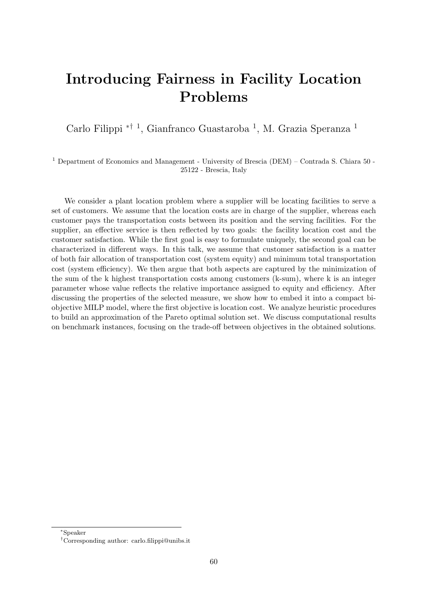#### Introducing Fairness in Facility Location Problems

Carlo Filippi <sup>\*† 1</sup>, Gianfranco Guastaroba <sup>1</sup>, M. Grazia Speranza <sup>1</sup>

<sup>1</sup> Department of Economics and Management - University of Brescia (DEM) – Contrada S. Chiara 50 -25122 - Brescia, Italy

We consider a plant location problem where a supplier will be locating facilities to serve a set of customers. We assume that the location costs are in charge of the supplier, whereas each customer pays the transportation costs between its position and the serving facilities. For the supplier, an effective service is then reflected by two goals: the facility location cost and the customer satisfaction. While the first goal is easy to formulate uniquely, the second goal can be characterized in different ways. In this talk, we assume that customer satisfaction is a matter of both fair allocation of transportation cost (system equity) and minimum total transportation cost (system efficiency). We then argue that both aspects are captured by the minimization of the sum of the k highest transportation costs among customers (k-sum), where k is an integer parameter whose value reflects the relative importance assigned to equity and efficiency. After discussing the properties of the selected measure, we show how to embed it into a compact biobjective MILP model, where the first objective is location cost. We analyze heuristic procedures to build an approximation of the Pareto optimal solution set. We discuss computational results on benchmark instances, focusing on the trade-off between objectives in the obtained solutions.

<sup>∗</sup>Speaker

<sup>†</sup>Corresponding author: [carlo.filippi@unibs.it](mailto:carlo.filippi@unibs.it)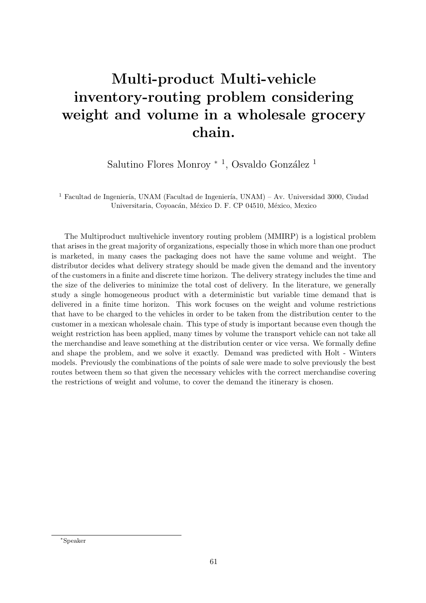# Multi-product Multi-vehicle inventory-routing problem considering weight and volume in a wholesale grocery chain.

Salutino Flores Monroy <sup>\* 1</sup>, Osvaldo González <sup>1</sup>

<sup>1</sup> Facultad de Ingeniería, UNAM (Facultad de Ingeniería, UNAM) – Av. Universidad 3000, Ciudad Universitaria, Coyoacán, México D. F. CP 04510, México, Mexico

The Multiproduct multivehicle inventory routing problem (MMIRP) is a logistical problem that arises in the great majority of organizations, especially those in which more than one product is marketed, in many cases the packaging does not have the same volume and weight. The distributor decides what delivery strategy should be made given the demand and the inventory of the customers in a finite and discrete time horizon. The delivery strategy includes the time and the size of the deliveries to minimize the total cost of delivery. In the literature, we generally study a single homogeneous product with a deterministic but variable time demand that is delivered in a finite time horizon. This work focuses on the weight and volume restrictions that have to be charged to the vehicles in order to be taken from the distribution center to the customer in a mexican wholesale chain. This type of study is important because even though the weight restriction has been applied, many times by volume the transport vehicle can not take all the merchandise and leave something at the distribution center or vice versa. We formally define and shape the problem, and we solve it exactly. Demand was predicted with Holt - Winters models. Previously the combinations of the points of sale were made to solve previously the best routes between them so that given the necessary vehicles with the correct merchandise covering the restrictions of weight and volume, to cover the demand the itinerary is chosen.

<sup>∗</sup>Speaker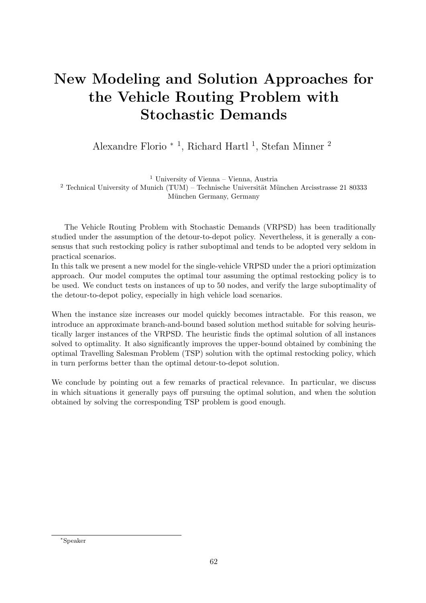# New Modeling and Solution Approaches for the Vehicle Routing Problem with Stochastic Demands

Alexandre Florio <sup>∗</sup> <sup>1</sup> , Richard Hartl <sup>1</sup> , Stefan Minner <sup>2</sup>

<sup>1</sup> University of Vienna – Vienna, Austria <sup>2</sup> Technical University of Munich (TUM) – Technische Universität München Arcisstrasse 21 80333 München Germany, Germany

The Vehicle Routing Problem with Stochastic Demands (VRPSD) has been traditionally studied under the assumption of the detour-to-depot policy. Nevertheless, it is generally a consensus that such restocking policy is rather suboptimal and tends to be adopted very seldom in practical scenarios.

In this talk we present a new model for the single-vehicle VRPSD under the a priori optimization approach. Our model computes the optimal tour assuming the optimal restocking policy is to be used. We conduct tests on instances of up to 50 nodes, and verify the large suboptimality of the detour-to-depot policy, especially in high vehicle load scenarios.

When the instance size increases our model quickly becomes intractable. For this reason, we introduce an approximate branch-and-bound based solution method suitable for solving heuristically larger instances of the VRPSD. The heuristic finds the optimal solution of all instances solved to optimality. It also significantly improves the upper-bound obtained by combining the optimal Travelling Salesman Problem (TSP) solution with the optimal restocking policy, which in turn performs better than the optimal detour-to-depot solution.

We conclude by pointing out a few remarks of practical relevance. In particular, we discuss in which situations it generally pays off pursuing the optimal solution, and when the solution obtained by solving the corresponding TSP problem is good enough.

<sup>∗</sup>Speaker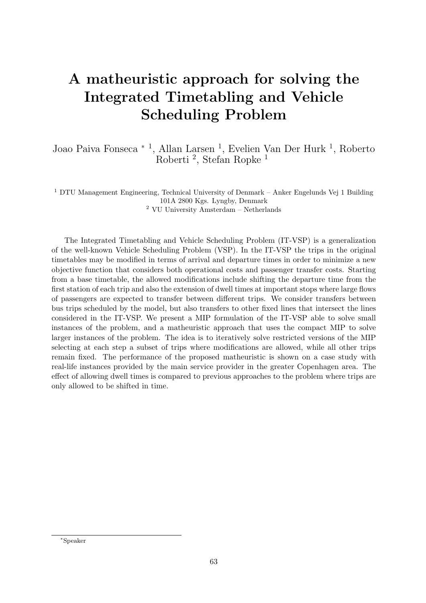#### A matheuristic approach for solving the Integrated Timetabling and Vehicle Scheduling Problem

Joao Paiva Fonseca \* <sup>1</sup>, Allan Larsen <sup>1</sup>, Evelien Van Der Hurk <sup>1</sup>, Roberto Roberti<sup>2</sup>, Stefan Ropke<sup>1</sup>

<sup>1</sup> DTU Management Engineering, Technical University of Denmark – Anker Engelunds Vej 1 Building 101A 2800 Kgs. Lyngby, Denmark  $^2$  VU University Amsterdam – Netherlands

The Integrated Timetabling and Vehicle Scheduling Problem (IT-VSP) is a generalization of the well-known Vehicle Scheduling Problem (VSP). In the IT-VSP the trips in the original timetables may be modified in terms of arrival and departure times in order to minimize a new objective function that considers both operational costs and passenger transfer costs. Starting from a base timetable, the allowed modifications include shifting the departure time from the first station of each trip and also the extension of dwell times at important stops where large flows of passengers are expected to transfer between different trips. We consider transfers between bus trips scheduled by the model, but also transfers to other fixed lines that intersect the lines considered in the IT-VSP. We present a MIP formulation of the IT-VSP able to solve small instances of the problem, and a matheuristic approach that uses the compact MIP to solve larger instances of the problem. The idea is to iteratively solve restricted versions of the MIP selecting at each step a subset of trips where modifications are allowed, while all other trips remain fixed. The performance of the proposed matheuristic is shown on a case study with real-life instances provided by the main service provider in the greater Copenhagen area. The effect of allowing dwell times is compared to previous approaches to the problem where trips are only allowed to be shifted in time.

<sup>∗</sup>Speaker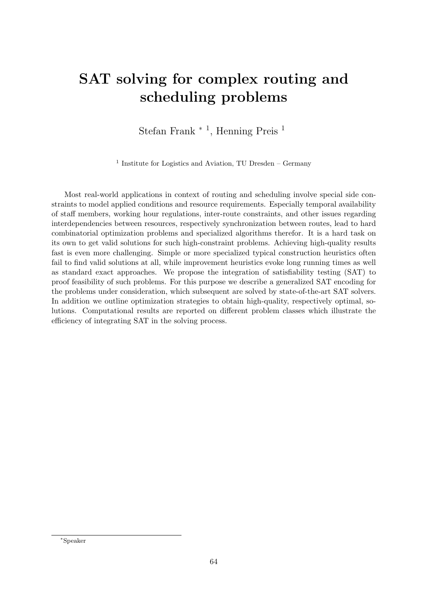# SAT solving for complex routing and scheduling problems

Stefan Frank<sup>\* 1</sup>, Henning Preis<sup>1</sup>

<sup>1</sup> Institute for Logistics and Aviation, TU Dresden – Germany

Most real-world applications in context of routing and scheduling involve special side constraints to model applied conditions and resource requirements. Especially temporal availability of staff members, working hour regulations, inter-route constraints, and other issues regarding interdependencies between resources, respectively synchronization between routes, lead to hard combinatorial optimization problems and specialized algorithms therefor. It is a hard task on its own to get valid solutions for such high-constraint problems. Achieving high-quality results fast is even more challenging. Simple or more specialized typical construction heuristics often fail to find valid solutions at all, while improvement heuristics evoke long running times as well as standard exact approaches. We propose the integration of satisfiability testing (SAT) to proof feasibility of such problems. For this purpose we describe a generalized SAT encoding for the problems under consideration, which subsequent are solved by state-of-the-art SAT solvers. In addition we outline optimization strategies to obtain high-quality, respectively optimal, solutions. Computational results are reported on different problem classes which illustrate the efficiency of integrating SAT in the solving process.

<sup>∗</sup>Speaker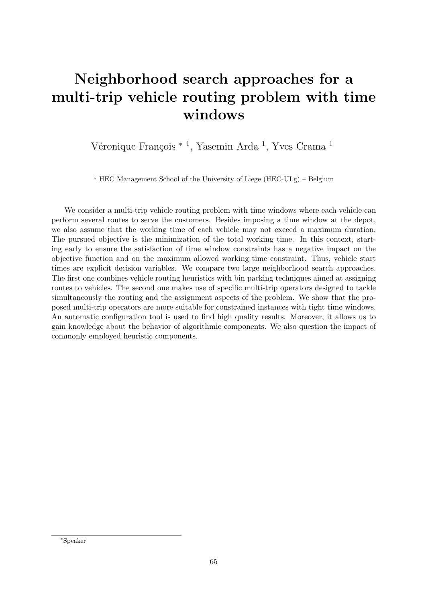# Neighborhood search approaches for a multi-trip vehicle routing problem with time windows

Véronique François <sup>\* 1</sup>, Yasemin Arda <sup>1</sup>, Yves Crama <sup>1</sup>

<sup>1</sup> HEC Management School of the University of Liege (HEC-ULg) – Belgium

We consider a multi-trip vehicle routing problem with time windows where each vehicle can perform several routes to serve the customers. Besides imposing a time window at the depot, we also assume that the working time of each vehicle may not exceed a maximum duration. The pursued objective is the minimization of the total working time. In this context, starting early to ensure the satisfaction of time window constraints has a negative impact on the objective function and on the maximum allowed working time constraint. Thus, vehicle start times are explicit decision variables. We compare two large neighborhood search approaches. The first one combines vehicle routing heuristics with bin packing techniques aimed at assigning routes to vehicles. The second one makes use of specific multi-trip operators designed to tackle simultaneously the routing and the assignment aspects of the problem. We show that the proposed multi-trip operators are more suitable for constrained instances with tight time windows. An automatic configuration tool is used to find high quality results. Moreover, it allows us to gain knowledge about the behavior of algorithmic components. We also question the impact of commonly employed heuristic components.

<sup>∗</sup>Speaker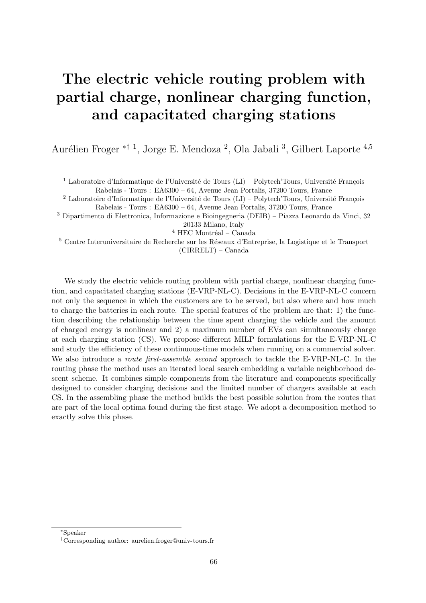# The electric vehicle routing problem with partial charge, nonlinear charging function, and capacitated charging stations

Aurélien Froger <sup>\*† 1</sup>, Jorge E. Mendoza<sup>2</sup>, Ola Jabali<sup>3</sup>, Gilbert Laporte<sup>4,5</sup>

<sup>1</sup> Laboratoire d'Informatique de l'Université de Tours (LI) – Polytech'Tours, Université François

Rabelais - Tours : EA6300 – 64, Avenue Jean Portalis, 37200 Tours, France

<sup>2</sup> Laboratoire d'Informatique de l'Université de Tours (LI) – Polytech'Tours, Université François Rabelais - Tours : EA6300 – 64, Avenue Jean Portalis, 37200 Tours, France

<sup>3</sup> Dipartimento di Elettronica, Informazione e Bioingegneria (DEIB) – Piazza Leonardo da Vinci, 32 20133 Milano, Italy

 $^4$  HEC Montréal – Canada

<sup>5</sup> Centre Interuniversitaire de Recherche sur les Réseaux d'Entreprise, la Logistique et le Transport (CIRRELT) – Canada

We study the electric vehicle routing problem with partial charge, nonlinear charging function, and capacitated charging stations (E-VRP-NL-C). Decisions in the E-VRP-NL-C concern not only the sequence in which the customers are to be served, but also where and how much to charge the batteries in each route. The special features of the problem are that: 1) the function describing the relationship between the time spent charging the vehicle and the amount of charged energy is nonlinear and 2) a maximum number of EVs can simultaneously charge at each charging station (CS). We propose different MILP formulations for the E-VRP-NL-C and study the efficiency of these continuous-time models when running on a commercial solver. We also introduce a *route first-assemble second* approach to tackle the E-VRP-NL-C. In the routing phase the method uses an iterated local search embedding a variable neighborhood descent scheme. It combines simple components from the literature and components specifically designed to consider charging decisions and the limited number of chargers available at each CS. In the assembling phase the method builds the best possible solution from the routes that are part of the local optima found during the first stage. We adopt a decomposition method to exactly solve this phase.

<sup>∗</sup>Speaker

<sup>†</sup>Corresponding author: [aurelien.froger@univ-tours.fr](mailto:aurelien.froger@univ-tours.fr)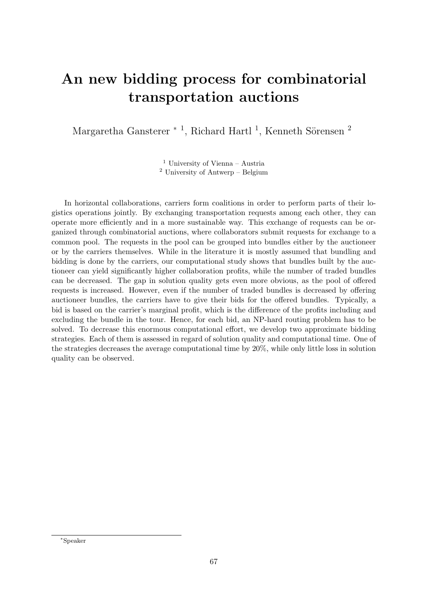# An new bidding process for combinatorial transportation auctions

Margaretha Gansterer<sup>\*1</sup>, Richard Hartl<sup>1</sup>, Kenneth Sörensen<sup>2</sup>

 $^{\rm 1}$ University of Vienna – Austria <sup>2</sup> University of Antwerp – Belgium

In horizontal collaborations, carriers form coalitions in order to perform parts of their logistics operations jointly. By exchanging transportation requests among each other, they can operate more efficiently and in a more sustainable way. This exchange of requests can be organized through combinatorial auctions, where collaborators submit requests for exchange to a common pool. The requests in the pool can be grouped into bundles either by the auctioneer or by the carriers themselves. While in the literature it is mostly assumed that bundling and bidding is done by the carriers, our computational study shows that bundles built by the auctioneer can yield significantly higher collaboration profits, while the number of traded bundles can be decreased. The gap in solution quality gets even more obvious, as the pool of offered requests is increased. However, even if the number of traded bundles is decreased by offering auctioneer bundles, the carriers have to give their bids for the offered bundles. Typically, a bid is based on the carrier's marginal profit, which is the difference of the profits including and excluding the bundle in the tour. Hence, for each bid, an NP-hard routing problem has to be solved. To decrease this enormous computational effort, we develop two approximate bidding strategies. Each of them is assessed in regard of solution quality and computational time. One of the strategies decreases the average computational time by 20%, while only little loss in solution quality can be observed.

<sup>∗</sup>Speaker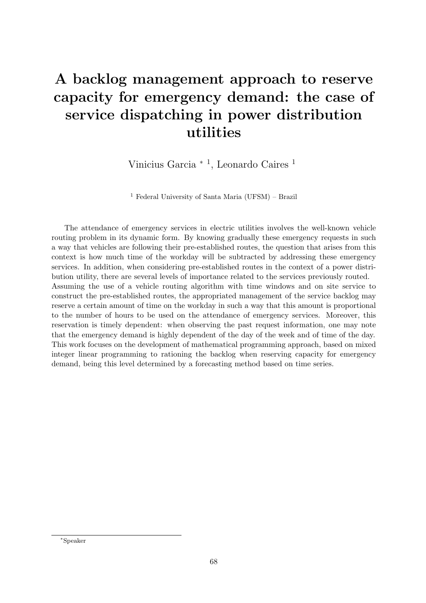# A backlog management approach to reserve capacity for emergency demand: the case of service dispatching in power distribution utilities

Vinicius Garcia <sup>∗</sup> <sup>1</sup> , Leonardo Caires <sup>1</sup>

<sup>1</sup> Federal University of Santa Maria (UFSM) – Brazil

The attendance of emergency services in electric utilities involves the well-known vehicle routing problem in its dynamic form. By knowing gradually these emergency requests in such a way that vehicles are following their pre-established routes, the question that arises from this context is how much time of the workday will be subtracted by addressing these emergency services. In addition, when considering pre-established routes in the context of a power distribution utility, there are several levels of importance related to the services previously routed. Assuming the use of a vehicle routing algorithm with time windows and on site service to construct the pre-established routes, the appropriated management of the service backlog may reserve a certain amount of time on the workday in such a way that this amount is proportional to the number of hours to be used on the attendance of emergency services. Moreover, this reservation is timely dependent: when observing the past request information, one may note that the emergency demand is highly dependent of the day of the week and of time of the day. This work focuses on the development of mathematical programming approach, based on mixed integer linear programming to rationing the backlog when reserving capacity for emergency demand, being this level determined by a forecasting method based on time series.

<sup>∗</sup>Speaker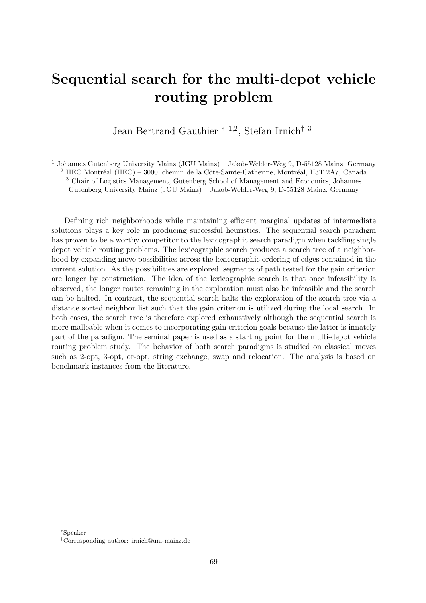## Sequential search for the multi-depot vehicle routing problem

Jean Bertrand Gauthier <sup>∗</sup> <sup>1</sup>,<sup>2</sup> , Stefan Irnich† <sup>3</sup>

<sup>1</sup> Johannes Gutenberg University Mainz (JGU Mainz) – Jakob-Welder-Weg 9, D-55128 Mainz, Germany

 $2$  HEC Montréal (HEC) – 3000, chemin de la Côte-Sainte-Catherine, Montréal, H3T 2A7, Canada

<sup>3</sup> Chair of Logistics Management, Gutenberg School of Management and Economics, Johannes

Gutenberg University Mainz (JGU Mainz) – Jakob-Welder-Weg 9, D-55128 Mainz, Germany

Defining rich neighborhoods while maintaining efficient marginal updates of intermediate solutions plays a key role in producing successful heuristics. The sequential search paradigm has proven to be a worthy competitor to the lexicographic search paradigm when tackling single depot vehicle routing problems. The lexicographic search produces a search tree of a neighborhood by expanding move possibilities across the lexicographic ordering of edges contained in the current solution. As the possibilities are explored, segments of path tested for the gain criterion are longer by construction. The idea of the lexicographic search is that once infeasibility is observed, the longer routes remaining in the exploration must also be infeasible and the search can be halted. In contrast, the sequential search halts the exploration of the search tree via a distance sorted neighbor list such that the gain criterion is utilized during the local search. In both cases, the search tree is therefore explored exhaustively although the sequential search is more malleable when it comes to incorporating gain criterion goals because the latter is innately part of the paradigm. The seminal paper is used as a starting point for the multi-depot vehicle routing problem study. The behavior of both search paradigms is studied on classical moves such as 2-opt, 3-opt, or-opt, string exchange, swap and relocation. The analysis is based on benchmark instances from the literature.

<sup>∗</sup>Speaker

<sup>†</sup>Corresponding author: [irnich@uni-mainz.de](mailto:irnich@uni-mainz.de)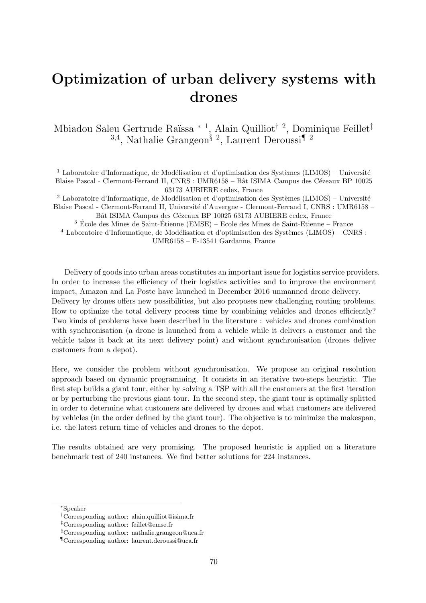#### Optimization of urban delivery systems with drones

Mbiadou Saleu Gertrude Raïssa \* <sup>1</sup>, Alain Quilliot<sup>† 2</sup>, Dominique Feillet<sup>‡</sup> <sup>3,4</sup>, Nathalie Grangeon<sup>§ 2</sup>, Laurent Deroussi<sup>¶ 2</sup>

<sup>1</sup> Laboratoire d'Informatique, de Modélisation et d'optimisation des Systèmes (LIMOS) – Université Blaise Pascal - Clermont-Ferrand II, CNRS : UMR6158 – Bât ISIMA Campus des Cézeaux BP 10025 63173 AUBIERE cedex, France

 $2$  Laboratoire d'Informatique, de Modélisation et d'optimisation des Systèmes (LIMOS) – Université Blaise Pascal - Clermont-Ferrand II, Université d'Auvergne - Clermont-Ferrand I, CNRS : UMR6158 – Bât ISIMA Campus des Cézeaux BP 10025 63173 AUBIERE cedex, France

 $^3$ École des Mines de Saint-Étienne (EMSE) – Ecole des Mines de Saint-Etienne – France

 $4$  Laboratoire d'Informatique, de Modélisation et d'optimisation des Systèmes (LIMOS) – CNRS :

UMR6158 – F-13541 Gardanne, France

Delivery of goods into urban areas constitutes an important issue for logistics service providers. In order to increase the efficiency of their logistics activities and to improve the environment impact, Amazon and La Poste have launched in December 2016 unmanned drone delivery. Delivery by drones offers new possibilities, but also proposes new challenging routing problems. How to optimize the total delivery process time by combining vehicles and drones efficiently? Two kinds of problems have been described in the literature : vehicles and drones combination with synchronisation (a drone is launched from a vehicle while it delivers a customer and the vehicle takes it back at its next delivery point) and without synchronisation (drones deliver customers from a depot).

Here, we consider the problem without synchronisation. We propose an original resolution approach based on dynamic programming. It consists in an iterative two-steps heuristic. The first step builds a giant tour, either by solving a TSP with all the customers at the first iteration or by perturbing the previous giant tour. In the second step, the giant tour is optimally splitted in order to determine what customers are delivered by drones and what customers are delivered by vehicles (in the order defined by the giant tour). The objective is to minimize the makespan, i.e. the latest return time of vehicles and drones to the depot.

The results obtained are very promising. The proposed heuristic is applied on a literature benchmark test of 240 instances. We find better solutions for 224 instances.

<sup>∗</sup>Speaker

<sup>†</sup>Corresponding author: [alain.quilliot@isima.fr](mailto:alain.quilliot@isima.fr)

<sup>‡</sup>Corresponding author: [feillet@emse.fr](mailto:feillet@emse.fr)

<sup>§</sup>Corresponding author: [nathalie.grangeon@uca.fr](mailto:nathalie.grangeon@uca.fr)

<sup>¶</sup>Corresponding author: [laurent.deroussi@uca.fr](mailto:laurent.deroussi@uca.fr)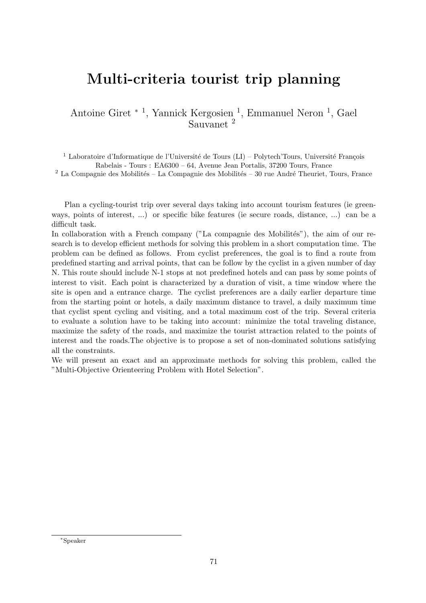#### Multi-criteria tourist trip planning

Antoine Giret <sup>∗</sup> <sup>1</sup> , Yannick Kergosien <sup>1</sup> , Emmanuel Neron <sup>1</sup> , Gael Sauvanet <sup>2</sup>

<sup>1</sup> Laboratoire d'Informatique de l'Université de Tours (LI) – Polytech'Tours, Université François Rabelais - Tours : EA6300 – 64, Avenue Jean Portalis, 37200 Tours, France

 $2$  La Compagnie des Mobilités – La Compagnie des Mobilités – 30 rue André Theuriet, Tours, France

Plan a cycling-tourist trip over several days taking into account tourism features (ie greenways, points of interest, ...) or specific bike features (ie secure roads, distance, ...) can be a difficult task.

In collaboration with a French company ("La compagnie des Mobilités"), the aim of our research is to develop efficient methods for solving this problem in a short computation time. The problem can be defined as follows. From cyclist preferences, the goal is to find a route from predefined starting and arrival points, that can be follow by the cyclist in a given number of day N. This route should include N-1 stops at not predefined hotels and can pass by some points of interest to visit. Each point is characterized by a duration of visit, a time window where the site is open and a entrance charge. The cyclist preferences are a daily earlier departure time from the starting point or hotels, a daily maximum distance to travel, a daily maximum time that cyclist spent cycling and visiting, and a total maximum cost of the trip. Several criteria to evaluate a solution have to be taking into account: minimize the total traveling distance, maximize the safety of the roads, and maximize the tourist attraction related to the points of interest and the roads.The objective is to propose a set of non-dominated solutions satisfying all the constraints.

We will present an exact and an approximate methods for solving this problem, called the "Multi-Objective Orienteering Problem with Hotel Selection".

<sup>∗</sup>Speaker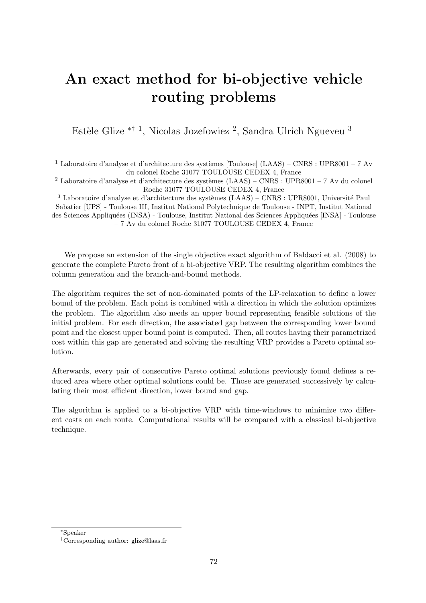## An exact method for bi-objective vehicle routing problems

Estèle Glize <sup>\*† 1</sup>, Nicolas Jozefowiez<sup>2</sup>, Sandra Ulrich Ngueveu<sup>3</sup>

 $^1$  Laboratoire d'analyse et d'architecture des systèmes [Toulouse] (LAAS) – CNRS : UPR8001 – 7 Av du colonel Roche 31077 TOULOUSE CEDEX 4, France

<sup>2</sup> Laboratoire d'analyse et d'architecture des systèmes (LAAS) – CNRS : UPR8001 – 7 Av du colonel Roche 31077 TOULOUSE CEDEX 4, France

 $3$  Laboratoire d'analyse et d'architecture des systèmes (LAAS) – CNRS : UPR8001, Université Paul Sabatier [UPS] - Toulouse III, Institut National Polytechnique de Toulouse - INPT, Institut National des Sciences Appliquées (INSA) - Toulouse, Institut National des Sciences Appliquées [INSA] - Toulouse – 7 Av du colonel Roche 31077 TOULOUSE CEDEX 4, France

We propose an extension of the single objective exact algorithm of Baldacci et al. (2008) to generate the complete Pareto front of a bi-objective VRP. The resulting algorithm combines the column generation and the branch-and-bound methods.

The algorithm requires the set of non-dominated points of the LP-relaxation to define a lower bound of the problem. Each point is combined with a direction in which the solution optimizes the problem. The algorithm also needs an upper bound representing feasible solutions of the initial problem. For each direction, the associated gap between the corresponding lower bound point and the closest upper bound point is computed. Then, all routes having their parametrized cost within this gap are generated and solving the resulting VRP provides a Pareto optimal solution.

Afterwards, every pair of consecutive Pareto optimal solutions previously found defines a reduced area where other optimal solutions could be. Those are generated successively by calculating their most efficient direction, lower bound and gap.

The algorithm is applied to a bi-objective VRP with time-windows to minimize two different costs on each route. Computational results will be compared with a classical bi-objective technique.

<sup>∗</sup>Speaker

<sup>†</sup>Corresponding author: [glize@laas.fr](mailto:glize@laas.fr)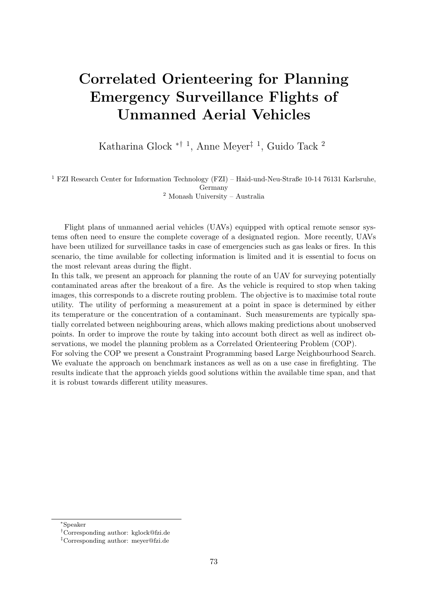# Correlated Orienteering for Planning Emergency Surveillance Flights of Unmanned Aerial Vehicles

Katharina Glock ∗† <sup>1</sup> , Anne Meyer‡ <sup>1</sup> , Guido Tack <sup>2</sup>

<sup>1</sup> FZI Research Center for Information Technology (FZI) – Haid-und-Neu-Straße 10-14 76131 Karlsruhe, Germany <sup>2</sup> Monash University – Australia

Flight plans of unmanned aerial vehicles (UAVs) equipped with optical remote sensor systems often need to ensure the complete coverage of a designated region. More recently, UAVs have been utilized for surveillance tasks in case of emergencies such as gas leaks or fires. In this scenario, the time available for collecting information is limited and it is essential to focus on the most relevant areas during the flight.

In this talk, we present an approach for planning the route of an UAV for surveying potentially contaminated areas after the breakout of a fire. As the vehicle is required to stop when taking images, this corresponds to a discrete routing problem. The objective is to maximise total route utility. The utility of performing a measurement at a point in space is determined by either its temperature or the concentration of a contaminant. Such measurements are typically spatially correlated between neighbouring areas, which allows making predictions about unobserved points. In order to improve the route by taking into account both direct as well as indirect observations, we model the planning problem as a Correlated Orienteering Problem (COP). For solving the COP we present a Constraint Programming based Large Neighbourhood Search. We evaluate the approach on benchmark instances as well as on a use case in firefighting. The results indicate that the approach yields good solutions within the available time span, and that it is robust towards different utility measures.

<sup>∗</sup>Speaker

<sup>†</sup>Corresponding author: [kglock@fzi.de](mailto:kglock@fzi.de)

<sup>‡</sup>Corresponding author: [meyer@fzi.de](mailto:meyer@fzi.de)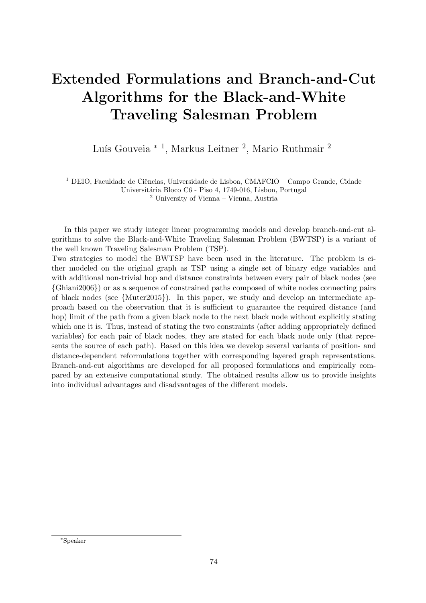# Extended Formulations and Branch-and-Cut Algorithms for the Black-and-White Traveling Salesman Problem

Luís Gouveia <sup>\* 1</sup>, Markus Leitner <sup>2</sup>, Mario Ruthmair <sup>2</sup>

 $1$  DEIO, Faculdade de Ciências, Universidade de Lisboa, CMAFCIO – Campo Grande, Cidade Universitária Bloco C6 - Piso 4, 1749-016, Lisbon, Portugal <sup>2</sup> University of Vienna – Vienna, Austria

In this paper we study integer linear programming models and develop branch-and-cut algorithms to solve the Black-and-White Traveling Salesman Problem (BWTSP) is a variant of the well known Traveling Salesman Problem (TSP).

Two strategies to model the BWTSP have been used in the literature. The problem is either modeled on the original graph as TSP using a single set of binary edge variables and with additional non-trivial hop and distance constraints between every pair of black nodes (see {Ghiani2006}) or as a sequence of constrained paths composed of white nodes connecting pairs of black nodes (see {Muter2015}). In this paper, we study and develop an intermediate approach based on the observation that it is sufficient to guarantee the required distance (and hop) limit of the path from a given black node to the next black node without explicitly stating which one it is. Thus, instead of stating the two constraints (after adding appropriately defined variables) for each pair of black nodes, they are stated for each black node only (that represents the source of each path). Based on this idea we develop several variants of position- and distance-dependent reformulations together with corresponding layered graph representations. Branch-and-cut algorithms are developed for all proposed formulations and empirically compared by an extensive computational study. The obtained results allow us to provide insights into individual advantages and disadvantages of the different models.

<sup>∗</sup>Speaker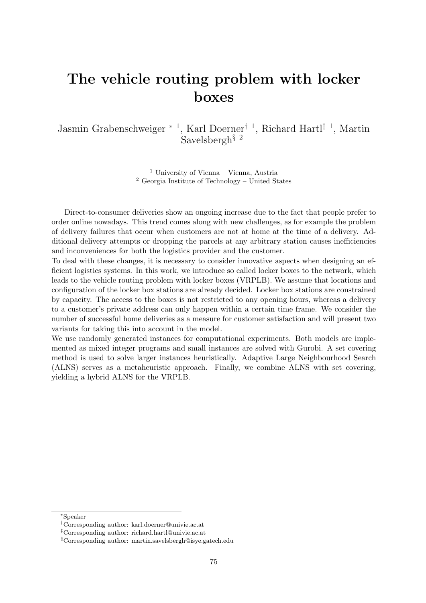### The vehicle routing problem with locker boxes

Jasmin Grabenschweiger <sup>∗</sup> <sup>1</sup> , Karl Doerner† <sup>1</sup> , Richard Hartl‡ <sup>1</sup> , Martin Savelsbergh§ <sup>2</sup>

> <sup>1</sup> University of Vienna – Vienna, Austria <sup>2</sup> Georgia Institute of Technology – United States

Direct-to-consumer deliveries show an ongoing increase due to the fact that people prefer to order online nowadays. This trend comes along with new challenges, as for example the problem of delivery failures that occur when customers are not at home at the time of a delivery. Additional delivery attempts or dropping the parcels at any arbitrary station causes inefficiencies and inconveniences for both the logistics provider and the customer.

To deal with these changes, it is necessary to consider innovative aspects when designing an efficient logistics systems. In this work, we introduce so called locker boxes to the network, which leads to the vehicle routing problem with locker boxes (VRPLB). We assume that locations and configuration of the locker box stations are already decided. Locker box stations are constrained by capacity. The access to the boxes is not restricted to any opening hours, whereas a delivery to a customer's private address can only happen within a certain time frame. We consider the number of successful home deliveries as a measure for customer satisfaction and will present two variants for taking this into account in the model.

We use randomly generated instances for computational experiments. Both models are implemented as mixed integer programs and small instances are solved with Gurobi. A set covering method is used to solve larger instances heuristically. Adaptive Large Neighbourhood Search (ALNS) serves as a metaheuristic approach. Finally, we combine ALNS with set covering, yielding a hybrid ALNS for the VRPLB.

<sup>∗</sup>Speaker

<sup>†</sup>Corresponding author: [karl.doerner@univie.ac.at](mailto:karl.doerner@univie.ac.at)

<sup>‡</sup>Corresponding author: [richard.hartl@univie.ac.at](mailto:richard.hartl@univie.ac.at)

<sup>§</sup>Corresponding author: [martin.savelsbergh@isye.gatech.edu](mailto:martin.savelsbergh@isye.gatech.edu)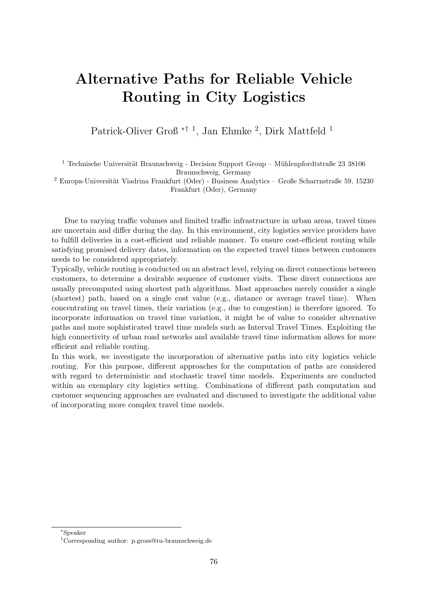# Alternative Paths for Reliable Vehicle Routing in City Logistics

Patrick-Oliver Groß<sup>\*† 1</sup>, Jan Ehmke<sup>2</sup>, Dirk Mattfeld<sup>1</sup>

 $1$  Technische Universität Braunschweig - Decision Support Group – Mühlenpfordtstraße 23 38106 Braunschweig, Germany

 $2$  Europa-Universität Viadrina Frankfurt (Oder) - Business Analytics – Große Scharrnstraße 59, 15230 Frankfurt (Oder), Germany

Due to varying traffic volumes and limited traffic infrastructure in urban areas, travel times are uncertain and differ during the day. In this environment, city logistics service providers have to fulfill deliveries in a cost-efficient and reliable manner. To ensure cost-efficient routing while satisfying promised delivery dates, information on the expected travel times between customers needs to be considered appropriately.

Typically, vehicle routing is conducted on an abstract level, relying on direct connections between customers, to determine a desirable sequence of customer visits. These direct connections are usually precomputed using shortest path algorithms. Most approaches merely consider a single (shortest) path, based on a single cost value (e.g., distance or average travel time). When concentrating on travel times, their variation (e.g., due to congestion) is therefore ignored. To incorporate information on travel time variation, it might be of value to consider alternative paths and more sophisticated travel time models such as Interval Travel Times. Exploiting the high connectivity of urban road networks and available travel time information allows for more efficient and reliable routing.

In this work, we investigate the incorporation of alternative paths into city logistics vehicle routing. For this purpose, different approaches for the computation of paths are considered with regard to deterministic and stochastic travel time models. Experiments are conducted within an exemplary city logistics setting. Combinations of different path computation and customer sequencing approaches are evaluated and discussed to investigate the additional value of incorporating more complex travel time models.

<sup>∗</sup>Speaker

<sup>†</sup>Corresponding author: [p.gross@tu-braunschweig.de](mailto:p.gross@tu-braunschweig.de)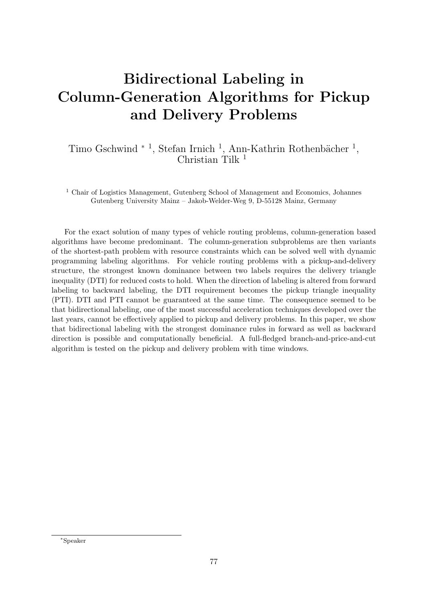# Bidirectional Labeling in Column-Generation Algorithms for Pickup and Delivery Problems

Timo Gschwind <sup>∗ 1</sup>, Stefan Irnich <sup>1</sup>, Ann-Kathrin Rothenbächer <sup>1</sup>, Christian Tilk  $<sup>1</sup>$ </sup>

<sup>1</sup> Chair of Logistics Management, Gutenberg School of Management and Economics, Johannes Gutenberg University Mainz – Jakob-Welder-Weg 9, D-55128 Mainz, Germany

For the exact solution of many types of vehicle routing problems, column-generation based algorithms have become predominant. The column-generation subproblems are then variants of the shortest-path problem with resource constraints which can be solved well with dynamic programming labeling algorithms. For vehicle routing problems with a pickup-and-delivery structure, the strongest known dominance between two labels requires the delivery triangle inequality (DTI) for reduced costs to hold. When the direction of labeling is altered from forward labeling to backward labeling, the DTI requirement becomes the pickup triangle inequality (PTI). DTI and PTI cannot be guaranteed at the same time. The consequence seemed to be that bidirectional labeling, one of the most successful acceleration techniques developed over the last years, cannot be effectively applied to pickup and delivery problems. In this paper, we show that bidirectional labeling with the strongest dominance rules in forward as well as backward direction is possible and computationally beneficial. A full-fledged branch-and-price-and-cut algorithm is tested on the pickup and delivery problem with time windows.

<sup>∗</sup>Speaker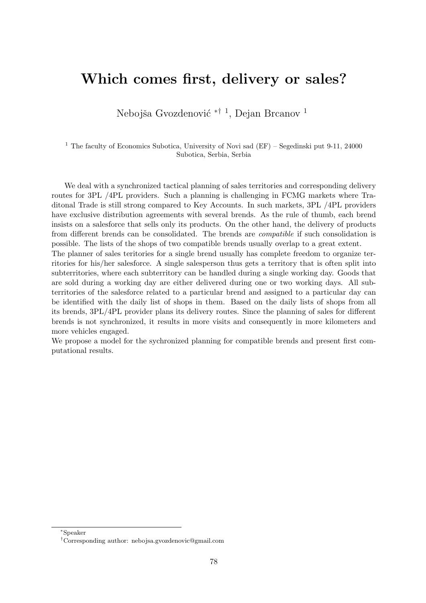#### Which comes first, delivery or sales?

Nebojša Gvozdenović <sup>\*† 1</sup>, Dejan Brcanov <sup>1</sup>

<sup>1</sup> The faculty of Economics Subotica, University of Novi sad (EF) – Segedinski put 9-11, 24000 Subotica, Serbia, Serbia

We deal with a synchronized tactical planning of sales territories and corresponding delivery routes for 3PL /4PL providers. Such a planning is challenging in FCMG markets where Traditonal Trade is still strong compared to Key Accounts. In such markets, 3PL /4PL providers have exclusive distribution agreements with several brends. As the rule of thumb, each brend insists on a salesforce that sells only its products. On the other hand, the delivery of products from different brends can be consolidated. The brends are compatible if such consolidation is possible. The lists of the shops of two compatible brends usually overlap to a great extent.

The planner of sales teritories for a single brend usually has complete freedom to organize territories for his/her salesforce. A single salesperson thus gets a territory that is often split into subterritories, where each subterritory can be handled during a single working day. Goods that are sold during a working day are either delivered during one or two working days. All subterritories of the salesforce related to a particular brend and assigned to a particular day can be identified with the daily list of shops in them. Based on the daily lists of shops from all its brends, 3PL/4PL provider plans its delivery routes. Since the planning of sales for different brends is not synchronized, it results in more visits and consequently in more kilometers and more vehicles engaged.

We propose a model for the sychronized planning for compatible brends and present first computational results.

<sup>∗</sup>Speaker

<sup>†</sup>Corresponding author: [nebojsa.gvozdenovic@gmail.com](mailto:nebojsa.gvozdenovic@gmail.com)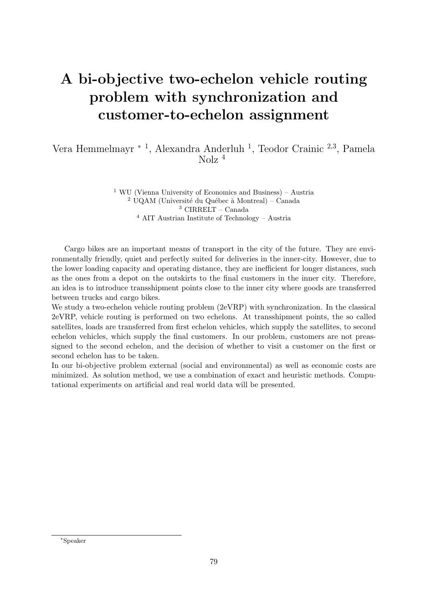# A bi-objective two-echelon vehicle routing problem with synchronization and customer-to-echelon assignment

Vera Hemmelmayr<sup>\*1</sup>, Alexandra Anderluh<sup>1</sup>, Teodor Crainic<sup>2,3</sup>, Pamela Nolz <sup>4</sup>

> WU (Vienna University of Economics and Business) – Austria  $2 \text{ UQAM}$  (Université du Québec à Montreal) – Canada CIRRELT – Canada AIT Austrian Institute of Technology – Austria

Cargo bikes are an important means of transport in the city of the future. They are environmentally friendly, quiet and perfectly suited for deliveries in the inner-city. However, due to the lower loading capacity and operating distance, they are inefficient for longer distances, such as the ones from a depot on the outskirts to the final customers in the inner city. Therefore, an idea is to introduce transshipment points close to the inner city where goods are transferred between trucks and cargo bikes.

We study a two-echelon vehicle routing problem (2eVRP) with synchronization. In the classical 2eVRP, vehicle routing is performed on two echelons. At transshipment points, the so called satellites, loads are transferred from first echelon vehicles, which supply the satellites, to second echelon vehicles, which supply the final customers. In our problem, customers are not preassigned to the second echelon, and the decision of whether to visit a customer on the first or second echelon has to be taken.

In our bi-objective problem external (social and environmental) as well as economic costs are minimized. As solution method, we use a combination of exact and heuristic methods. Computational experiments on artificial and real world data will be presented.

<sup>∗</sup>Speaker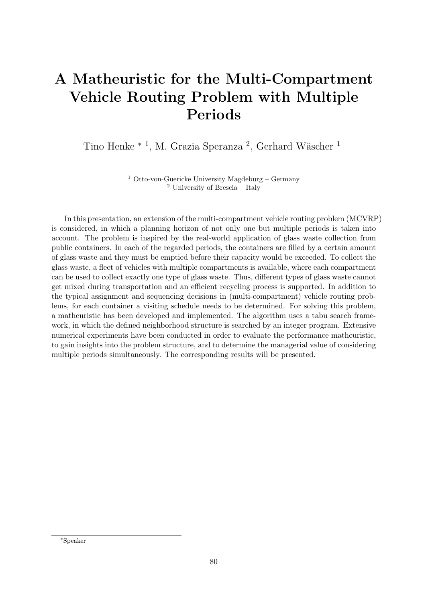## A Matheuristic for the Multi-Compartment Vehicle Routing Problem with Multiple Periods

Tino Henke <sup>∗ 1</sup>, M. Grazia Speranza<sup>2</sup>, Gerhard Wäscher<sup>1</sup>

<sup>1</sup> Otto-von-Guericke University Magdeburg – Germany <sup>2</sup> University of Brescia – Italy

In this presentation, an extension of the multi-compartment vehicle routing problem (MCVRP) is considered, in which a planning horizon of not only one but multiple periods is taken into account. The problem is inspired by the real-world application of glass waste collection from public containers. In each of the regarded periods, the containers are filled by a certain amount of glass waste and they must be emptied before their capacity would be exceeded. To collect the glass waste, a fleet of vehicles with multiple compartments is available, where each compartment can be used to collect exactly one type of glass waste. Thus, different types of glass waste cannot get mixed during transportation and an efficient recycling process is supported. In addition to the typical assignment and sequencing decisions in (multi-compartment) vehicle routing problems, for each container a visiting schedule needs to be determined. For solving this problem, a matheuristic has been developed and implemented. The algorithm uses a tabu search framework, in which the defined neighborhood structure is searched by an integer program. Extensive numerical experiments have been conducted in order to evaluate the performance matheuristic, to gain insights into the problem structure, and to determine the managerial value of considering multiple periods simultaneously. The corresponding results will be presented.

<sup>∗</sup>Speaker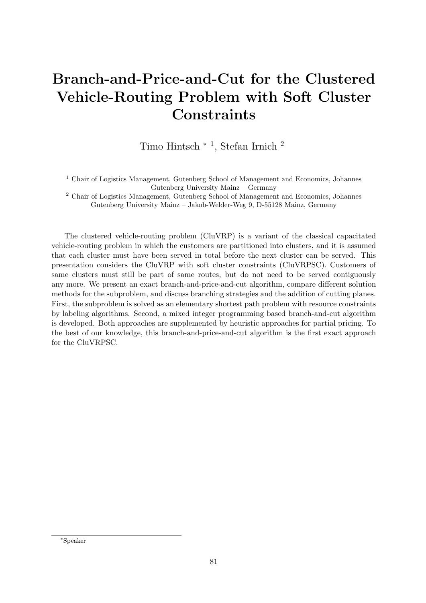# Branch-and-Price-and-Cut for the Clustered Vehicle-Routing Problem with Soft Cluster **Constraints**

Timo Hintsch <sup>∗</sup> <sup>1</sup> , Stefan Irnich <sup>2</sup>

<sup>1</sup> Chair of Logistics Management, Gutenberg School of Management and Economics, Johannes Gutenberg University Mainz – Germany

<sup>2</sup> Chair of Logistics Management, Gutenberg School of Management and Economics, Johannes Gutenberg University Mainz – Jakob-Welder-Weg 9, D-55128 Mainz, Germany

The clustered vehicle-routing problem (CluVRP) is a variant of the classical capacitated vehicle-routing problem in which the customers are partitioned into clusters, and it is assumed that each cluster must have been served in total before the next cluster can be served. This presentation considers the CluVRP with soft cluster constraints (CluVRPSC). Customers of same clusters must still be part of same routes, but do not need to be served contiguously any more. We present an exact branch-and-price-and-cut algorithm, compare different solution methods for the subproblem, and discuss branching strategies and the addition of cutting planes. First, the subproblem is solved as an elementary shortest path problem with resource constraints by labeling algorithms. Second, a mixed integer programming based branch-and-cut algorithm is developed. Both approaches are supplemented by heuristic approaches for partial pricing. To the best of our knowledge, this branch-and-price-and-cut algorithm is the first exact approach for the CluVRPSC.

<sup>∗</sup>Speaker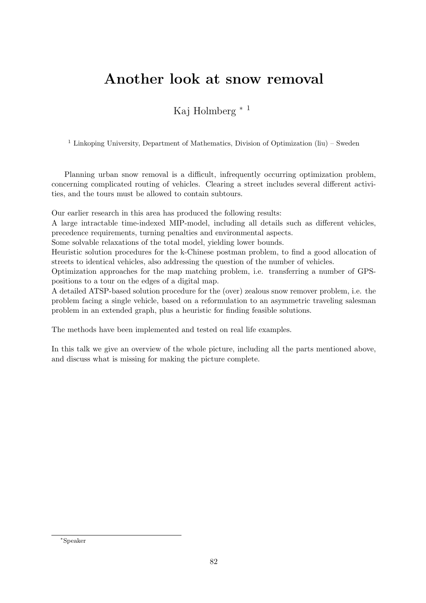#### Another look at snow removal

Kaj Holmberg <sup>∗</sup> <sup>1</sup>

<sup>1</sup> Linkoping University, Department of Mathematics, Division of Optimization (liu) – Sweden

Planning urban snow removal is a difficult, infrequently occurring optimization problem, concerning complicated routing of vehicles. Clearing a street includes several different activities, and the tours must be allowed to contain subtours.

Our earlier research in this area has produced the following results:

A large intractable time-indexed MIP-model, including all details such as different vehicles, precedence requirements, turning penalties and environmental aspects.

Some solvable relaxations of the total model, yielding lower bounds.

Heuristic solution procedures for the k-Chinese postman problem, to find a good allocation of streets to identical vehicles, also addressing the question of the number of vehicles.

Optimization approaches for the map matching problem, i.e. transferring a number of GPSpositions to a tour on the edges of a digital map.

A detailed ATSP-based solution procedure for the (over) zealous snow remover problem, i.e. the problem facing a single vehicle, based on a reformulation to an asymmetric traveling salesman problem in an extended graph, plus a heuristic for finding feasible solutions.

The methods have been implemented and tested on real life examples.

In this talk we give an overview of the whole picture, including all the parts mentioned above, and discuss what is missing for making the picture complete.

<sup>∗</sup>Speaker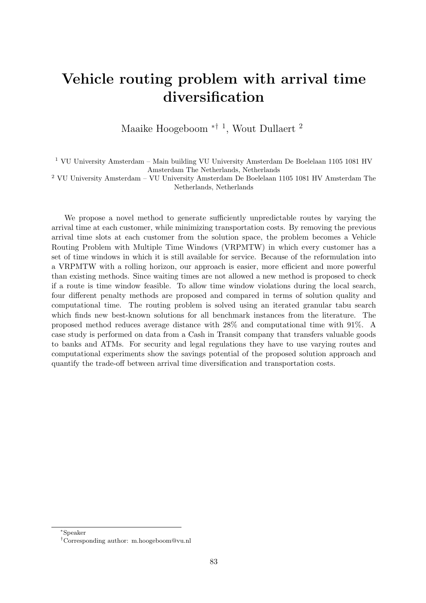### Vehicle routing problem with arrival time diversification

Maaike Hoogeboom <sup>\*† 1</sup>, Wout Dullaert<sup>2</sup>

<sup>1</sup> VU University Amsterdam – Main building VU University Amsterdam De Boelelaan 1105 1081 HV Amsterdam The Netherlands, Netherlands

 $^2$  VU University Amsterdam – VU University Amsterdam De Boelelaan 1105 1081 HV Amsterdam The Netherlands, Netherlands

We propose a novel method to generate sufficiently unpredictable routes by varying the arrival time at each customer, while minimizing transportation costs. By removing the previous arrival time slots at each customer from the solution space, the problem becomes a Vehicle Routing Problem with Multiple Time Windows (VRPMTW) in which every customer has a set of time windows in which it is still available for service. Because of the reformulation into a VRPMTW with a rolling horizon, our approach is easier, more efficient and more powerful than existing methods. Since waiting times are not allowed a new method is proposed to check if a route is time window feasible. To allow time window violations during the local search, four different penalty methods are proposed and compared in terms of solution quality and computational time. The routing problem is solved using an iterated granular tabu search which finds new best-known solutions for all benchmark instances from the literature. The proposed method reduces average distance with 28% and computational time with 91%. A case study is performed on data from a Cash in Transit company that transfers valuable goods to banks and ATMs. For security and legal regulations they have to use varying routes and computational experiments show the savings potential of the proposed solution approach and quantify the trade-off between arrival time diversification and transportation costs.

<sup>∗</sup>Speaker

<sup>†</sup>Corresponding author: [m.hoogeboom@vu.nl](mailto:m.hoogeboom@vu.nl)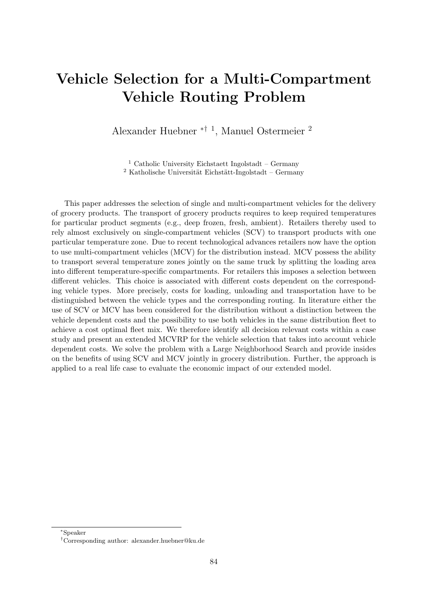# Vehicle Selection for a Multi-Compartment Vehicle Routing Problem

Alexander Huebner ∗† <sup>1</sup> , Manuel Ostermeier <sup>2</sup>

 $1$  Catholic University Eichstaett Ingolstadt – Germany  $2$  Katholische Universität Eichstätt-Ingolstadt – Germany

This paper addresses the selection of single and multi-compartment vehicles for the delivery of grocery products. The transport of grocery products requires to keep required temperatures for particular product segments (e.g., deep frozen, fresh, ambient). Retailers thereby used to rely almost exclusively on single-compartment vehicles (SCV) to transport products with one particular temperature zone. Due to recent technological advances retailers now have the option to use multi-compartment vehicles (MCV) for the distribution instead. MCV possess the ability to transport several temperature zones jointly on the same truck by splitting the loading area into different temperature-specific compartments. For retailers this imposes a selection between different vehicles. This choice is associated with different costs dependent on the corresponding vehicle types. More precisely, costs for loading, unloading and transportation have to be distinguished between the vehicle types and the corresponding routing. In literature either the use of SCV or MCV has been considered for the distribution without a distinction between the vehicle dependent costs and the possibility to use both vehicles in the same distribution fleet to achieve a cost optimal fleet mix. We therefore identify all decision relevant costs within a case study and present an extended MCVRP for the vehicle selection that takes into account vehicle dependent costs. We solve the problem with a Large Neighborhood Search and provide insides on the benefits of using SCV and MCV jointly in grocery distribution. Further, the approach is applied to a real life case to evaluate the economic impact of our extended model.

<sup>∗</sup>Speaker

<sup>†</sup>Corresponding author: [alexander.huebner@ku.de](mailto:alexander.huebner@ku.de)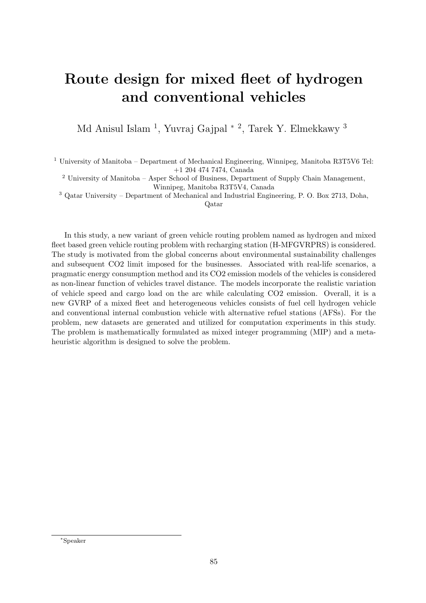# Route design for mixed fleet of hydrogen and conventional vehicles

Md Anisul Islam <sup>1</sup>, Yuvraj Gajpal <sup>\* 2</sup>, Tarek Y. Elmekkawy <sup>3</sup>

<sup>1</sup> University of Manitoba – Department of Mechanical Engineering, Winnipeg, Manitoba R3T5V6 Tel: +1 204 474 7474, Canada

<sup>2</sup> University of Manitoba – Asper School of Business, Department of Supply Chain Management, Winnipeg, Manitoba R3T5V4, Canada

<sup>3</sup> Qatar University – Department of Mechanical and Industrial Engineering, P. O. Box 2713, Doha,

Qatar

In this study, a new variant of green vehicle routing problem named as hydrogen and mixed fleet based green vehicle routing problem with recharging station (H-MFGVRPRS) is considered. The study is motivated from the global concerns about environmental sustainability challenges and subsequent CO2 limit imposed for the businesses. Associated with real-life scenarios, a pragmatic energy consumption method and its CO2 emission models of the vehicles is considered as non-linear function of vehicles travel distance. The models incorporate the realistic variation of vehicle speed and cargo load on the arc while calculating CO2 emission. Overall, it is a new GVRP of a mixed fleet and heterogeneous vehicles consists of fuel cell hydrogen vehicle and conventional internal combustion vehicle with alternative refuel stations (AFSs). For the problem, new datasets are generated and utilized for computation experiments in this study. The problem is mathematically formulated as mixed integer programming (MIP) and a metaheuristic algorithm is designed to solve the problem.

<sup>∗</sup>Speaker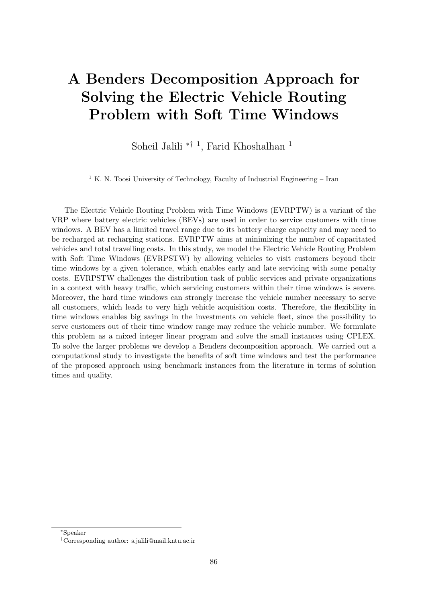# A Benders Decomposition Approach for Solving the Electric Vehicle Routing Problem with Soft Time Windows

Soheil Jalili ∗† <sup>1</sup> , Farid Khoshalhan <sup>1</sup>

<sup>1</sup> K. N. Toosi University of Technology, Faculty of Industrial Engineering – Iran

The Electric Vehicle Routing Problem with Time Windows (EVRPTW) is a variant of the VRP where battery electric vehicles (BEVs) are used in order to service customers with time windows. A BEV has a limited travel range due to its battery charge capacity and may need to be recharged at recharging stations. EVRPTW aims at minimizing the number of capacitated vehicles and total travelling costs. In this study, we model the Electric Vehicle Routing Problem with Soft Time Windows (EVRPSTW) by allowing vehicles to visit customers beyond their time windows by a given tolerance, which enables early and late servicing with some penalty costs. EVRPSTW challenges the distribution task of public services and private organizations in a context with heavy traffic, which servicing customers within their time windows is severe. Moreover, the hard time windows can strongly increase the vehicle number necessary to serve all customers, which leads to very high vehicle acquisition costs. Therefore, the flexibility in time windows enables big savings in the investments on vehicle fleet, since the possibility to serve customers out of their time window range may reduce the vehicle number. We formulate this problem as a mixed integer linear program and solve the small instances using CPLEX. To solve the larger problems we develop a Benders decomposition approach. We carried out a computational study to investigate the benefits of soft time windows and test the performance of the proposed approach using benchmark instances from the literature in terms of solution times and quality.

<sup>∗</sup>Speaker

<sup>†</sup>Corresponding author: [s.jalili@mail.kntu.ac.ir](mailto:s.jalili@mail.kntu.ac.ir)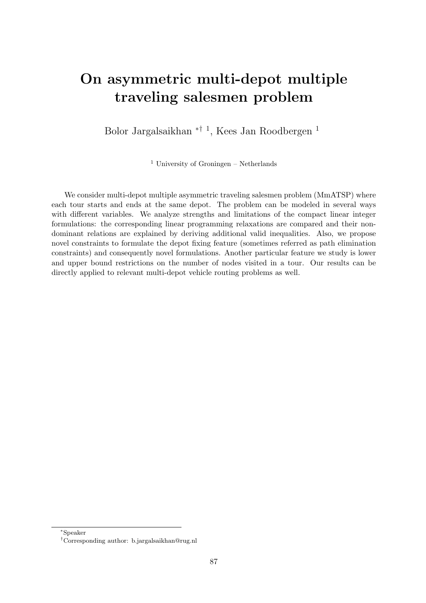## On asymmetric multi-depot multiple traveling salesmen problem

Bolor Jargalsaikhan <sup>\*† 1</sup>, Kees Jan Roodbergen <sup>1</sup>

<sup>1</sup> University of Groningen – Netherlands

We consider multi-depot multiple asymmetric traveling salesmen problem (MmATSP) where each tour starts and ends at the same depot. The problem can be modeled in several ways with different variables. We analyze strengths and limitations of the compact linear integer formulations: the corresponding linear programming relaxations are compared and their nondominant relations are explained by deriving additional valid inequalities. Also, we propose novel constraints to formulate the depot fixing feature (sometimes referred as path elimination constraints) and consequently novel formulations. Another particular feature we study is lower and upper bound restrictions on the number of nodes visited in a tour. Our results can be directly applied to relevant multi-depot vehicle routing problems as well.

<sup>∗</sup>Speaker

<sup>†</sup>Corresponding author: [b.jargalsaikhan@rug.nl](mailto:b.jargalsaikhan@rug.nl)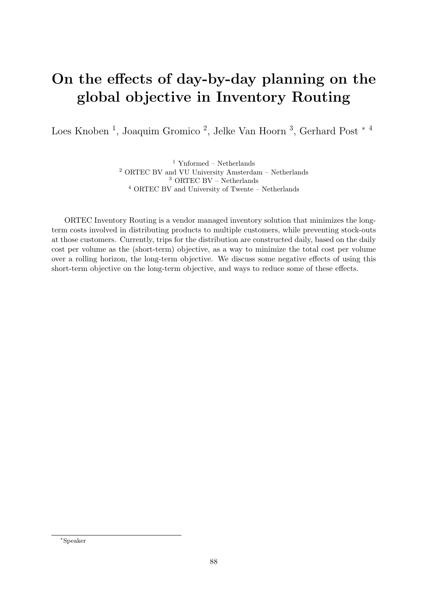# On the effects of day-by-day planning on the global objective in Inventory Routing

Loes Knoben<sup>1</sup>, Joaquim Gromico<sup>2</sup>, Jelke Van Hoorn<sup>3</sup>, Gerhard Post<sup>\*4</sup>

 $^{\rm 1}$  Ynformed – Netherlands ORTEC BV and VU University Amsterdam – Netherlands ORTEC BV – Netherlands ORTEC BV and University of Twente – Netherlands

ORTEC Inventory Routing is a vendor managed inventory solution that minimizes the longterm costs involved in distributing products to multiple customers, while preventing stock-outs at those customers. Currently, trips for the distribution are constructed daily, based on the daily cost per volume as the (short-term) objective, as a way to minimize the total cost per volume over a rolling horizon, the long-term objective. We discuss some negative effects of using this short-term objective on the long-term objective, and ways to reduce some of these effects.

<sup>∗</sup>Speaker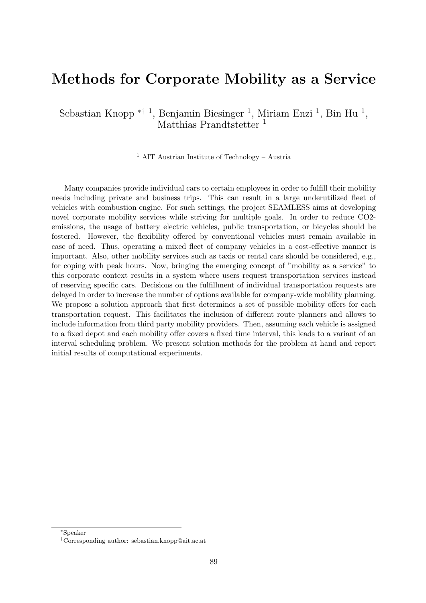#### Methods for Corporate Mobility as a Service

Sebastian Knopp <sup>\*† 1</sup>, Benjamin Biesinger <sup>1</sup>, Miriam Enzi <sup>1</sup>, Bin Hu<sup>1</sup>, Matthias Prandtstetter<sup>1</sup>

<sup>1</sup> AIT Austrian Institute of Technology – Austria

Many companies provide individual cars to certain employees in order to fulfill their mobility needs including private and business trips. This can result in a large underutilized fleet of vehicles with combustion engine. For such settings, the project SEAMLESS aims at developing novel corporate mobility services while striving for multiple goals. In order to reduce CO2 emissions, the usage of battery electric vehicles, public transportation, or bicycles should be fostered. However, the flexibility offered by conventional vehicles must remain available in case of need. Thus, operating a mixed fleet of company vehicles in a cost-effective manner is important. Also, other mobility services such as taxis or rental cars should be considered, e.g., for coping with peak hours. Now, bringing the emerging concept of "mobility as a service" to this corporate context results in a system where users request transportation services instead of reserving specific cars. Decisions on the fulfillment of individual transportation requests are delayed in order to increase the number of options available for company-wide mobility planning. We propose a solution approach that first determines a set of possible mobility offers for each transportation request. This facilitates the inclusion of different route planners and allows to include information from third party mobility providers. Then, assuming each vehicle is assigned to a fixed depot and each mobility offer covers a fixed time interval, this leads to a variant of an interval scheduling problem. We present solution methods for the problem at hand and report initial results of computational experiments.

<sup>∗</sup>Speaker

<sup>†</sup>Corresponding author: [sebastian.knopp@ait.ac.at](mailto:sebastian.knopp@ait.ac.at)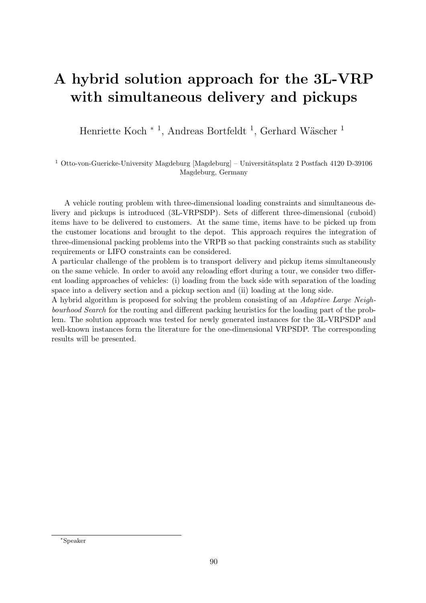# A hybrid solution approach for the 3L-VRP with simultaneous delivery and pickups

Henriette Koch <sup>∗ 1</sup>, Andreas Bortfeldt<sup>1</sup>, Gerhard Wäscher<sup>1</sup>

 $^1$  Otto-von-Guericke-University Magdeburg [Magdeburg] – Universitätsplatz 2 Postfach 4120 D-39106 Magdeburg, Germany

A vehicle routing problem with three-dimensional loading constraints and simultaneous delivery and pickups is introduced (3L-VRPSDP). Sets of different three-dimensional (cuboid) items have to be delivered to customers. At the same time, items have to be picked up from the customer locations and brought to the depot. This approach requires the integration of three-dimensional packing problems into the VRPB so that packing constraints such as stability requirements or LIFO constraints can be considered.

A particular challenge of the problem is to transport delivery and pickup items simultaneously on the same vehicle. In order to avoid any reloading effort during a tour, we consider two different loading approaches of vehicles: (i) loading from the back side with separation of the loading space into a delivery section and a pickup section and (ii) loading at the long side.

A hybrid algorithm is proposed for solving the problem consisting of an Adaptive Large Neighbourhood Search for the routing and different packing heuristics for the loading part of the problem. The solution approach was tested for newly generated instances for the 3L-VRPSDP and well-known instances form the literature for the one-dimensional VRPSDP. The corresponding results will be presented.

<sup>∗</sup>Speaker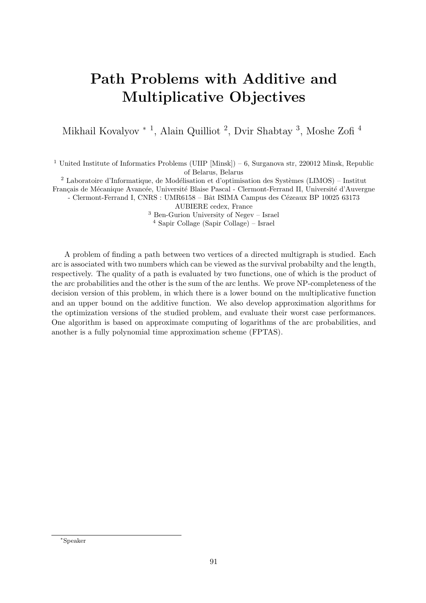# Path Problems with Additive and Multiplicative Objectives

Mikhail Kovalyov <sup>\* 1</sup>, Alain Quilliot <sup>2</sup>, Dvir Shabtay <sup>3</sup>, Moshe Zofi<sup>4</sup>

<sup>1</sup> United Institute of Informatics Problems (UIIP [Minsk]) – 6, Surganova str, 220012 Minsk, Republic of Belarus, Belarus

<sup>2</sup> Laboratoire d'Informatique, de Modélisation et d'optimisation des Systèmes (LIMOS) – Institut

Français de Mécanique Avancée, Université Blaise Pascal - Clermont-Ferrand II, Université d'Auvergne

- Clermont-Ferrand I, CNRS : UMR6158 – Bât ISIMA Campus des Cézeaux BP 10025 63173

AUBIERE cedex, France

<sup>3</sup> Ben-Gurion University of Negev – Israel

<sup>4</sup> Sapir Collage (Sapir Collage) – Israel

A problem of finding a path between two vertices of a directed multigraph is studied. Each arc is associated with two numbers which can be viewed as the survival probabilty and the length, respectively. The quality of a path is evaluated by two functions, one of which is the product of the arc probabilities and the other is the sum of the arc lenths. We prove NP-completeness of the decision version of this problem, in which there is a lower bound on the multiplicative function and an upper bound on the additive function. We also develop approximation algorithms for the optimization versions of the studied problem, and evaluate their worst case performances. One algorithm is based on approximate computing of logarithms of the arc probabilities, and another is a fully polynomial time approximation scheme (FPTAS).

<sup>∗</sup>Speaker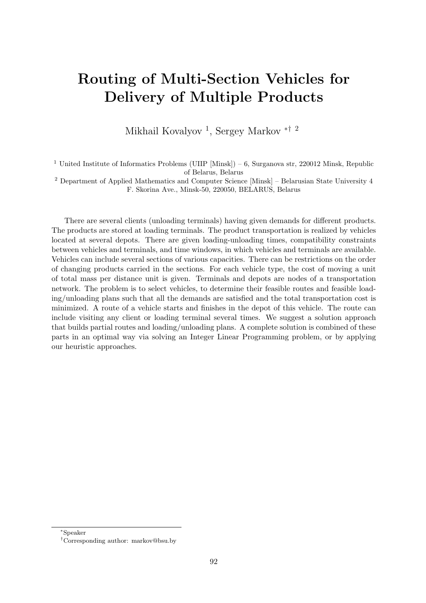## Routing of Multi-Section Vehicles for Delivery of Multiple Products

Mikhail Kovalyov<sup>1</sup>, Sergey Markov<sup>\*† 2</sup>

<sup>1</sup> United Institute of Informatics Problems (UIIP [Minsk]) – 6, Surganova str, 220012 Minsk, Republic of Belarus, Belarus

<sup>2</sup> Department of Applied Mathematics and Computer Science [Minsk] – Belarusian State University 4 F. Skorina Ave., Minsk-50, 220050, BELARUS, Belarus

There are several clients (unloading terminals) having given demands for different products. The products are stored at loading terminals. The product transportation is realized by vehicles located at several depots. There are given loading-unloading times, compatibility constraints between vehicles and terminals, and time windows, in which vehicles and terminals are available. Vehicles can include several sections of various capacities. There can be restrictions on the order of changing products carried in the sections. For each vehicle type, the cost of moving a unit of total mass per distance unit is given. Terminals and depots are nodes of a transportation network. The problem is to select vehicles, to determine their feasible routes and feasible loading/unloading plans such that all the demands are satisfied and the total transportation cost is minimized. A route of a vehicle starts and finishes in the depot of this vehicle. The route can include visiting any client or loading terminal several times. We suggest a solution approach that builds partial routes and loading/unloading plans. A complete solution is combined of these parts in an optimal way via solving an Integer Linear Programming problem, or by applying our heuristic approaches.

<sup>∗</sup>Speaker

<sup>†</sup>Corresponding author: [markov@bsu.by](mailto:markov@bsu.by)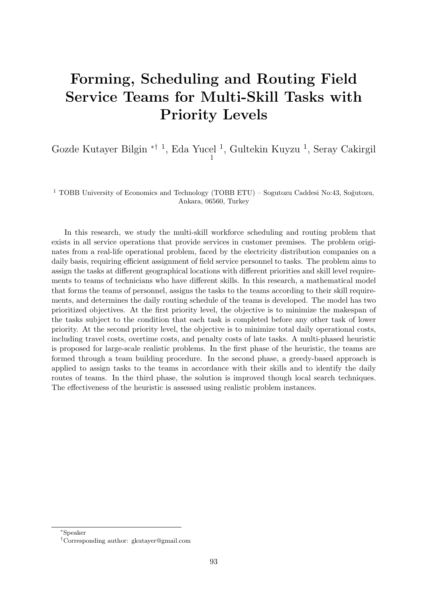# Forming, Scheduling and Routing Field Service Teams for Multi-Skill Tasks with Priority Levels

Gozde Kutayer Bilgin <sup>\*† 1</sup>, Eda Yucel <sup>1</sup>, Gultekin Kuyzu <sup>1</sup>, Seray Cakirgil 1

<sup>1</sup> TOBB University of Economics and Technology (TOBB ETU) – Sogutozu Caddesi No:43, Soğutozu, Ankara, 06560, Turkey

In this research, we study the multi-skill workforce scheduling and routing problem that exists in all service operations that provide services in customer premises. The problem originates from a real-life operational problem, faced by the electricity distribution companies on a daily basis, requiring efficient assignment of field service personnel to tasks. The problem aims to assign the tasks at different geographical locations with different priorities and skill level requirements to teams of technicians who have different skills. In this research, a mathematical model that forms the teams of personnel, assigns the tasks to the teams according to their skill requirements, and determines the daily routing schedule of the teams is developed. The model has two prioritized objectives. At the first priority level, the objective is to minimize the makespan of the tasks subject to the condition that each task is completed before any other task of lower priority. At the second priority level, the objective is to minimize total daily operational costs, including travel costs, overtime costs, and penalty costs of late tasks. A multi-phased heuristic is proposed for large-scale realistic problems. In the first phase of the heuristic, the teams are formed through a team building procedure. In the second phase, a greedy-based approach is applied to assign tasks to the teams in accordance with their skills and to identify the daily routes of teams. In the third phase, the solution is improved though local search techniques. The effectiveness of the heuristic is assessed using realistic problem instances.

<sup>∗</sup>Speaker

<sup>†</sup>Corresponding author: [gkutayer@gmail.com](mailto:gkutayer@gmail.com)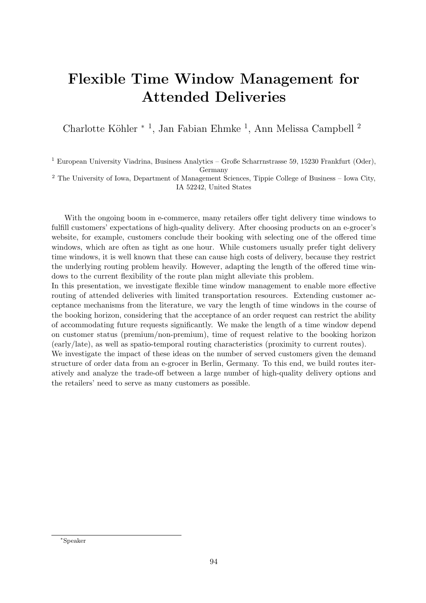# Flexible Time Window Management for Attended Deliveries

Charlotte Köhler  $*$ <sup>1</sup>, Jan Fabian Ehmke<sup>1</sup>, Ann Melissa Campbell<sup>2</sup>

<sup>1</sup> European University Viadrina, Business Analytics – Große Scharrnstrasse 59, 15230 Frankfurt (Oder), Germany

<sup>2</sup> The University of Iowa, Department of Management Sciences, Tippie College of Business – Iowa City, IA 52242, United States

With the ongoing boom in e-commerce, many retailers offer tight delivery time windows to fulfill customers' expectations of high-quality delivery. After choosing products on an e-grocer's website, for example, customers conclude their booking with selecting one of the offered time windows, which are often as tight as one hour. While customers usually prefer tight delivery time windows, it is well known that these can cause high costs of delivery, because they restrict the underlying routing problem heavily. However, adapting the length of the offered time windows to the current flexibility of the route plan might alleviate this problem.

In this presentation, we investigate flexible time window management to enable more effective routing of attended deliveries with limited transportation resources. Extending customer acceptance mechanisms from the literature, we vary the length of time windows in the course of the booking horizon, considering that the acceptance of an order request can restrict the ability of accommodating future requests significantly. We make the length of a time window depend on customer status (premium/non-premium), time of request relative to the booking horizon (early/late), as well as spatio-temporal routing characteristics (proximity to current routes).

We investigate the impact of these ideas on the number of served customers given the demand structure of order data from an e-grocer in Berlin, Germany. To this end, we build routes iteratively and analyze the trade-off between a large number of high-quality delivery options and the retailers' need to serve as many customers as possible.

<sup>∗</sup>Speaker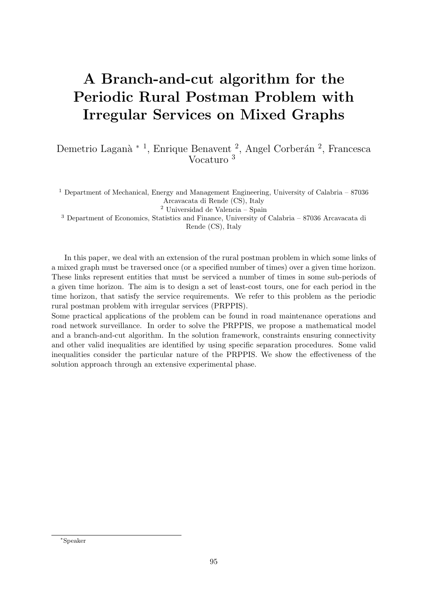# A Branch-and-cut algorithm for the Periodic Rural Postman Problem with Irregular Services on Mixed Graphs

Demetrio Laganà <sup>\* 1</sup>, Enrique Benavent<sup>2</sup>, Angel Corberán<sup>2</sup>, Francesca Vocaturo <sup>3</sup>

<sup>1</sup> Department of Mechanical, Energy and Management Engineering, University of Calabria – 87036 Arcavacata di Rende (CS), Italy

 $^2$ Universidad de Valencia – Spain

<sup>3</sup> Department of Economics, Statistics and Finance, University of Calabria – 87036 Arcavacata di Rende (CS), Italy

In this paper, we deal with an extension of the rural postman problem in which some links of a mixed graph must be traversed once (or a specified number of times) over a given time horizon. These links represent entities that must be serviced a number of times in some sub-periods of a given time horizon. The aim is to design a set of least-cost tours, one for each period in the time horizon, that satisfy the service requirements. We refer to this problem as the periodic rural postman problem with irregular services (PRPPIS).

Some practical applications of the problem can be found in road maintenance operations and road network surveillance. In order to solve the PRPPIS, we propose a mathematical model and a branch-and-cut algorithm. In the solution framework, constraints ensuring connectivity and other valid inequalities are identified by using specific separation procedures. Some valid inequalities consider the particular nature of the PRPPIS. We show the effectiveness of the solution approach through an extensive experimental phase.

<sup>∗</sup>Speaker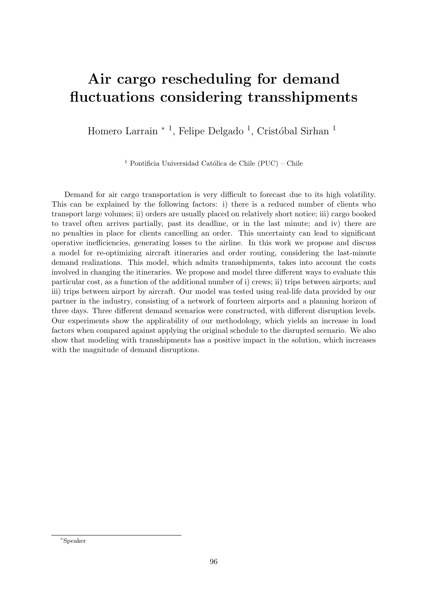# Air cargo rescheduling for demand fluctuations considering transshipments

Homero Larrain<sup>\*</sup><sup>1</sup>, Felipe Delgado<sup>1</sup>, Cristóbal Sirhan<sup>1</sup>

<sup>1</sup> Pontificia Universidad Católica de Chile (PUC) – Chile

Demand for air cargo transportation is very difficult to forecast due to its high volatility. This can be explained by the following factors: i) there is a reduced number of clients who transport large volumes; ii) orders are usually placed on relatively short notice; iii) cargo booked to travel often arrives partially, past its deadline, or in the last minute; and iv) there are no penalties in place for clients cancelling an order. This uncertainty can lead to significant operative inefficiencies, generating losses to the airline. In this work we propose and discuss a model for re-optimizing aircraft itineraries and order routing, considering the last-minute demand realizations. This model, which admits transshipments, takes into account the costs involved in changing the itineraries. We propose and model three different ways to evaluate this particular cost, as a function of the additional number of i) crews; ii) trips between airports; and iii) trips between airport by aircraft. Our model was tested using real-life data provided by our partner in the industry, consisting of a network of fourteen airports and a planning horizon of three days. Three different demand scenarios were constructed, with different disruption levels. Our experiments show the applicability of our methodology, which yields an increase in load factors when compared against applying the original schedule to the disrupted scenario. We also show that modeling with transshipments has a positive impact in the solution, which increases with the magnitude of demand disruptions.

<sup>∗</sup>Speaker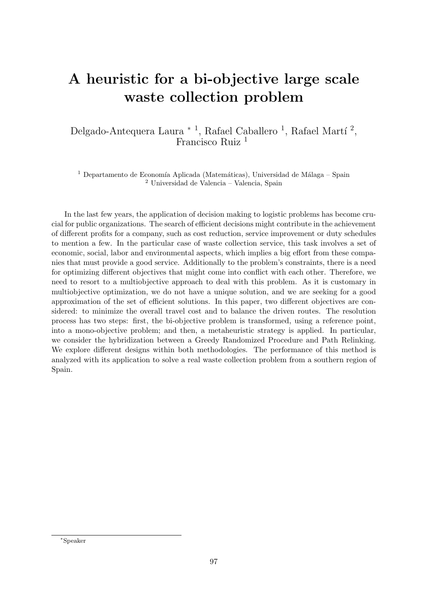# A heuristic for a bi-objective large scale waste collection problem

Delgado-Antequera Laura  $*$ <sup>1</sup>, Rafael Caballero<sup>1</sup>, Rafael Martí<sup>2</sup>, Francisco Ruiz <sup>1</sup>

<sup>1</sup> Departamento de Economía Aplicada (Matemáticas), Universidad de Málaga – Spain <sup>2</sup> Universidad de Valencia – Valencia, Spain

In the last few years, the application of decision making to logistic problems has become crucial for public organizations. The search of efficient decisions might contribute in the achievement of different profits for a company, such as cost reduction, service improvement or duty schedules to mention a few. In the particular case of waste collection service, this task involves a set of economic, social, labor and environmental aspects, which implies a big effort from these companies that must provide a good service. Additionally to the problem's constraints, there is a need for optimizing different objectives that might come into conflict with each other. Therefore, we need to resort to a multiobjective approach to deal with this problem. As it is customary in multiobjective optimization, we do not have a unique solution, and we are seeking for a good approximation of the set of efficient solutions. In this paper, two different objectives are considered: to minimize the overall travel cost and to balance the driven routes. The resolution process has two steps: first, the bi-objective problem is transformed, using a reference point, into a mono-objective problem; and then, a metaheuristic strategy is applied. In particular, we consider the hybridization between a Greedy Randomized Procedure and Path Relinking. We explore different designs within both methodologies. The performance of this method is analyzed with its application to solve a real waste collection problem from a southern region of Spain.

<sup>∗</sup>Speaker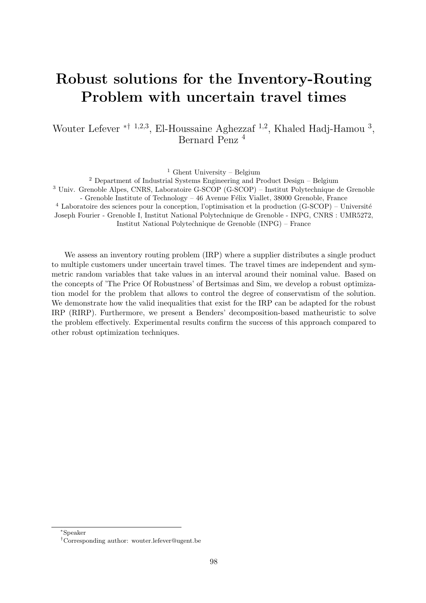## Robust solutions for the Inventory-Routing Problem with uncertain travel times

Wouter Lefever <sup>\*† 1,2,3</sup>, El-Houssaine Aghezzaf <sup>1,2</sup>, Khaled Hadj-Hamou<sup>3</sup>, Bernard Penz <sup>4</sup>

<sup>1</sup> Ghent University – Belgium

<sup>2</sup> Department of Industrial Systems Engineering and Product Design – Belgium <sup>3</sup> Univ. Grenoble Alpes, CNRS, Laboratoire G-SCOP (G-SCOP) – Institut Polytechnique de Grenoble - Grenoble Institute of Technology  $-46$  Avenue Félix Viallet, 38000 Grenoble, France  $4$  Laboratoire des sciences pour la conception, l'optimisation et la production (G-SCOP) – Université Joseph Fourier - Grenoble I, Institut National Polytechnique de Grenoble - INPG, CNRS : UMR5272, Institut National Polytechnique de Grenoble (INPG) – France

We assess an inventory routing problem (IRP) where a supplier distributes a single product to multiple customers under uncertain travel times. The travel times are independent and symmetric random variables that take values in an interval around their nominal value. Based on the concepts of 'The Price Of Robustness' of Bertsimas and Sim, we develop a robust optimization model for the problem that allows to control the degree of conservatism of the solution. We demonstrate how the valid inequalities that exist for the IRP can be adapted for the robust IRP (RIRP). Furthermore, we present a Benders' decomposition-based matheuristic to solve the problem effectively. Experimental results confirm the success of this approach compared to other robust optimization techniques.

<sup>∗</sup>Speaker

<sup>†</sup>Corresponding author: [wouter.lefever@ugent.be](mailto:wouter.lefever@ugent.be)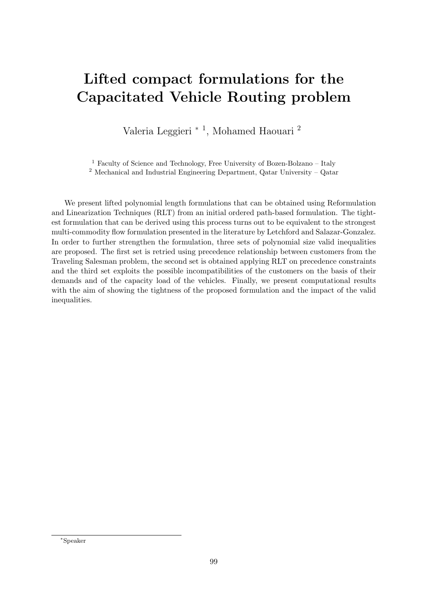## Lifted compact formulations for the Capacitated Vehicle Routing problem

Valeria Leggieri <sup>∗</sup> <sup>1</sup> , Mohamed Haouari <sup>2</sup>

 $^{\rm 1}$  Faculty of Science and Technology, Free University of Bozen-Bolzano – Italy

<sup>2</sup> Mechanical and Industrial Engineering Department, Qatar University – Qatar

We present lifted polynomial length formulations that can be obtained using Reformulation and Linearization Techniques (RLT) from an initial ordered path-based formulation. The tightest formulation that can be derived using this process turns out to be equivalent to the strongest multi-commodity flow formulation presented in the literature by Letchford and Salazar-Gonzalez. In order to further strengthen the formulation, three sets of polynomial size valid inequalities are proposed. The first set is retried using precedence relationship between customers from the Traveling Salesman problem, the second set is obtained applying RLT on precedence constraints and the third set exploits the possible incompatibilities of the customers on the basis of their demands and of the capacity load of the vehicles. Finally, we present computational results with the aim of showing the tightness of the proposed formulation and the impact of the valid inequalities.

<sup>∗</sup>Speaker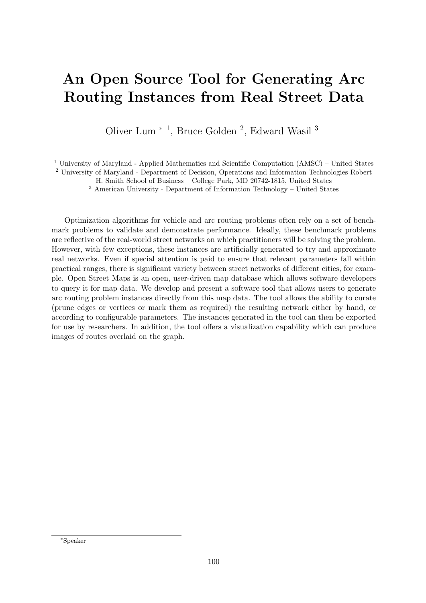# An Open Source Tool for Generating Arc Routing Instances from Real Street Data

Oliver Lum<sup>\*</sup><sup>1</sup>, Bruce Golden<sup>2</sup>, Edward Wasil<sup>3</sup>

<sup>1</sup> University of Maryland - Applied Mathematics and Scientific Computation (AMSC) – United States

<sup>2</sup> University of Maryland - Department of Decision, Operations and Information Technologies Robert

H. Smith School of Business – College Park, MD 20742-1815, United States

 $^3$  American University - Department of Information Technology  $\hbox{--}$  United States

Optimization algorithms for vehicle and arc routing problems often rely on a set of benchmark problems to validate and demonstrate performance. Ideally, these benchmark problems are reflective of the real-world street networks on which practitioners will be solving the problem. However, with few exceptions, these instances are artificially generated to try and approximate real networks. Even if special attention is paid to ensure that relevant parameters fall within practical ranges, there is significant variety between street networks of different cities, for example. Open Street Maps is an open, user-driven map database which allows software developers to query it for map data. We develop and present a software tool that allows users to generate arc routing problem instances directly from this map data. The tool allows the ability to curate (prune edges or vertices or mark them as required) the resulting network either by hand, or according to configurable parameters. The instances generated in the tool can then be exported for use by researchers. In addition, the tool offers a visualization capability which can produce images of routes overlaid on the graph.

<sup>∗</sup>Speaker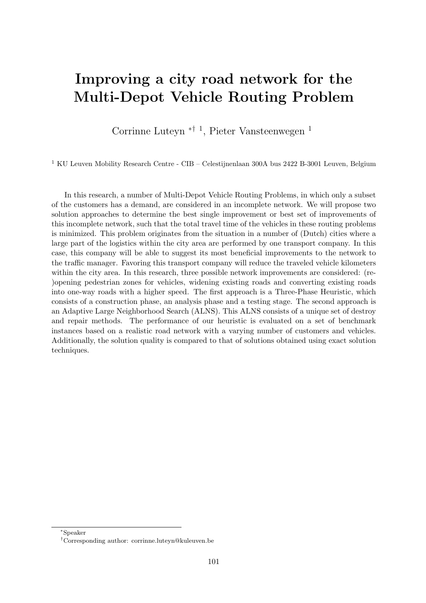## Improving a city road network for the Multi-Depot Vehicle Routing Problem

Corrinne Luteyn ∗† <sup>1</sup> , Pieter Vansteenwegen <sup>1</sup>

 $^{\rm 1}$  KU Leuven Mobility Research Centre - CIB – Celestijnenlaan 300A bus 2422 B-3001 Leuven, Belgium

In this research, a number of Multi-Depot Vehicle Routing Problems, in which only a subset of the customers has a demand, are considered in an incomplete network. We will propose two solution approaches to determine the best single improvement or best set of improvements of this incomplete network, such that the total travel time of the vehicles in these routing problems is minimized. This problem originates from the situation in a number of (Dutch) cities where a large part of the logistics within the city area are performed by one transport company. In this case, this company will be able to suggest its most beneficial improvements to the network to the traffic manager. Favoring this transport company will reduce the traveled vehicle kilometers within the city area. In this research, three possible network improvements are considered: (re- )opening pedestrian zones for vehicles, widening existing roads and converting existing roads into one-way roads with a higher speed. The first approach is a Three-Phase Heuristic, which consists of a construction phase, an analysis phase and a testing stage. The second approach is an Adaptive Large Neighborhood Search (ALNS). This ALNS consists of a unique set of destroy and repair methods. The performance of our heuristic is evaluated on a set of benchmark instances based on a realistic road network with a varying number of customers and vehicles. Additionally, the solution quality is compared to that of solutions obtained using exact solution techniques.

<sup>∗</sup>Speaker

<sup>†</sup>Corresponding author: [corrinne.luteyn@kuleuven.be](mailto:corrinne.luteyn@kuleuven.be)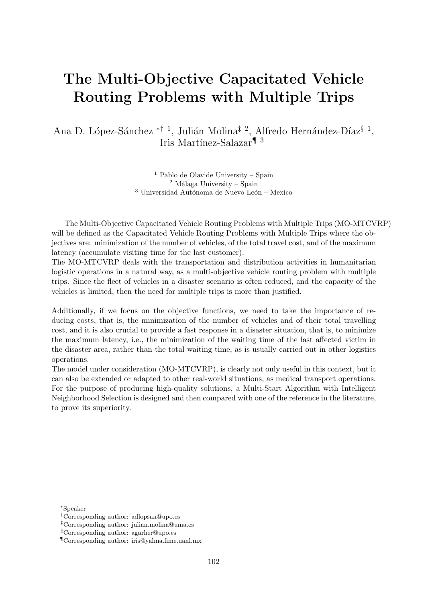## The Multi-Objective Capacitated Vehicle Routing Problems with Multiple Trips

Ana D. López-Sánchez <sup>\*† 1</sup>, Julián Molina<sup>‡ 2</sup>, Alfredo Hernández-Díaz<sup>§ 1</sup>, Iris Martínez-Salazar<sup>¶ 3</sup>

> $<sup>1</sup>$  Pablo de Olavide University – Spain</sup>  $2$  Málaga University – Spain  $^3$ Universidad Autónoma de Nuevo León – Mexico

The Multi-Objective Capacitated Vehicle Routing Problems with Multiple Trips (MO-MTCVRP) will be defined as the Capacitated Vehicle Routing Problems with Multiple Trips where the objectives are: minimization of the number of vehicles, of the total travel cost, and of the maximum latency (accumulate visiting time for the last customer).

The MO-MTCVRP deals with the transportation and distribution activities in humanitarian logistic operations in a natural way, as a multi-objective vehicle routing problem with multiple trips. Since the fleet of vehicles in a disaster scenario is often reduced, and the capacity of the vehicles is limited, then the need for multiple trips is more than justified.

Additionally, if we focus on the objective functions, we need to take the importance of reducing costs, that is, the minimization of the number of vehicles and of their total travelling cost, and it is also crucial to provide a fast response in a disaster situation, that is, to minimize the maximum latency, i.e., the minimization of the waiting time of the last affected victim in the disaster area, rather than the total waiting time, as is usually carried out in other logistics operations.

The model under consideration (MO-MTCVRP), is clearly not only useful in this context, but it can also be extended or adapted to other real-world situations, as medical transport operations. For the purpose of producing high-quality solutions, a Multi-Start Algorithm with Intelligent Neighborhood Selection is designed and then compared with one of the reference in the literature, to prove its superiority.

<sup>∗</sup>Speaker

<sup>†</sup>Corresponding author: [adlopsan@upo.es](mailto:adlopsan@upo.es)

<sup>‡</sup>Corresponding author: [julian.molina@uma.es](mailto:julian.molina@uma.es)

<sup>§</sup>Corresponding author: [agarher@upo.es](mailto:agarher@upo.es)

<sup>¶</sup>Corresponding author: [iris@yalma.fime.uanl.mx](mailto:iris@yalma.fime.uanl.mx)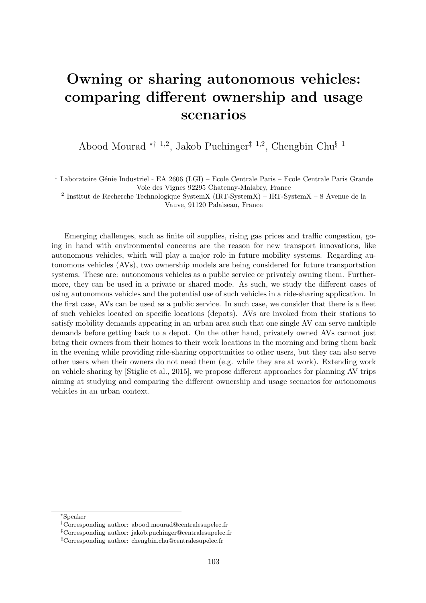## Owning or sharing autonomous vehicles: comparing different ownership and usage scenarios

Abood Mourad ∗† <sup>1</sup>,<sup>2</sup> , Jakob Puchinger‡ <sup>1</sup>,<sup>2</sup> , Chengbin Chu§ <sup>1</sup>

<sup>1</sup> Laboratoire Génie Industriel - EA 2606 (LGI) – Ecole Centrale Paris – Ecole Centrale Paris Grande Voie des Vignes 92295 Chatenay-Malabry, France

2 Institut de Recherche Technologique SystemX (IRT-SystemX) – IRT-SystemX – 8 Avenue de la Vauve, 91120 Palaiseau, France

Emerging challenges, such as finite oil supplies, rising gas prices and traffic congestion, going in hand with environmental concerns are the reason for new transport innovations, like autonomous vehicles, which will play a major role in future mobility systems. Regarding autonomous vehicles (AVs), two ownership models are being considered for future transportation systems. These are: autonomous vehicles as a public service or privately owning them. Furthermore, they can be used in a private or shared mode. As such, we study the different cases of using autonomous vehicles and the potential use of such vehicles in a ride-sharing application. In the first case, AVs can be used as a public service. In such case, we consider that there is a fleet of such vehicles located on specific locations (depots). AVs are invoked from their stations to satisfy mobility demands appearing in an urban area such that one single AV can serve multiple demands before getting back to a depot. On the other hand, privately owned AVs cannot just bring their owners from their homes to their work locations in the morning and bring them back in the evening while providing ride-sharing opportunities to other users, but they can also serve other users when their owners do not need them (e.g. while they are at work). Extending work on vehicle sharing by [Stiglic et al., 2015], we propose different approaches for planning AV trips aiming at studying and comparing the different ownership and usage scenarios for autonomous vehicles in an urban context.

<sup>∗</sup>Speaker

<sup>†</sup>Corresponding author: [abood.mourad@centralesupelec.fr](mailto:abood.mourad@centralesupelec.fr)

<sup>‡</sup>Corresponding author: [jakob.puchinger@centralesupelec.fr](mailto:jakob.puchinger@centralesupelec.fr)

<sup>§</sup>Corresponding author: [chengbin.chu@centralesupelec.fr](mailto:chengbin.chu@centralesupelec.fr)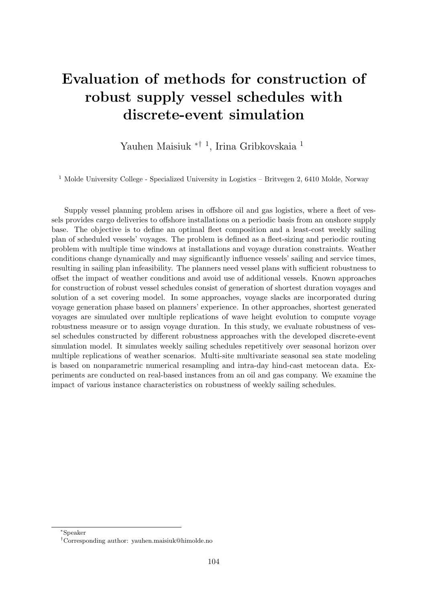# Evaluation of methods for construction of robust supply vessel schedules with discrete-event simulation

Yauhen Maisiuk ∗† <sup>1</sup> , Irina Gribkovskaia <sup>1</sup>

<sup>1</sup> Molde University College - Specialized University in Logistics – Britvegen 2, 6410 Molde, Norway

Supply vessel planning problem arises in offshore oil and gas logistics, where a fleet of vessels provides cargo deliveries to offshore installations on a periodic basis from an onshore supply base. The objective is to define an optimal fleet composition and a least-cost weekly sailing plan of scheduled vessels' voyages. The problem is defined as a fleet-sizing and periodic routing problem with multiple time windows at installations and voyage duration constraints. Weather conditions change dynamically and may significantly influence vessels' sailing and service times, resulting in sailing plan infeasibility. The planners need vessel plans with sufficient robustness to offset the impact of weather conditions and avoid use of additional vessels. Known approaches for construction of robust vessel schedules consist of generation of shortest duration voyages and solution of a set covering model. In some approaches, voyage slacks are incorporated during voyage generation phase based on planners' experience. In other approaches, shortest generated voyages are simulated over multiple replications of wave height evolution to compute voyage robustness measure or to assign voyage duration. In this study, we evaluate robustness of vessel schedules constructed by different robustness approaches with the developed discrete-event simulation model. It simulates weekly sailing schedules repetitively over seasonal horizon over multiple replications of weather scenarios. Multi-site multivariate seasonal sea state modeling is based on nonparametric numerical resampling and intra-day hind-cast metocean data. Experiments are conducted on real-based instances from an oil and gas company. We examine the impact of various instance characteristics on robustness of weekly sailing schedules.

<sup>∗</sup>Speaker

<sup>†</sup>Corresponding author: [yauhen.maisiuk@himolde.no](mailto:yauhen.maisiuk@himolde.no)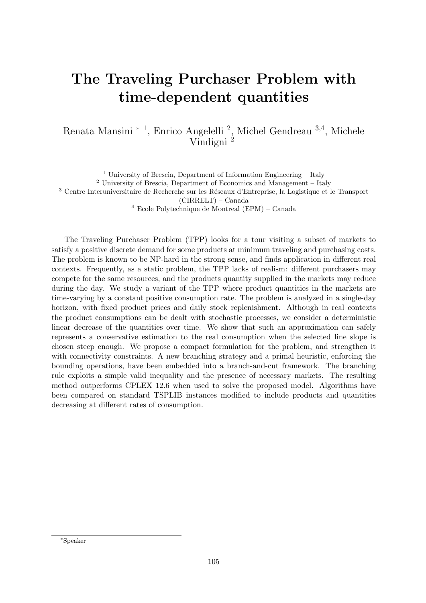# The Traveling Purchaser Problem with time-dependent quantities

Renata Mansini <sup>∗</sup> <sup>1</sup> , Enrico Angelelli <sup>2</sup> , Michel Gendreau <sup>3</sup>,<sup>4</sup> , Michele Vindigni<sup>2</sup>

<sup>1</sup> University of Brescia, Department of Information Engineering – Italy  $^2$ University of Brescia, Department of Economics and Management – Italy <sup>3</sup> Centre Interuniversitaire de Recherche sur les Réseaux d'Entreprise, la Logistique et le Transport (CIRRELT) – Canada <sup>4</sup> Ecole Polytechnique de Montreal (EPM) – Canada

The Traveling Purchaser Problem (TPP) looks for a tour visiting a subset of markets to satisfy a positive discrete demand for some products at minimum traveling and purchasing costs. The problem is known to be NP-hard in the strong sense, and finds application in different real contexts. Frequently, as a static problem, the TPP lacks of realism: different purchasers may compete for the same resources, and the products quantity supplied in the markets may reduce during the day. We study a variant of the TPP where product quantities in the markets are time-varying by a constant positive consumption rate. The problem is analyzed in a single-day horizon, with fixed product prices and daily stock replenishment. Although in real contexts the product consumptions can be dealt with stochastic processes, we consider a deterministic linear decrease of the quantities over time. We show that such an approximation can safely represents a conservative estimation to the real consumption when the selected line slope is chosen steep enough. We propose a compact formulation for the problem, and strengthen it with connectivity constraints. A new branching strategy and a primal heuristic, enforcing the bounding operations, have been embedded into a branch-and-cut framework. The branching rule exploits a simple valid inequality and the presence of necessary markets. The resulting method outperforms CPLEX 12.6 when used to solve the proposed model. Algorithms have been compared on standard TSPLIB instances modified to include products and quantities decreasing at different rates of consumption.

<sup>∗</sup>Speaker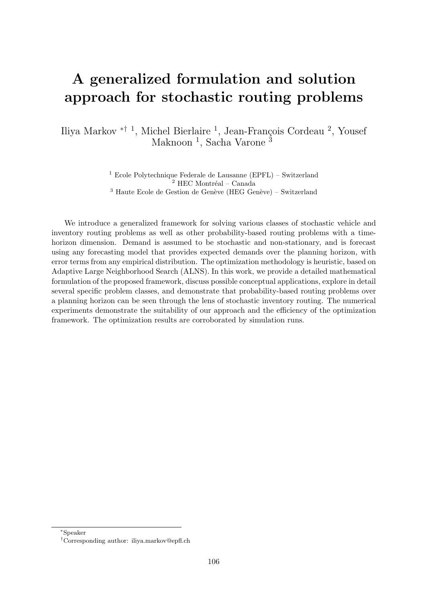## A generalized formulation and solution approach for stochastic routing problems

Iliya Markov <sup>\*† 1</sup>, Michel Bierlaire <sup>1</sup>, Jean-François Cordeau <sup>2</sup>, Yousef Maknoon<sup>1</sup>, Sacha Varone<sup>3</sup>

> <sup>1</sup> Ecole Polytechnique Federale de Lausanne (EPFL) – Switzerland  $^2$  HEC Montréal – Canada  $3$  Haute Ecole de Gestion de Genève (HEG Genève) – Switzerland

We introduce a generalized framework for solving various classes of stochastic vehicle and inventory routing problems as well as other probability-based routing problems with a timehorizon dimension. Demand is assumed to be stochastic and non-stationary, and is forecast using any forecasting model that provides expected demands over the planning horizon, with error terms from any empirical distribution. The optimization methodology is heuristic, based on Adaptive Large Neighborhood Search (ALNS). In this work, we provide a detailed mathematical formulation of the proposed framework, discuss possible conceptual applications, explore in detail several specific problem classes, and demonstrate that probability-based routing problems over a planning horizon can be seen through the lens of stochastic inventory routing. The numerical experiments demonstrate the suitability of our approach and the efficiency of the optimization framework. The optimization results are corroborated by simulation runs.

<sup>∗</sup>Speaker

<sup>†</sup>Corresponding author: [iliya.markov@epfl.ch](mailto:iliya.markov@epfl.ch)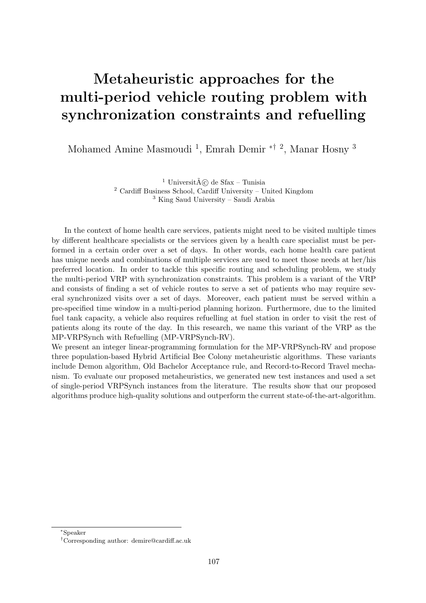# Metaheuristic approaches for the multi-period vehicle routing problem with synchronization constraints and refuelling

Mohamed Amine Masmoudi<sup>1</sup>, Emrah Demir <sup>\*† 2</sup>, Manar Hosny<sup>3</sup>

 $^1$ Universit $\tilde{A}(\tilde{c})$  de Sfax – Tunisia <sup>2</sup> Cardiff Business School, Cardiff University – United Kingdom <sup>3</sup> King Saud University – Saudi Arabia

In the context of home health care services, patients might need to be visited multiple times by different healthcare specialists or the services given by a health care specialist must be performed in a certain order over a set of days. In other words, each home health care patient has unique needs and combinations of multiple services are used to meet those needs at her/his preferred location. In order to tackle this specific routing and scheduling problem, we study the multi-period VRP with synchronization constraints. This problem is a variant of the VRP and consists of finding a set of vehicle routes to serve a set of patients who may require several synchronized visits over a set of days. Moreover, each patient must be served within a pre-specified time window in a multi-period planning horizon. Furthermore, due to the limited fuel tank capacity, a vehicle also requires refuelling at fuel station in order to visit the rest of patients along its route of the day. In this research, we name this variant of the VRP as the MP-VRPSynch with Refuelling (MP-VRPSynch-RV).

We present an integer linear-programming formulation for the MP-VRPSynch-RV and propose three population-based Hybrid Artificial Bee Colony metaheuristic algorithms. These variants include Demon algorithm, Old Bachelor Acceptance rule, and Record-to-Record Travel mechanism. To evaluate our proposed metaheuristics, we generated new test instances and used a set of single-period VRPSynch instances from the literature. The results show that our proposed algorithms produce high-quality solutions and outperform the current state-of-the-art-algorithm.

<sup>∗</sup>Speaker

<sup>†</sup>Corresponding author: [demire@cardiff.ac.uk](mailto:demire@cardiff.ac.uk)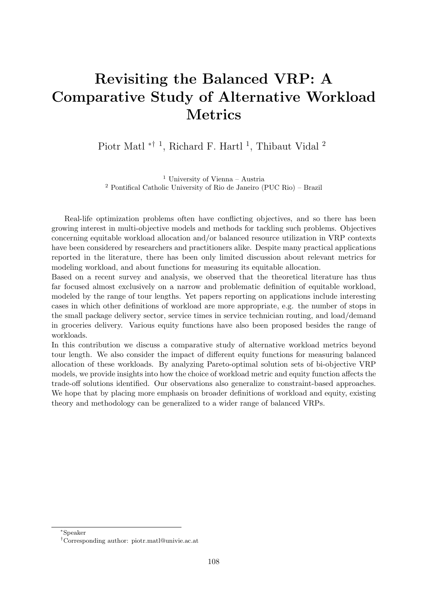# Revisiting the Balanced VRP: A Comparative Study of Alternative Workload Metrics

Piotr Matl<sup>\*† 1</sup>, Richard F. Hartl<sup>1</sup>, Thibaut Vidal<sup>2</sup>

<sup>1</sup> University of Vienna – Austria <sup>2</sup> Pontifical Catholic University of Rio de Janeiro (PUC Rio) – Brazil

Real-life optimization problems often have conflicting objectives, and so there has been growing interest in multi-objective models and methods for tackling such problems. Objectives concerning equitable workload allocation and/or balanced resource utilization in VRP contexts have been considered by researchers and practitioners alike. Despite many practical applications reported in the literature, there has been only limited discussion about relevant metrics for modeling workload, and about functions for measuring its equitable allocation.

Based on a recent survey and analysis, we observed that the theoretical literature has thus far focused almost exclusively on a narrow and problematic definition of equitable workload, modeled by the range of tour lengths. Yet papers reporting on applications include interesting cases in which other definitions of workload are more appropriate, e.g. the number of stops in the small package delivery sector, service times in service technician routing, and load/demand in groceries delivery. Various equity functions have also been proposed besides the range of workloads.

In this contribution we discuss a comparative study of alternative workload metrics beyond tour length. We also consider the impact of different equity functions for measuring balanced allocation of these workloads. By analyzing Pareto-optimal solution sets of bi-objective VRP models, we provide insights into how the choice of workload metric and equity function affects the trade-off solutions identified. Our observations also generalize to constraint-based approaches. We hope that by placing more emphasis on broader definitions of workload and equity, existing theory and methodology can be generalized to a wider range of balanced VRPs.

<sup>∗</sup>Speaker

<sup>†</sup>Corresponding author: [piotr.matl@univie.ac.at](mailto:piotr.matl@univie.ac.at)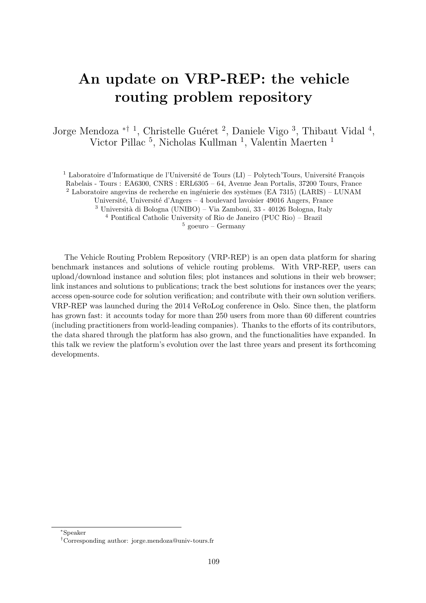# An update on VRP-REP: the vehicle routing problem repository

Jorge Mendoza <sup>\*† 1</sup>, Christelle Guéret<sup>2</sup>, Daniele Vigo<sup>3</sup>, Thibaut Vidal<sup>4</sup>, Victor Pillac<sup>5</sup>, Nicholas Kullman<sup>1</sup>, Valentin Maerten<sup>1</sup>

<sup>1</sup> Laboratoire d'Informatique de l'Université de Tours (LI) – Polytech'Tours, Université François Rabelais - Tours : EA6300, CNRS : ERL6305 – 64, Avenue Jean Portalis, 37200 Tours, France  $2$  Laboratoire angevins de recherche en ingénierie des systèmes (EA 7315) (LARIS) – LUNAM Université, Université d'Angers – 4 boulevard lavoisier 49016 Angers, France

 $3$  Università di Bologna (UNIBO) – Via Zamboni, 33 - 40126 Bologna, Italy

<sup>4</sup> Pontifical Catholic University of Rio de Janeiro (PUC Rio) – Brazil

 $5$  goeuro – Germany

The Vehicle Routing Problem Repository (VRP-REP) is an open data platform for sharing benchmark instances and solutions of vehicle routing problems. With VRP-REP, users can upload/download instance and solution files; plot instances and solutions in their web browser; link instances and solutions to publications; track the best solutions for instances over the years; access open-source code for solution verification; and contribute with their own solution verifiers. VRP-REP was launched during the 2014 VeRoLog conference in Oslo. Since then, the platform has grown fast: it accounts today for more than 250 users from more than 60 different countries (including practitioners from world-leading companies). Thanks to the efforts of its contributors, the data shared through the platform has also grown, and the functionalities have expanded. In this talk we review the platform's evolution over the last three years and present its forthcoming developments.

<sup>∗</sup>Speaker

<sup>†</sup>Corresponding author: [jorge.mendoza@univ-tours.fr](mailto:jorge.mendoza@univ-tours.fr)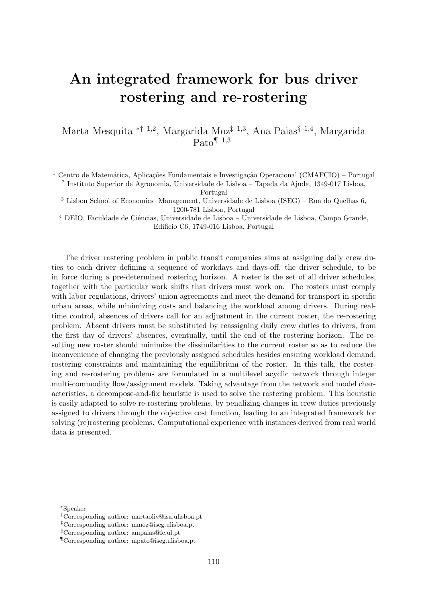# An integrated framework for bus driver rostering and re-rostering

Marta Mesquita <sup>\*† 1,2</sup>, Margarida Moz<sup>‡ 1,3</sup>, Ana Paias<sup>§ 1,4</sup>, Margarida  $\text{Pato}^{\P 1,3}$ 

<sup>1</sup> Centro de Matemática, Aplicações Fundamentais e Investigação Operacional (CMAFCIO) – Portugal 2 Instituto Superior de Agronomia, Universidade de Lisboa – Tapada da Ajuda, 1349-017 Lisboa,

Portugal

<sup>3</sup> Lisbon School of Economics Management, Universidade de Lisboa (ISEG) – Rua do Quelhas 6, 1200-781 Lisboa, Portugal

 $4$  DEIO, Faculdade de Ciências, Universidade de Lisboa – Universidade de Lisboa, Campo Grande, Edificio C6, 1749-016 Lisboa, Portugal

The driver rostering problem in public transit companies aims at assigning daily crew duties to each driver defining a sequence of workdays and days-off, the driver schedule, to be in force during a pre-determined rostering horizon. A roster is the set of all driver schedules, together with the particular work shifts that drivers must work on. The rosters must comply with labor regulations, drivers' union agreements and meet the demand for transport in specific urban areas, while minimizing costs and balancing the workload among drivers. During realtime control, absences of drivers call for an adjustment in the current roster, the re-rostering problem. Absent drivers must be substituted by reassigning daily crew duties to drivers, from the first day of drivers' absences, eventually, until the end of the rostering horizon. The resulting new roster should minimize the dissimilarities to the current roster so as to reduce the inconvenience of changing the previously assigned schedules besides ensuring workload demand, rostering constraints and maintaining the equilibrium of the roster. In this talk, the rostering and re-rostering problems are formulated in a multilevel acyclic network through integer multi-commodity flow/assignment models. Taking advantage from the network and model characteristics, a decompose-and-fix heuristic is used to solve the rostering problem. This heuristic is easily adapted to solve re-rostering problems, by penalizing changes in crew duties previously assigned to drivers through the objective cost function, leading to an integrated framework for solving (re)rostering problems. Computational experience with instances derived from real world data is presented.

<sup>∗</sup>Speaker

<sup>†</sup>Corresponding author: [martaoliv@isa.ulisboa.pt](mailto:martaoliv@isa.ulisboa.pt)

<sup>‡</sup>Corresponding author: [mmoz@iseg.ulisboa.pt](mailto:mmoz@iseg.ulisboa.pt)

<sup>§</sup>Corresponding author: [ampaias@fc.ul.pt](mailto:ampaias@fc.ul.pt)

<sup>¶</sup>Corresponding author: [mpato@iseg.ulisboa.pt](mailto:mpato@iseg.ulisboa.pt)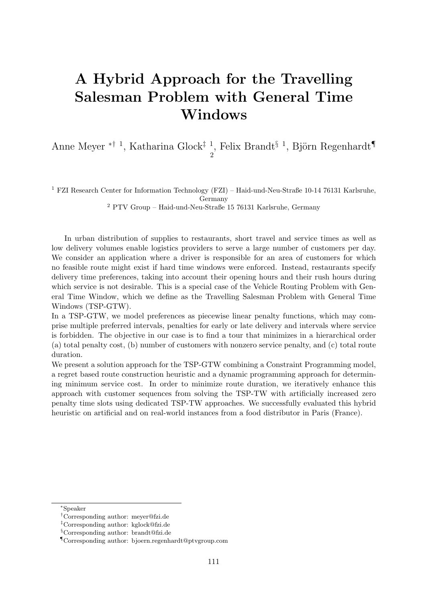# A Hybrid Approach for the Travelling Salesman Problem with General Time Windows

Anne Meyer <sup>\*† 1</sup>, Katharina Glock<sup>‡ 1</sup>, Felix Brandt<sup>§ 1</sup>, Björn Regenhardt<sup>¶</sup> 2

<sup>1</sup> FZI Research Center for Information Technology (FZI) – Haid-und-Neu-Straße 10-14 76131 Karlsruhe,

Germany

<sup>2</sup> PTV Group – Haid-und-Neu-Straße 15 76131 Karlsruhe, Germany

In urban distribution of supplies to restaurants, short travel and service times as well as low delivery volumes enable logistics providers to serve a large number of customers per day. We consider an application where a driver is responsible for an area of customers for which no feasible route might exist if hard time windows were enforced. Instead, restaurants specify delivery time preferences, taking into account their opening hours and their rush hours during which service is not desirable. This is a special case of the Vehicle Routing Problem with General Time Window, which we define as the Travelling Salesman Problem with General Time Windows (TSP-GTW).

In a TSP-GTW, we model preferences as piecewise linear penalty functions, which may comprise multiple preferred intervals, penalties for early or late delivery and intervals where service is forbidden. The objective in our case is to find a tour that minimizes in a hierarchical order (a) total penalty cost, (b) number of customers with nonzero service penalty, and (c) total route duration.

We present a solution approach for the TSP-GTW combining a Constraint Programming model, a regret based route construction heuristic and a dynamic programming approach for determining minimum service cost. In order to minimize route duration, we iteratively enhance this approach with customer sequences from solving the TSP-TW with artificially increased zero penalty time slots using dedicated TSP-TW approaches. We successfully evaluated this hybrid heuristic on artificial and on real-world instances from a food distributor in Paris (France).

<sup>∗</sup>Speaker

<sup>†</sup>Corresponding author: [meyer@fzi.de](mailto:meyer@fzi.de)

<sup>‡</sup>Corresponding author: [kglock@fzi.de](mailto:kglock@fzi.de)

<sup>§</sup>Corresponding author: [brandt@fzi.de](mailto:brandt@fzi.de)

<sup>¶</sup>Corresponding author: [bjoern.regenhardt@ptvgroup.com](mailto:bjoern.regenhardt@ptvgroup.com)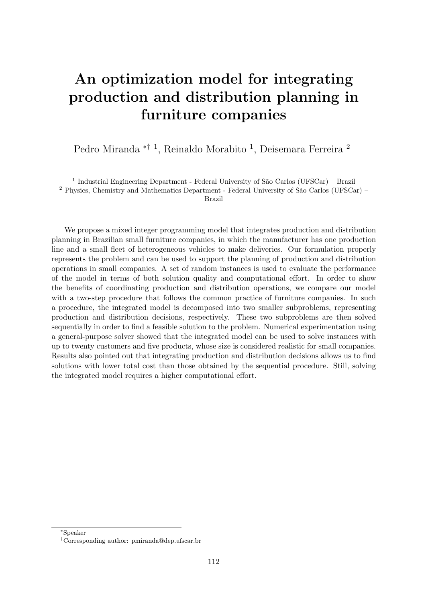# An optimization model for integrating production and distribution planning in furniture companies

Pedro Miranda <sup>\*† 1</sup>, Reinaldo Morabito <sup>1</sup>, Deisemara Ferreira <sup>2</sup>

<sup>1</sup> Industrial Engineering Department - Federal University of São Carlos (UFSCar) - Brazil

 $2$  Physics, Chemistry and Mathematics Department - Federal University of São Carlos (UFSCar) –

Brazil

We propose a mixed integer programming model that integrates production and distribution planning in Brazilian small furniture companies, in which the manufacturer has one production line and a small fleet of heterogeneous vehicles to make deliveries. Our formulation properly represents the problem and can be used to support the planning of production and distribution operations in small companies. A set of random instances is used to evaluate the performance of the model in terms of both solution quality and computational effort. In order to show the benefits of coordinating production and distribution operations, we compare our model with a two-step procedure that follows the common practice of furniture companies. In such a procedure, the integrated model is decomposed into two smaller subproblems, representing production and distribution decisions, respectively. These two subproblems are then solved sequentially in order to find a feasible solution to the problem. Numerical experimentation using a general-purpose solver showed that the integrated model can be used to solve instances with up to twenty customers and five products, whose size is considered realistic for small companies. Results also pointed out that integrating production and distribution decisions allows us to find solutions with lower total cost than those obtained by the sequential procedure. Still, solving the integrated model requires a higher computational effort.

<sup>∗</sup>Speaker

<sup>†</sup>Corresponding author: [pmiranda@dep.ufscar.br](mailto:pmiranda@dep.ufscar.br)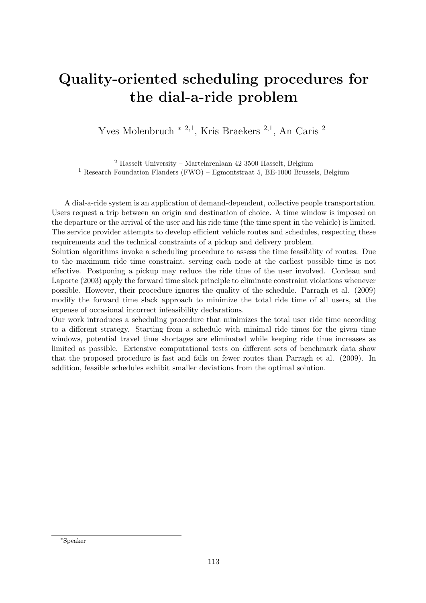# Quality-oriented scheduling procedures for the dial-a-ride problem

Yves Molenbruch <sup>\* 2,1</sup>, Kris Braekers <sup>2,1</sup>, An Caris <sup>2</sup>

 $2$  Hasselt University – Martelarenlaan 42 3500 Hasselt, Belgium <sup>1</sup> Research Foundation Flanders (FWO) – Egmontstraat 5, BE-1000 Brussels, Belgium

A dial-a-ride system is an application of demand-dependent, collective people transportation. Users request a trip between an origin and destination of choice. A time window is imposed on the departure or the arrival of the user and his ride time (the time spent in the vehicle) is limited. The service provider attempts to develop efficient vehicle routes and schedules, respecting these requirements and the technical constraints of a pickup and delivery problem.

Solution algorithms invoke a scheduling procedure to assess the time feasibility of routes. Due to the maximum ride time constraint, serving each node at the earliest possible time is not effective. Postponing a pickup may reduce the ride time of the user involved. Cordeau and Laporte (2003) apply the forward time slack principle to eliminate constraint violations whenever possible. However, their procedure ignores the quality of the schedule. Parragh et al. (2009) modify the forward time slack approach to minimize the total ride time of all users, at the expense of occasional incorrect infeasibility declarations.

Our work introduces a scheduling procedure that minimizes the total user ride time according to a different strategy. Starting from a schedule with minimal ride times for the given time windows, potential travel time shortages are eliminated while keeping ride time increases as limited as possible. Extensive computational tests on different sets of benchmark data show that the proposed procedure is fast and fails on fewer routes than Parragh et al. (2009). In addition, feasible schedules exhibit smaller deviations from the optimal solution.

<sup>∗</sup>Speaker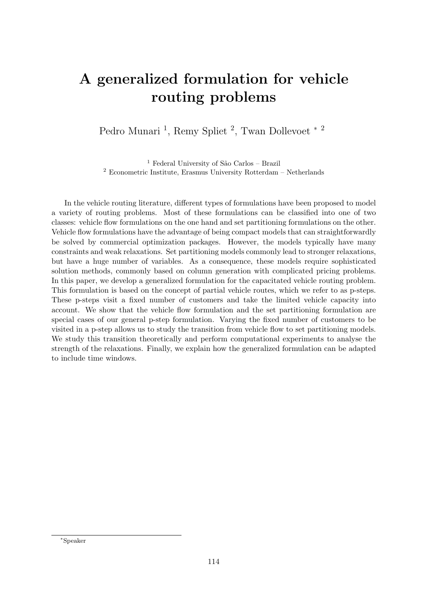# A generalized formulation for vehicle routing problems

Pedro Munari<sup>1</sup>, Remy Spliet<sup>2</sup>, Twan Dollevoet<sup>\*2</sup>

 $^{\rm 1}$  Federal University of São Carlos – Brazil <sup>2</sup> Econometric Institute, Erasmus University Rotterdam – Netherlands

In the vehicle routing literature, different types of formulations have been proposed to model a variety of routing problems. Most of these formulations can be classified into one of two classes: vehicle flow formulations on the one hand and set partitioning formulations on the other. Vehicle flow formulations have the advantage of being compact models that can straightforwardly be solved by commercial optimization packages. However, the models typically have many constraints and weak relaxations. Set partitioning models commonly lead to stronger relaxations, but have a huge number of variables. As a consequence, these models require sophisticated solution methods, commonly based on column generation with complicated pricing problems. In this paper, we develop a generalized formulation for the capacitated vehicle routing problem. This formulation is based on the concept of partial vehicle routes, which we refer to as p-steps. These p-steps visit a fixed number of customers and take the limited vehicle capacity into account. We show that the vehicle flow formulation and the set partitioning formulation are special cases of our general p-step formulation. Varying the fixed number of customers to be visited in a p-step allows us to study the transition from vehicle flow to set partitioning models. We study this transition theoretically and perform computational experiments to analyse the strength of the relaxations. Finally, we explain how the generalized formulation can be adapted to include time windows.

<sup>∗</sup>Speaker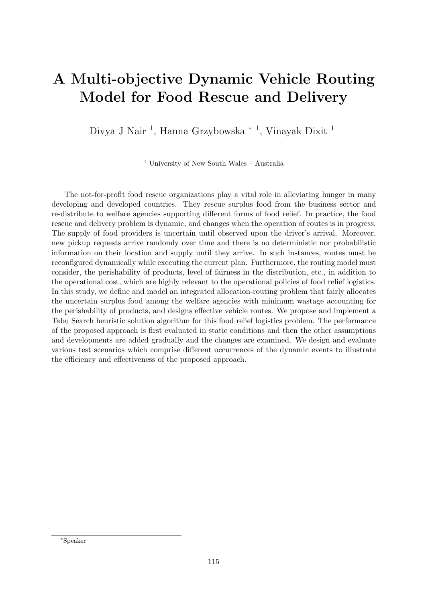#### A Multi-objective Dynamic Vehicle Routing Model for Food Rescue and Delivery

Divya J Nair<sup>1</sup>, Hanna Grzybowska <sup>\* 1</sup>, Vinayak Dixit<sup>1</sup>

 $1$  University of New South Wales – Australia

The not-for-profit food rescue organizations play a vital role in alleviating hunger in many developing and developed countries. They rescue surplus food from the business sector and re-distribute to welfare agencies supporting different forms of food relief. In practice, the food rescue and delivery problem is dynamic, and changes when the operation of routes is in progress. The supply of food providers is uncertain until observed upon the driver's arrival. Moreover, new pickup requests arrive randomly over time and there is no deterministic nor probabilistic information on their location and supply until they arrive. In such instances, routes must be reconfigured dynamically while executing the current plan. Furthermore, the routing model must consider, the perishability of products, level of fairness in the distribution, etc., in addition to the operational cost, which are highly relevant to the operational policies of food relief logistics. In this study, we define and model an integrated allocation-routing problem that fairly allocates the uncertain surplus food among the welfare agencies with minimum wastage accounting for the perishability of products, and designs effective vehicle routes. We propose and implement a Tabu Search heuristic solution algorithm for this food relief logistics problem. The performance of the proposed approach is first evaluated in static conditions and then the other assumptions and developments are added gradually and the changes are examined. We design and evaluate various test scenarios which comprise different occurrences of the dynamic events to illustrate the efficiency and effectiveness of the proposed approach.

<sup>∗</sup>Speaker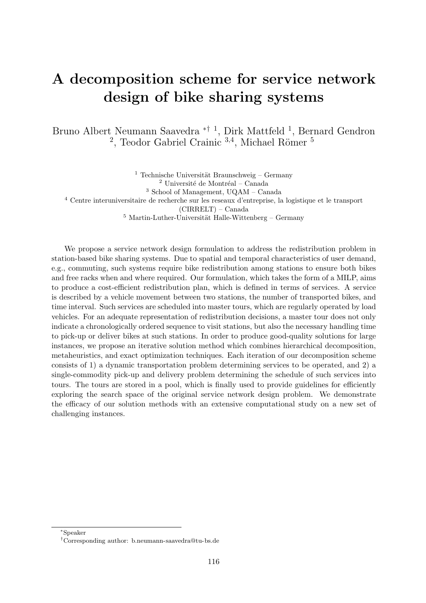# A decomposition scheme for service network design of bike sharing systems

Bruno Albert Neumann Saavedra ∗† <sup>1</sup> , Dirk Mattfeld <sup>1</sup> , Bernard Gendron <sup>2</sup>, Teodor Gabriel Crainic  $3,4$ , Michael Römer  $5$ 

<sup>1</sup> Technische Universität Braunschweig – Germany  $2$  Université de Montréal – Canada  $^3$  School of Management,  $\rm UQAM$  – Canada <sup>4</sup> Centre interuniversitaire de recherche sur les reseaux d'entreprise, la logistique et le transport (CIRRELT) – Canada  $^5$ Martin-Luther-Universität Halle-Wittenberg – Germany

We propose a service network design formulation to address the redistribution problem in station-based bike sharing systems. Due to spatial and temporal characteristics of user demand, e.g., commuting, such systems require bike redistribution among stations to ensure both bikes and free racks when and where required. Our formulation, which takes the form of a MILP, aims to produce a cost-efficient redistribution plan, which is defined in terms of services. A service is described by a vehicle movement between two stations, the number of transported bikes, and time interval. Such services are scheduled into master tours, which are regularly operated by load vehicles. For an adequate representation of redistribution decisions, a master tour does not only indicate a chronologically ordered sequence to visit stations, but also the necessary handling time to pick-up or deliver bikes at such stations. In order to produce good-quality solutions for large instances, we propose an iterative solution method which combines hierarchical decomposition, metaheuristics, and exact optimization techniques. Each iteration of our decomposition scheme consists of 1) a dynamic transportation problem determining services to be operated, and 2) a single-commodity pick-up and delivery problem determining the schedule of such services into tours. The tours are stored in a pool, which is finally used to provide guidelines for efficiently exploring the search space of the original service network design problem. We demonstrate the efficacy of our solution methods with an extensive computational study on a new set of challenging instances.

<sup>∗</sup>Speaker

<sup>†</sup>Corresponding author: [b.neumann-saavedra@tu-bs.de](mailto:b.neumann-saavedra@tu-bs.de)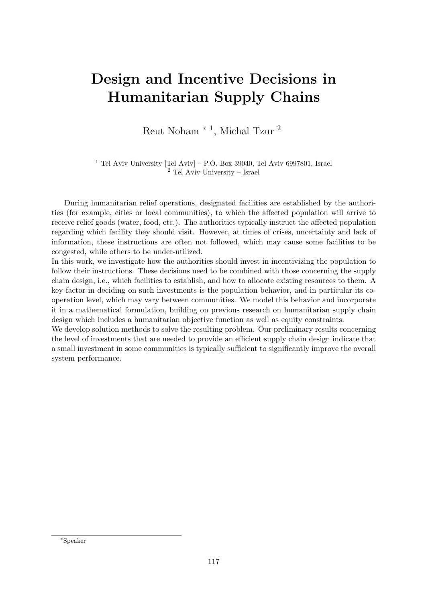# Design and Incentive Decisions in Humanitarian Supply Chains

Reut Noham<sup>\*</sup><sup>1</sup>, Michal Tzur<sup>2</sup>

<sup>1</sup> Tel Aviv University [Tel Aviv] – P.O. Box 39040, Tel Aviv 6997801, Israel <sup>2</sup> Tel Aviv University – Israel

During humanitarian relief operations, designated facilities are established by the authorities (for example, cities or local communities), to which the affected population will arrive to receive relief goods (water, food, etc.). The authorities typically instruct the affected population regarding which facility they should visit. However, at times of crises, uncertainty and lack of information, these instructions are often not followed, which may cause some facilities to be congested, while others to be under-utilized.

In this work, we investigate how the authorities should invest in incentivizing the population to follow their instructions. These decisions need to be combined with those concerning the supply chain design, i.e., which facilities to establish, and how to allocate existing resources to them. A key factor in deciding on such investments is the population behavior, and in particular its cooperation level, which may vary between communities. We model this behavior and incorporate it in a mathematical formulation, building on previous research on humanitarian supply chain design which includes a humanitarian objective function as well as equity constraints.

We develop solution methods to solve the resulting problem. Our preliminary results concerning the level of investments that are needed to provide an efficient supply chain design indicate that a small investment in some communities is typically sufficient to significantly improve the overall system performance.

<sup>∗</sup>Speaker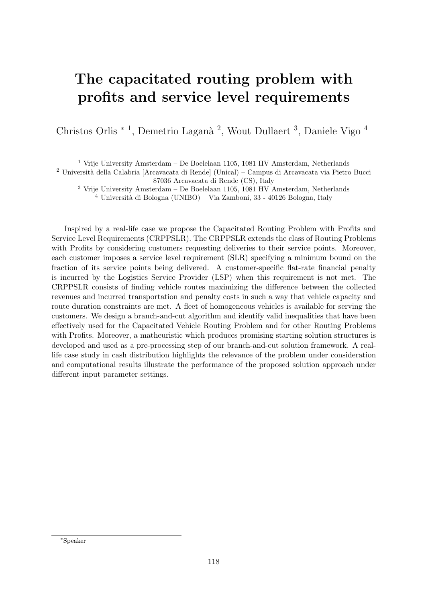# The capacitated routing problem with profits and service level requirements

Christos Orlis<sup>\*</sup><sup>1</sup>, Demetrio Laganà<sup>2</sup>, Wout Dullaert<sup>3</sup>, Daniele Vigo<sup>4</sup>

 $^1$  Vrije University Amsterdam – De Boelelaan 1105, 1081 HV Amsterdam, Netherlands

<sup>2</sup> Università della Calabria [Arcavacata di Rende] (Unical) – Campus di Arcavacata via Pietro Bucci 87036 Arcavacata di Rende (CS), Italy

 $^3$  Vrije University Amsterdam – De Boelelaan 1105, 1081 HV Amsterdam, Netherlands  $^4$ Università di Bologna (UNIBO) – Via Zamboni, 33 - 40126 Bologna, Italy

Inspired by a real-life case we propose the Capacitated Routing Problem with Profits and Service Level Requirements (CRPPSLR). The CRPPSLR extends the class of Routing Problems with Profits by considering customers requesting deliveries to their service points. Moreover, each customer imposes a service level requirement (SLR) specifying a minimum bound on the fraction of its service points being delivered. A customer-specific flat-rate financial penalty is incurred by the Logistics Service Provider (LSP) when this requirement is not met. The CRPPSLR consists of finding vehicle routes maximizing the difference between the collected revenues and incurred transportation and penalty costs in such a way that vehicle capacity and route duration constraints are met. A fleet of homogeneous vehicles is available for serving the customers. We design a branch-and-cut algorithm and identify valid inequalities that have been effectively used for the Capacitated Vehicle Routing Problem and for other Routing Problems with Profits. Moreover, a matheuristic which produces promising starting solution structures is developed and used as a pre-processing step of our branch-and-cut solution framework. A reallife case study in cash distribution highlights the relevance of the problem under consideration and computational results illustrate the performance of the proposed solution approach under different input parameter settings.

<sup>∗</sup>Speaker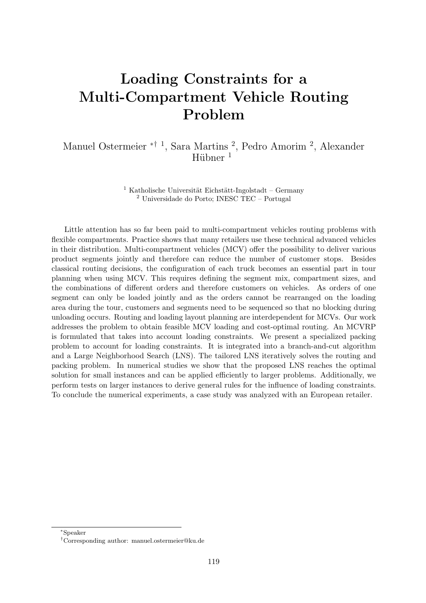# Loading Constraints for a Multi-Compartment Vehicle Routing Problem

Manuel Ostermeier ∗† <sup>1</sup> , Sara Martins <sup>2</sup> , Pedro Amorim <sup>2</sup> , Alexander Hübner<sup>1</sup>

> $1$  Katholische Universität Eichstätt-Ingolstadt – Germany <sup>2</sup> Universidade do Porto; INESC TEC – Portugal

Little attention has so far been paid to multi-compartment vehicles routing problems with flexible compartments. Practice shows that many retailers use these technical advanced vehicles in their distribution. Multi-compartment vehicles (MCV) offer the possibility to deliver various product segments jointly and therefore can reduce the number of customer stops. Besides classical routing decisions, the configuration of each truck becomes an essential part in tour planning when using MCV. This requires defining the segment mix, compartment sizes, and the combinations of different orders and therefore customers on vehicles. As orders of one segment can only be loaded jointly and as the orders cannot be rearranged on the loading area during the tour, customers and segments need to be sequenced so that no blocking during unloading occurs. Routing and loading layout planning are interdependent for MCVs. Our work addresses the problem to obtain feasible MCV loading and cost-optimal routing. An MCVRP is formulated that takes into account loading constraints. We present a specialized packing problem to account for loading constraints. It is integrated into a branch-and-cut algorithm and a Large Neighborhood Search (LNS). The tailored LNS iteratively solves the routing and packing problem. In numerical studies we show that the proposed LNS reaches the optimal solution for small instances and can be applied efficiently to larger problems. Additionally, we perform tests on larger instances to derive general rules for the influence of loading constraints. To conclude the numerical experiments, a case study was analyzed with an European retailer.

<sup>∗</sup>Speaker

<sup>†</sup>Corresponding author: [manuel.ostermeier@ku.de](mailto:manuel.ostermeier@ku.de)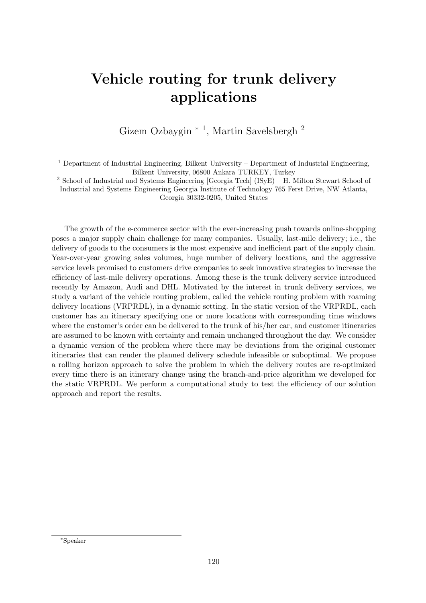## Vehicle routing for trunk delivery applications

Gizem Ozbaygin<sup>\*</sup><sup>1</sup>, Martin Savelsbergh<sup>2</sup>

 $1$  Department of Industrial Engineering, Bilkent University – Department of Industrial Engineering, Bilkent University, 06800 Ankara TURKEY, Turkey

<sup>2</sup> School of Industrial and Systems Engineering [Georgia Tech] (ISyE) – H. Milton Stewart School of Industrial and Systems Engineering Georgia Institute of Technology 765 Ferst Drive, NW Atlanta, Georgia 30332-0205, United States

The growth of the e-commerce sector with the ever-increasing push towards online-shopping poses a major supply chain challenge for many companies. Usually, last-mile delivery; i.e., the delivery of goods to the consumers is the most expensive and inefficient part of the supply chain. Year-over-year growing sales volumes, huge number of delivery locations, and the aggressive service levels promised to customers drive companies to seek innovative strategies to increase the efficiency of last-mile delivery operations. Among these is the trunk delivery service introduced recently by Amazon, Audi and DHL. Motivated by the interest in trunk delivery services, we study a variant of the vehicle routing problem, called the vehicle routing problem with roaming delivery locations (VRPRDL), in a dynamic setting. In the static version of the VRPRDL, each customer has an itinerary specifying one or more locations with corresponding time windows where the customer's order can be delivered to the trunk of his/her car, and customer itineraries are assumed to be known with certainty and remain unchanged throughout the day. We consider a dynamic version of the problem where there may be deviations from the original customer itineraries that can render the planned delivery schedule infeasible or suboptimal. We propose a rolling horizon approach to solve the problem in which the delivery routes are re-optimized every time there is an itinerary change using the branch-and-price algorithm we developed for the static VRPRDL. We perform a computational study to test the efficiency of our solution approach and report the results.

<sup>∗</sup>Speaker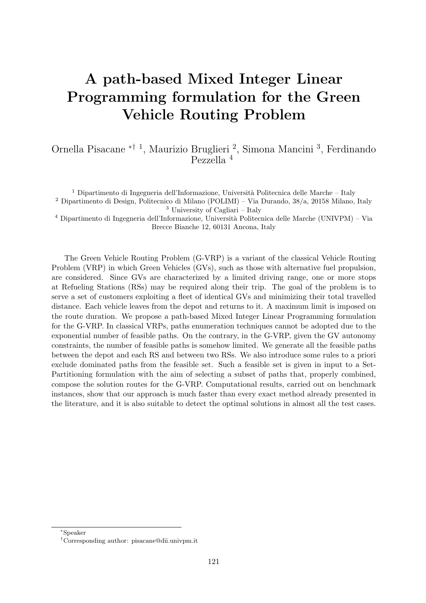# A path-based Mixed Integer Linear Programming formulation for the Green Vehicle Routing Problem

Ornella Pisacane ∗† <sup>1</sup> , Maurizio Bruglieri <sup>2</sup> , Simona Mancini <sup>3</sup> , Ferdinando Pezzella <sup>4</sup>

<sup>1</sup> Dipartimento di Ingegneria dell'Informazione, Università Politecnica delle Marche – Italy <sup>2</sup> Dipartimento di Design, Politecnico di Milano (POLIMI) – Via Durando, 38/a, 20158 Milano, Italy <sup>3</sup> University of Cagliari – Italy

<sup>4</sup> Dipartimento di Ingegneria dell'Informazione, Università Politecnica delle Marche (UNIVPM) – Via Brecce Bianche 12, 60131 Ancona, Italy

The Green Vehicle Routing Problem (G-VRP) is a variant of the classical Vehicle Routing Problem (VRP) in which Green Vehicles (GVs), such as those with alternative fuel propulsion, are considered. Since GVs are characterized by a limited driving range, one or more stops at Refueling Stations (RSs) may be required along their trip. The goal of the problem is to serve a set of customers exploiting a fleet of identical GVs and minimizing their total travelled distance. Each vehicle leaves from the depot and returns to it. A maximum limit is imposed on the route duration. We propose a path-based Mixed Integer Linear Programming formulation for the G-VRP. In classical VRPs, paths enumeration techniques cannot be adopted due to the exponential number of feasible paths. On the contrary, in the G-VRP, given the GV autonomy constraints, the number of feasible paths is somehow limited. We generate all the feasible paths between the depot and each RS and between two RSs. We also introduce some rules to a priori exclude dominated paths from the feasible set. Such a feasible set is given in input to a Set-Partitioning formulation with the aim of selecting a subset of paths that, properly combined, compose the solution routes for the G-VRP. Computational results, carried out on benchmark instances, show that our approach is much faster than every exact method already presented in the literature, and it is also suitable to detect the optimal solutions in almost all the test cases.

<sup>∗</sup>Speaker

<sup>†</sup>Corresponding author: [pisacane@dii.univpm.it](mailto:pisacane@dii.univpm.it)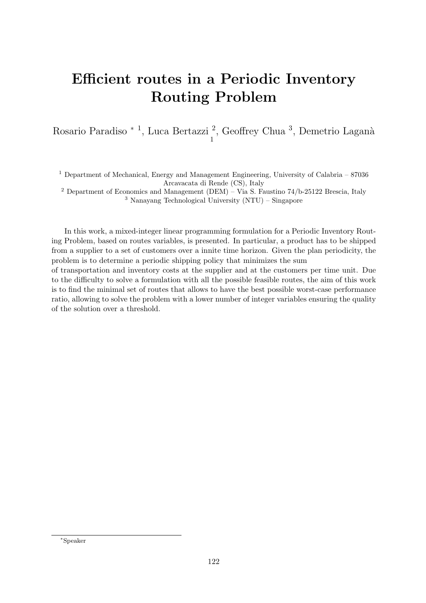# Efficient routes in a Periodic Inventory Routing Problem

Rosario Paradiso \* <sup>1</sup>, Luca Bertazzi <sup>2</sup>, Geoffrey Chua <sup>3</sup>, Demetrio Laganà 1

<sup>1</sup> Department of Mechanical, Energy and Management Engineering, University of Calabria –  $87036$ Arcavacata di Rende (CS), Italy

<sup>2</sup> Department of Economics and Management (DEM) – Via S. Faustino 74/b-25122 Brescia, Italy <sup>3</sup> Nanayang Technological University (NTU) – Singapore

In this work, a mixed-integer linear programming formulation for a Periodic Inventory Routing Problem, based on routes variables, is presented. In particular, a product has to be shipped from a supplier to a set of customers over a innite time horizon. Given the plan periodicity, the problem is to determine a periodic shipping policy that minimizes the sum

of transportation and inventory costs at the supplier and at the customers per time unit. Due to the difficulty to solve a formulation with all the possible feasible routes, the aim of this work is to find the minimal set of routes that allows to have the best possible worst-case performance ratio, allowing to solve the problem with a lower number of integer variables ensuring the quality of the solution over a threshold.

<sup>∗</sup>Speaker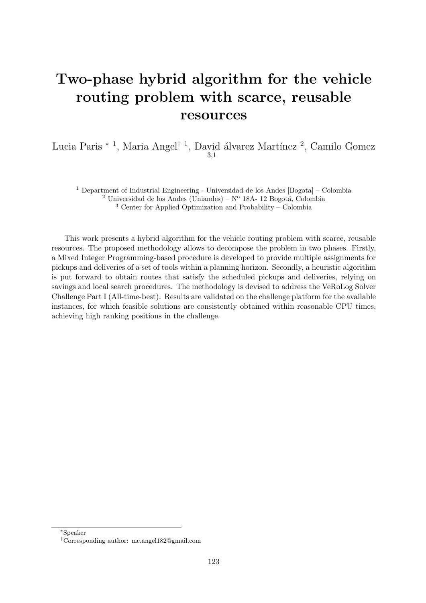#### Two-phase hybrid algorithm for the vehicle routing problem with scarce, reusable resources

Lucia Paris<sup>\* 1</sup>, Maria Angel<sup>† 1</sup>, David álvarez Martínez <sup>2</sup>, Camilo Gomez 3,1

<sup>1</sup> Department of Industrial Engineering - Universidad de los Andes [Bogota] – Colombia <sup>2</sup> Universidad de los Andes (Uniandes) –  $N^{\circ}$  18A- 12 Bogotá, Colombia <sup>3</sup> Center for Applied Optimization and Probability – Colombia

This work presents a hybrid algorithm for the vehicle routing problem with scarce, reusable resources. The proposed methodology allows to decompose the problem in two phases. Firstly, a Mixed Integer Programming-based procedure is developed to provide multiple assignments for pickups and deliveries of a set of tools within a planning horizon. Secondly, a heuristic algorithm is put forward to obtain routes that satisfy the scheduled pickups and deliveries, relying on savings and local search procedures. The methodology is devised to address the VeRoLog Solver Challenge Part I (All-time-best). Results are validated on the challenge platform for the available instances, for which feasible solutions are consistently obtained within reasonable CPU times, achieving high ranking positions in the challenge.

<sup>∗</sup>Speaker

<sup>†</sup>Corresponding author: [mc.angel182@gmail.com](mailto:mc.angel182@gmail.com)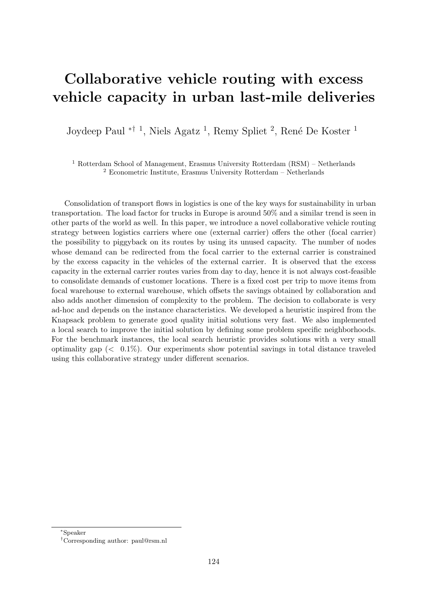# Collaborative vehicle routing with excess vehicle capacity in urban last-mile deliveries

Joydeep Paul <sup>\*† 1</sup>, Niels Agatz <sup>1</sup>, Remy Spliet <sup>2</sup>, René De Koster <sup>1</sup>

<sup>1</sup> Rotterdam School of Management, Erasmus University Rotterdam (RSM) – Netherlands <sup>2</sup> Econometric Institute, Erasmus University Rotterdam – Netherlands

Consolidation of transport flows in logistics is one of the key ways for sustainability in urban transportation. The load factor for trucks in Europe is around 50% and a similar trend is seen in other parts of the world as well. In this paper, we introduce a novel collaborative vehicle routing strategy between logistics carriers where one (external carrier) offers the other (focal carrier) the possibility to piggyback on its routes by using its unused capacity. The number of nodes whose demand can be redirected from the focal carrier to the external carrier is constrained by the excess capacity in the vehicles of the external carrier. It is observed that the excess capacity in the external carrier routes varies from day to day, hence it is not always cost-feasible to consolidate demands of customer locations. There is a fixed cost per trip to move items from focal warehouse to external warehouse, which offsets the savings obtained by collaboration and also adds another dimension of complexity to the problem. The decision to collaborate is very ad-hoc and depends on the instance characteristics. We developed a heuristic inspired from the Knapsack problem to generate good quality initial solutions very fast. We also implemented a local search to improve the initial solution by defining some problem specific neighborhoods. For the benchmark instances, the local search heuristic provides solutions with a very small optimality gap  $\langle 0.1\% \rangle$ . Our experiments show potential savings in total distance traveled using this collaborative strategy under different scenarios.

<sup>∗</sup>Speaker

<sup>†</sup>Corresponding author: [paul@rsm.nl](mailto:paul@rsm.nl)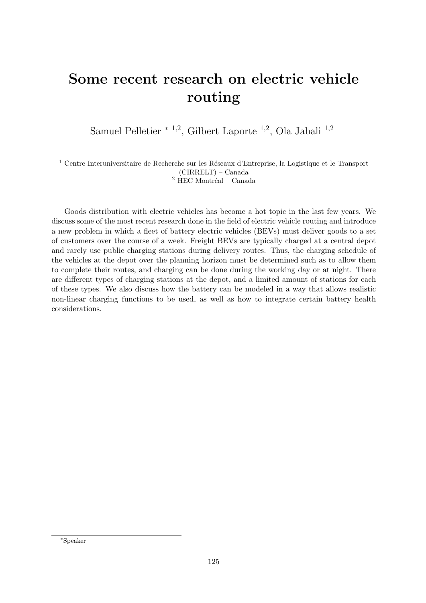# Some recent research on electric vehicle routing

Samuel Pelletier <sup>∗</sup> <sup>1</sup>,<sup>2</sup> , Gilbert Laporte <sup>1</sup>,<sup>2</sup> , Ola Jabali <sup>1</sup>,<sup>2</sup>

 $^{\rm 1}$  Centre Interuniversitaire de Recherche sur les Réseaux d'Entreprise, la Logistique et le Transport (CIRRELT) – Canada  $2$  HEC Montréal – Canada

Goods distribution with electric vehicles has become a hot topic in the last few years. We discuss some of the most recent research done in the field of electric vehicle routing and introduce a new problem in which a fleet of battery electric vehicles (BEVs) must deliver goods to a set of customers over the course of a week. Freight BEVs are typically charged at a central depot and rarely use public charging stations during delivery routes. Thus, the charging schedule of the vehicles at the depot over the planning horizon must be determined such as to allow them to complete their routes, and charging can be done during the working day or at night. There are different types of charging stations at the depot, and a limited amount of stations for each of these types. We also discuss how the battery can be modeled in a way that allows realistic non-linear charging functions to be used, as well as how to integrate certain battery health considerations.

<sup>∗</sup>Speaker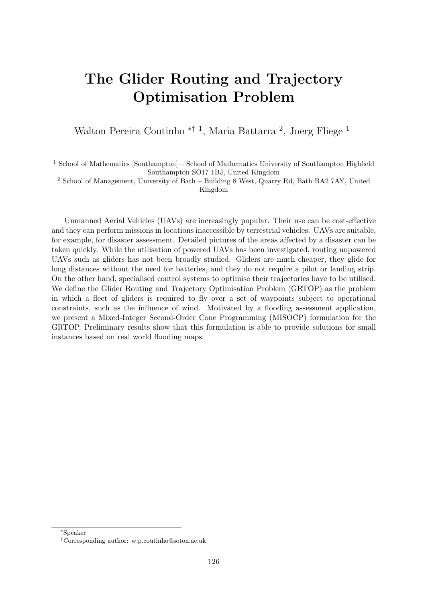# The Glider Routing and Trajectory Optimisation Problem

Walton Pereira Coutinho <sup>\*† 1</sup>, Maria Battarra <sup>2</sup>, Joerg Fliege <sup>1</sup>

<sup>1</sup> School of Mathematics [Southampton] – School of Mathematics University of Southampton Highfield Southampton SO17 1BJ, United Kingdom

<sup>2</sup> School of Management, University of Bath – Building 8 West, Quarry Rd, Bath BA2 7AY, United Kingdom

Unmanned Aerial Vehicles (UAVs) are increasingly popular. Their use can be cost-effective and they can perform missions in locations inaccessible by terrestrial vehicles. UAVs are suitable, for example, for disaster assessment. Detailed pictures of the areas affected by a disaster can be taken quickly. While the utilisation of powered UAVs has been investigated, routing unpowered UAVs such as gliders has not been broadly studied. Gliders are much cheaper, they glide for long distances without the need for batteries, and they do not require a pilot or landing strip. On the other hand, specialised control systems to optimise their trajectories have to be utilised. We define the Glider Routing and Trajectory Optimisation Problem (GRTOP) as the problem in which a fleet of gliders is required to fly over a set of waypoints subject to operational constraints, such as the influence of wind. Motivated by a flooding assessment application, we present a Mixed-Integer Second-Order Cone Programming (MISOCP) formulation for the GRTOP. Preliminary results show that this formulation is able to provide solutions for small instances based on real world flooding maps.

<sup>∗</sup>Speaker

<sup>†</sup>Corresponding author: [w.p.coutinho@soton.ac.uk](mailto:w.p.coutinho@soton.ac.uk)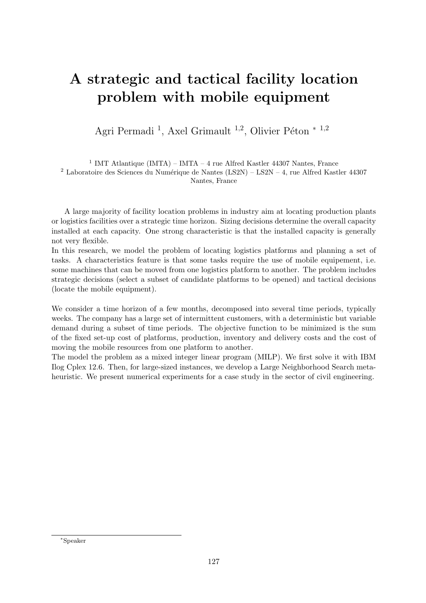# A strategic and tactical facility location problem with mobile equipment

Agri Permadi<sup>1</sup>, Axel Grimault<sup>1,2</sup>, Olivier Péton \*<sup>1,2</sup>

<sup>1</sup> IMT Atlantique (IMTA) – IMTA – 4 rue Alfred Kastler 44307 Nantes, France <sup>2</sup> Laboratoire des Sciences du Numérique de Nantes (LS2N) – LS2N – 4, rue Alfred Kastler 44307 Nantes, France

A large majority of facility location problems in industry aim at locating production plants or logistics facilities over a strategic time horizon. Sizing decisions determine the overall capacity installed at each capacity. One strong characteristic is that the installed capacity is generally not very flexible.

In this research, we model the problem of locating logistics platforms and planning a set of tasks. A characteristics feature is that some tasks require the use of mobile equipement, i.e. some machines that can be moved from one logistics platform to another. The problem includes strategic decisions (select a subset of candidate platforms to be opened) and tactical decisions (locate the mobile equipment).

We consider a time horizon of a few months, decomposed into several time periods, typically weeks. The company has a large set of intermittent customers, with a deterministic but variable demand during a subset of time periods. The objective function to be minimized is the sum of the fixed set-up cost of platforms, production, inventory and delivery costs and the cost of moving the mobile resources from one platform to another.

The model the problem as a mixed integer linear program (MILP). We first solve it with IBM Ilog Cplex 12.6. Then, for large-sized instances, we develop a Large Neighborhood Search metaheuristic. We present numerical experiments for a case study in the sector of civil engineering.

<sup>∗</sup>Speaker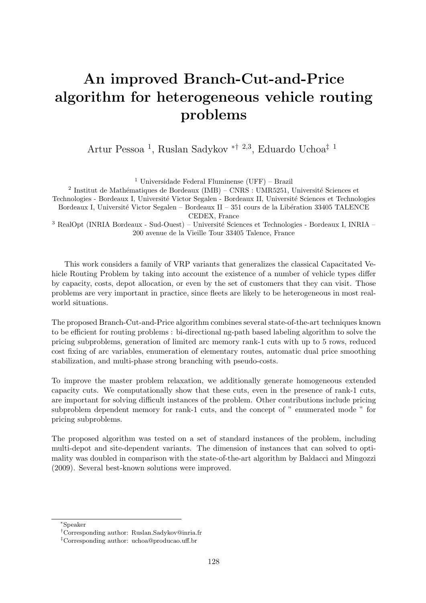# An improved Branch-Cut-and-Price algorithm for heterogeneous vehicle routing problems

Artur Pessoa <sup>1</sup> , Ruslan Sadykov ∗† <sup>2</sup>,<sup>3</sup> , Eduardo Uchoa‡ <sup>1</sup>

<sup>1</sup> Universidade Federal Fluminense (UFF) – Brazil

<sup>2</sup> Institut de Mathématiques de Bordeaux (IMB) – CNRS : UMR5251, Université Sciences et Technologies - Bordeaux I, Universit´e Victor Segalen - Bordeaux II, Universit´e Sciences et Technologies Bordeaux I, Université Victor Segalen – Bordeaux II – 351 cours de la Libération 33405 TALENCE CEDEX, France

 $3$  RealOpt (INRIA Bordeaux - Sud-Ouest) – Université Sciences et Technologies - Bordeaux I, INRIA – 200 avenue de la Vieille Tour 33405 Talence, France

This work considers a family of VRP variants that generalizes the classical Capacitated Vehicle Routing Problem by taking into account the existence of a number of vehicle types differ by capacity, costs, depot allocation, or even by the set of customers that they can visit. Those problems are very important in practice, since fleets are likely to be heterogeneous in most realworld situations.

The proposed Branch-Cut-and-Price algorithm combines several state-of-the-art techniques known to be efficient for routing problems : bi-directional ng-path based labeling algorithm to solve the pricing subproblems, generation of limited arc memory rank-1 cuts with up to 5 rows, reduced cost fixing of arc variables, enumeration of elementary routes, automatic dual price smoothing stabilization, and multi-phase strong branching with pseudo-costs.

To improve the master problem relaxation, we additionally generate homogeneous extended capacity cuts. We computationally show that these cuts, even in the presence of rank-1 cuts, are important for solving difficult instances of the problem. Other contributions include pricing subproblem dependent memory for rank-1 cuts, and the concept of " enumerated mode " for pricing subproblems.

The proposed algorithm was tested on a set of standard instances of the problem, including multi-depot and site-dependent variants. The dimension of instances that can solved to optimality was doubled in comparison with the state-of-the-art algorithm by Baldacci and Mingozzi (2009). Several best-known solutions were improved.

<sup>∗</sup>Speaker

<sup>†</sup>Corresponding author: [Ruslan.Sadykov@inria.fr](mailto:Ruslan.Sadykov@inria.fr)

<sup>‡</sup>Corresponding author: [uchoa@producao.uff.br](mailto:uchoa@producao.uff.br)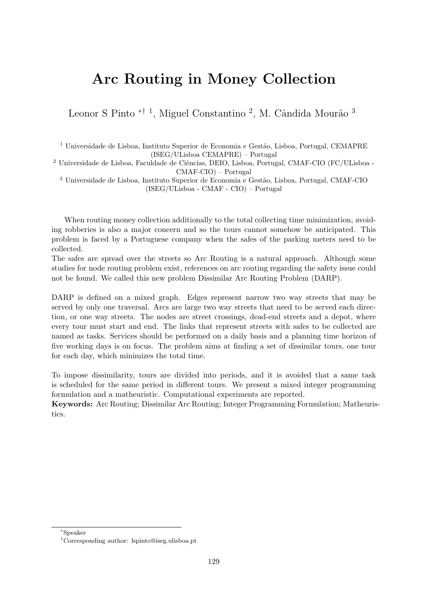#### Arc Routing in Money Collection

Leonor S Pinto <sup>\*† 1</sup>, Miguel Constantino<sup>2</sup>, M. Cândida Mourão<sup>3</sup>

 $1$  Universidade de Lisboa, Instituto Superior de Economia e Gestão, Lisboa, Portugal, CEMAPRE (ISEG/ULisboa CEMAPRE) – Portugal

 $^{2}$  Universidade de Lisboa, Faculdade de Ciências, DEIO, Lisboa, Portugal, CMAF-CIO (FC/ULisboa -CMAF-CIO) – Portugal

<sup>3</sup> Universidade de Lisboa, Instituto Superior de Economia e Gestão, Lisboa, Portugal, CMAF-CIO (ISEG/ULisboa - CMAF - CIO) – Portugal

When routing money collection additionally to the total collecting time minimization, avoiding robberies is also a major concern and so the tours cannot somehow be anticipated. This problem is faced by a Portuguese company when the safes of the parking meters need to be collected.

The safes are spread over the streets so Arc Routing is a natural approach. Although some studies for node routing problem exist, references on arc routing regarding the safety issue could not be found. We called this new problem Dissimilar Arc Routing Problem (DARP).

DARP is defined on a mixed graph. Edges represent narrow two way streets that may be served by only one traversal. Arcs are large two way streets that need to be served each direction, or one way streets. The nodes are street crossings, dead-end streets and a depot, where every tour must start and end. The links that represent streets with safes to be collected are named as tasks. Services should be performed on a daily basis and a planning time horizon of five working days is on focus. The problem aims at finding a set of dissimilar tours, one tour for each day, which minimizes the total time.

To impose dissimilarity, tours are divided into periods, and it is avoided that a same task is scheduled for the same period in different tours. We present a mixed integer programming formulation and a matheuristic. Computational experiments are reported.

Keywords: Arc Routing; Dissimilar Arc Routing; Integer Programming Formulation; Matheuristics.

<sup>∗</sup>Speaker

<sup>†</sup>Corresponding author: [lspinto@iseg.ulisboa.pt](mailto:lspinto@iseg.ulisboa.pt)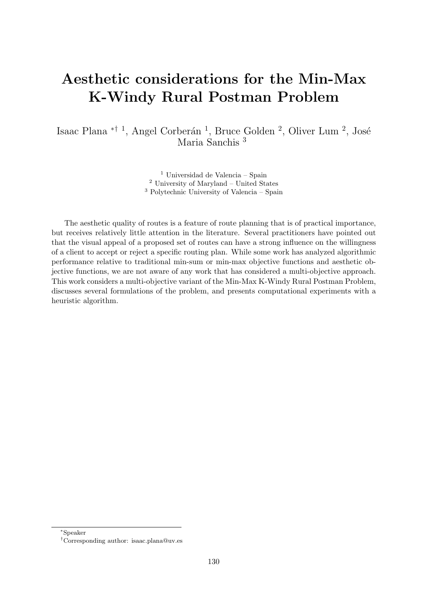# Aesthetic considerations for the Min-Max K-Windy Rural Postman Problem

Isaac Plana <sup>\*† 1</sup>, Angel Corberán <sup>1</sup>, Bruce Golden <sup>2</sup>, Oliver Lum <sup>2</sup>, José Maria Sanchis <sup>3</sup>

> <sup>1</sup> Universidad de Valencia – Spain <sup>2</sup> University of Maryland – United States <sup>3</sup> Polytechnic University of Valencia – Spain

The aesthetic quality of routes is a feature of route planning that is of practical importance, but receives relatively little attention in the literature. Several practitioners have pointed out that the visual appeal of a proposed set of routes can have a strong influence on the willingness of a client to accept or reject a specific routing plan. While some work has analyzed algorithmic performance relative to traditional min-sum or min-max objective functions and aesthetic objective functions, we are not aware of any work that has considered a multi-objective approach. This work considers a multi-objective variant of the Min-Max K-Windy Rural Postman Problem, discusses several formulations of the problem, and presents computational experiments with a heuristic algorithm.

<sup>∗</sup>Speaker

<sup>†</sup>Corresponding author: [isaac.plana@uv.es](mailto:isaac.plana@uv.es)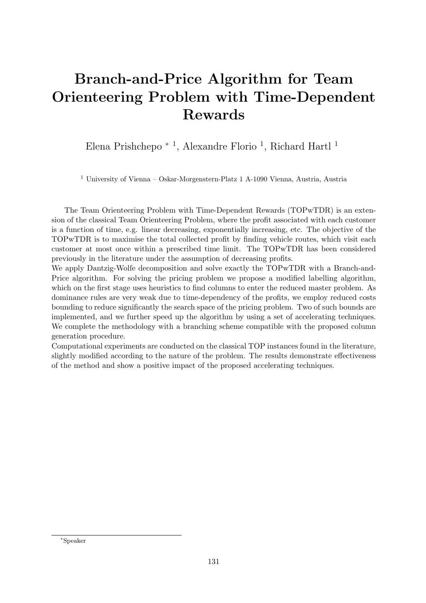# Branch-and-Price Algorithm for Team Orienteering Problem with Time-Dependent Rewards

Elena Prishchepo <sup>\* 1</sup>, Alexandre Florio <sup>1</sup>, Richard Hartl <sup>1</sup>

<sup>1</sup> University of Vienna – Oskar-Morgenstern-Platz 1 A-1090 Vienna, Austria, Austria

The Team Orienteering Problem with Time-Dependent Rewards (TOPwTDR) is an extension of the classical Team Orienteering Problem, where the profit associated with each customer is a function of time, e.g. linear decreasing, exponentially increasing, etc. The objective of the TOPwTDR is to maximise the total collected profit by finding vehicle routes, which visit each customer at most once within a prescribed time limit. The TOPwTDR has been considered previously in the literature under the assumption of decreasing profits.

We apply Dantzig-Wolfe decomposition and solve exactly the TOPwTDR with a Branch-and-Price algorithm. For solving the pricing problem we propose a modified labelling algorithm, which on the first stage uses heuristics to find columns to enter the reduced master problem. As dominance rules are very weak due to time-dependency of the profits, we employ reduced costs bounding to reduce significantly the search space of the pricing problem. Two of such bounds are implemented, and we further speed up the algorithm by using a set of accelerating techniques. We complete the methodology with a branching scheme compatible with the proposed column generation procedure.

Computational experiments are conducted on the classical TOP instances found in the literature, slightly modified according to the nature of the problem. The results demonstrate effectiveness of the method and show a positive impact of the proposed accelerating techniques.

<sup>∗</sup>Speaker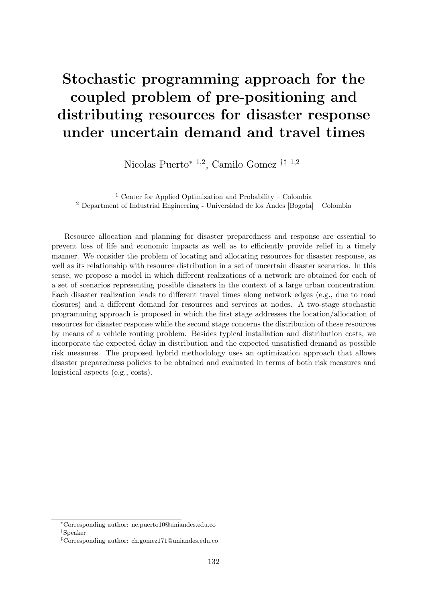# Stochastic programming approach for the coupled problem of pre-positioning and distributing resources for disaster response under uncertain demand and travel times

Nicolas Puerto<sup>∗</sup> <sup>1</sup>,<sup>2</sup> , Camilo Gomez †‡ <sup>1</sup>,<sup>2</sup>

<sup>1</sup> Center for Applied Optimization and Probability – Colombia <sup>2</sup> Department of Industrial Engineering - Universidad de los Andes [Bogota] – Colombia

Resource allocation and planning for disaster preparedness and response are essential to prevent loss of life and economic impacts as well as to efficiently provide relief in a timely manner. We consider the problem of locating and allocating resources for disaster response, as well as its relationship with resource distribution in a set of uncertain disaster scenarios. In this sense, we propose a model in which different realizations of a network are obtained for each of a set of scenarios representing possible disasters in the context of a large urban concentration. Each disaster realization leads to different travel times along network edges (e.g., due to road closures) and a different demand for resources and services at nodes. A two-stage stochastic programming approach is proposed in which the first stage addresses the location/allocation of resources for disaster response while the second stage concerns the distribution of these resources by means of a vehicle routing problem. Besides typical installation and distribution costs, we incorporate the expected delay in distribution and the expected unsatisfied demand as possible risk measures. The proposed hybrid methodology uses an optimization approach that allows disaster preparedness policies to be obtained and evaluated in terms of both risk measures and logistical aspects (e.g., costs).

<sup>∗</sup>Corresponding author: [ne.puerto10@uniandes.edu.co](mailto:ne.puerto10@uniandes.edu.co) †Speaker

<sup>‡</sup>Corresponding author: [ch.gomez171@uniandes.edu.co](mailto:ch.gomez171@uniandes.edu.co)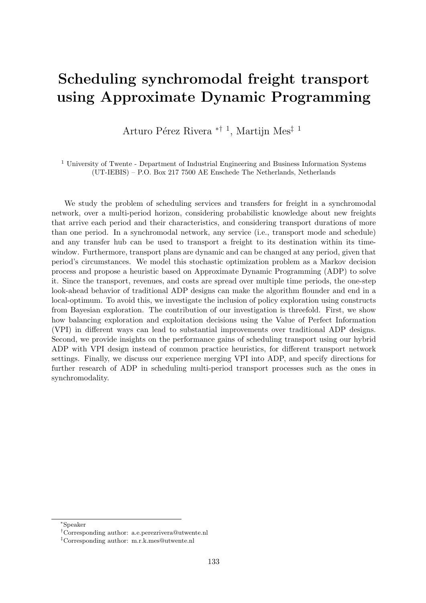#### Scheduling synchromodal freight transport using Approximate Dynamic Programming

Arturo Pérez Rivera <sup>∗† 1</sup>, Martijn Mes<sup>‡ 1</sup>

<sup>1</sup> University of Twente - Department of Industrial Engineering and Business Information Systems (UT-IEBIS) – P.O. Box 217 7500 AE Enschede The Netherlands, Netherlands

We study the problem of scheduling services and transfers for freight in a synchromodal network, over a multi-period horizon, considering probabilistic knowledge about new freights that arrive each period and their characteristics, and considering transport durations of more than one period. In a synchromodal network, any service (i.e., transport mode and schedule) and any transfer hub can be used to transport a freight to its destination within its timewindow. Furthermore, transport plans are dynamic and can be changed at any period, given that period's circumstances. We model this stochastic optimization problem as a Markov decision process and propose a heuristic based on Approximate Dynamic Programming (ADP) to solve it. Since the transport, revenues, and costs are spread over multiple time periods, the one-step look-ahead behavior of traditional ADP designs can make the algorithm flounder and end in a local-optimum. To avoid this, we investigate the inclusion of policy exploration using constructs from Bayesian exploration. The contribution of our investigation is threefold. First, we show how balancing exploration and exploitation decisions using the Value of Perfect Information (VPI) in different ways can lead to substantial improvements over traditional ADP designs. Second, we provide insights on the performance gains of scheduling transport using our hybrid ADP with VPI design instead of common practice heuristics, for different transport network settings. Finally, we discuss our experience merging VPI into ADP, and specify directions for further research of ADP in scheduling multi-period transport processes such as the ones in synchromodality.

<sup>∗</sup>Speaker

<sup>†</sup>Corresponding author: [a.e.perezrivera@utwente.nl](mailto:a.e.perezrivera@utwente.nl)

<sup>‡</sup>Corresponding author: [m.r.k.mes@utwente.nl](mailto:m.r.k.mes@utwente.nl)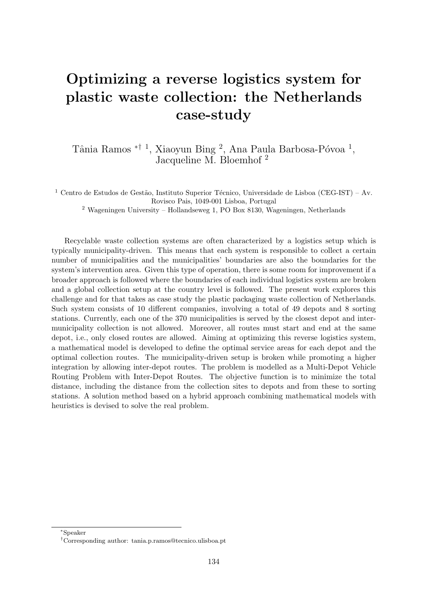# Optimizing a reverse logistics system for plastic waste collection: the Netherlands case-study

Tânia Ramos <sup>\*† 1</sup>, Xiaoyun Bing <sup>2</sup>, Ana Paula Barbosa-Póvoa <sup>1</sup>, Jacqueline M. Bloemhof <sup>2</sup>

<sup>1</sup> Centro de Estudos de Gestão, Instituto Superior Técnico, Universidade de Lisboa (CEG-IST) – Av. Rovisco Pais, 1049-001 Lisboa, Portugal

<sup>2</sup> Wageningen University – Hollandseweg 1, PO Box 8130, Wageningen, Netherlands

Recyclable waste collection systems are often characterized by a logistics setup which is typically municipality-driven. This means that each system is responsible to collect a certain number of municipalities and the municipalities' boundaries are also the boundaries for the system's intervention area. Given this type of operation, there is some room for improvement if a broader approach is followed where the boundaries of each individual logistics system are broken and a global collection setup at the country level is followed. The present work explores this challenge and for that takes as case study the plastic packaging waste collection of Netherlands. Such system consists of 10 different companies, involving a total of 49 depots and 8 sorting stations. Currently, each one of the 370 municipalities is served by the closest depot and intermunicipality collection is not allowed. Moreover, all routes must start and end at the same depot, i.e., only closed routes are allowed. Aiming at optimizing this reverse logistics system, a mathematical model is developed to define the optimal service areas for each depot and the optimal collection routes. The municipality-driven setup is broken while promoting a higher integration by allowing inter-depot routes. The problem is modelled as a Multi-Depot Vehicle Routing Problem with Inter-Depot Routes. The objective function is to minimize the total distance, including the distance from the collection sites to depots and from these to sorting stations. A solution method based on a hybrid approach combining mathematical models with heuristics is devised to solve the real problem.

<sup>∗</sup>Speaker

<sup>†</sup>Corresponding author: [tania.p.ramos@tecnico.ulisboa.pt](mailto:tania.p.ramos@tecnico.ulisboa.pt)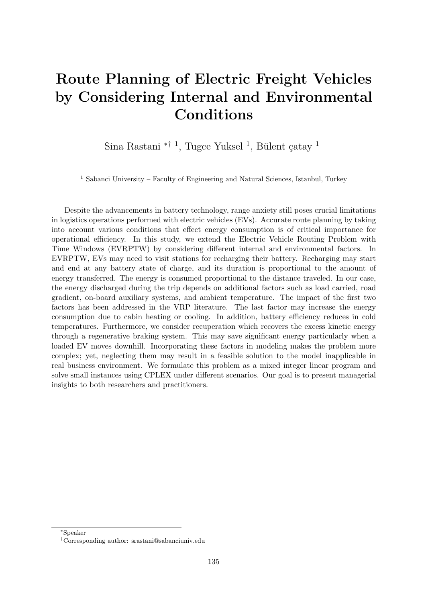# Route Planning of Electric Freight Vehicles by Considering Internal and Environmental Conditions

Sina Rastani <sup>\*† 1</sup>, Tugce Yuksel<sup>1</sup>, Bülent çatay<sup>1</sup>

<sup>1</sup> Sabanci University – Faculty of Engineering and Natural Sciences, Istanbul, Turkey

Despite the advancements in battery technology, range anxiety still poses crucial limitations in logistics operations performed with electric vehicles (EVs). Accurate route planning by taking into account various conditions that effect energy consumption is of critical importance for operational efficiency. In this study, we extend the Electric Vehicle Routing Problem with Time Windows (EVRPTW) by considering different internal and environmental factors. In EVRPTW, EVs may need to visit stations for recharging their battery. Recharging may start and end at any battery state of charge, and its duration is proportional to the amount of energy transferred. The energy is consumed proportional to the distance traveled. In our case, the energy discharged during the trip depends on additional factors such as load carried, road gradient, on-board auxiliary systems, and ambient temperature. The impact of the first two factors has been addressed in the VRP literature. The last factor may increase the energy consumption due to cabin heating or cooling. In addition, battery efficiency reduces in cold temperatures. Furthermore, we consider recuperation which recovers the excess kinetic energy through a regenerative braking system. This may save significant energy particularly when a loaded EV moves downhill. Incorporating these factors in modeling makes the problem more complex; yet, neglecting them may result in a feasible solution to the model inapplicable in real business environment. We formulate this problem as a mixed integer linear program and solve small instances using CPLEX under different scenarios. Our goal is to present managerial insights to both researchers and practitioners.

<sup>∗</sup>Speaker

<sup>†</sup>Corresponding author: [srastani@sabanciuniv.edu](mailto:srastani@sabanciuniv.edu)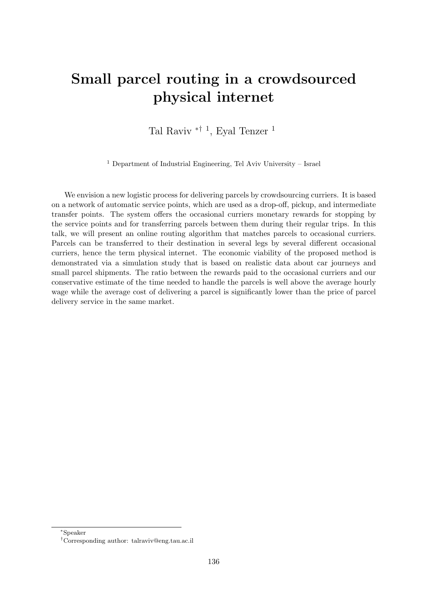# Small parcel routing in a crowdsourced physical internet

Tal Raviv<sup>\*† 1</sup>, Eyal Tenzer<sup>1</sup>

<sup>1</sup> Department of Industrial Engineering, Tel Aviv University – Israel

We envision a new logistic process for delivering parcels by crowdsourcing curriers. It is based on a network of automatic service points, which are used as a drop-off, pickup, and intermediate transfer points. The system offers the occasional curriers monetary rewards for stopping by the service points and for transferring parcels between them during their regular trips. In this talk, we will present an online routing algorithm that matches parcels to occasional curriers. Parcels can be transferred to their destination in several legs by several different occasional curriers, hence the term physical internet. The economic viability of the proposed method is demonstrated via a simulation study that is based on realistic data about car journeys and small parcel shipments. The ratio between the rewards paid to the occasional curriers and our conservative estimate of the time needed to handle the parcels is well above the average hourly wage while the average cost of delivering a parcel is significantly lower than the price of parcel delivery service in the same market.

<sup>∗</sup>Speaker

<sup>†</sup>Corresponding author: [talraviv@eng.tau.ac.il](mailto:talraviv@eng.tau.ac.il)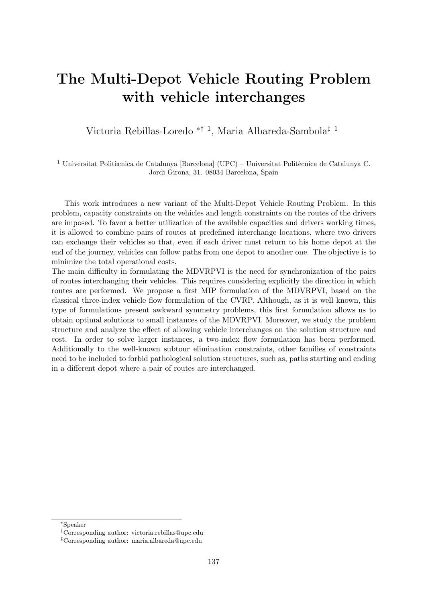# The Multi-Depot Vehicle Routing Problem with vehicle interchanges

Victoria Rebillas-Loredo ∗† <sup>1</sup> , Maria Albareda-Sambola‡ <sup>1</sup>

 $^1$ Universitat Politècnica de Catalunya <br/> [Barcelona] (UPC) – Universitat Politècnica de Catalunya C. Jordi Girona, 31. 08034 Barcelona, Spain

This work introduces a new variant of the Multi-Depot Vehicle Routing Problem. In this problem, capacity constraints on the vehicles and length constraints on the routes of the drivers are imposed. To favor a better utilization of the available capacities and drivers working times, it is allowed to combine pairs of routes at predefined interchange locations, where two drivers can exchange their vehicles so that, even if each driver must return to his home depot at the end of the journey, vehicles can follow paths from one depot to another one. The objective is to minimize the total operational costs.

The main difficulty in formulating the MDVRPVI is the need for synchronization of the pairs of routes interchanging their vehicles. This requires considering explicitly the direction in which routes are performed. We propose a first MIP formulation of the MDVRPVI, based on the classical three-index vehicle flow formulation of the CVRP. Although, as it is well known, this type of formulations present awkward symmetry problems, this first formulation allows us to obtain optimal solutions to small instances of the MDVRPVI. Moreover, we study the problem structure and analyze the effect of allowing vehicle interchanges on the solution structure and cost. In order to solve larger instances, a two-index flow formulation has been performed. Additionally to the well-known subtour elimination constraints, other families of constraints need to be included to forbid pathological solution structures, such as, paths starting and ending in a different depot where a pair of routes are interchanged.

<sup>∗</sup>Speaker

<sup>†</sup>Corresponding author: [victoria.rebillas@upc.edu](mailto:victoria.rebillas@upc.edu)

<sup>‡</sup>Corresponding author: [maria.albareda@upc.edu](mailto:maria.albareda@upc.edu)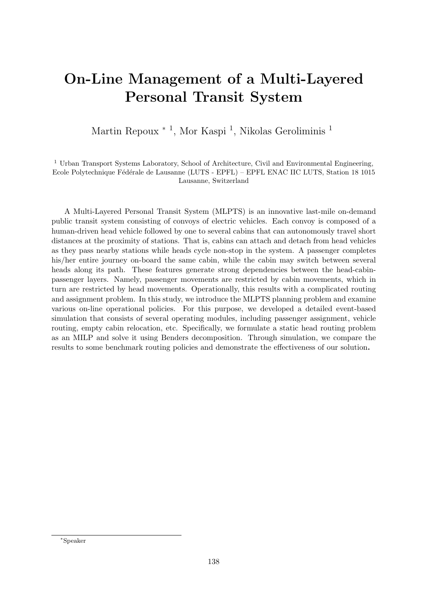# On-Line Management of a Multi-Layered Personal Transit System

Martin Repoux <sup>\*</sup><sup>1</sup>, Mor Kaspi<sup>1</sup>, Nikolas Geroliminis<sup>1</sup>

#### <sup>1</sup> Urban Transport Systems Laboratory, School of Architecture, Civil and Environmental Engineering, Ecole Polytechnique Fédérale de Lausanne (LUTS - EPFL) – EPFL ENAC IIC LUTS, Station 18 1015 Lausanne, Switzerland

A Multi-Layered Personal Transit System (MLPTS) is an innovative last-mile on-demand public transit system consisting of convoys of electric vehicles. Each convoy is composed of a human-driven head vehicle followed by one to several cabins that can autonomously travel short distances at the proximity of stations. That is, cabins can attach and detach from head vehicles as they pass nearby stations while heads cycle non-stop in the system. A passenger completes his/her entire journey on-board the same cabin, while the cabin may switch between several heads along its path. These features generate strong dependencies between the head-cabinpassenger layers. Namely, passenger movements are restricted by cabin movements, which in turn are restricted by head movements. Operationally, this results with a complicated routing and assignment problem. In this study, we introduce the MLPTS planning problem and examine various on-line operational policies. For this purpose, we developed a detailed event-based simulation that consists of several operating modules, including passenger assignment, vehicle routing, empty cabin relocation, etc. Specifically, we formulate a static head routing problem as an MILP and solve it using Benders decomposition. Through simulation, we compare the results to some benchmark routing policies and demonstrate the effectiveness of our solution.

<sup>∗</sup>Speaker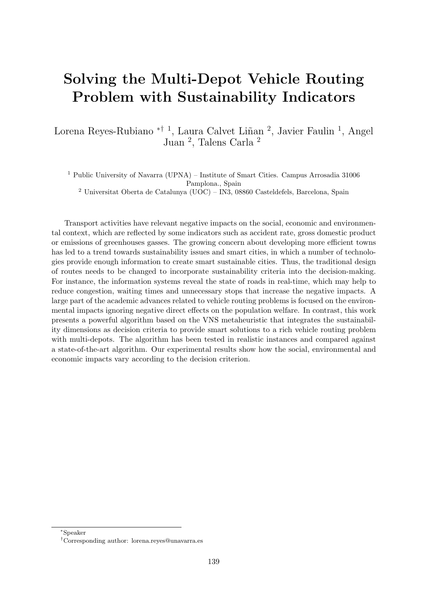# Solving the Multi-Depot Vehicle Routing Problem with Sustainability Indicators

Lorena Reyes-Rubiano <sup>\*† 1</sup>, Laura Calvet Liñan<sup>2</sup>, Javier Faulin<sup>1</sup>, Angel Juan <sup>2</sup> , Talens Carla <sup>2</sup>

<sup>1</sup> Public University of Navarra (UPNA) – Institute of Smart Cities. Campus Arrosadia 31006 Pamplona., Spain  $^2$ Universitat Oberta de Catalunya (UOC) – IN3, 08860 Casteldefels, Barcelona, Spain

Transport activities have relevant negative impacts on the social, economic and environmental context, which are reflected by some indicators such as accident rate, gross domestic product or emissions of greenhouses gasses. The growing concern about developing more efficient towns has led to a trend towards sustainability issues and smart cities, in which a number of technologies provide enough information to create smart sustainable cities. Thus, the traditional design of routes needs to be changed to incorporate sustainability criteria into the decision-making. For instance, the information systems reveal the state of roads in real-time, which may help to reduce congestion, waiting times and unnecessary stops that increase the negative impacts. A large part of the academic advances related to vehicle routing problems is focused on the environmental impacts ignoring negative direct effects on the population welfare. In contrast, this work presents a powerful algorithm based on the VNS metaheuristic that integrates the sustainability dimensions as decision criteria to provide smart solutions to a rich vehicle routing problem with multi-depots. The algorithm has been tested in realistic instances and compared against a state-of-the-art algorithm. Our experimental results show how the social, environmental and economic impacts vary according to the decision criterion.

<sup>∗</sup>Speaker

<sup>†</sup>Corresponding author: [lorena.reyes@unavarra.es](mailto:lorena.reyes@unavarra.es)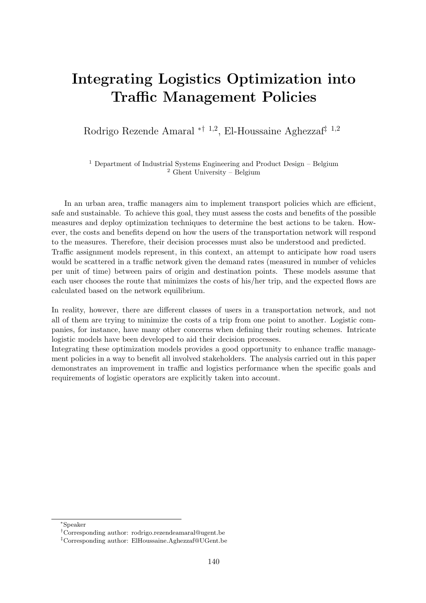#### Integrating Logistics Optimization into Traffic Management Policies

Rodrigo Rezende Amaral <sup>\*† 1,2</sup>, El-Houssaine Aghezzaf<sup>‡ 1,2</sup>

<sup>1</sup> Department of Industrial Systems Engineering and Product Design – Belgium <sup>2</sup> Ghent University – Belgium

In an urban area, traffic managers aim to implement transport policies which are efficient, safe and sustainable. To achieve this goal, they must assess the costs and benefits of the possible measures and deploy optimization techniques to determine the best actions to be taken. However, the costs and benefits depend on how the users of the transportation network will respond to the measures. Therefore, their decision processes must also be understood and predicted. Traffic assignment models represent, in this context, an attempt to anticipate how road users would be scattered in a traffic network given the demand rates (measured in number of vehicles per unit of time) between pairs of origin and destination points. These models assume that each user chooses the route that minimizes the costs of his/her trip, and the expected flows are calculated based on the network equilibrium.

In reality, however, there are different classes of users in a transportation network, and not all of them are trying to minimize the costs of a trip from one point to another. Logistic companies, for instance, have many other concerns when defining their routing schemes. Intricate logistic models have been developed to aid their decision processes.

Integrating these optimization models provides a good opportunity to enhance traffic management policies in a way to benefit all involved stakeholders. The analysis carried out in this paper demonstrates an improvement in traffic and logistics performance when the specific goals and requirements of logistic operators are explicitly taken into account.

<sup>∗</sup>Speaker

<sup>†</sup>Corresponding author: [rodrigo.rezendeamaral@ugent.be](mailto:rodrigo.rezendeamaral@ugent.be)

<sup>‡</sup>Corresponding author: [ElHoussaine.Aghezzaf@UGent.be](mailto:ElHoussaine.Aghezzaf@UGent.be)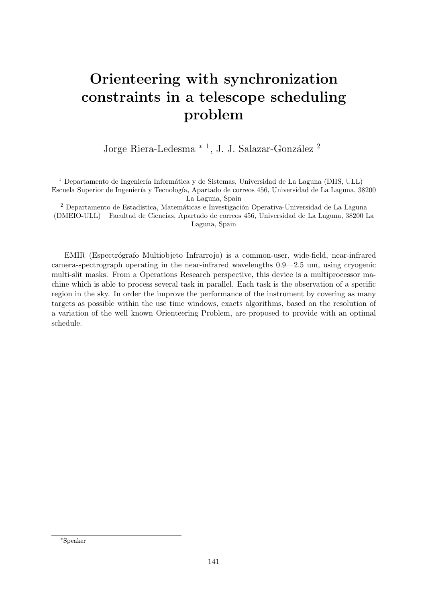# Orienteering with synchronization constraints in a telescope scheduling problem

Jorge Riera-Ledesma <sup>\* 1</sup>, J. J. Salazar-González <sup>2</sup>

 $^1$  Departamento de Ingeniería Informática y de Sistemas, Universidad de La Laguna (DIIS, ULL) – Escuela Superior de Ingeniería y Tecnología, Apartado de correos 456, Universidad de La Laguna, 38200 La Laguna, Spain

 $^2$  Departamento de Estadística, Matemáticas e Investigación Operativa-Universidad de La Laguna (DMEIO-ULL) – Facultad de Ciencias, Apartado de correos 456, Universidad de La Laguna, 38200 La Laguna, Spain

EMIR (Espectrógrafo Multiobjeto Infrarrojo) is a common-user, wide-field, near-infrared camera-spectrograph operating in the near-infrared wavelengths 0.9—2.5 um, using cryogenic multi-slit masks. From a Operations Research perspective, this device is a multiprocessor machine which is able to process several task in parallel. Each task is the observation of a specific region in the sky. In order the improve the performance of the instrument by covering as many targets as possible within the use time windows, exacts algorithms, based on the resolution of a variation of the well known Orienteering Problem, are proposed to provide with an optimal schedule.

<sup>∗</sup>Speaker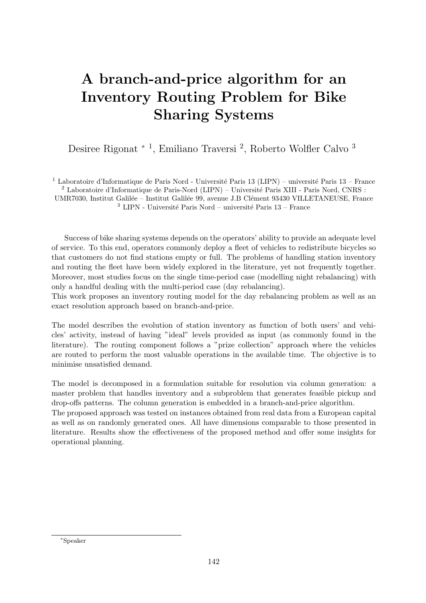# A branch-and-price algorithm for an Inventory Routing Problem for Bike Sharing Systems

Desiree Rigonat<sup>\*1</sup>, Emiliano Traversi<sup>2</sup>, Roberto Wolfler Calvo<sup>3</sup>

<sup>1</sup> Laboratoire d'Informatique de Paris Nord - Université Paris 13 (LIPN) – université Paris 13 – France  $2$  Laboratoire d'Informatique de Paris-Nord (LIPN) – Université Paris XIII - Paris Nord, CNRS : UMR7030, Institut Galilée – Institut Galilée 99, avenue J.B Clément 93430 VILLETANEUSE, France  $^3$  LIPN - Université Paris Nord – université Paris 13 – France

Success of bike sharing systems depends on the operators' ability to provide an adequate level of service. To this end, operators commonly deploy a fleet of vehicles to redistribute bicycles so that customers do not find stations empty or full. The problems of handling station inventory and routing the fleet have been widely explored in the literature, yet not frequently together. Moreover, most studies focus on the single time-period case (modelling night rebalancing) with only a handful dealing with the multi-period case (day rebalancing).

This work proposes an inventory routing model for the day rebalancing problem as well as an exact resolution approach based on branch-and-price.

The model describes the evolution of station inventory as function of both users' and vehicles' activity, instead of having "ideal" levels provided as input (as commonly found in the literature). The routing component follows a "prize collection" approach where the vehicles are routed to perform the most valuable operations in the available time. The objective is to minimise unsatisfied demand.

The model is decomposed in a formulation suitable for resolution via column generation: a master problem that handles inventory and a subproblem that generates feasible pickup and drop-offs patterns. The column generation is embedded in a branch-and-price algorithm.

The proposed approach was tested on instances obtained from real data from a European capital as well as on randomly generated ones. All have dimensions comparable to those presented in literature. Results show the effectiveness of the proposed method and offer some insights for operational planning.

<sup>∗</sup>Speaker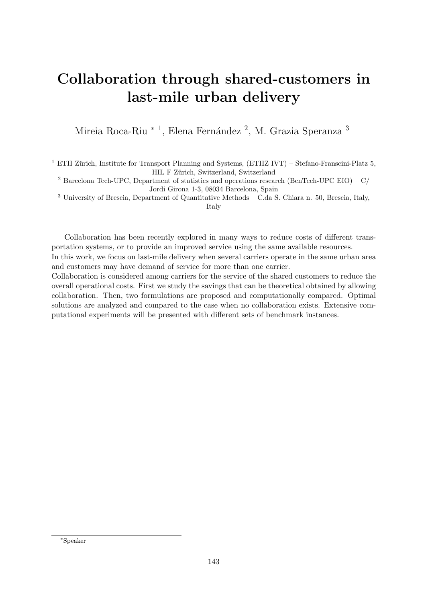# Collaboration through shared-customers in last-mile urban delivery

Mireia Roca-Riu \* <sup>1</sup>, Elena Fernández <sup>2</sup>, M. Grazia Speranza <sup>3</sup>

<sup>1</sup> ETH Zürich, Institute for Transport Planning and Systems, (ETHZ IVT) – Stefano-Franscini-Platz 5, HIL F Zürich, Switzerland, Switzerland

<sup>2</sup> Barcelona Tech-UPC, Department of statistics and operations research (BcnTech-UPC EIO) –  $C/$ Jordi Girona 1-3, 08034 Barcelona, Spain

<sup>3</sup> University of Brescia, Department of Quantitative Methods – C.da S. Chiara n. 50, Brescia, Italy,

Italy

Collaboration has been recently explored in many ways to reduce costs of different transportation systems, or to provide an improved service using the same available resources.

In this work, we focus on last-mile delivery when several carriers operate in the same urban area and customers may have demand of service for more than one carrier.

Collaboration is considered among carriers for the service of the shared customers to reduce the overall operational costs. First we study the savings that can be theoretical obtained by allowing collaboration. Then, two formulations are proposed and computationally compared. Optimal solutions are analyzed and compared to the case when no collaboration exists. Extensive computational experiments will be presented with different sets of benchmark instances.

<sup>∗</sup>Speaker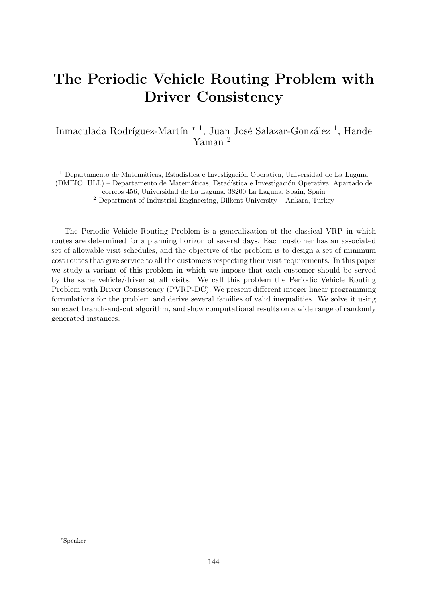# The Periodic Vehicle Routing Problem with Driver Consistency

#### Inmaculada Rodríguez-Martín <sup>\* 1</sup>, Juan José Salazar-González <sup>1</sup>, Hande Yaman <sup>2</sup>

<sup>1</sup> Departamento de Matemáticas, Estadística e Investigación Operativa, Universidad de La Laguna (DMEIO, ULL) – Departamento de Matemáticas, Estadística e Investigación Operativa, Apartado de

correos 456, Universidad de La Laguna, 38200 La Laguna, Spain, Spain

 $2$  Department of Industrial Engineering, Bilkent University – Ankara, Turkey

The Periodic Vehicle Routing Problem is a generalization of the classical VRP in which routes are determined for a planning horizon of several days. Each customer has an associated set of allowable visit schedules, and the objective of the problem is to design a set of minimum cost routes that give service to all the customers respecting their visit requirements. In this paper we study a variant of this problem in which we impose that each customer should be served by the same vehicle/driver at all visits. We call this problem the Periodic Vehicle Routing Problem with Driver Consistency (PVRP-DC). We present different integer linear programming formulations for the problem and derive several families of valid inequalities. We solve it using an exact branch-and-cut algorithm, and show computational results on a wide range of randomly generated instances.

<sup>∗</sup>Speaker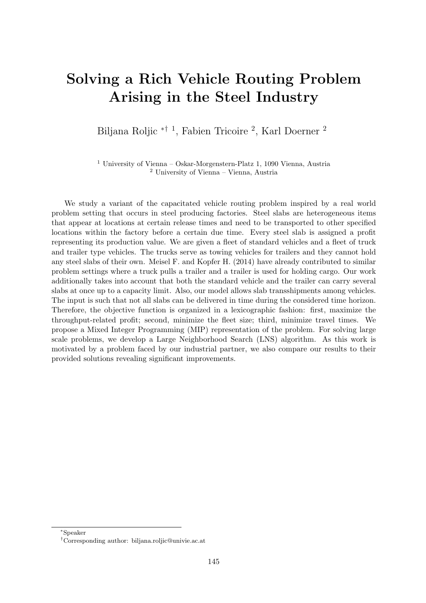#### Solving a Rich Vehicle Routing Problem Arising in the Steel Industry

Biljana Roljic <sup>\*† 1</sup>, Fabien Tricoire <sup>2</sup>, Karl Doerner <sup>2</sup>

<sup>1</sup> University of Vienna – Oskar-Morgenstern-Platz 1, 1090 Vienna, Austria <sup>2</sup> University of Vienna – Vienna, Austria

We study a variant of the capacitated vehicle routing problem inspired by a real world problem setting that occurs in steel producing factories. Steel slabs are heterogeneous items that appear at locations at certain release times and need to be transported to other specified locations within the factory before a certain due time. Every steel slab is assigned a profit representing its production value. We are given a fleet of standard vehicles and a fleet of truck and trailer type vehicles. The trucks serve as towing vehicles for trailers and they cannot hold any steel slabs of their own. Meisel F. and Kopfer H. (2014) have already contributed to similar problem settings where a truck pulls a trailer and a trailer is used for holding cargo. Our work additionally takes into account that both the standard vehicle and the trailer can carry several slabs at once up to a capacity limit. Also, our model allows slab transshipments among vehicles. The input is such that not all slabs can be delivered in time during the considered time horizon. Therefore, the objective function is organized in a lexicographic fashion: first, maximize the throughput-related profit; second, minimize the fleet size; third, minimize travel times. We propose a Mixed Integer Programming (MIP) representation of the problem. For solving large scale problems, we develop a Large Neighborhood Search (LNS) algorithm. As this work is motivated by a problem faced by our industrial partner, we also compare our results to their provided solutions revealing significant improvements.

<sup>∗</sup>Speaker

<sup>†</sup>Corresponding author: [biljana.roljic@univie.ac.at](mailto:biljana.roljic@univie.ac.at)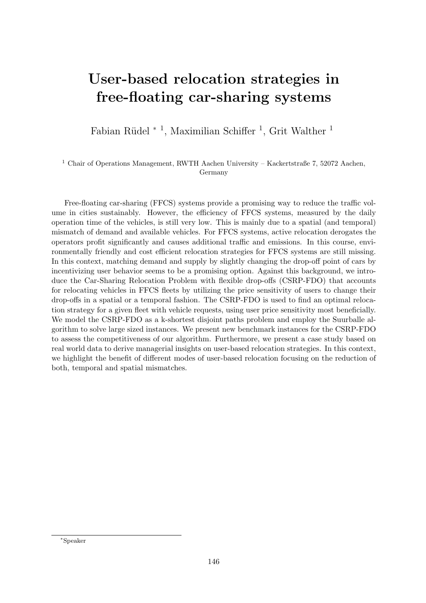### User-based relocation strategies in free-floating car-sharing systems

Fabian Rüdel<sup>\*</sup><sup>1</sup>, Maximilian Schiffer<sup>1</sup>, Grit Walther<sup>1</sup>

 $^{\rm 1}$  Chair of Operations Management, RWTH Aachen University – Kackertstraße 7, 52072 Aachen, Germany

Free-floating car-sharing (FFCS) systems provide a promising way to reduce the traffic volume in cities sustainably. However, the efficiency of FFCS systems, measured by the daily operation time of the vehicles, is still very low. This is mainly due to a spatial (and temporal) mismatch of demand and available vehicles. For FFCS systems, active relocation derogates the operators profit significantly and causes additional traffic and emissions. In this course, environmentally friendly and cost efficient relocation strategies for FFCS systems are still missing. In this context, matching demand and supply by slightly changing the drop-off point of cars by incentivizing user behavior seems to be a promising option. Against this background, we introduce the Car-Sharing Relocation Problem with flexible drop-offs (CSRP-FDO) that accounts for relocating vehicles in FFCS fleets by utilizing the price sensitivity of users to change their drop-offs in a spatial or a temporal fashion. The CSRP-FDO is used to find an optimal relocation strategy for a given fleet with vehicle requests, using user price sensitivity most beneficially. We model the CSRP-FDO as a k-shortest disjoint paths problem and employ the Suurballe algorithm to solve large sized instances. We present new benchmark instances for the CSRP-FDO to assess the competitiveness of our algorithm. Furthermore, we present a case study based on real world data to derive managerial insights on user-based relocation strategies. In this context, we highlight the benefit of different modes of user-based relocation focusing on the reduction of both, temporal and spatial mismatches.

<sup>∗</sup>Speaker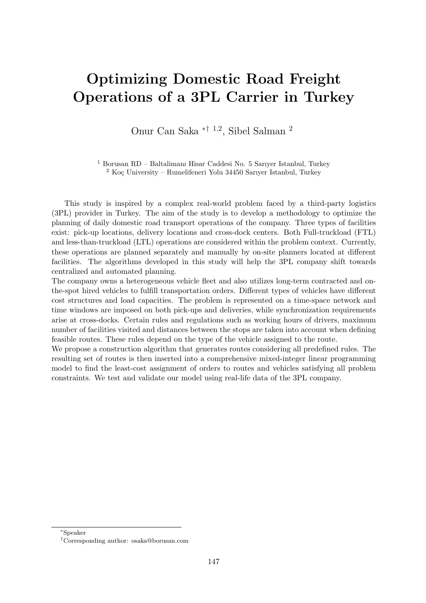#### Optimizing Domestic Road Freight Operations of a 3PL Carrier in Turkey

Onur Can Saka ∗† <sup>1</sup>,<sup>2</sup> , Sibel Salman <sup>2</sup>

<sup>1</sup> Borusan RD – Baltalimanı Hisar Caddesi No. 5 Sarıyer Istanbul, Turkey  $2$  Koç University – Rumelifeneri Yolu 34450 Sarıyer Istanbul, Turkey

This study is inspired by a complex real-world problem faced by a third-party logistics (3PL) provider in Turkey. The aim of the study is to develop a methodology to optimize the planning of daily domestic road transport operations of the company. Three types of facilities exist: pick-up locations, delivery locations and cross-dock centers. Both Full-truckload (FTL) and less-than-truckload (LTL) operations are considered within the problem context. Currently, these operations are planned separately and manually by on-site planners located at different facilities. The algorithms developed in this study will help the 3PL company shift towards centralized and automated planning.

The company owns a heterogeneous vehicle fleet and also utilizes long-term contracted and onthe-spot hired vehicles to fulfill transportation orders. Different types of vehicles have different cost structures and load capacities. The problem is represented on a time-space network and time windows are imposed on both pick-ups and deliveries, while synchronization requirements arise at cross-docks. Certain rules and regulations such as working hours of drivers, maximum number of facilities visited and distances between the stops are taken into account when defining feasible routes. These rules depend on the type of the vehicle assigned to the route.

We propose a construction algorithm that generates routes considering all predefined rules. The resulting set of routes is then inserted into a comprehensive mixed-integer linear programming model to find the least-cost assignment of orders to routes and vehicles satisfying all problem constraints. We test and validate our model using real-life data of the 3PL company.

<sup>∗</sup>Speaker

<sup>†</sup>Corresponding author: [osaka@borusan.com](mailto:osaka@borusan.com)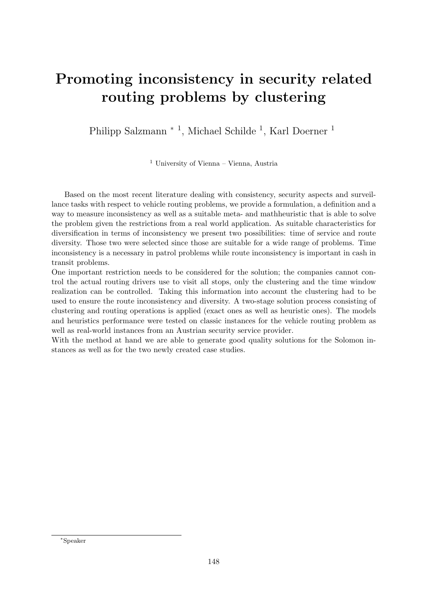# Promoting inconsistency in security related routing problems by clustering

Philipp Salzmann<sup>\* 1</sup>, Michael Schilde <sup>1</sup>, Karl Doerner <sup>1</sup>

<sup>1</sup> University of Vienna – Vienna, Austria

Based on the most recent literature dealing with consistency, security aspects and surveillance tasks with respect to vehicle routing problems, we provide a formulation, a definition and a way to measure inconsistency as well as a suitable meta- and mathheuristic that is able to solve the problem given the restrictions from a real world application. As suitable characteristics for diversification in terms of inconsistency we present two possibilities: time of service and route diversity. Those two were selected since those are suitable for a wide range of problems. Time inconsistency is a necessary in patrol problems while route inconsistency is important in cash in transit problems.

One important restriction needs to be considered for the solution; the companies cannot control the actual routing drivers use to visit all stops, only the clustering and the time window realization can be controlled. Taking this information into account the clustering had to be used to ensure the route inconsistency and diversity. A two-stage solution process consisting of clustering and routing operations is applied (exact ones as well as heuristic ones). The models and heuristics performance were tested on classic instances for the vehicle routing problem as well as real-world instances from an Austrian security service provider.

With the method at hand we are able to generate good quality solutions for the Solomon instances as well as for the two newly created case studies.

<sup>∗</sup>Speaker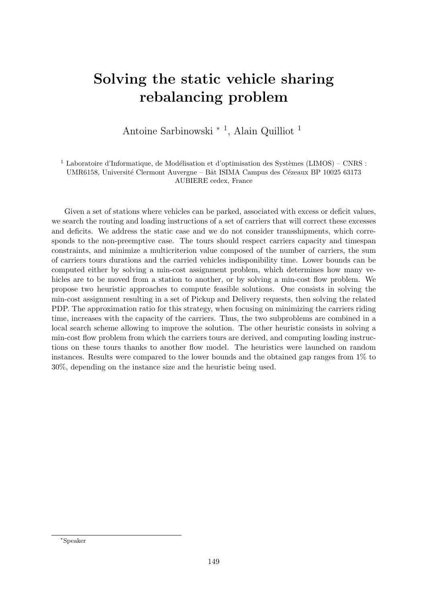# Solving the static vehicle sharing rebalancing problem

Antoine Sarbinowski <sup>∗</sup> <sup>1</sup> , Alain Quilliot <sup>1</sup>

<sup>1</sup> Laboratoire d'Informatique, de Modélisation et d'optimisation des Systèmes (LIMOS) – CNRS : UMR6158, Université Clermont Auvergne – Bât ISIMA Campus des Cézeaux BP 10025 63173 AUBIERE cedex, France

Given a set of stations where vehicles can be parked, associated with excess or deficit values, we search the routing and loading instructions of a set of carriers that will correct these excesses and deficits. We address the static case and we do not consider transshipments, which corresponds to the non-preemptive case. The tours should respect carriers capacity and timespan constraints, and minimize a multicriterion value composed of the number of carriers, the sum of carriers tours durations and the carried vehicles indisponibility time. Lower bounds can be computed either by solving a min-cost assignment problem, which determines how many vehicles are to be moved from a station to another, or by solving a min-cost flow problem. We propose two heuristic approaches to compute feasible solutions. One consists in solving the min-cost assignment resulting in a set of Pickup and Delivery requests, then solving the related PDP. The approximation ratio for this strategy, when focusing on minimizing the carriers riding time, increases with the capacity of the carriers. Thus, the two subproblems are combined in a local search scheme allowing to improve the solution. The other heuristic consists in solving a min-cost flow problem from which the carriers tours are derived, and computing loading instructions on these tours thanks to another flow model. The heuristics were launched on random instances. Results were compared to the lower bounds and the obtained gap ranges from 1% to 30%, depending on the instance size and the heuristic being used.

<sup>∗</sup>Speaker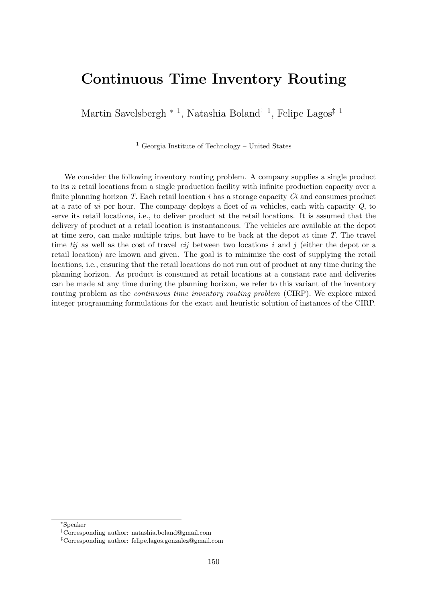#### Continuous Time Inventory Routing

Martin Savelsbergh<sup>\*</sup><sup>1</sup>, Natashia Boland<sup>†</sup><sup>1</sup>, Felipe Lagos<sup>‡ 1</sup>

<sup>1</sup> Georgia Institute of Technology – United States

We consider the following inventory routing problem. A company supplies a single product to its n retail locations from a single production facility with infinite production capacity over a finite planning horizon T. Each retail location i has a storage capacity  $Ci$  and consumes product at a rate of ui per hour. The company deploys a fleet of m vehicles, each with capacity  $Q$ , to serve its retail locations, i.e., to deliver product at the retail locations. It is assumed that the delivery of product at a retail location is instantaneous. The vehicles are available at the depot at time zero, can make multiple trips, but have to be back at the depot at time T. The travel time tij as well as the cost of travel cij between two locations i and j (either the depot or a retail location) are known and given. The goal is to minimize the cost of supplying the retail locations, i.e., ensuring that the retail locations do not run out of product at any time during the planning horizon. As product is consumed at retail locations at a constant rate and deliveries can be made at any time during the planning horizon, we refer to this variant of the inventory routing problem as the continuous time inventory routing problem (CIRP). We explore mixed integer programming formulations for the exact and heuristic solution of instances of the CIRP.

<sup>∗</sup>Speaker

<sup>†</sup>Corresponding author: [natashia.boland@gmail.com](mailto:natashia.boland@gmail.com)

<sup>‡</sup>Corresponding author: [felipe.lagos.gonzalez@gmail.com](mailto:felipe.lagos.gonzalez@gmail.com)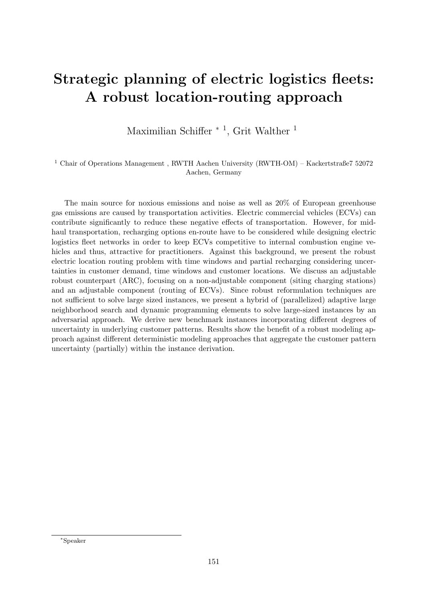# Strategic planning of electric logistics fleets: A robust location-routing approach

Maximilian Schiffer<sup>\*</sup><sup>1</sup>, Grit Walther<sup>1</sup>

 $^1$  Chair of Operations Management , RWTH Aachen University (RWTH-OM) – Kackertstraße $7\ 52072$ Aachen, Germany

The main source for noxious emissions and noise as well as 20% of European greenhouse gas emissions are caused by transportation activities. Electric commercial vehicles (ECVs) can contribute significantly to reduce these negative effects of transportation. However, for midhaul transportation, recharging options en-route have to be considered while designing electric logistics fleet networks in order to keep ECVs competitive to internal combustion engine vehicles and thus, attractive for practitioners. Against this background, we present the robust electric location routing problem with time windows and partial recharging considering uncertainties in customer demand, time windows and customer locations. We discuss an adjustable robust counterpart (ARC), focusing on a non-adjustable component (siting charging stations) and an adjustable component (routing of ECVs). Since robust reformulation techniques are not sufficient to solve large sized instances, we present a hybrid of (parallelized) adaptive large neighborhood search and dynamic programming elements to solve large-sized instances by an adversarial approach. We derive new benchmark instances incorporating different degrees of uncertainty in underlying customer patterns. Results show the benefit of a robust modeling approach against different deterministic modeling approaches that aggregate the customer pattern uncertainty (partially) within the instance derivation.

<sup>∗</sup>Speaker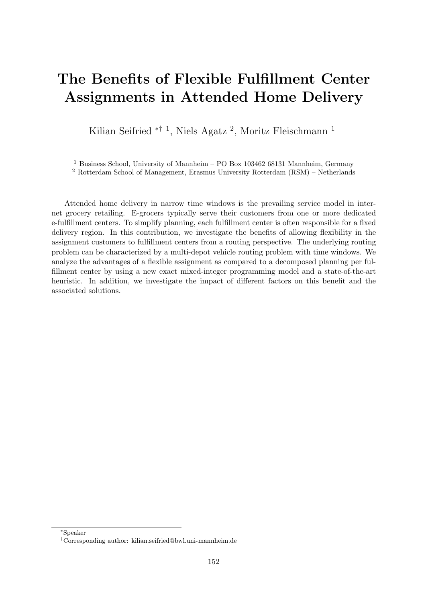# The Benefits of Flexible Fulfillment Center Assignments in Attended Home Delivery

Kilian Seifried <sup>\*† 1</sup>, Niels Agatz<sup>2</sup>, Moritz Fleischmann<sup>1</sup>

<sup>1</sup> Business School, University of Mannheim – PO Box 103462 68131 Mannheim, Germany

<sup>2</sup> Rotterdam School of Management, Erasmus University Rotterdam (RSM) – Netherlands

Attended home delivery in narrow time windows is the prevailing service model in internet grocery retailing. E-grocers typically serve their customers from one or more dedicated e-fulfillment centers. To simplify planning, each fulfillment center is often responsible for a fixed delivery region. In this contribution, we investigate the benefits of allowing flexibility in the assignment customers to fulfillment centers from a routing perspective. The underlying routing problem can be characterized by a multi-depot vehicle routing problem with time windows. We analyze the advantages of a flexible assignment as compared to a decomposed planning per fulfillment center by using a new exact mixed-integer programming model and a state-of-the-art heuristic. In addition, we investigate the impact of different factors on this benefit and the associated solutions.

<sup>∗</sup>Speaker

<sup>†</sup>Corresponding author: [kilian.seifried@bwl.uni-mannheim.de](mailto:kilian.seifried@bwl.uni-mannheim.de)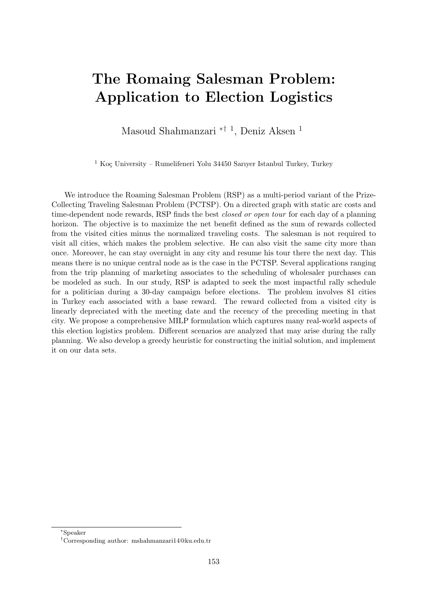#### The Romaing Salesman Problem: Application to Election Logistics

Masoud Shahmanzari <sup>\*† 1</sup>, Deniz Aksen <sup>1</sup>

 $1$  Koç University – Rumelifeneri Yolu 34450 Sarıyer Istanbul Turkey, Turkey

We introduce the Roaming Salesman Problem (RSP) as a multi-period variant of the Prize-Collecting Traveling Salesman Problem (PCTSP). On a directed graph with static arc costs and time-dependent node rewards, RSP finds the best *closed or open tour* for each day of a planning horizon. The objective is to maximize the net benefit defined as the sum of rewards collected from the visited cities minus the normalized traveling costs. The salesman is not required to visit all cities, which makes the problem selective. He can also visit the same city more than once. Moreover, he can stay overnight in any city and resume his tour there the next day. This means there is no unique central node as is the case in the PCTSP. Several applications ranging from the trip planning of marketing associates to the scheduling of wholesaler purchases can be modeled as such. In our study, RSP is adapted to seek the most impactful rally schedule for a politician during a 30-day campaign before elections. The problem involves 81 cities in Turkey each associated with a base reward. The reward collected from a visited city is linearly depreciated with the meeting date and the recency of the preceding meeting in that city. We propose a comprehensive MILP formulation which captures many real-world aspects of this election logistics problem. Different scenarios are analyzed that may arise during the rally planning. We also develop a greedy heuristic for constructing the initial solution, and implement it on our data sets.

<sup>∗</sup>Speaker

<sup>†</sup>Corresponding author: [mshahmanzari14@ku.edu.tr](mailto:mshahmanzari14@ku.edu.tr)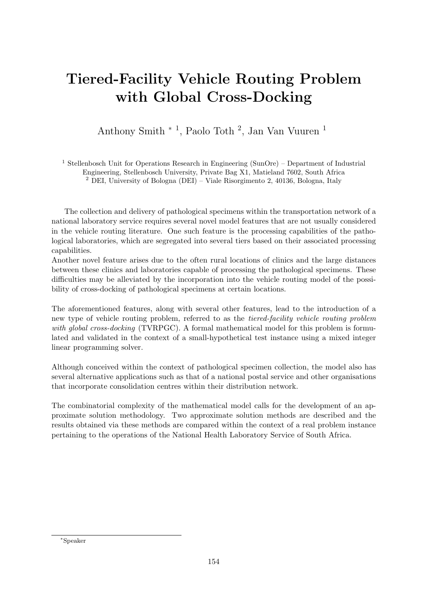# Tiered-Facility Vehicle Routing Problem with Global Cross-Docking

Anthony Smith <sup>∗</sup> <sup>1</sup> , Paolo Toth <sup>2</sup> , Jan Van Vuuren <sup>1</sup>

<sup>1</sup> Stellenbosch Unit for Operations Research in Engineering (SunOre) – Department of Industrial Engineering, Stellenbosch University, Private Bag X1, Matieland 7602, South Africa <sup>2</sup> DEI, University of Bologna (DEI) – Viale Risorgimento 2, 40136, Bologna, Italy

The collection and delivery of pathological specimens within the transportation network of a national laboratory service requires several novel model features that are not usually considered in the vehicle routing literature. One such feature is the processing capabilities of the pathological laboratories, which are segregated into several tiers based on their associated processing capabilities.

Another novel feature arises due to the often rural locations of clinics and the large distances between these clinics and laboratories capable of processing the pathological specimens. These difficulties may be alleviated by the incorporation into the vehicle routing model of the possibility of cross-docking of pathological specimens at certain locations.

The aforementioned features, along with several other features, lead to the introduction of a new type of vehicle routing problem, referred to as the tiered-facility vehicle routing problem with global cross-docking (TVRPGC). A formal mathematical model for this problem is formulated and validated in the context of a small-hypothetical test instance using a mixed integer linear programming solver.

Although conceived within the context of pathological specimen collection, the model also has several alternative applications such as that of a national postal service and other organisations that incorporate consolidation centres within their distribution network.

The combinatorial complexity of the mathematical model calls for the development of an approximate solution methodology. Two approximate solution methods are described and the results obtained via these methods are compared within the context of a real problem instance pertaining to the operations of the National Health Laboratory Service of South Africa.

<sup>∗</sup>Speaker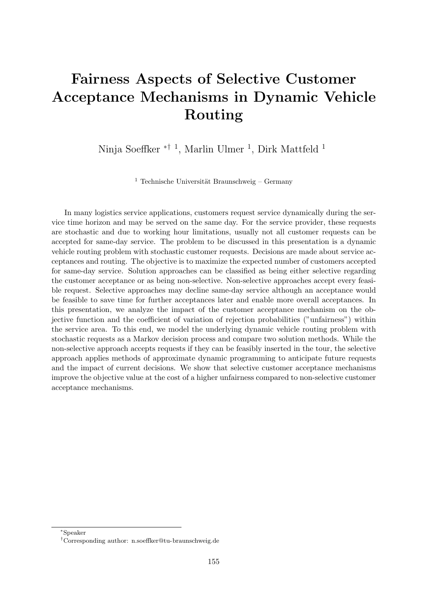# Fairness Aspects of Selective Customer Acceptance Mechanisms in Dynamic Vehicle Routing

Ninja Soeffker <sup>\*† 1</sup>, Marlin Ulmer <sup>1</sup>, Dirk Mattfeld <sup>1</sup>

<sup>1</sup> Technische Universität Braunschweig – Germany

In many logistics service applications, customers request service dynamically during the service time horizon and may be served on the same day. For the service provider, these requests are stochastic and due to working hour limitations, usually not all customer requests can be accepted for same-day service. The problem to be discussed in this presentation is a dynamic vehicle routing problem with stochastic customer requests. Decisions are made about service acceptances and routing. The objective is to maximize the expected number of customers accepted for same-day service. Solution approaches can be classified as being either selective regarding the customer acceptance or as being non-selective. Non-selective approaches accept every feasible request. Selective approaches may decline same-day service although an acceptance would be feasible to save time for further acceptances later and enable more overall acceptances. In this presentation, we analyze the impact of the customer acceptance mechanism on the objective function and the coefficient of variation of rejection probabilities ("unfairness") within the service area. To this end, we model the underlying dynamic vehicle routing problem with stochastic requests as a Markov decision process and compare two solution methods. While the non-selective approach accepts requests if they can be feasibly inserted in the tour, the selective approach applies methods of approximate dynamic programming to anticipate future requests and the impact of current decisions. We show that selective customer acceptance mechanisms improve the objective value at the cost of a higher unfairness compared to non-selective customer acceptance mechanisms.

<sup>∗</sup>Speaker

<sup>†</sup>Corresponding author: [n.soeffker@tu-braunschweig.de](mailto:n.soeffker@tu-braunschweig.de)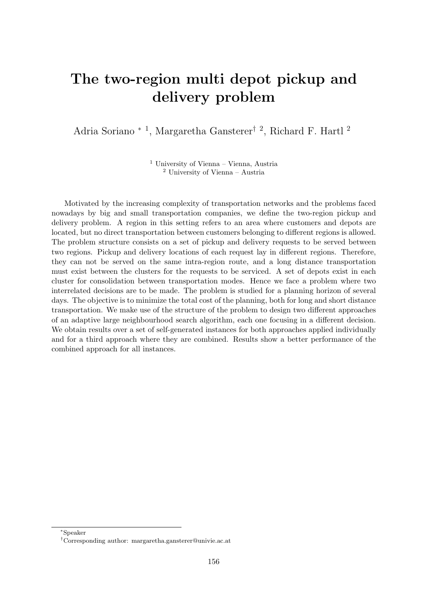# The two-region multi depot pickup and delivery problem

Adria Soriano <sup>\* 1</sup>, Margaretha Gansterer<sup>† 2</sup>, Richard F. Hartl<sup>2</sup>

<sup>1</sup> University of Vienna – Vienna, Austria <sup>2</sup> University of Vienna – Austria

Motivated by the increasing complexity of transportation networks and the problems faced nowadays by big and small transportation companies, we define the two-region pickup and delivery problem. A region in this setting refers to an area where customers and depots are located, but no direct transportation between customers belonging to different regions is allowed. The problem structure consists on a set of pickup and delivery requests to be served between two regions. Pickup and delivery locations of each request lay in different regions. Therefore, they can not be served on the same intra-region route, and a long distance transportation must exist between the clusters for the requests to be serviced. A set of depots exist in each cluster for consolidation between transportation modes. Hence we face a problem where two interrelated decisions are to be made. The problem is studied for a planning horizon of several days. The objective is to minimize the total cost of the planning, both for long and short distance transportation. We make use of the structure of the problem to design two different approaches of an adaptive large neighbourhood search algorithm, each one focusing in a different decision. We obtain results over a set of self-generated instances for both approaches applied individually and for a third approach where they are combined. Results show a better performance of the combined approach for all instances.

<sup>∗</sup>Speaker

<sup>†</sup>Corresponding author: [margaretha.gansterer@univie.ac.at](mailto:margaretha.gansterer@univie.ac.at)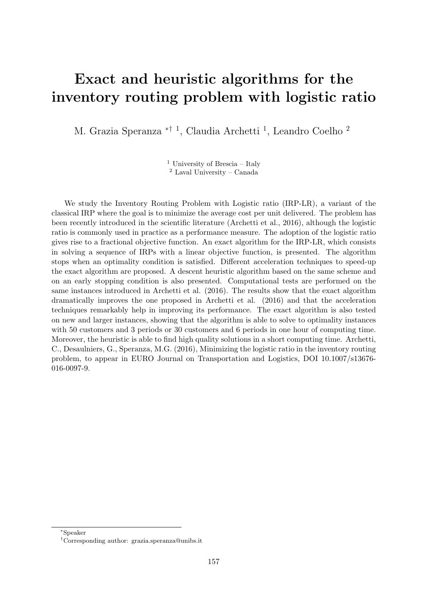#### Exact and heuristic algorithms for the inventory routing problem with logistic ratio

M. Grazia Speranza <sup>\*† 1</sup>, Claudia Archetti <sup>1</sup>, Leandro Coelho <sup>2</sup>

<sup>1</sup> University of Brescia – Italy <sup>2</sup> Laval University – Canada

We study the Inventory Routing Problem with Logistic ratio (IRP-LR), a variant of the classical IRP where the goal is to minimize the average cost per unit delivered. The problem has been recently introduced in the scientific literature (Archetti et al., 2016), although the logistic ratio is commonly used in practice as a performance measure. The adoption of the logistic ratio gives rise to a fractional objective function. An exact algorithm for the IRP-LR, which consists in solving a sequence of IRPs with a linear objective function, is presented. The algorithm stops when an optimality condition is satisfied. Different acceleration techniques to speed-up the exact algorithm are proposed. A descent heuristic algorithm based on the same scheme and on an early stopping condition is also presented. Computational tests are performed on the same instances introduced in Archetti et al. (2016). The results show that the exact algorithm dramatically improves the one proposed in Archetti et al. (2016) and that the acceleration techniques remarkably help in improving its performance. The exact algorithm is also tested on new and larger instances, showing that the algorithm is able to solve to optimality instances with 50 customers and 3 periods or 30 customers and 6 periods in one hour of computing time. Moreover, the heuristic is able to find high quality solutions in a short computing time. Archetti, C., Desaulniers, G., Speranza, M.G. (2016), Minimizing the logistic ratio in the inventory routing problem, to appear in EURO Journal on Transportation and Logistics, DOI 10.1007/s13676- 016-0097-9.

<sup>∗</sup>Speaker

<sup>†</sup>Corresponding author: [grazia.speranza@unibs.it](mailto:grazia.speranza@unibs.it)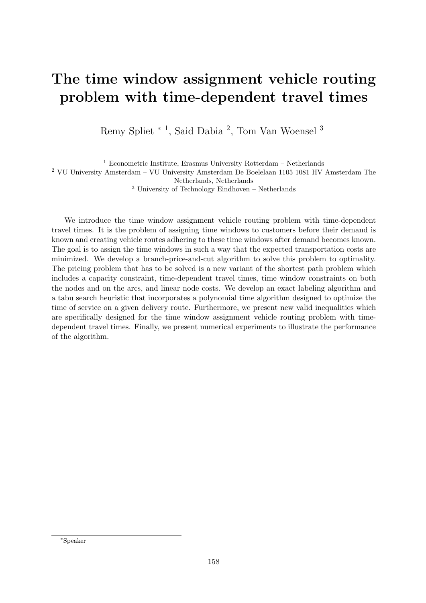#### The time window assignment vehicle routing problem with time-dependent travel times

Remy Spliet <sup>\* 1</sup>, Said Dabia<sup>2</sup>, Tom Van Woensel<sup>3</sup>

 $1$  Econometric Institute, Erasmus University Rotterdam – Netherlands <sup>2</sup> VU University Amsterdam – VU University Amsterdam De Boelelaan 1105 1081 HV Amsterdam The Netherlands, Netherlands

 $3$  University of Technology Eindhoven – Netherlands

We introduce the time window assignment vehicle routing problem with time-dependent travel times. It is the problem of assigning time windows to customers before their demand is known and creating vehicle routes adhering to these time windows after demand becomes known. The goal is to assign the time windows in such a way that the expected transportation costs are minimized. We develop a branch-price-and-cut algorithm to solve this problem to optimality. The pricing problem that has to be solved is a new variant of the shortest path problem which includes a capacity constraint, time-dependent travel times, time window constraints on both the nodes and on the arcs, and linear node costs. We develop an exact labeling algorithm and a tabu search heuristic that incorporates a polynomial time algorithm designed to optimize the time of service on a given delivery route. Furthermore, we present new valid inequalities which are specifically designed for the time window assignment vehicle routing problem with timedependent travel times. Finally, we present numerical experiments to illustrate the performance of the algorithm.

<sup>∗</sup>Speaker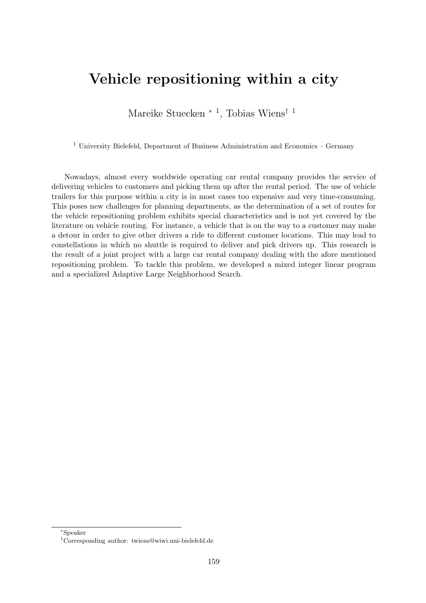#### Vehicle repositioning within a city

Mareike Stuecken<sup>\*</sup><sup>1</sup>, Tobias Wiens<sup>† 1</sup>

 $1$  University Bielefeld, Department of Business Administration and Economics – Germany

Nowadays, almost every worldwide operating car rental company provides the service of delivering vehicles to customers and picking them up after the rental period. The use of vehicle trailers for this purpose within a city is in most cases too expensive and very time-consuming. This poses new challenges for planning departments, as the determination of a set of routes for the vehicle repositioning problem exhibits special characteristics and is not yet covered by the literature on vehicle routing. For instance, a vehicle that is on the way to a customer may make a detour in order to give other drivers a ride to different customer locations. This may lead to constellations in which no shuttle is required to deliver and pick drivers up. This research is the result of a joint project with a large car rental company dealing with the afore mentioned repositioning problem. To tackle this problem, we developed a mixed integer linear program and a specialized Adaptive Large Neighborhood Search.

<sup>∗</sup>Speaker

<sup>†</sup>Corresponding author: [twiens@wiwi.uni-bielefeld.de](mailto:twiens@wiwi.uni-bielefeld.de)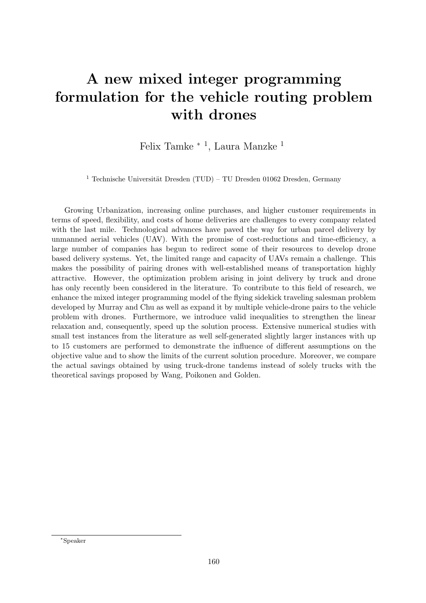# A new mixed integer programming formulation for the vehicle routing problem with drones

Felix Tamke <sup>∗</sup> <sup>1</sup> , Laura Manzke <sup>1</sup>

<sup>1</sup> Technische Universität Dresden (TUD) – TU Dresden 01062 Dresden, Germany

Growing Urbanization, increasing online purchases, and higher customer requirements in terms of speed, flexibility, and costs of home deliveries are challenges to every company related with the last mile. Technological advances have paved the way for urban parcel delivery by unmanned aerial vehicles (UAV). With the promise of cost-reductions and time-efficiency, a large number of companies has begun to redirect some of their resources to develop drone based delivery systems. Yet, the limited range and capacity of UAVs remain a challenge. This makes the possibility of pairing drones with well-established means of transportation highly attractive. However, the optimization problem arising in joint delivery by truck and drone has only recently been considered in the literature. To contribute to this field of research, we enhance the mixed integer programming model of the flying sidekick traveling salesman problem developed by Murray and Chu as well as expand it by multiple vehicle-drone pairs to the vehicle problem with drones. Furthermore, we introduce valid inequalities to strengthen the linear relaxation and, consequently, speed up the solution process. Extensive numerical studies with small test instances from the literature as well self-generated slightly larger instances with up to 15 customers are performed to demonstrate the influence of different assumptions on the objective value and to show the limits of the current solution procedure. Moreover, we compare the actual savings obtained by using truck-drone tandems instead of solely trucks with the theoretical savings proposed by Wang, Poikonen and Golden.

<sup>∗</sup>Speaker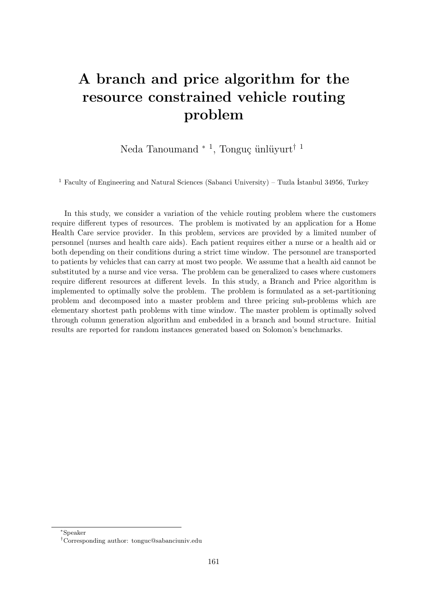# A branch and price algorithm for the resource constrained vehicle routing problem

Neda Tanoumand <sup>\* 1</sup>, Tonguç ünlüyurt<sup>† 1</sup>

 $^1$  Faculty of Engineering and Natural Sciences (Sabanci University) – Tuzla İstanbul 34956, Turkey

In this study, we consider a variation of the vehicle routing problem where the customers require different types of resources. The problem is motivated by an application for a Home Health Care service provider. In this problem, services are provided by a limited number of personnel (nurses and health care aids). Each patient requires either a nurse or a health aid or both depending on their conditions during a strict time window. The personnel are transported to patients by vehicles that can carry at most two people. We assume that a health aid cannot be substituted by a nurse and vice versa. The problem can be generalized to cases where customers require different resources at different levels. In this study, a Branch and Price algorithm is implemented to optimally solve the problem. The problem is formulated as a set-partitioning problem and decomposed into a master problem and three pricing sub-problems which are elementary shortest path problems with time window. The master problem is optimally solved through column generation algorithm and embedded in a branch and bound structure. Initial results are reported for random instances generated based on Solomon's benchmarks.

<sup>∗</sup>Speaker

<sup>†</sup>Corresponding author: [tonguc@sabanciuniv.edu](mailto:tonguc@sabanciuniv.edu)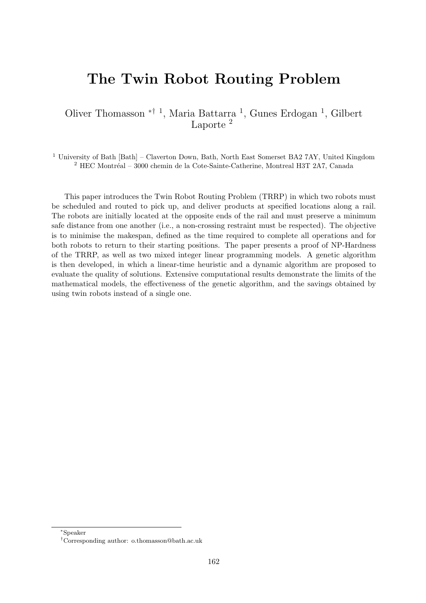#### The Twin Robot Routing Problem

Oliver Thomasson ∗† <sup>1</sup> , Maria Battarra <sup>1</sup> , Gunes Erdogan <sup>1</sup> , Gilbert Laporte<sup>2</sup>

<sup>1</sup> University of Bath [Bath] – Claverton Down, Bath, North East Somerset BA2 7AY, United Kingdom  $2$  HEC Montréal – 3000 chemin de la Cote-Sainte-Catherine, Montreal H3T 2A7, Canada

This paper introduces the Twin Robot Routing Problem (TRRP) in which two robots must be scheduled and routed to pick up, and deliver products at specified locations along a rail. The robots are initially located at the opposite ends of the rail and must preserve a minimum safe distance from one another (i.e., a non-crossing restraint must be respected). The objective is to minimise the makespan, defined as the time required to complete all operations and for both robots to return to their starting positions. The paper presents a proof of NP-Hardness of the TRRP, as well as two mixed integer linear programming models. A genetic algorithm is then developed, in which a linear-time heuristic and a dynamic algorithm are proposed to evaluate the quality of solutions. Extensive computational results demonstrate the limits of the mathematical models, the effectiveness of the genetic algorithm, and the savings obtained by using twin robots instead of a single one.

<sup>∗</sup>Speaker

<sup>†</sup>Corresponding author: [o.thomasson@bath.ac.uk](mailto:o.thomasson@bath.ac.uk)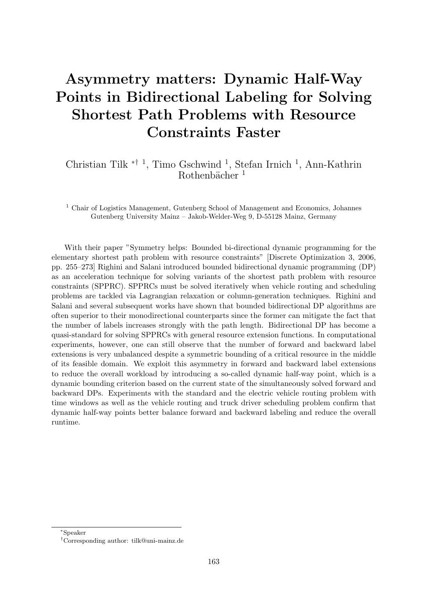# Asymmetry matters: Dynamic Half-Way Points in Bidirectional Labeling for Solving Shortest Path Problems with Resource Constraints Faster

Christian Tilk<sup>\*† 1</sup>, Timo Gschwind<sup>1</sup>, Stefan Irnich<sup>1</sup>, Ann-Kathrin Rothenbächer  $<sup>1</sup>$ </sup>

<sup>1</sup> Chair of Logistics Management, Gutenberg School of Management and Economics, Johannes Gutenberg University Mainz – Jakob-Welder-Weg 9, D-55128 Mainz, Germany

With their paper "Symmetry helps: Bounded bi-directional dynamic programming for the elementary shortest path problem with resource constraints" [Discrete Optimization 3, 2006, pp. 255–273] Righini and Salani introduced bounded bidirectional dynamic programming (DP) as an acceleration technique for solving variants of the shortest path problem with resource constraints (SPPRC). SPPRCs must be solved iteratively when vehicle routing and scheduling problems are tackled via Lagrangian relaxation or column-generation techniques. Righini and Salani and several subsequent works have shown that bounded bidirectional DP algorithms are often superior to their monodirectional counterparts since the former can mitigate the fact that the number of labels increases strongly with the path length. Bidirectional DP has become a quasi-standard for solving SPPRCs with general resource extension functions. In computational experiments, however, one can still observe that the number of forward and backward label extensions is very unbalanced despite a symmetric bounding of a critical resource in the middle of its feasible domain. We exploit this asymmetry in forward and backward label extensions to reduce the overall workload by introducing a so-called dynamic half-way point, which is a dynamic bounding criterion based on the current state of the simultaneously solved forward and backward DPs. Experiments with the standard and the electric vehicle routing problem with time windows as well as the vehicle routing and truck driver scheduling problem confirm that dynamic half-way points better balance forward and backward labeling and reduce the overall runtime.

<sup>∗</sup>Speaker

<sup>†</sup>Corresponding author: [tilk@uni-mainz.de](mailto:tilk@uni-mainz.de)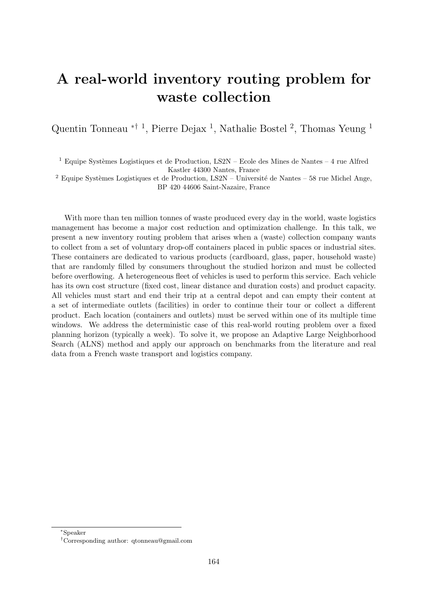# A real-world inventory routing problem for waste collection

Quentin Tonneau <sup>\*† 1</sup>, Pierre Dejax<sup>1</sup>, Nathalie Bostel<sup>2</sup>, Thomas Yeung<sup>1</sup>

 $^1$  Equipe Systèmes Logistiques et de Production, LS2N – Ecole des Mines de Nantes – 4 rue Alfred Kastler 44300 Nantes, France

<sup>2</sup> Equipe Systèmes Logistiques et de Production, LS2N – Université de Nantes – 58 rue Michel Ange, BP 420 44606 Saint-Nazaire, France

With more than ten million tonnes of waste produced every day in the world, waste logistics management has become a major cost reduction and optimization challenge. In this talk, we present a new inventory routing problem that arises when a (waste) collection company wants to collect from a set of voluntary drop-off containers placed in public spaces or industrial sites. These containers are dedicated to various products (cardboard, glass, paper, household waste) that are randomly filled by consumers throughout the studied horizon and must be collected before overflowing. A heterogeneous fleet of vehicles is used to perform this service. Each vehicle has its own cost structure (fixed cost, linear distance and duration costs) and product capacity. All vehicles must start and end their trip at a central depot and can empty their content at a set of intermediate outlets (facilities) in order to continue their tour or collect a different product. Each location (containers and outlets) must be served within one of its multiple time windows. We address the deterministic case of this real-world routing problem over a fixed planning horizon (typically a week). To solve it, we propose an Adaptive Large Neighborhood Search (ALNS) method and apply our approach on benchmarks from the literature and real data from a French waste transport and logistics company.

<sup>∗</sup>Speaker

<sup>†</sup>Corresponding author: [qtonneau@gmail.com](mailto:qtonneau@gmail.com)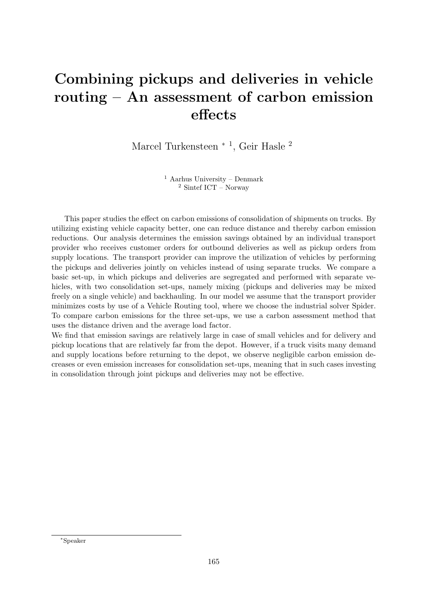### Combining pickups and deliveries in vehicle routing – An assessment of carbon emission effects

Marcel Turkensteen <sup>\* 1</sup>, Geir Hasle<sup>2</sup>

 $1$  Aarhus University – Denmark <sup>2</sup> Sintef ICT – Norway

This paper studies the effect on carbon emissions of consolidation of shipments on trucks. By utilizing existing vehicle capacity better, one can reduce distance and thereby carbon emission reductions. Our analysis determines the emission savings obtained by an individual transport provider who receives customer orders for outbound deliveries as well as pickup orders from supply locations. The transport provider can improve the utilization of vehicles by performing the pickups and deliveries jointly on vehicles instead of using separate trucks. We compare a basic set-up, in which pickups and deliveries are segregated and performed with separate vehicles, with two consolidation set-ups, namely mixing (pickups and deliveries may be mixed freely on a single vehicle) and backhauling. In our model we assume that the transport provider minimizes costs by use of a Vehicle Routing tool, where we choose the industrial solver Spider. To compare carbon emissions for the three set-ups, we use a carbon assessment method that uses the distance driven and the average load factor.

We find that emission savings are relatively large in case of small vehicles and for delivery and pickup locations that are relatively far from the depot. However, if a truck visits many demand and supply locations before returning to the depot, we observe negligible carbon emission decreases or even emission increases for consolidation set-ups, meaning that in such cases investing in consolidation through joint pickups and deliveries may not be effective.

<sup>∗</sup>Speaker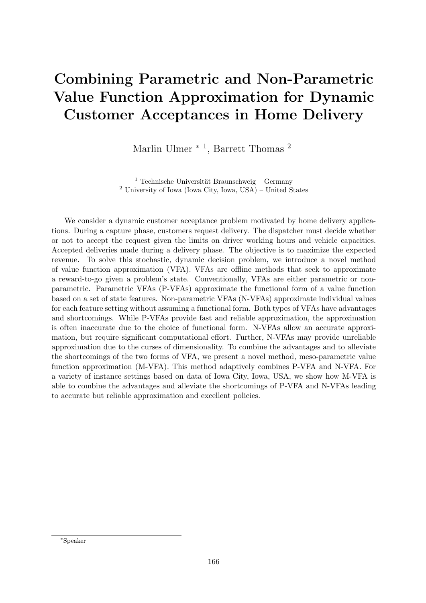# Combining Parametric and Non-Parametric Value Function Approximation for Dynamic Customer Acceptances in Home Delivery

Marlin Ulmer<sup>\*1</sup>, Barrett Thomas<sup>2</sup>

<sup>1</sup> Technische Universität Braunschweig – Germany <sup>2</sup> University of Iowa (Iowa City, Iowa, USA) – United States

We consider a dynamic customer acceptance problem motivated by home delivery applications. During a capture phase, customers request delivery. The dispatcher must decide whether or not to accept the request given the limits on driver working hours and vehicle capacities. Accepted deliveries made during a delivery phase. The objective is to maximize the expected revenue. To solve this stochastic, dynamic decision problem, we introduce a novel method of value function approximation (VFA). VFAs are offline methods that seek to approximate a reward-to-go given a problem's state. Conventionally, VFAs are either parametric or nonparametric. Parametric VFAs (P-VFAs) approximate the functional form of a value function based on a set of state features. Non-parametric VFAs (N-VFAs) approximate individual values for each feature setting without assuming a functional form. Both types of VFAs have advantages and shortcomings. While P-VFAs provide fast and reliable approximation, the approximation is often inaccurate due to the choice of functional form. N-VFAs allow an accurate approximation, but require significant computational effort. Further, N-VFAs may provide unreliable approximation due to the curses of dimensionality. To combine the advantages and to alleviate the shortcomings of the two forms of VFA, we present a novel method, meso-parametric value function approximation (M-VFA). This method adaptively combines P-VFA and N-VFA. For a variety of instance settings based on data of Iowa City, Iowa, USA, we show how M-VFA is able to combine the advantages and alleviate the shortcomings of P-VFA and N-VFAs leading to accurate but reliable approximation and excellent policies.

<sup>∗</sup>Speaker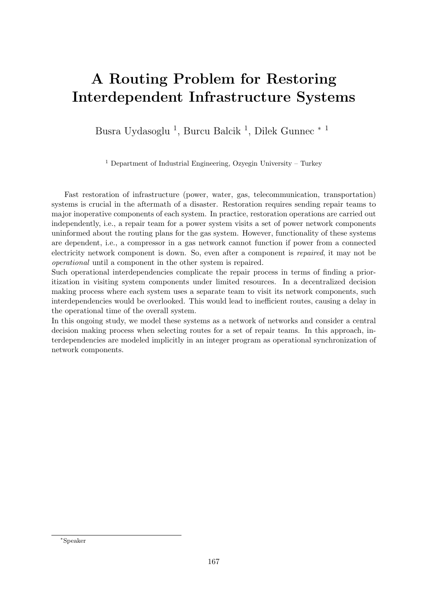# A Routing Problem for Restoring Interdependent Infrastructure Systems

Busra Uydasoglu<sup>1</sup>, Burcu Balcik<sup>1</sup>, Dilek Gunnec<sup>\*1</sup>

<sup>1</sup> Department of Industrial Engineering, Ozyegin University – Turkey

Fast restoration of infrastructure (power, water, gas, telecommunication, transportation) systems is crucial in the aftermath of a disaster. Restoration requires sending repair teams to major inoperative components of each system. In practice, restoration operations are carried out independently, i.e., a repair team for a power system visits a set of power network components uninformed about the routing plans for the gas system. However, functionality of these systems are dependent, i.e., a compressor in a gas network cannot function if power from a connected electricity network component is down. So, even after a component is repaired, it may not be operational until a component in the other system is repaired.

Such operational interdependencies complicate the repair process in terms of finding a prioritization in visiting system components under limited resources. In a decentralized decision making process where each system uses a separate team to visit its network components, such interdependencies would be overlooked. This would lead to inefficient routes, causing a delay in the operational time of the overall system.

In this ongoing study, we model these systems as a network of networks and consider a central decision making process when selecting routes for a set of repair teams. In this approach, interdependencies are modeled implicitly in an integer program as operational synchronization of network components.

<sup>∗</sup>Speaker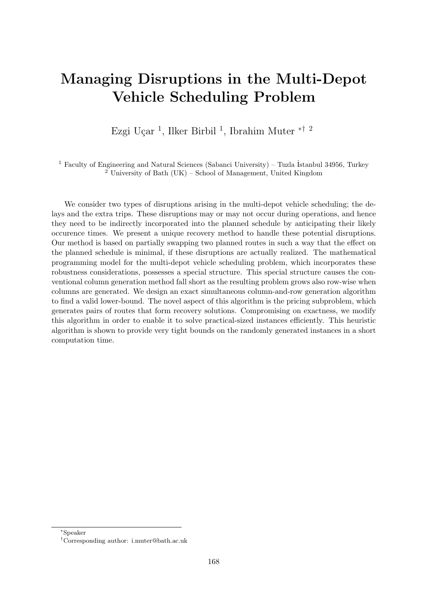### Managing Disruptions in the Multi-Depot Vehicle Scheduling Problem

Ezgi Uçar<sup>1</sup>, Ilker Birbil<sup>1</sup>, Ibrahim Muter <sup>\*† 2</sup>

<sup>1</sup> Faculty of Engineering and Natural Sciences (Sabanci University) – Tuzla Istanbul 34956, Turkey <sup>2</sup> University of Bath (UK) – School of Management, United Kingdom

We consider two types of disruptions arising in the multi-depot vehicle scheduling; the delays and the extra trips. These disruptions may or may not occur during operations, and hence they need to be indirectly incorporated into the planned schedule by anticipating their likely occurence times. We present a unique recovery method to handle these potential disruptions. Our method is based on partially swapping two planned routes in such a way that the effect on the planned schedule is minimal, if these disruptions are actually realized. The mathematical programming model for the multi-depot vehicle scheduling problem, which incorporates these robustness considerations, possesses a special structure. This special structure causes the conventional column generation method fall short as the resulting problem grows also row-wise when columns are generated. We design an exact simultaneous column-and-row generation algorithm to find a valid lower-bound. The novel aspect of this algorithm is the pricing subproblem, which generates pairs of routes that form recovery solutions. Compromising on exactness, we modify this algorithm in order to enable it to solve practical-sized instances efficiently. This heuristic algorithm is shown to provide very tight bounds on the randomly generated instances in a short computation time.

<sup>∗</sup>Speaker

<sup>†</sup>Corresponding author: [i.muter@bath.ac.uk](mailto:i.muter@bath.ac.uk)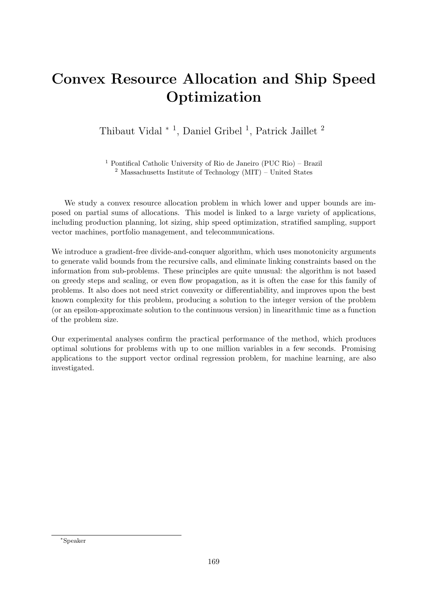# Convex Resource Allocation and Ship Speed Optimization

Thibaut Vidal <sup>∗</sup> <sup>1</sup> , Daniel Gribel <sup>1</sup> , Patrick Jaillet <sup>2</sup>

<sup>1</sup> Pontifical Catholic University of Rio de Janeiro (PUC Rio) – Brazil  $2$  Massachusetts Institute of Technology (MIT) – United States

We study a convex resource allocation problem in which lower and upper bounds are imposed on partial sums of allocations. This model is linked to a large variety of applications, including production planning, lot sizing, ship speed optimization, stratified sampling, support vector machines, portfolio management, and telecommunications.

We introduce a gradient-free divide-and-conquer algorithm, which uses monotonicity arguments to generate valid bounds from the recursive calls, and eliminate linking constraints based on the information from sub-problems. These principles are quite unusual: the algorithm is not based on greedy steps and scaling, or even flow propagation, as it is often the case for this family of problems. It also does not need strict convexity or differentiability, and improves upon the best known complexity for this problem, producing a solution to the integer version of the problem (or an epsilon-approximate solution to the continuous version) in linearithmic time as a function of the problem size.

Our experimental analyses confirm the practical performance of the method, which produces optimal solutions for problems with up to one million variables in a few seconds. Promising applications to the support vector ordinal regression problem, for machine learning, are also investigated.

<sup>∗</sup>Speaker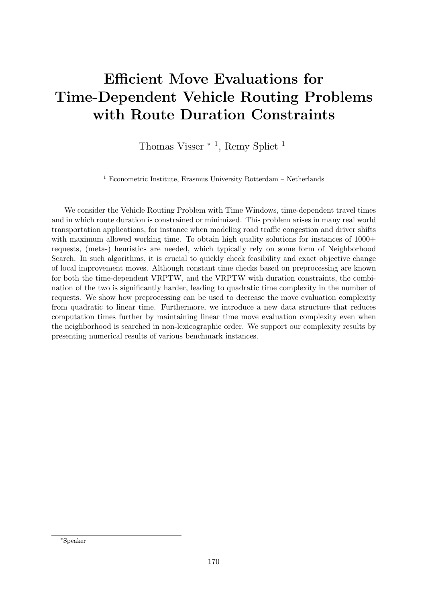# Efficient Move Evaluations for Time-Dependent Vehicle Routing Problems with Route Duration Constraints

Thomas Visser<sup>\*1</sup>, Remy Spliet<sup>1</sup>

<sup>1</sup> Econometric Institute, Erasmus University Rotterdam – Netherlands

We consider the Vehicle Routing Problem with Time Windows, time-dependent travel times and in which route duration is constrained or minimized. This problem arises in many real world transportation applications, for instance when modeling road traffic congestion and driver shifts with maximum allowed working time. To obtain high quality solutions for instances of  $1000+$ requests, (meta-) heuristics are needed, which typically rely on some form of Neighborhood Search. In such algorithms, it is crucial to quickly check feasibility and exact objective change of local improvement moves. Although constant time checks based on preprocessing are known for both the time-dependent VRPTW, and the VRPTW with duration constraints, the combination of the two is significantly harder, leading to quadratic time complexity in the number of requests. We show how preprocessing can be used to decrease the move evaluation complexity from quadratic to linear time. Furthermore, we introduce a new data structure that reduces computation times further by maintaining linear time move evaluation complexity even when the neighborhood is searched in non-lexicographic order. We support our complexity results by presenting numerical results of various benchmark instances.

<sup>∗</sup>Speaker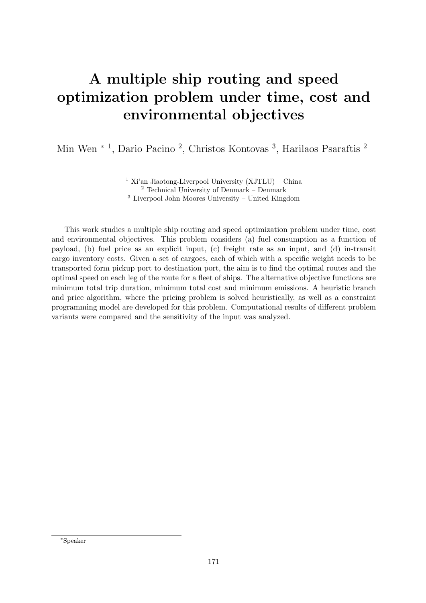# A multiple ship routing and speed optimization problem under time, cost and environmental objectives

Min Wen<sup>\*1</sup>, Dario Pacino<sup>2</sup>, Christos Kontovas<sup>3</sup>, Harilaos Psaraftis<sup>2</sup>

<sup>1</sup> Xi'an Jiaotong-Liverpool University  $(XJTLU)$  – China <sup>2</sup> Technical University of Denmark – Denmark <sup>3</sup> Liverpool John Moores University – United Kingdom

This work studies a multiple ship routing and speed optimization problem under time, cost and environmental objectives. This problem considers (a) fuel consumption as a function of payload, (b) fuel price as an explicit input, (c) freight rate as an input, and (d) in-transit cargo inventory costs. Given a set of cargoes, each of which with a specific weight needs to be transported form pickup port to destination port, the aim is to find the optimal routes and the optimal speed on each leg of the route for a fleet of ships. The alternative objective functions are minimum total trip duration, minimum total cost and minimum emissions. A heuristic branch and price algorithm, where the pricing problem is solved heuristically, as well as a constraint programming model are developed for this problem. Computational results of different problem variants were compared and the sensitivity of the input was analyzed.

<sup>∗</sup>Speaker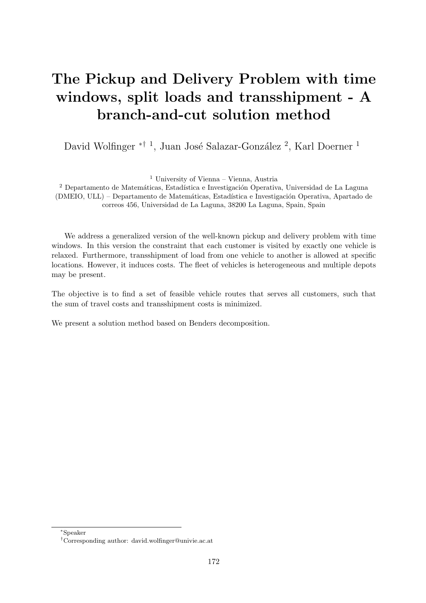# The Pickup and Delivery Problem with time windows, split loads and transshipment - A branch-and-cut solution method

David Wolfinger <sup>\*† 1</sup>, Juan José Salazar-González <sup>2</sup>, Karl Doerner <sup>1</sup>

<sup>1</sup> University of Vienna – Vienna, Austria

<sup>2</sup> Departamento de Matemáticas, Estadística e Investigación Operativa, Universidad de La Laguna (DMEIO, ULL) – Departamento de Matemáticas, Estadística e Investigación Operativa, Apartado de correos 456, Universidad de La Laguna, 38200 La Laguna, Spain, Spain

We address a generalized version of the well-known pickup and delivery problem with time windows. In this version the constraint that each customer is visited by exactly one vehicle is relaxed. Furthermore, transshipment of load from one vehicle to another is allowed at specific locations. However, it induces costs. The fleet of vehicles is heterogeneous and multiple depots may be present.

The objective is to find a set of feasible vehicle routes that serves all customers, such that the sum of travel costs and transshipment costs is minimized.

We present a solution method based on Benders decomposition.

<sup>∗</sup>Speaker

<sup>†</sup>Corresponding author: [david.wolfinger@univie.ac.at](mailto:david.wolfinger@univie.ac.at)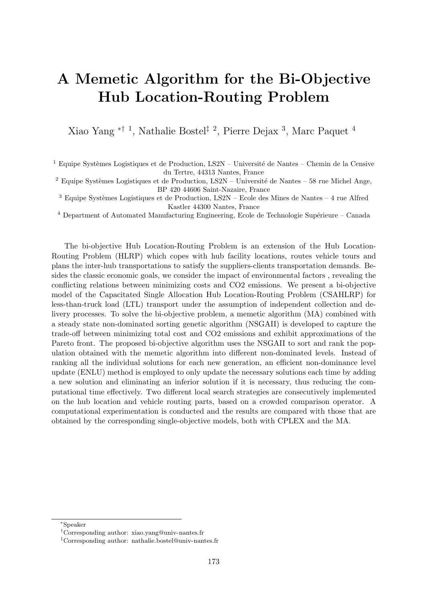# A Memetic Algorithm for the Bi-Objective Hub Location-Routing Problem

Xiao Yang ∗† <sup>1</sup> , Nathalie Bostel‡ <sup>2</sup> , Pierre Dejax <sup>3</sup> , Marc Paquet <sup>4</sup>

 $^1$  Equipe Systèmes Logistiques et de Production, LS2N – Université de Nantes – Chemin de la Censive du Tertre, 44313 Nantes, France

 $2$  Equipe Systèmes Logistiques et de Production, LS2N – Université de Nantes – 58 rue Michel Ange, BP 420 44606 Saint-Nazaire, France

 $3$  Equipe Systèmes Logistiques et de Production, LS2N – Ecole des Mines de Nantes – 4 rue Alfred Kastler 44300 Nantes, France

 $4$  Department of Automated Manufacturing Engineering, Ecole de Technologie Supérieure – Canada

The bi-objective Hub Location-Routing Problem is an extension of the Hub Location-Routing Problem (HLRP) which copes with hub facility locations, routes vehicle tours and plans the inter-hub transportations to satisfy the suppliers-clients transportation demands. Besides the classic economic goals, we consider the impact of environmental factors , revealing the conflicting relations between minimizing costs and CO2 emissions. We present a bi-objective model of the Capacitated Single Allocation Hub Location-Routing Problem (CSAHLRP) for less-than-truck load (LTL) transport under the assumption of independent collection and delivery processes. To solve the bi-objective problem, a memetic algorithm (MA) combined with a steady state non-dominated sorting genetic algorithm (NSGAII) is developed to capture the trade-off between minimizing total cost and CO2 emissions and exhibit approximations of the Pareto front. The proposed bi-objective algorithm uses the NSGAII to sort and rank the population obtained with the memetic algorithm into different non-dominated levels. Instead of ranking all the individual solutions for each new generation, an efficient non-dominance level update (ENLU) method is employed to only update the necessary solutions each time by adding a new solution and eliminating an inferior solution if it is necessary, thus reducing the computational time effectively. Two different local search strategies are consecutively implemented on the hub location and vehicle routing parts, based on a crowded comparison operator. A computational experimentation is conducted and the results are compared with those that are obtained by the corresponding single-objective models, both with CPLEX and the MA.

<sup>∗</sup>Speaker

<sup>†</sup>Corresponding author: [xiao.yang@univ-nantes.fr](mailto:xiao.yang@univ-nantes.fr)

<sup>‡</sup>Corresponding author: [nathalie.bostel@univ-nantes.fr](mailto:nathalie.bostel@univ-nantes.fr)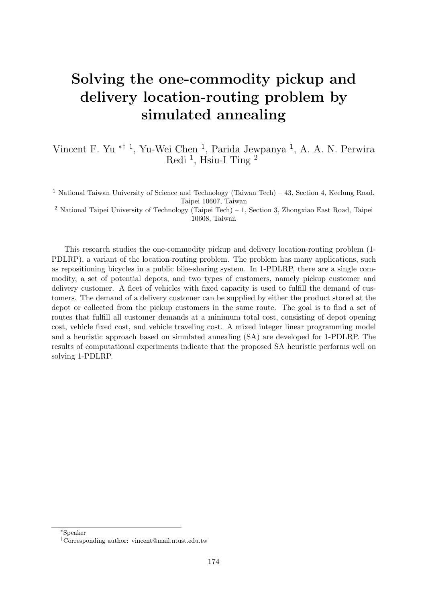# Solving the one-commodity pickup and delivery location-routing problem by simulated annealing

Vincent F. Yu <sup>\*† 1</sup>, Yu-Wei Chen <sup>1</sup>, Parida Jewpanya <sup>1</sup>, A. A. N. Perwira Redi<sup>1</sup>, Hsiu-I Ting<sup>2</sup>

<sup>1</sup> National Taiwan University of Science and Technology (Taiwan Tech) – 43, Section 4, Keelung Road, Taipei 10607, Taiwan

<sup>2</sup> National Taipei University of Technology (Taipei Tech) – 1, Section 3, Zhongxiao East Road, Taipei 10608, Taiwan

This research studies the one-commodity pickup and delivery location-routing problem (1- PDLRP), a variant of the location-routing problem. The problem has many applications, such as repositioning bicycles in a public bike-sharing system. In 1-PDLRP, there are a single commodity, a set of potential depots, and two types of customers, namely pickup customer and delivery customer. A fleet of vehicles with fixed capacity is used to fulfill the demand of customers. The demand of a delivery customer can be supplied by either the product stored at the depot or collected from the pickup customers in the same route. The goal is to find a set of routes that fulfill all customer demands at a minimum total cost, consisting of depot opening cost, vehicle fixed cost, and vehicle traveling cost. A mixed integer linear programming model and a heuristic approach based on simulated annealing (SA) are developed for 1-PDLRP. The results of computational experiments indicate that the proposed SA heuristic performs well on solving 1-PDLRP.

<sup>∗</sup>Speaker

<sup>†</sup>Corresponding author: [vincent@mail.ntust.edu.tw](mailto:vincent@mail.ntust.edu.tw)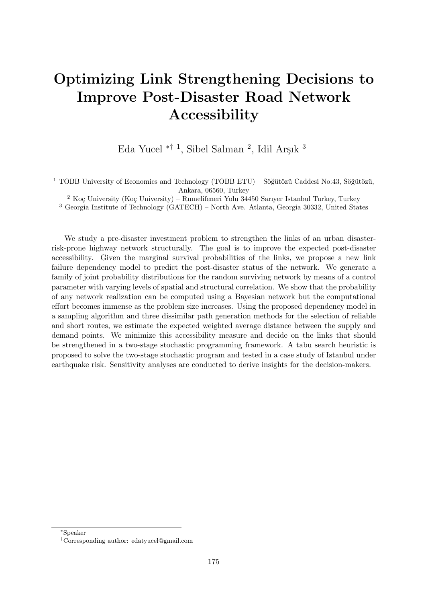# Optimizing Link Strengthening Decisions to Improve Post-Disaster Road Network Accessibility

Eda Yucel  $*^{\dagger}$ <sup>1</sup>, Sibel Salman<sup>2</sup>, Idil Arşık<sup>3</sup>

 $1$  TOBB University of Economics and Technology (TOBB ETU) – Söğütözü Caddesi No:43, Söğütözü, Ankara, 06560, Turkey

 $^2$  Koç University (Koç University) – Rumelifeneri Yolu 34450 Sarıyer Istanbul Turkey, Turkey

<sup>3</sup> Georgia Institute of Technology (GATECH) – North Ave. Atlanta, Georgia 30332, United States

We study a pre-disaster investment problem to strengthen the links of an urban disasterrisk-prone highway network structurally. The goal is to improve the expected post-disaster accessibility. Given the marginal survival probabilities of the links, we propose a new link failure dependency model to predict the post-disaster status of the network. We generate a family of joint probability distributions for the random surviving network by means of a control parameter with varying levels of spatial and structural correlation. We show that the probability of any network realization can be computed using a Bayesian network but the computational effort becomes immense as the problem size increases. Using the proposed dependency model in a sampling algorithm and three dissimilar path generation methods for the selection of reliable and short routes, we estimate the expected weighted average distance between the supply and demand points. We minimize this accessibility measure and decide on the links that should be strengthened in a two-stage stochastic programming framework. A tabu search heuristic is proposed to solve the two-stage stochastic program and tested in a case study of Istanbul under earthquake risk. Sensitivity analyses are conducted to derive insights for the decision-makers.

<sup>∗</sup>Speaker

<sup>†</sup>Corresponding author: [edatyucel@gmail.com](mailto:edatyucel@gmail.com)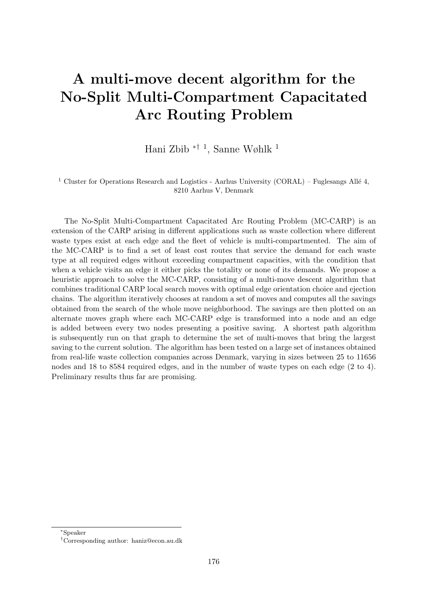# A multi-move decent algorithm for the No-Split Multi-Compartment Capacitated Arc Routing Problem

Hani Zbib ∗† <sup>1</sup> , Sanne Wøhlk <sup>1</sup>

<sup>1</sup> Cluster for Operations Research and Logistics - Aarhus University (CORAL) – Fuglesangs Allé 4, 8210 Aarhus V, Denmark

The No-Split Multi-Compartment Capacitated Arc Routing Problem (MC-CARP) is an extension of the CARP arising in different applications such as waste collection where different waste types exist at each edge and the fleet of vehicle is multi-compartmented. The aim of the MC-CARP is to find a set of least cost routes that service the demand for each waste type at all required edges without exceeding compartment capacities, with the condition that when a vehicle visits an edge it either picks the totality or none of its demands. We propose a heuristic approach to solve the MC-CARP, consisting of a multi-move descent algorithm that combines traditional CARP local search moves with optimal edge orientation choice and ejection chains. The algorithm iteratively chooses at random a set of moves and computes all the savings obtained from the search of the whole move neighborhood. The savings are then plotted on an alternate moves graph where each MC-CARP edge is transformed into a node and an edge is added between every two nodes presenting a positive saving. A shortest path algorithm is subsequently run on that graph to determine the set of multi-moves that bring the largest saving to the current solution. The algorithm has been tested on a large set of instances obtained from real-life waste collection companies across Denmark, varying in sizes between 25 to 11656 nodes and 18 to 8584 required edges, and in the number of waste types on each edge (2 to 4). Preliminary results thus far are promising.

<sup>∗</sup>Speaker

<sup>†</sup>Corresponding author: [haniz@econ.au.dk](mailto:haniz@econ.au.dk)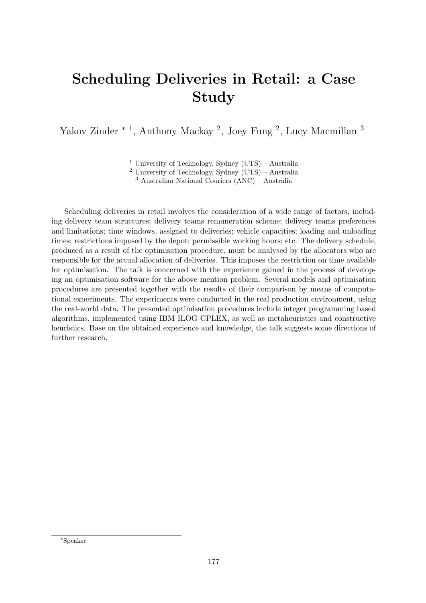# Scheduling Deliveries in Retail: a Case Study

Yakov Zinder <sup>\* 1</sup>, Anthony Mackay<sup>2</sup>, Joey Fung<sup>2</sup>, Lucy Macmillan<sup>3</sup>

<sup>1</sup> University of Technology, Sydney (UTS) – Australia

 $2$  University of Technology, Sydney (UTS) – Australia

<sup>3</sup> Australian National Couriers (ANC) – Australia

Scheduling deliveries in retail involves the consideration of a wide range of factors, including delivery team structures; delivery teams remuneration scheme; delivery teams preferences and limitations; time windows, assigned to deliveries; vehicle capacities; loading and unloading times; restrictions imposed by the depot; permissible working hours; etc. The delivery schedule, produced as a result of the optimisation procedure, must be analysed by the allocators who are responsible for the actual allocation of deliveries. This imposes the restriction on time available for optimisation. The talk is concerned with the experience gained in the process of developing an optimisation software for the above mention problem. Several models and optimisation procedures are presented together with the results of their comparison by means of computational experiments. The experiments were conducted in the real production environment, using the real-world data. The presented optimisation procedures include integer programming based algorithms, implemented using IBM ILOG CPLEX, as well as metaheuristics and constructive heuristics. Base on the obtained experience and knowledge, the talk suggests some directions of further research.

<sup>∗</sup>Speaker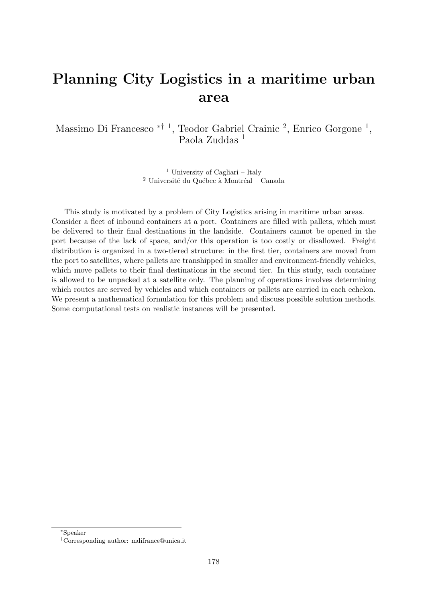#### Planning City Logistics in a maritime urban area

Massimo Di Francesco <sup>\*† 1</sup>, Teodor Gabriel Crainic<sup>2</sup>, Enrico Gorgone<sup>1</sup>, Paola Zuddas<sup>1</sup>

> <sup>1</sup> University of Cagliari – Italy <sup>2</sup> Université du Québec à Montréal – Canada

This study is motivated by a problem of City Logistics arising in maritime urban areas. Consider a fleet of inbound containers at a port. Containers are filled with pallets, which must be delivered to their final destinations in the landside. Containers cannot be opened in the port because of the lack of space, and/or this operation is too costly or disallowed. Freight distribution is organized in a two-tiered structure: in the first tier, containers are moved from the port to satellites, where pallets are transhipped in smaller and environment-friendly vehicles, which move pallets to their final destinations in the second tier. In this study, each container is allowed to be unpacked at a satellite only. The planning of operations involves determining which routes are served by vehicles and which containers or pallets are carried in each echelon. We present a mathematical formulation for this problem and discuss possible solution methods. Some computational tests on realistic instances will be presented.

<sup>∗</sup>Speaker

<sup>†</sup>Corresponding author: [mdifrance@unica.it](mailto:mdifrance@unica.it)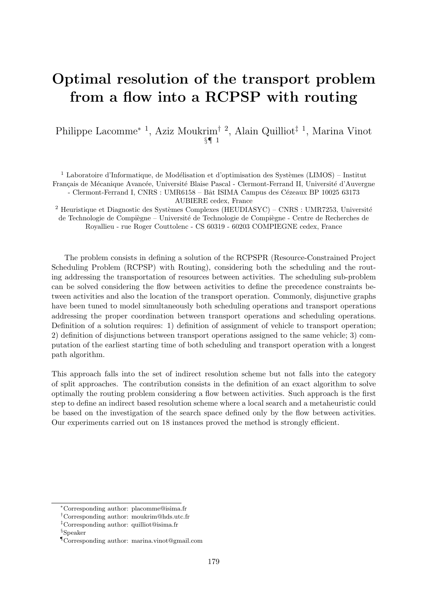#### Optimal resolution of the transport problem from a flow into a RCPSP with routing

Philippe Lacomme<sup>∗ 1</sup>, Aziz Moukrim<sup>† 2</sup>, Alain Quilliot<sup>‡ 1</sup>, Marina Vinot §¶ 1

<sup>1</sup> Laboratoire d'Informatique, de Modélisation et d'optimisation des Systèmes (LIMOS) – Institut Français de Mécanique Avancée, Université Blaise Pascal - Clermont-Ferrand II, Université d'Auvergne - Clermont-Ferrand I, CNRS : UMR6158 – Bât ISIMA Campus des Cézeaux BP 10025 63173

AUBIERE cedex, France

 $2$  Heuristique et Diagnostic des Systèmes Complexes (HEUDIASYC) – CNRS : UMR7253, Université de Technologie de Compiègne – Université de Technologie de Compiègne - Centre de Recherches de Royallieu - rue Roger Couttolenc - CS 60319 - 60203 COMPIEGNE cedex, France

The problem consists in defining a solution of the RCPSPR (Resource-Constrained Project Scheduling Problem (RCPSP) with Routing), considering both the scheduling and the routing addressing the transportation of resources between activities. The scheduling sub-problem can be solved considering the flow between activities to define the precedence constraints between activities and also the location of the transport operation. Commonly, disjunctive graphs have been tuned to model simultaneously both scheduling operations and transport operations addressing the proper coordination between transport operations and scheduling operations. Definition of a solution requires: 1) definition of assignment of vehicle to transport operation; 2) definition of disjunctions between transport operations assigned to the same vehicle; 3) computation of the earliest starting time of both scheduling and transport operation with a longest path algorithm.

This approach falls into the set of indirect resolution scheme but not falls into the category of split approaches. The contribution consists in the definition of an exact algorithm to solve optimally the routing problem considering a flow between activities. Such approach is the first step to define an indirect based resolution scheme where a local search and a metaheuristic could be based on the investigation of the search space defined only by the flow between activities. Our experiments carried out on 18 instances proved the method is strongly efficient.

<sup>∗</sup>Corresponding author: [placomme@isima.fr](mailto:placomme@isima.fr)

<sup>†</sup>Corresponding author: [moukrim@hds.utc.fr](mailto:moukrim@hds.utc.fr)

<sup>‡</sup>Corresponding author: [quilliot@isima.fr](mailto:quilliot@isima.fr)

<sup>§</sup>Speaker

<sup>¶</sup>Corresponding author: [marina.vinot@gmail.com](mailto:marina.vinot@gmail.com)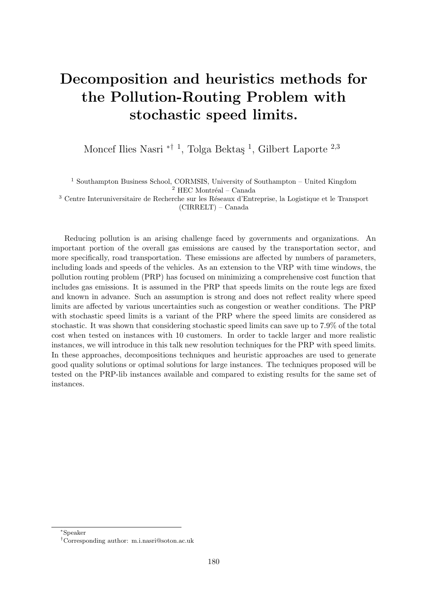## Decomposition and heuristics methods for the Pollution-Routing Problem with stochastic speed limits.

Moncef Ilies Nasri <sup>\*† 1</sup>, Tolga Bektaş <sup>1</sup>, Gilbert Laporte <sup>2,3</sup>

<sup>1</sup> Southampton Business School, CORMSIS, University of Southampton – United Kingdom  $^2$  HEC Montréal – Canada

<sup>3</sup> Centre Interuniversitaire de Recherche sur les Réseaux d'Entreprise, la Logistique et le Transport (CIRRELT) – Canada

Reducing pollution is an arising challenge faced by governments and organizations. An important portion of the overall gas emissions are caused by the transportation sector, and more specifically, road transportation. These emissions are affected by numbers of parameters, including loads and speeds of the vehicles. As an extension to the VRP with time windows, the pollution routing problem (PRP) has focused on minimizing a comprehensive cost function that includes gas emissions. It is assumed in the PRP that speeds limits on the route legs are fixed and known in advance. Such an assumption is strong and does not reflect reality where speed limits are affected by various uncertainties such as congestion or weather conditions. The PRP with stochastic speed limits is a variant of the PRP where the speed limits are considered as stochastic. It was shown that considering stochastic speed limits can save up to 7.9% of the total cost when tested on instances with 10 customers. In order to tackle larger and more realistic instances, we will introduce in this talk new resolution techniques for the PRP with speed limits. In these approaches, decompositions techniques and heuristic approaches are used to generate good quality solutions or optimal solutions for large instances. The techniques proposed will be tested on the PRP-lib instances available and compared to existing results for the same set of instances.

<sup>∗</sup>Speaker

<sup>†</sup>Corresponding author: [m.i.nasri@soton.ac.uk](mailto:m.i.nasri@soton.ac.uk)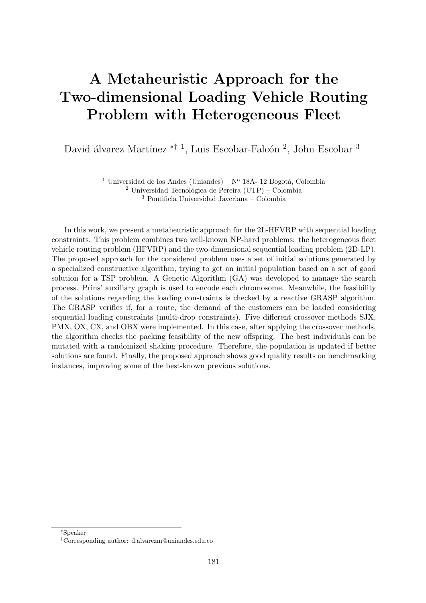## A Metaheuristic Approach for the Two-dimensional Loading Vehicle Routing Problem with Heterogeneous Fleet

David álvarez Martínez <sup>\*† 1</sup>, Luis Escobar-Falcón<sup>2</sup>, John Escobar<sup>3</sup>

<sup>1</sup> Universidad de los Andes (Uniandes) –  $N^{\circ}$  18A- 12 Bogotá, Colombia

 $2$  Universidad Tecnológica de Pereira (UTP) – Colombia <sup>3</sup> Pontificia Universidad Javeriana – Colombia

In this work, we present a metaheuristic approach for the 2L-HFVRP with sequential loading constraints. This problem combines two well-known NP-hard problems: the heterogeneous fleet vehicle routing problem (HFVRP) and the two-dimensional sequential loading problem (2D-LP). The proposed approach for the considered problem uses a set of initial solutions generated by a specialized constructive algorithm, trying to get an initial population based on a set of good solution for a TSP problem. A Genetic Algorithm (GA) was developed to manage the search process. Prins' auxiliary graph is used to encode each chromosome. Meanwhile, the feasibility of the solutions regarding the loading constraints is checked by a reactive GRASP algorithm. The GRASP verifies if, for a route, the demand of the customers can be loaded considering sequential loading constraints (multi-drop constraints). Five different crossover methods SJX, PMX, OX, CX, and OBX were implemented. In this case, after applying the crossover methods, the algorithm checks the packing feasibility of the new offspring. The best individuals can be mutated with a randomized shaking procedure. Therefore, the population is updated if better solutions are found. Finally, the proposed approach shows good quality results on benchmarking instances, improving some of the best-known previous solutions.

<sup>∗</sup>Speaker

<sup>†</sup>Corresponding author: [d.alvarezm@uniandes.edu.co](mailto:d.alvarezm@uniandes.edu.co)